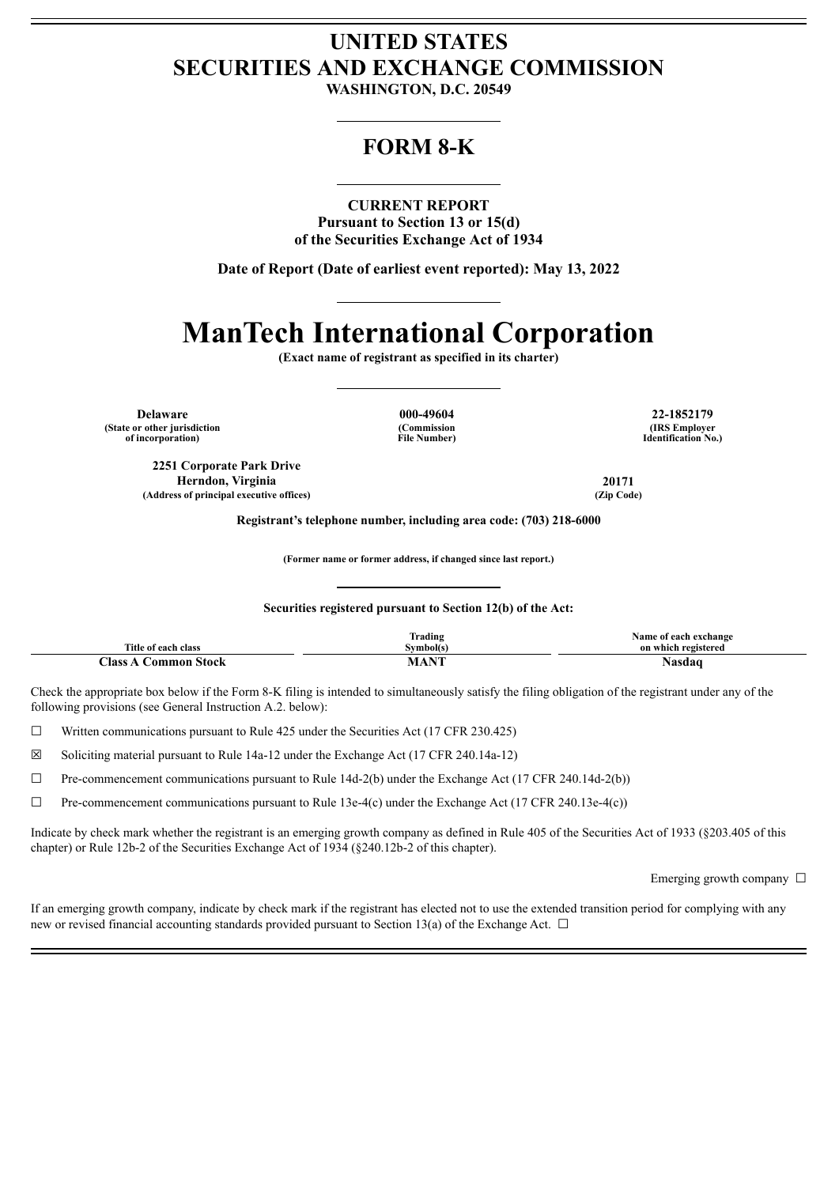# **UNITED STATES SECURITIES AND EXCHANGE COMMISSION**

**WASHINGTON, D.C. 20549**

# **FORM 8-K**

## **CURRENT REPORT**

**Pursuant to Section 13 or 15(d) of the Securities Exchange Act of 1934**

**Date of Report (Date of earliest event reported): May 13, 2022**

# **ManTech International Corporation**

**(Exact name of registrant as specified in its charter)**

**Delaware 000-49604 22-1852179 (State or other jurisdiction of incorporation)**

**(Commission File Number)**

**(IRS Employer Identification No.)**

**2251 Corporate Park Drive Herndon, Virginia 20171 (Address of principal executive offices) (Zip Code)**

**Registrant's telephone number, including area code: (703) 218-6000**

**(Former name or former address, if changed since last report.)**

#### **Securities registered pursuant to Section 12(b) of the Act:**

|                                                                       | --<br>$\cdot$ .<br>Trading                                                                     | Name of<br>exchange ا<br>.ach |
|-----------------------------------------------------------------------|------------------------------------------------------------------------------------------------|-------------------------------|
| <b>Title of</b><br>r each<br>class                                    | Svmbol(s)                                                                                      | on which registered           |
| $\textcolor{red}{\boldsymbol{\mathsf{Class}}}$<br>mmon<br>Stock<br>Λm | <b>BYFE</b><br>the contract of the contract of the contract of the contract of the contract of | мыл                           |

Check the appropriate box below if the Form 8-K filing is intended to simultaneously satisfy the filing obligation of the registrant under any of the following provisions (see General Instruction A.2. below):

 $\Box$  Written communications pursuant to Rule 425 under the Securities Act (17 CFR 230.425)

☒ Soliciting material pursuant to Rule 14a-12 under the Exchange Act (17 CFR 240.14a-12)

 $\Box$  Pre-commencement communications pursuant to Rule 14d-2(b) under the Exchange Act (17 CFR 240.14d-2(b))

 $\Box$  Pre-commencement communications pursuant to Rule 13e-4(c) under the Exchange Act (17 CFR 240.13e-4(c))

Indicate by check mark whether the registrant is an emerging growth company as defined in Rule 405 of the Securities Act of 1933 (§203.405 of this chapter) or Rule 12b-2 of the Securities Exchange Act of 1934 (§240.12b-2 of this chapter).

Emerging growth company  $\Box$ 

If an emerging growth company, indicate by check mark if the registrant has elected not to use the extended transition period for complying with any new or revised financial accounting standards provided pursuant to Section 13(a) of the Exchange Act.  $\Box$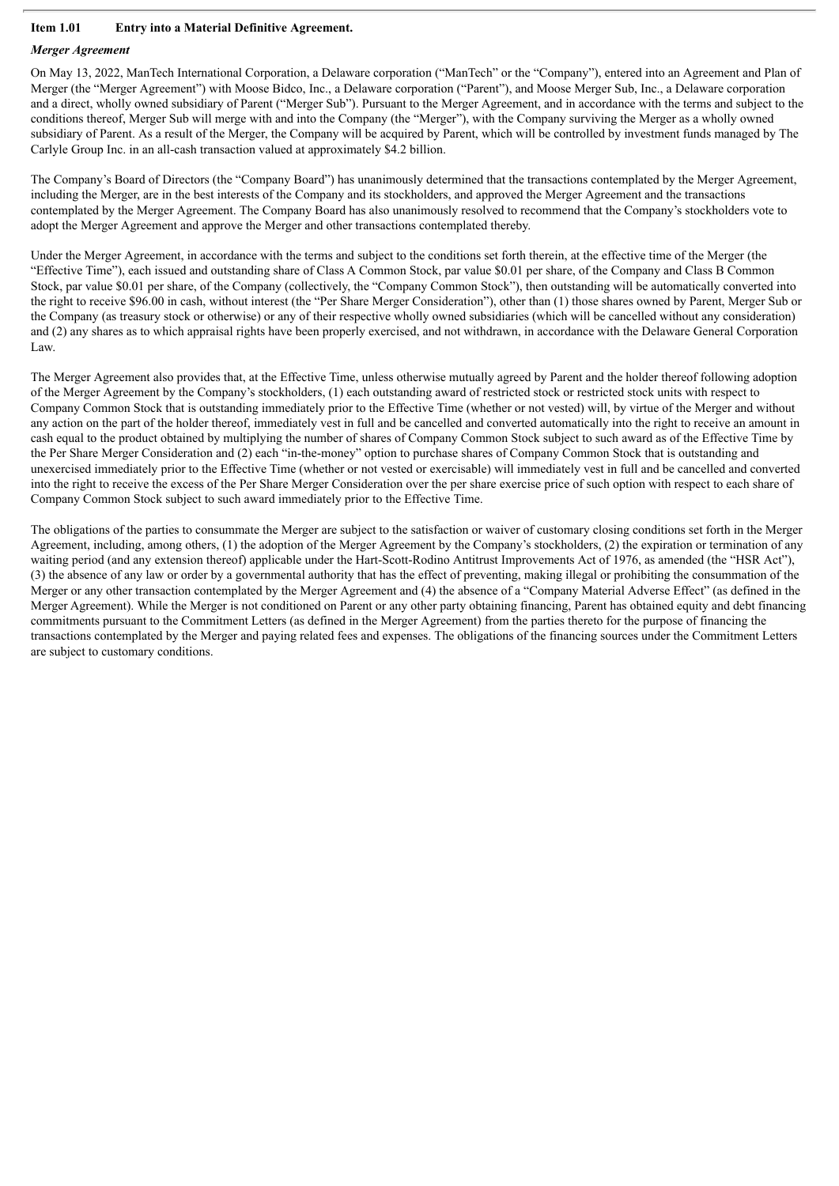## **Item 1.01 Entry into a Material Definitive Agreement.**

## *Merger Agreement*

On May 13, 2022, ManTech International Corporation, a Delaware corporation ("ManTech" or the "Company"), entered into an Agreement and Plan of Merger (the "Merger Agreement") with Moose Bidco, Inc., a Delaware corporation ("Parent"), and Moose Merger Sub, Inc., a Delaware corporation and a direct, wholly owned subsidiary of Parent ("Merger Sub"). Pursuant to the Merger Agreement, and in accordance with the terms and subject to the conditions thereof, Merger Sub will merge with and into the Company (the "Merger"), with the Company surviving the Merger as a wholly owned subsidiary of Parent. As a result of the Merger, the Company will be acquired by Parent, which will be controlled by investment funds managed by The Carlyle Group Inc. in an all-cash transaction valued at approximately \$4.2 billion.

The Company's Board of Directors (the "Company Board") has unanimously determined that the transactions contemplated by the Merger Agreement, including the Merger, are in the best interests of the Company and its stockholders, and approved the Merger Agreement and the transactions contemplated by the Merger Agreement. The Company Board has also unanimously resolved to recommend that the Company's stockholders vote to adopt the Merger Agreement and approve the Merger and other transactions contemplated thereby.

Under the Merger Agreement, in accordance with the terms and subject to the conditions set forth therein, at the effective time of the Merger (the "Effective Time"), each issued and outstanding share of Class A Common Stock, par value \$0.01 per share, of the Company and Class B Common Stock, par value \$0.01 per share, of the Company (collectively, the "Company Common Stock"), then outstanding will be automatically converted into the right to receive \$96.00 in cash, without interest (the "Per Share Merger Consideration"), other than (1) those shares owned by Parent, Merger Sub or the Company (as treasury stock or otherwise) or any of their respective wholly owned subsidiaries (which will be cancelled without any consideration) and (2) any shares as to which appraisal rights have been properly exercised, and not withdrawn, in accordance with the Delaware General Corporation Law.

The Merger Agreement also provides that, at the Effective Time, unless otherwise mutually agreed by Parent and the holder thereof following adoption of the Merger Agreement by the Company's stockholders, (1) each outstanding award of restricted stock or restricted stock units with respect to Company Common Stock that is outstanding immediately prior to the Effective Time (whether or not vested) will, by virtue of the Merger and without any action on the part of the holder thereof, immediately vest in full and be cancelled and converted automatically into the right to receive an amount in cash equal to the product obtained by multiplying the number of shares of Company Common Stock subject to such award as of the Effective Time by the Per Share Merger Consideration and (2) each "in-the-money" option to purchase shares of Company Common Stock that is outstanding and unexercised immediately prior to the Effective Time (whether or not vested or exercisable) will immediately vest in full and be cancelled and converted into the right to receive the excess of the Per Share Merger Consideration over the per share exercise price of such option with respect to each share of Company Common Stock subject to such award immediately prior to the Effective Time.

The obligations of the parties to consummate the Merger are subject to the satisfaction or waiver of customary closing conditions set forth in the Merger Agreement, including, among others, (1) the adoption of the Merger Agreement by the Company's stockholders, (2) the expiration or termination of any waiting period (and any extension thereof) applicable under the Hart-Scott-Rodino Antitrust Improvements Act of 1976, as amended (the "HSR Act"), (3) the absence of any law or order by a governmental authority that has the effect of preventing, making illegal or prohibiting the consummation of the Merger or any other transaction contemplated by the Merger Agreement and (4) the absence of a "Company Material Adverse Effect" (as defined in the Merger Agreement). While the Merger is not conditioned on Parent or any other party obtaining financing, Parent has obtained equity and debt financing commitments pursuant to the Commitment Letters (as defined in the Merger Agreement) from the parties thereto for the purpose of financing the transactions contemplated by the Merger and paying related fees and expenses. The obligations of the financing sources under the Commitment Letters are subject to customary conditions.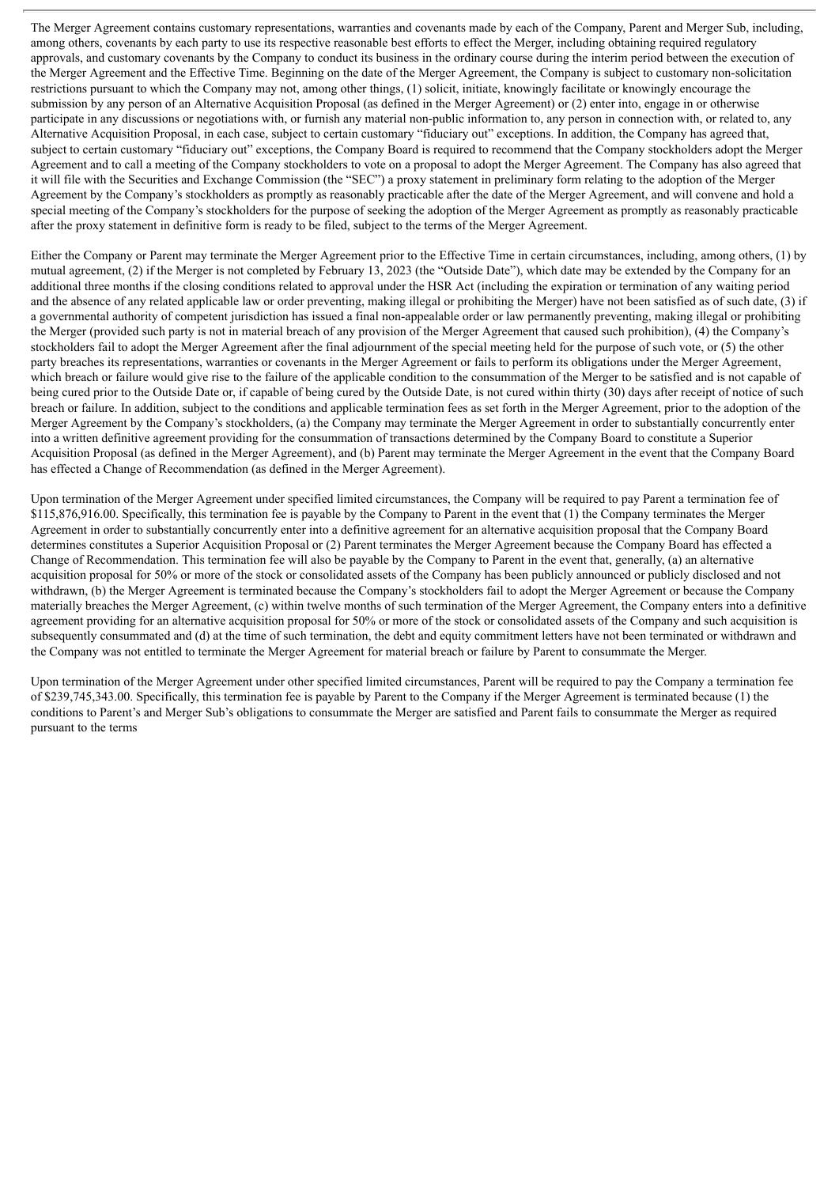The Merger Agreement contains customary representations, warranties and covenants made by each of the Company, Parent and Merger Sub, including, among others, covenants by each party to use its respective reasonable best efforts to effect the Merger, including obtaining required regulatory approvals, and customary covenants by the Company to conduct its business in the ordinary course during the interim period between the execution of the Merger Agreement and the Effective Time. Beginning on the date of the Merger Agreement, the Company is subject to customary non-solicitation restrictions pursuant to which the Company may not, among other things, (1) solicit, initiate, knowingly facilitate or knowingly encourage the submission by any person of an Alternative Acquisition Proposal (as defined in the Merger Agreement) or (2) enter into, engage in or otherwise participate in any discussions or negotiations with, or furnish any material non-public information to, any person in connection with, or related to, any Alternative Acquisition Proposal, in each case, subject to certain customary "fiduciary out" exceptions. In addition, the Company has agreed that, subject to certain customary "fiduciary out" exceptions, the Company Board is required to recommend that the Company stockholders adopt the Merger Agreement and to call a meeting of the Company stockholders to vote on a proposal to adopt the Merger Agreement. The Company has also agreed that it will file with the Securities and Exchange Commission (the "SEC") a proxy statement in preliminary form relating to the adoption of the Merger Agreement by the Company's stockholders as promptly as reasonably practicable after the date of the Merger Agreement, and will convene and hold a special meeting of the Company's stockholders for the purpose of seeking the adoption of the Merger Agreement as promptly as reasonably practicable after the proxy statement in definitive form is ready to be filed, subject to the terms of the Merger Agreement.

Either the Company or Parent may terminate the Merger Agreement prior to the Effective Time in certain circumstances, including, among others, (1) by mutual agreement, (2) if the Merger is not completed by February 13, 2023 (the "Outside Date"), which date may be extended by the Company for an additional three months if the closing conditions related to approval under the HSR Act (including the expiration or termination of any waiting period and the absence of any related applicable law or order preventing, making illegal or prohibiting the Merger) have not been satisfied as of such date, (3) if a governmental authority of competent jurisdiction has issued a final non-appealable order or law permanently preventing, making illegal or prohibiting the Merger (provided such party is not in material breach of any provision of the Merger Agreement that caused such prohibition), (4) the Company's stockholders fail to adopt the Merger Agreement after the final adjournment of the special meeting held for the purpose of such vote, or (5) the other party breaches its representations, warranties or covenants in the Merger Agreement or fails to perform its obligations under the Merger Agreement, which breach or failure would give rise to the failure of the applicable condition to the consummation of the Merger to be satisfied and is not capable of being cured prior to the Outside Date or, if capable of being cured by the Outside Date, is not cured within thirty (30) days after receipt of notice of such breach or failure. In addition, subject to the conditions and applicable termination fees as set forth in the Merger Agreement, prior to the adoption of the Merger Agreement by the Company's stockholders, (a) the Company may terminate the Merger Agreement in order to substantially concurrently enter into a written definitive agreement providing for the consummation of transactions determined by the Company Board to constitute a Superior Acquisition Proposal (as defined in the Merger Agreement), and (b) Parent may terminate the Merger Agreement in the event that the Company Board has effected a Change of Recommendation (as defined in the Merger Agreement).

Upon termination of the Merger Agreement under specified limited circumstances, the Company will be required to pay Parent a termination fee of \$115,876,916.00. Specifically, this termination fee is payable by the Company to Parent in the event that (1) the Company terminates the Merger Agreement in order to substantially concurrently enter into a definitive agreement for an alternative acquisition proposal that the Company Board determines constitutes a Superior Acquisition Proposal or (2) Parent terminates the Merger Agreement because the Company Board has effected a Change of Recommendation. This termination fee will also be payable by the Company to Parent in the event that, generally, (a) an alternative acquisition proposal for 50% or more of the stock or consolidated assets of the Company has been publicly announced or publicly disclosed and not withdrawn, (b) the Merger Agreement is terminated because the Company's stockholders fail to adopt the Merger Agreement or because the Company materially breaches the Merger Agreement, (c) within twelve months of such termination of the Merger Agreement, the Company enters into a definitive agreement providing for an alternative acquisition proposal for 50% or more of the stock or consolidated assets of the Company and such acquisition is subsequently consummated and (d) at the time of such termination, the debt and equity commitment letters have not been terminated or withdrawn and the Company was not entitled to terminate the Merger Agreement for material breach or failure by Parent to consummate the Merger.

Upon termination of the Merger Agreement under other specified limited circumstances, Parent will be required to pay the Company a termination fee of \$239,745,343.00. Specifically, this termination fee is payable by Parent to the Company if the Merger Agreement is terminated because (1) the conditions to Parent's and Merger Sub's obligations to consummate the Merger are satisfied and Parent fails to consummate the Merger as required pursuant to the terms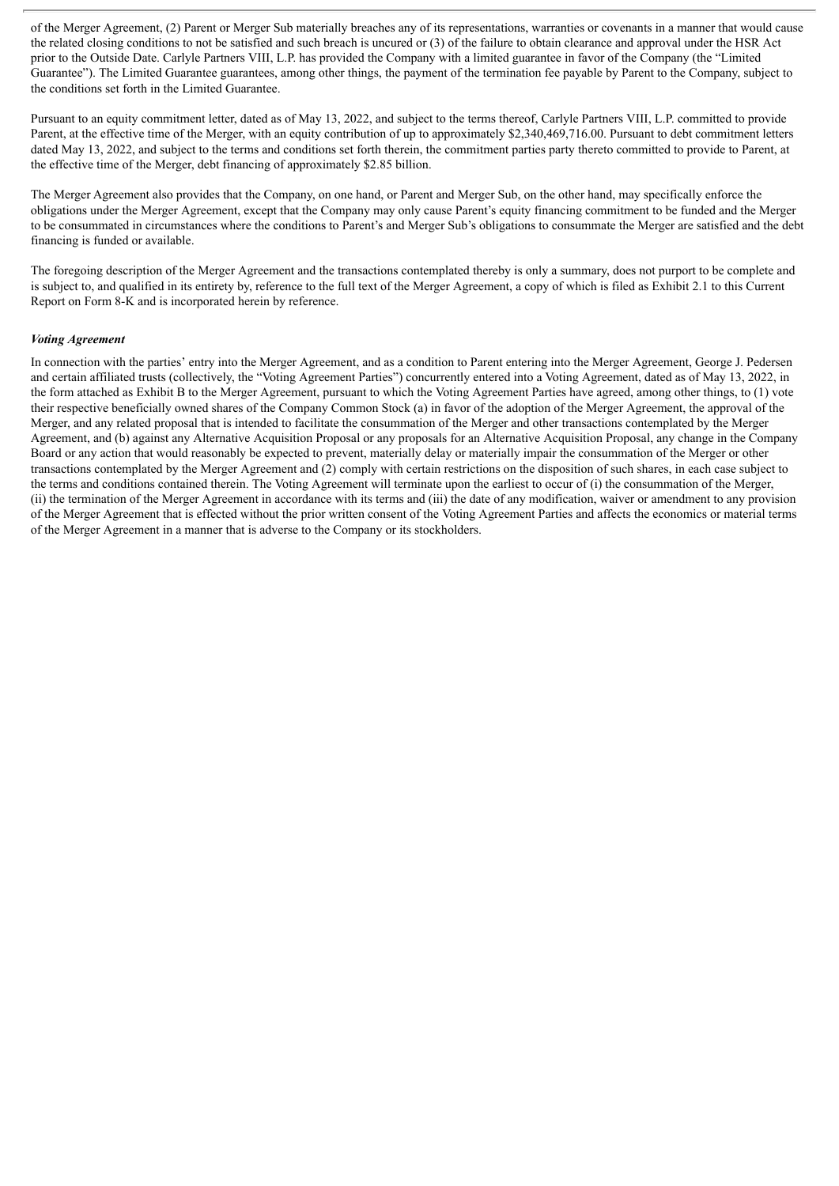of the Merger Agreement, (2) Parent or Merger Sub materially breaches any of its representations, warranties or covenants in a manner that would cause the related closing conditions to not be satisfied and such breach is uncured or (3) of the failure to obtain clearance and approval under the HSR Act prior to the Outside Date. Carlyle Partners VIII, L.P. has provided the Company with a limited guarantee in favor of the Company (the "Limited Guarantee"). The Limited Guarantee guarantees, among other things, the payment of the termination fee payable by Parent to the Company, subject to the conditions set forth in the Limited Guarantee.

Pursuant to an equity commitment letter, dated as of May 13, 2022, and subject to the terms thereof, Carlyle Partners VIII, L.P. committed to provide Parent, at the effective time of the Merger, with an equity contribution of up to approximately \$2,340,469,716.00. Pursuant to debt commitment letters dated May 13, 2022, and subject to the terms and conditions set forth therein, the commitment parties party thereto committed to provide to Parent, at the effective time of the Merger, debt financing of approximately \$2.85 billion.

The Merger Agreement also provides that the Company, on one hand, or Parent and Merger Sub, on the other hand, may specifically enforce the obligations under the Merger Agreement, except that the Company may only cause Parent's equity financing commitment to be funded and the Merger to be consummated in circumstances where the conditions to Parent's and Merger Sub's obligations to consummate the Merger are satisfied and the debt financing is funded or available.

The foregoing description of the Merger Agreement and the transactions contemplated thereby is only a summary, does not purport to be complete and is subject to, and qualified in its entirety by, reference to the full text of the Merger Agreement, a copy of which is filed as Exhibit 2.1 to this Current Report on Form 8-K and is incorporated herein by reference.

### *Voting Agreement*

In connection with the parties' entry into the Merger Agreement, and as a condition to Parent entering into the Merger Agreement, George J. Pedersen and certain affiliated trusts (collectively, the "Voting Agreement Parties") concurrently entered into a Voting Agreement, dated as of May 13, 2022, in the form attached as Exhibit B to the Merger Agreement, pursuant to which the Voting Agreement Parties have agreed, among other things, to (1) vote their respective beneficially owned shares of the Company Common Stock (a) in favor of the adoption of the Merger Agreement, the approval of the Merger, and any related proposal that is intended to facilitate the consummation of the Merger and other transactions contemplated by the Merger Agreement, and (b) against any Alternative Acquisition Proposal or any proposals for an Alternative Acquisition Proposal, any change in the Company Board or any action that would reasonably be expected to prevent, materially delay or materially impair the consummation of the Merger or other transactions contemplated by the Merger Agreement and (2) comply with certain restrictions on the disposition of such shares, in each case subject to the terms and conditions contained therein. The Voting Agreement will terminate upon the earliest to occur of (i) the consummation of the Merger, (ii) the termination of the Merger Agreement in accordance with its terms and (iii) the date of any modification, waiver or amendment to any provision of the Merger Agreement that is effected without the prior written consent of the Voting Agreement Parties and affects the economics or material terms of the Merger Agreement in a manner that is adverse to the Company or its stockholders.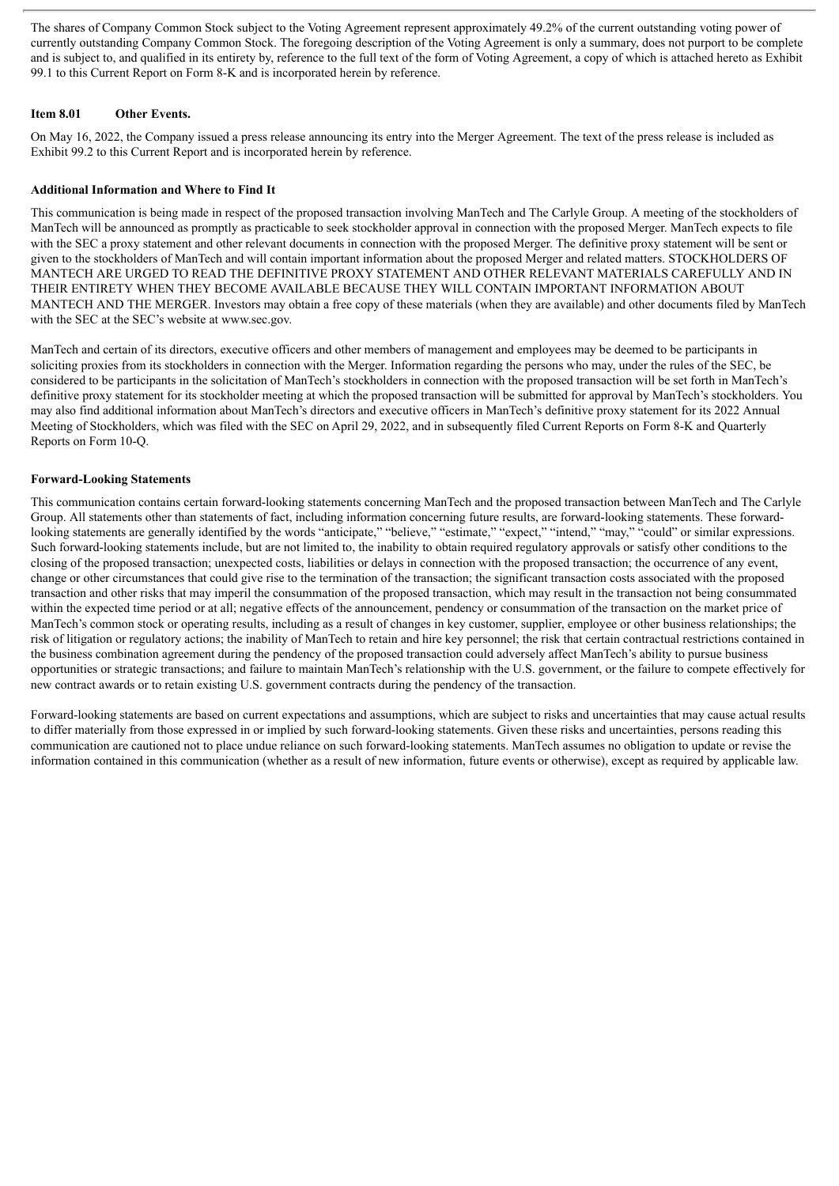The shares of Company Common Stock subject to the Voting Agreement represent approximately 49.2% of the current outstanding voting power of currently outstanding Company Common Stock. The foregoing description of the Voting Agreement is only a summary, does not purport to be complete and is subject to, and qualified in its entirety by, reference to the full text of the form of Voting Agreement, a copy of which is attached hereto as Exhibit 99.1 to this Current Report on Form 8-K and is incorporated herein by reference.

## **Item 8.01 Other Events.**

On May 16, 2022, the Company issued a press release announcing its entry into the Merger Agreement. The text of the press release is included as Exhibit 99.2 to this Current Report and is incorporated herein by reference.

## **Additional Information and Where to Find It**

This communication is being made in respect of the proposed transaction involving ManTech and The Carlyle Group. A meeting of the stockholders of ManTech will be announced as promptly as practicable to seek stockholder approval in connection with the proposed Merger. ManTech expects to file with the SEC a proxy statement and other relevant documents in connection with the proposed Merger. The definitive proxy statement will be sent or given to the stockholders of ManTech and will contain important information about the proposed Merger and related matters. STOCKHOLDERS OF MANTECH ARE URGED TO READ THE DEFINITIVE PROXY STATEMENT AND OTHER RELEVANT MATERIALS CAREFULLY AND IN THEIR ENTIRETY WHEN THEY BECOME AVAILABLE BECAUSE THEY WILL CONTAIN IMPORTANT INFORMATION ABOUT MANTECH AND THE MERGER. Investors may obtain a free copy of these materials (when they are available) and other documents filed by ManTech with the SEC at the SEC's website at www.sec.gov.

ManTech and certain of its directors, executive officers and other members of management and employees may be deemed to be participants in soliciting proxies from its stockholders in connection with the Merger. Information regarding the persons who may, under the rules of the SEC, be considered to be participants in the solicitation of ManTech's stockholders in connection with the proposed transaction will be set forth in ManTech's definitive proxy statement for its stockholder meeting at which the proposed transaction will be submitted for approval by ManTech's stockholders. You may also find additional information about ManTech's directors and executive officers in ManTech's definitive proxy statement for its 2022 Annual Meeting of Stockholders, which was filed with the SEC on April 29, 2022, and in subsequently filed Current Reports on Form 8-K and Quarterly Reports on Form 10-Q.

## **Forward-Looking Statements**

This communication contains certain forward-looking statements concerning ManTech and the proposed transaction between ManTech and The Carlyle Group. All statements other than statements of fact, including information concerning future results, are forward-looking statements. These forwardlooking statements are generally identified by the words "anticipate," "believe," "estimate," "expect," "intend," "may," "could" or similar expressions. Such forward-looking statements include, but are not limited to, the inability to obtain required regulatory approvals or satisfy other conditions to the closing of the proposed transaction; unexpected costs, liabilities or delays in connection with the proposed transaction; the occurrence of any event, change or other circumstances that could give rise to the termination of the transaction; the significant transaction costs associated with the proposed transaction and other risks that may imperil the consummation of the proposed transaction, which may result in the transaction not being consummated within the expected time period or at all; negative effects of the announcement, pendency or consummation of the transaction on the market price of ManTech's common stock or operating results, including as a result of changes in key customer, supplier, employee or other business relationships; the risk of litigation or regulatory actions; the inability of ManTech to retain and hire key personnel; the risk that certain contractual restrictions contained in the business combination agreement during the pendency of the proposed transaction could adversely affect ManTech's ability to pursue business opportunities or strategic transactions; and failure to maintain ManTech's relationship with the U.S. government, or the failure to compete effectively for new contract awards or to retain existing U.S. government contracts during the pendency of the transaction.

Forward-looking statements are based on current expectations and assumptions, which are subject to risks and uncertainties that may cause actual results to differ materially from those expressed in or implied by such forward-looking statements. Given these risks and uncertainties, persons reading this communication are cautioned not to place undue reliance on such forward-looking statements. ManTech assumes no obligation to update or revise the information contained in this communication (whether as a result of new information, future events or otherwise), except as required by applicable law.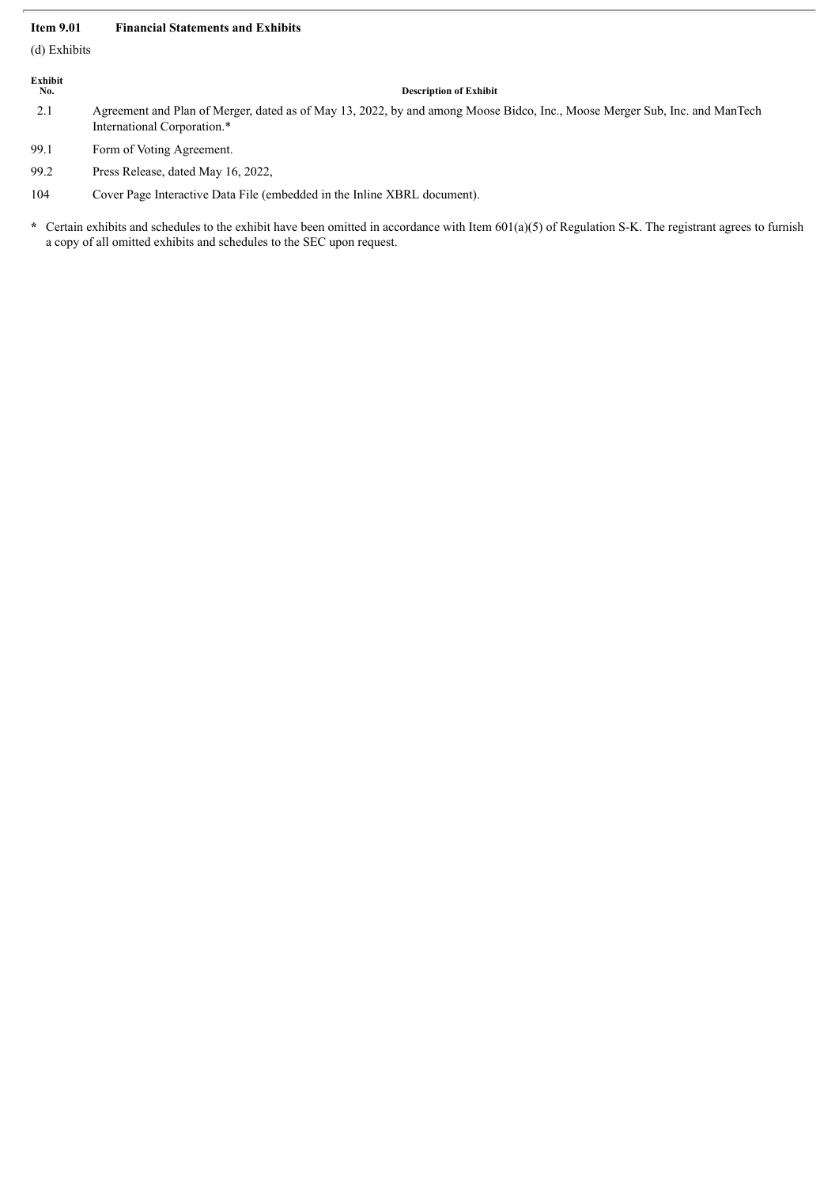### **Item 9.01 Financial Statements and Exhibits**

(d) Exhibits

# **Exhibit**

#### **No. Description of Exhibit**

2.1 Agreement and Plan of Merger, dated as of May 13, 2022, by and among Moose Bidco, Inc., Moose Merger Sub, Inc. and ManTech International Corporation.\*

99.1 Form of Voting Agreement.

99.2 Press Release, dated May 16, 2022,

104 Cover Page Interactive Data File (embedded in the Inline XBRL document).

**\*** Certain exhibits and schedules to the exhibit have been omitted in accordance with Item 601(a)(5) of Regulation S-K. The registrant agrees to furnish a copy of all omitted exhibits and schedules to the SEC upon request.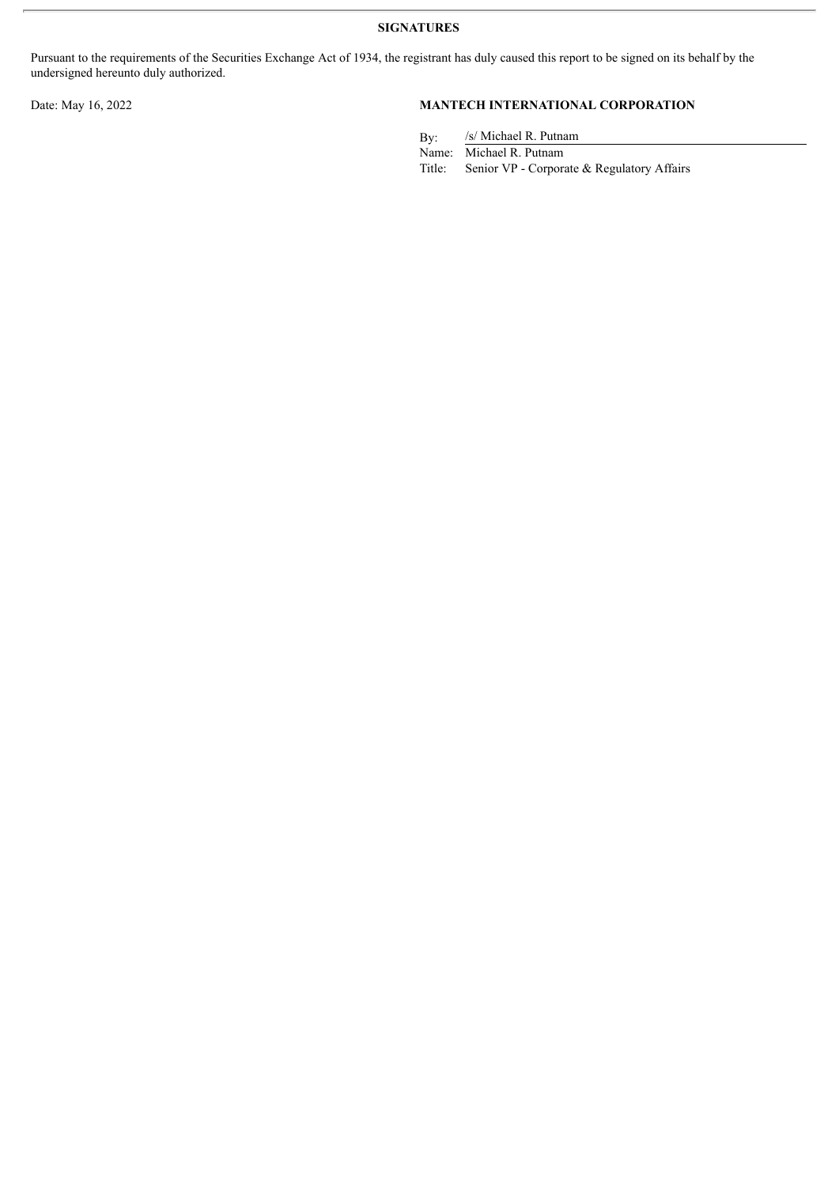**SIGNATURES**

Pursuant to the requirements of the Securities Exchange Act of 1934, the registrant has duly caused this report to be signed on its behalf by the undersigned hereunto duly authorized.

# Date: May 16, 2022 **MANTECH INTERNATIONAL CORPORATION**

By: /s/ Michael R. Putnam

Name: Michael R. Putnam<br>Title: Senior VP - Corpora Senior VP - Corporate & Regulatory Affairs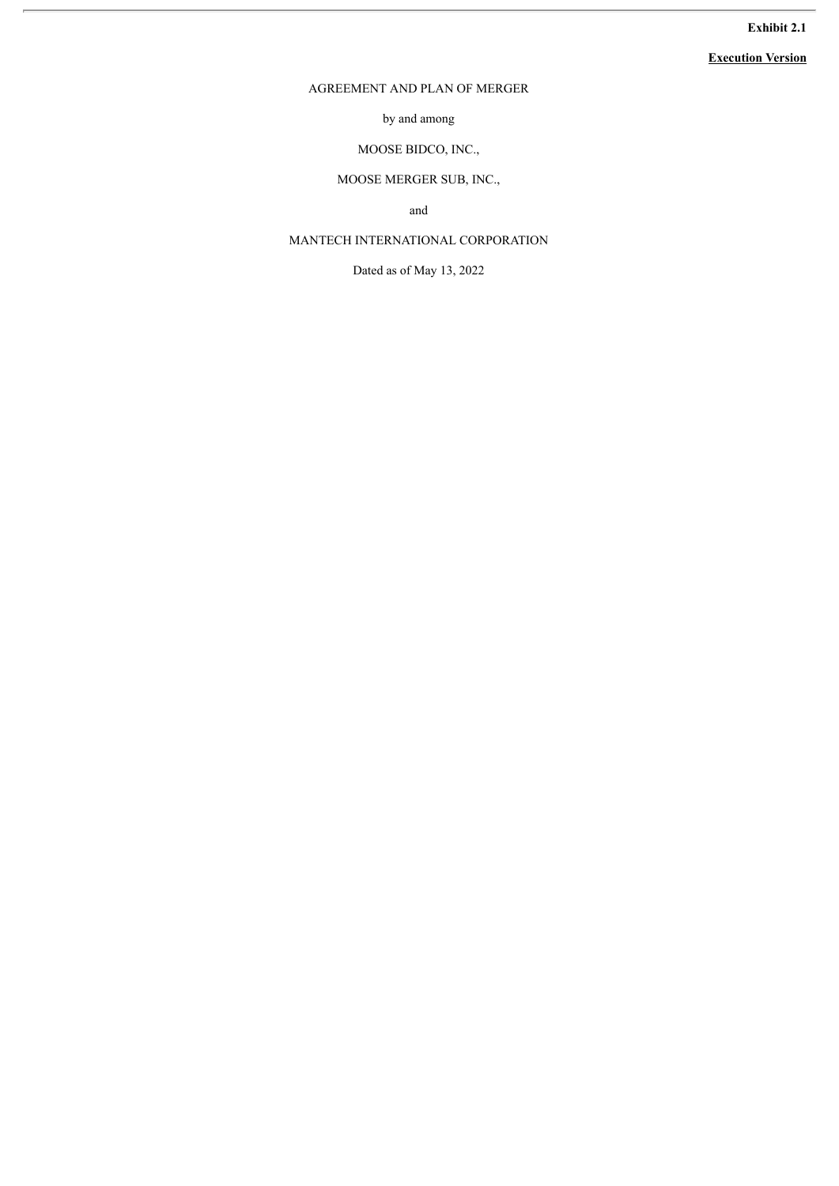# **Exhibit 2.1**

# **Execution Version**

# AGREEMENT AND PLAN OF MERGER

by and among

# MOOSE BIDCO, INC.,

# MOOSE MERGER SUB, INC.,

and

# MANTECH INTERNATIONAL CORPORATION

Dated as of May 13, 2022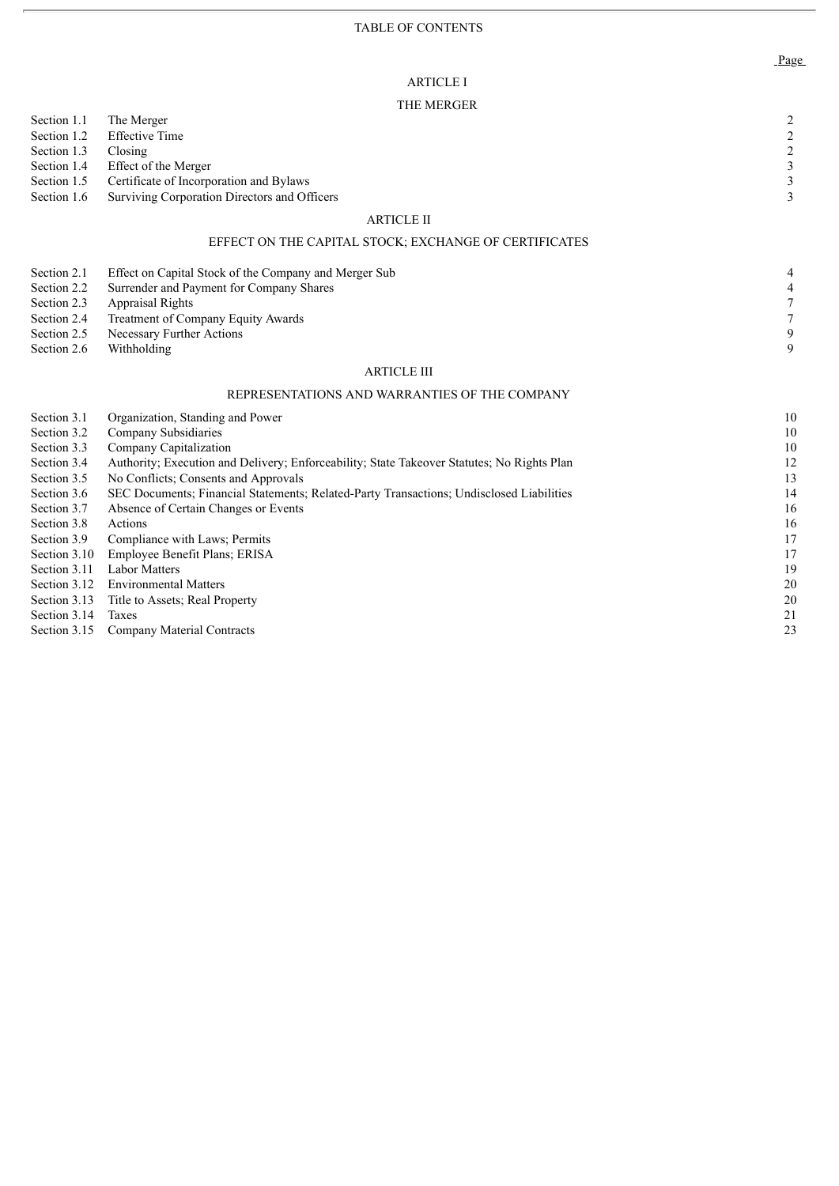# ARTICLE I

# THE MERGER

|              | <b>I HE MERUER</b>                                                                         |                                                 |
|--------------|--------------------------------------------------------------------------------------------|-------------------------------------------------|
| Section 1.1  | The Merger                                                                                 | $\overline{c}$                                  |
| Section 1.2  | <b>Effective Time</b>                                                                      | $\begin{array}{c} 2 \\ 2 \\ 3 \\ 3 \end{array}$ |
| Section 1.3  | Closing                                                                                    |                                                 |
| Section 1.4  | Effect of the Merger                                                                       |                                                 |
| Section 1.5  | Certificate of Incorporation and Bylaws                                                    |                                                 |
| Section 1.6  | Surviving Corporation Directors and Officers                                               | 3                                               |
|              | <b>ARTICLE II</b>                                                                          |                                                 |
|              | EFFECT ON THE CAPITAL STOCK; EXCHANGE OF CERTIFICATES                                      |                                                 |
| Section 2.1  | Effect on Capital Stock of the Company and Merger Sub                                      | 4                                               |
| Section 2.2  | Surrender and Payment for Company Shares                                                   | $\overline{\mathcal{L}}$                        |
| Section 2.3  | <b>Appraisal Rights</b>                                                                    | $\boldsymbol{7}$                                |
| Section 2.4  | Treatment of Company Equity Awards                                                         | $\boldsymbol{7}$                                |
| Section 2.5  | Necessary Further Actions                                                                  | $\overline{9}$                                  |
| Section 2.6  | Withholding                                                                                | 9                                               |
|              | <b>ARTICLE III</b>                                                                         |                                                 |
|              | REPRESENTATIONS AND WARRANTIES OF THE COMPANY                                              |                                                 |
| Section 3.1  | Organization, Standing and Power                                                           | 10                                              |
| Section 3.2  | Company Subsidiaries                                                                       | $10\,$                                          |
| Section 3.3  | Company Capitalization                                                                     | $10\,$                                          |
| Section 3.4  | Authority; Execution and Delivery; Enforceability; State Takeover Statutes; No Rights Plan | 12                                              |
| Section 3.5  | No Conflicts; Consents and Approvals                                                       | 13                                              |
| Section 3.6  | SEC Documents; Financial Statements; Related-Party Transactions; Undisclosed Liabilities   | 14                                              |
| Section 3.7  | Absence of Certain Changes or Events                                                       | 16                                              |
| Section 3.8  | Actions                                                                                    | 16                                              |
| Section 3.9  | Compliance with Laws; Permits                                                              | 17                                              |
| Section 3.10 | Employee Benefit Plans; ERISA                                                              | $17\,$                                          |
| Section 3.11 | <b>Labor Matters</b>                                                                       | 19                                              |
| Section 3.12 | <b>Environmental Matters</b>                                                               | 20                                              |
| Section 3.13 | Title to Assets; Real Property                                                             | 20                                              |
| Section 3.14 | Taxes                                                                                      | 21                                              |
| Section 3.15 | Company Material Contracts                                                                 | 23                                              |

Page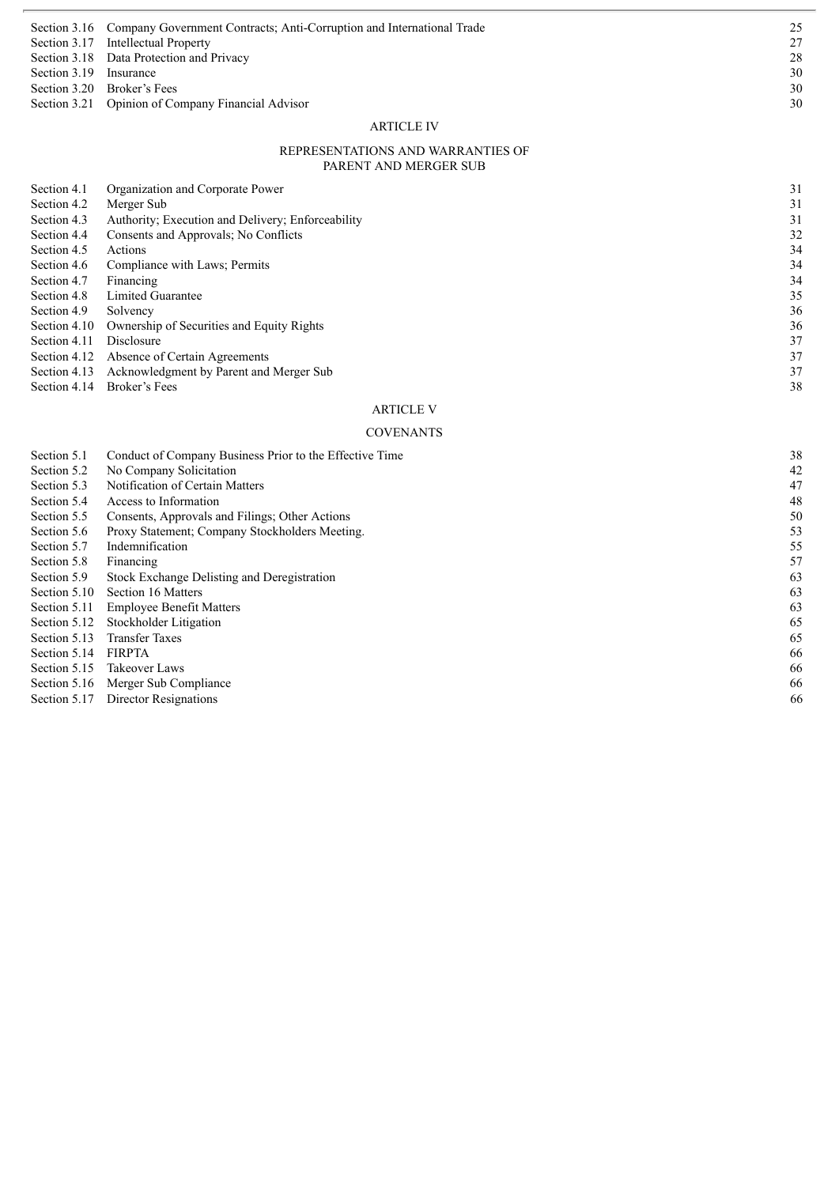|                        | Section 3.21 Opinion of Company Financial Advisor                                  | 30 |
|------------------------|------------------------------------------------------------------------------------|----|
|                        |                                                                                    |    |
|                        | Section 3.20 Broker's Fees                                                         | 30 |
|                        |                                                                                    |    |
| Section 3.19 Insurance |                                                                                    | 30 |
|                        | Section 3.18 Data Protection and Privacy                                           | 28 |
|                        |                                                                                    |    |
|                        | Section 3.17 Intellectual Property                                                 | 27 |
|                        | Section 3.16 Company Government Contracts; Anti-Corruption and International Trade | 25 |
|                        |                                                                                    |    |

#### ARTICLE IV

#### REPRESENTATIONS AND WARRANTIES OF PARENT AND MERGER SUB

| Section 4.1  | Organization and Corporate Power                  | 31 |
|--------------|---------------------------------------------------|----|
| Section 4.2  | Merger Sub                                        | 31 |
| Section 4.3  | Authority; Execution and Delivery; Enforceability | 31 |
| Section 4.4  | Consents and Approvals; No Conflicts              | 32 |
| Section 4.5  | <b>Actions</b>                                    | 34 |
| Section 4.6  | Compliance with Laws; Permits                     | 34 |
| Section 4.7  | Financing                                         | 34 |
| Section 4.8  | Limited Guarantee                                 | 35 |
| Section 4.9  | Solvency                                          | 36 |
| Section 4.10 | Ownership of Securities and Equity Rights         | 36 |
| Section 4.11 | <b>Disclosure</b>                                 | 37 |
| Section 4.12 | Absence of Certain Agreements                     | 37 |
| Section 4.13 | Acknowledgment by Parent and Merger Sub           | 37 |
| Section 4.14 | Broker's Fees                                     | 38 |
|              | <b>ARTICLE V</b>                                  |    |

# C O V E N AN T S

| Section 5.1  | Conduct of Company Business Prior to the Effective Time | 38 |
|--------------|---------------------------------------------------------|----|
| Section 5.2  | No Company Solicitation                                 | 42 |
| Section 5.3  | Notification of Certain Matters                         | 47 |
| Section 5.4  | Access to Information                                   | 48 |
| Section 5.5  | Consents, Approvals and Filings; Other Actions          | 50 |
| Section 5.6  | Proxy Statement; Company Stockholders Meeting.          | 53 |
| Section 5.7  | Indemnification                                         | 55 |
| Section 5.8  | Financing                                               | 57 |
| Section 5.9  | Stock Exchange Delisting and Deregistration             | 63 |
| Section 5.10 | Section 16 Matters                                      | 63 |
| Section 5.11 | <b>Employee Benefit Matters</b>                         | 63 |
| Section 5.12 | Stockholder Litigation                                  | 65 |
| Section 5.13 | <b>Transfer Taxes</b>                                   | 65 |
| Section 5.14 | <b>FIRPTA</b>                                           | 66 |
| Section 5.15 | Takeover Laws                                           | 66 |
| Section 5.16 | Merger Sub Compliance                                   | 66 |
| Section 5.17 | Director Resignations                                   | 66 |
|              |                                                         |    |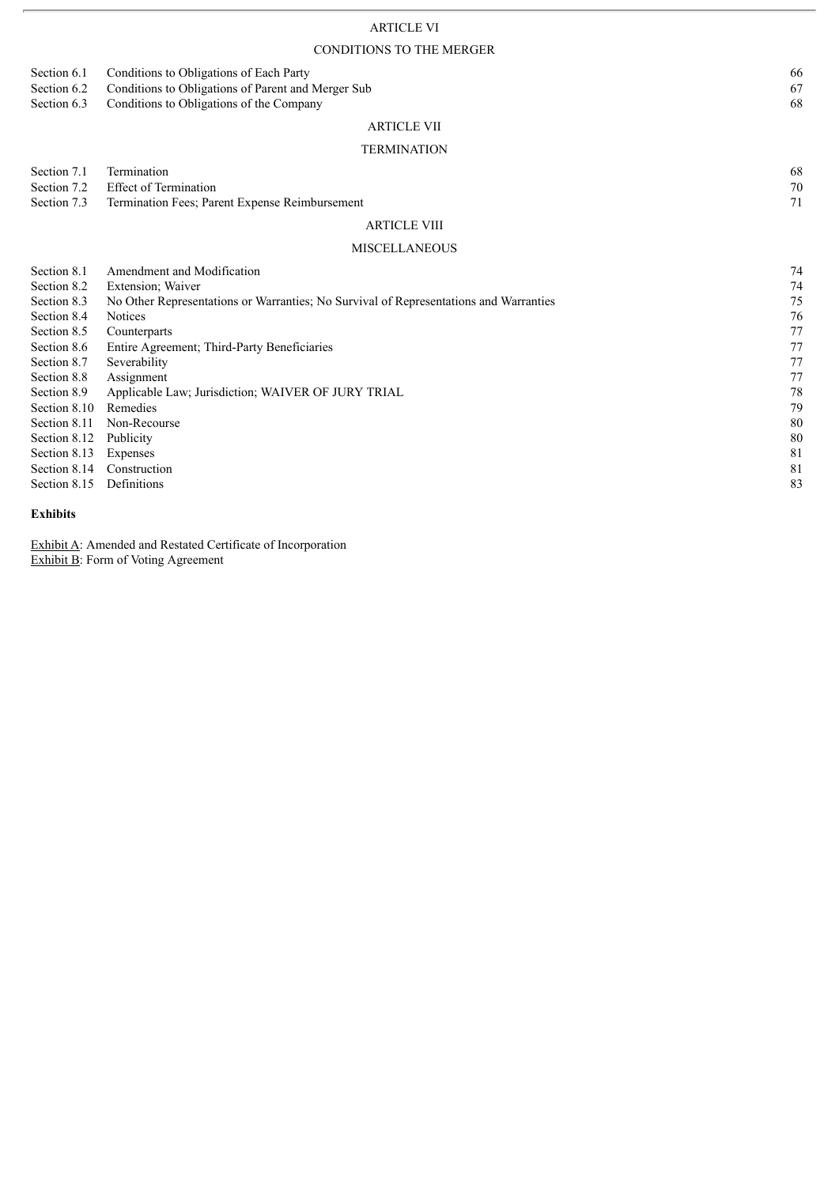# ARTICLE VI

# CONDITIONS TO THE MERGER

|                                                                                                                                                                                                                     | CONDITIONS TO THE MERGER                                                                                                                                                                                                                                                                                                                                                           |                                                                                      |
|---------------------------------------------------------------------------------------------------------------------------------------------------------------------------------------------------------------------|------------------------------------------------------------------------------------------------------------------------------------------------------------------------------------------------------------------------------------------------------------------------------------------------------------------------------------------------------------------------------------|--------------------------------------------------------------------------------------|
| Section 6.1<br>Section 6.2<br>Section 6.3                                                                                                                                                                           | Conditions to Obligations of Each Party<br>Conditions to Obligations of Parent and Merger Sub<br>Conditions to Obligations of the Company                                                                                                                                                                                                                                          | 66<br>67<br>68                                                                       |
|                                                                                                                                                                                                                     | <b>ARTICLE VII</b>                                                                                                                                                                                                                                                                                                                                                                 |                                                                                      |
|                                                                                                                                                                                                                     | <b>TERMINATION</b>                                                                                                                                                                                                                                                                                                                                                                 |                                                                                      |
| Section 7.1<br>Section 7.2<br>Section 7.3                                                                                                                                                                           | Termination<br><b>Effect of Termination</b><br>Termination Fees; Parent Expense Reimbursement                                                                                                                                                                                                                                                                                      | 68<br>$70\,$<br>71                                                                   |
|                                                                                                                                                                                                                     | <b>ARTICLE VIII</b>                                                                                                                                                                                                                                                                                                                                                                |                                                                                      |
|                                                                                                                                                                                                                     | <b>MISCELLANEOUS</b>                                                                                                                                                                                                                                                                                                                                                               |                                                                                      |
| Section 8.1<br>Section 8.2<br>Section 8.3<br>Section 8.4<br>Section 8.5<br>Section 8.6<br>Section 8.7<br>Section 8.8<br>Section 8.9<br>Section 8.10<br>Section 8.11<br>Section 8.12<br>Section 8.13<br>Section 8.14 | Amendment and Modification<br>Extension; Waiver<br>No Other Representations or Warranties; No Survival of Representations and Warranties<br><b>Notices</b><br>Counterparts<br>Entire Agreement; Third-Party Beneficiaries<br>Severability<br>Assignment<br>Applicable Law; Jurisdiction; WAIVER OF JURY TRIAL<br>Remedies<br>Non-Recourse<br>Publicity<br>Expenses<br>Construction | 74<br>74<br>75<br>76<br>77<br>77<br>77<br>77<br>78<br>79<br>80<br>$80\,$<br>81<br>81 |
| Section 8.15                                                                                                                                                                                                        | Definitions                                                                                                                                                                                                                                                                                                                                                                        | 83                                                                                   |

### **Exhibits**

Exhibit A: Amended and Restated Certificate of Incorporation Exhibit B: Form of Voting Agreement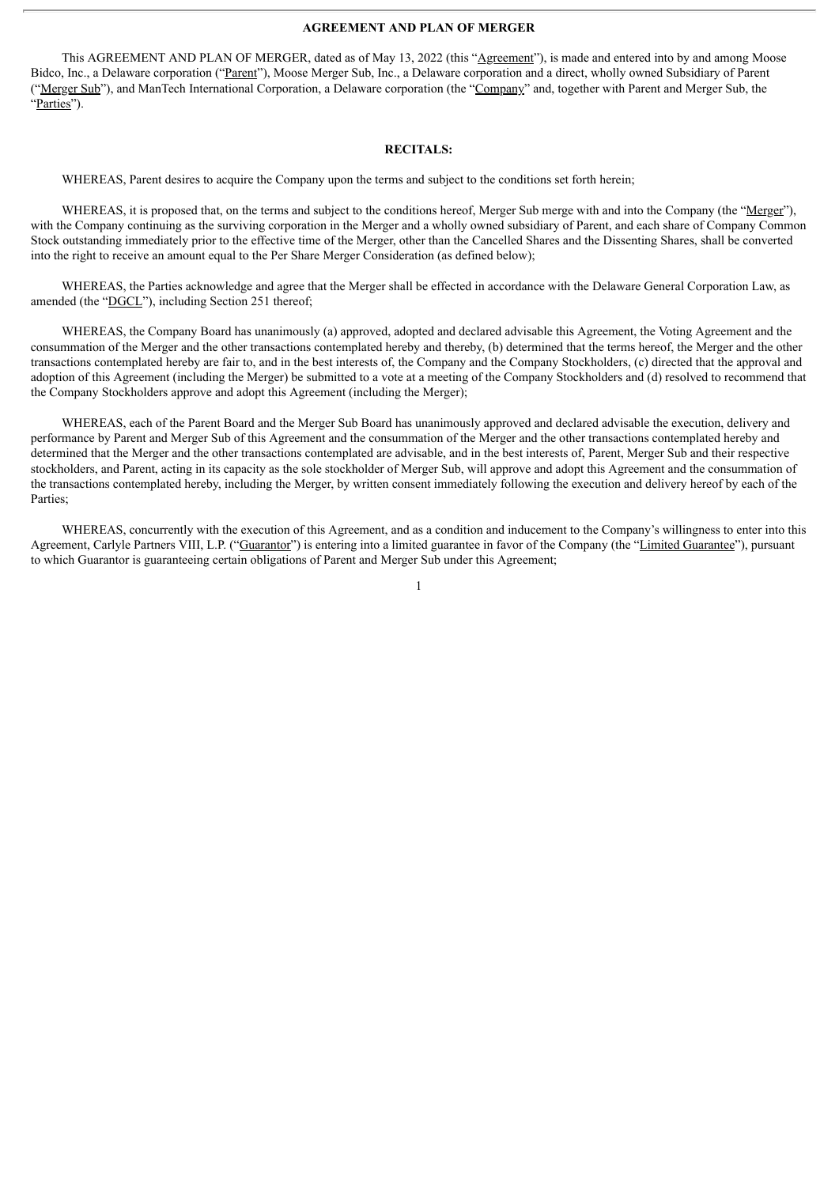#### **AGREEMENT AND PLAN OF MERGER**

This AGREEMENT AND PLAN OF MERGER, dated as of May 13, 2022 (this "Agreement"), is made and entered into by and among Moose Bidco, Inc., a Delaware corporation ("Parent"), Moose Merger Sub, Inc., a Delaware corporation and a direct, wholly owned Subsidiary of Parent ("Merger Sub"), and ManTech International Corporation, a Delaware corporation (the "Company" and, together with Parent and Merger Sub, the "Parties").

#### **RECITALS:**

WHEREAS, Parent desires to acquire the Company upon the terms and subject to the conditions set forth herein;

WHEREAS, it is proposed that, on the terms and subject to the conditions hereof, Merger Sub merge with and into the Company (the "Merger"), with the Company continuing as the surviving corporation in the Merger and a wholly owned subsidiary of Parent, and each share of Company Common Stock outstanding immediately prior to the effective time of the Merger, other than the Cancelled Shares and the Dissenting Shares, shall be converted into the right to receive an amount equal to the Per Share Merger Consideration (as defined below);

WHEREAS, the Parties acknowledge and agree that the Merger shall be effected in accordance with the Delaware General Corporation Law, as amended (the "DGCL"), including Section 251 thereof;

WHEREAS, the Company Board has unanimously (a) approved, adopted and declared advisable this Agreement, the Voting Agreement and the consummation of the Merger and the other transactions contemplated hereby and thereby, (b) determined that the terms hereof, the Merger and the other transactions contemplated hereby are fair to, and in the best interests of, the Company and the Company Stockholders, (c) directed that the approval and adoption of this Agreement (including the Merger) be submitted to a vote at a meeting of the Company Stockholders and (d) resolved to recommend that the Company Stockholders approve and adopt this Agreement (including the Merger);

WHEREAS, each of the Parent Board and the Merger Sub Board has unanimously approved and declared advisable the execution, delivery and performance by Parent and Merger Sub of this Agreement and the consummation of the Merger and the other transactions contemplated hereby and determined that the Merger and the other transactions contemplated are advisable, and in the best interests of, Parent, Merger Sub and their respective stockholders, and Parent, acting in its capacity as the sole stockholder of Merger Sub, will approve and adopt this Agreement and the consummation of the transactions contemplated hereby, including the Merger, by written consent immediately following the execution and delivery hereof by each of the Parties;

WHEREAS, concurrently with the execution of this Agreement, and as a condition and inducement to the Company's willingness to enter into this Agreement, Carlyle Partners VIII, L.P. ("Guarantor") is entering into a limited guarantee in favor of the Company (the "Limited Guarantee"), pursuant to which Guarantor is guaranteeing certain obligations of Parent and Merger Sub under this Agreement;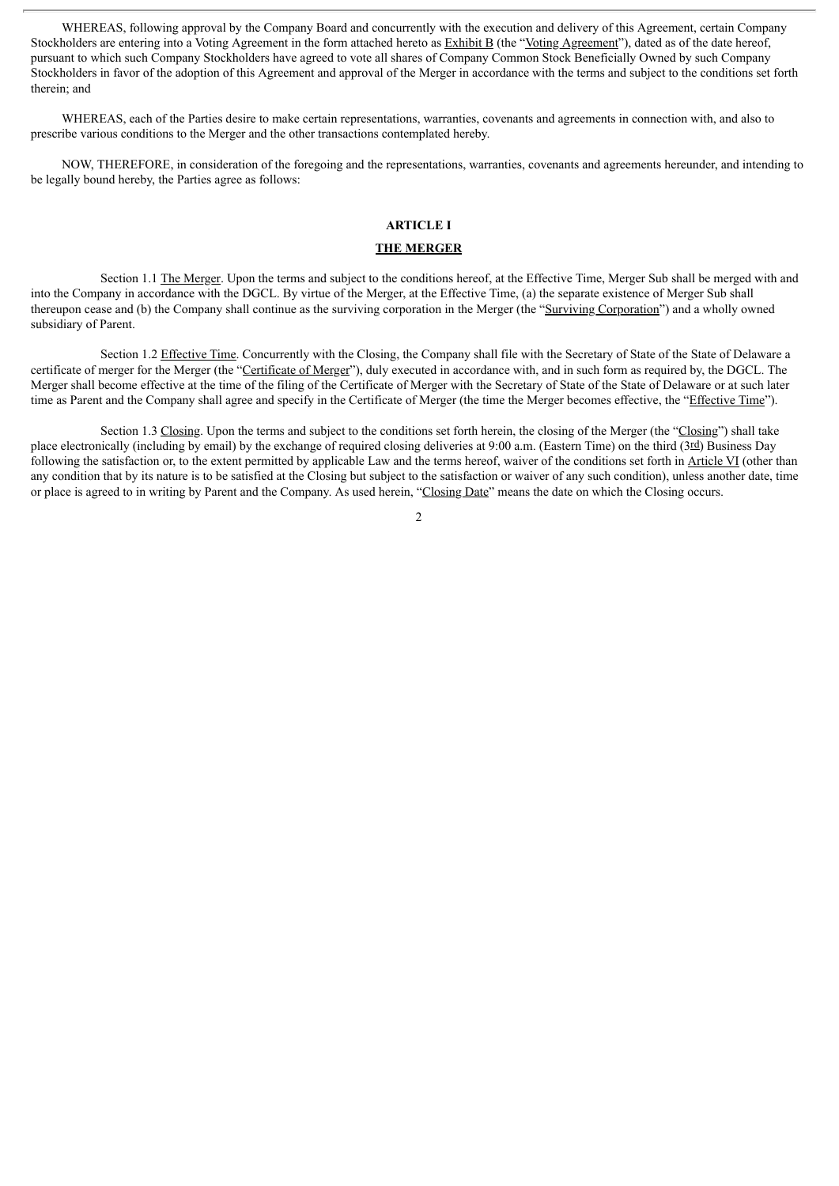WHEREAS, following approval by the Company Board and concurrently with the execution and delivery of this Agreement, certain Company Stockholders are entering into a Voting Agreement in the form attached hereto as Exhibit B (the "Voting Agreement"), dated as of the date hereof, pursuant to which such Company Stockholders have agreed to vote all shares of Company Common Stock Beneficially Owned by such Company Stockholders in favor of the adoption of this Agreement and approval of the Merger in accordance with the terms and subject to the conditions set forth therein; and

WHEREAS, each of the Parties desire to make certain representations, warranties, covenants and agreements in connection with, and also to prescribe various conditions to the Merger and the other transactions contemplated hereby.

NOW, THEREFORE, in consideration of the foregoing and the representations, warranties, covenants and agreements hereunder, and intending to be legally bound hereby, the Parties agree as follows:

## **ARTICLE I**

#### **THE MERGER**

Section 1.1 The Merger. Upon the terms and subject to the conditions hereof, at the Effective Time, Merger Sub shall be merged with and into the Company in accordance with the DGCL. By virtue of the Merger, at the Effective Time, (a) the separate existence of Merger Sub shall thereupon cease and (b) the Company shall continue as the surviving corporation in the Merger (the "Surviving Corporation") and a wholly owned subsidiary of Parent.

Section 1.2 Effective Time. Concurrently with the Closing, the Company shall file with the Secretary of State of the State of Delaware a certificate of merger for the Merger (the "Certificate of Merger"), duly executed in accordance with, and in such form as required by, the DGCL. The Merger shall become effective at the time of the filing of the Certificate of Merger with the Secretary of State of the State of Delaware or at such later time as Parent and the Company shall agree and specify in the Certificate of Merger (the time the Merger becomes effective, the "Effective Time").

Section 1.3 Closing. Upon the terms and subject to the conditions set forth herein, the closing of the Merger (the "Closing") shall take place electronically (including by email) by the exchange of required closing deliveries at 9:00 a.m. (Eastern Time) on the third (3rd) Business Day following the satisfaction or, to the extent permitted by applicable Law and the terms hereof, waiver of the conditions set forth in Article VI (other than any condition that by its nature is to be satisfied at the Closing but subject to the satisfaction or waiver of any such condition), unless another date, time or place is agreed to in writing by Parent and the Company. As used herein, "Closing Date" means the date on which the Closing occurs.

 $\overline{2}$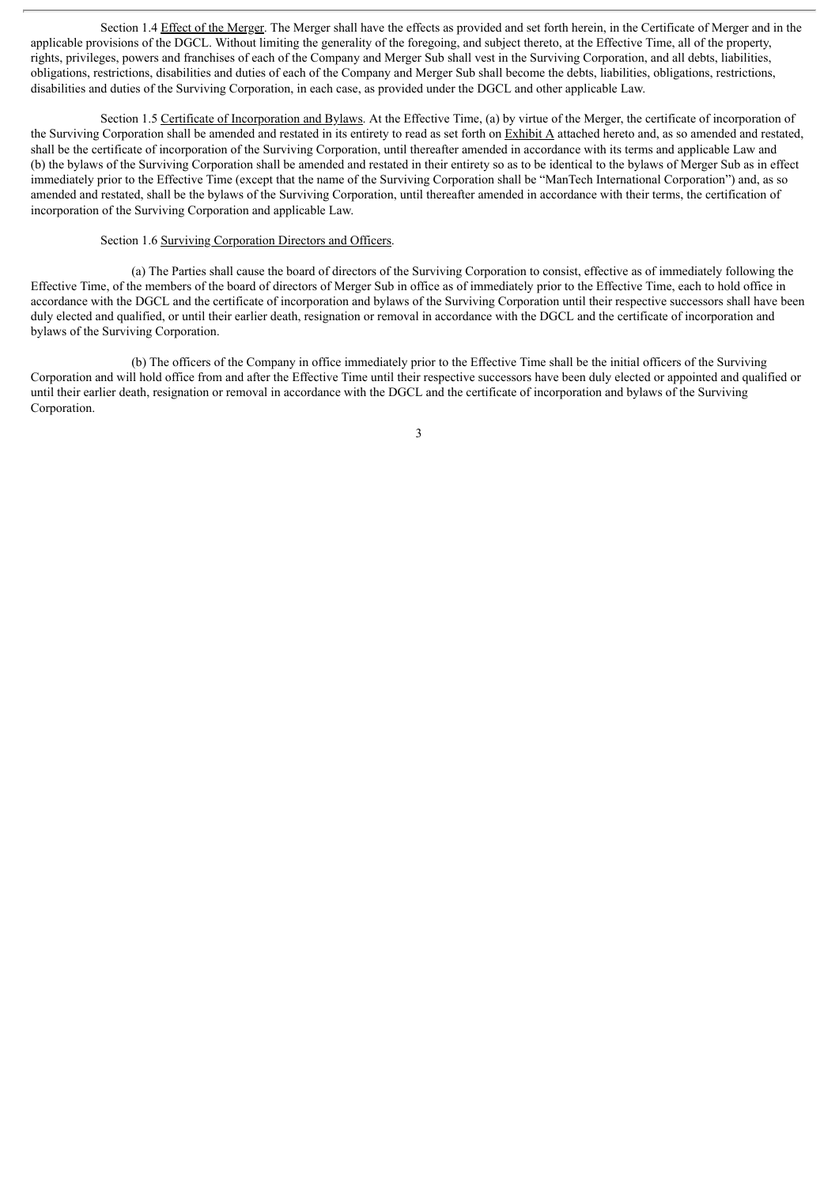Section 1.4 Effect of the Merger. The Merger shall have the effects as provided and set forth herein, in the Certificate of Merger and in the applicable provisions of the DGCL. Without limiting the generality of the foregoing, and subject thereto, at the Effective Time, all of the property, rights, privileges, powers and franchises of each of the Company and Merger Sub shall vest in the Surviving Corporation, and all debts, liabilities, obligations, restrictions, disabilities and duties of each of the Company and Merger Sub shall become the debts, liabilities, obligations, restrictions, disabilities and duties of the Surviving Corporation, in each case, as provided under the DGCL and other applicable Law.

Section 1.5 Certificate of Incorporation and Bylaws. At the Effective Time, (a) by virtue of the Merger, the certificate of incorporation of the Surviving Corporation shall be amended and restated in its entirety to read as set forth on Exhibit A attached hereto and, as so amended and restated, shall be the certificate of incorporation of the Surviving Corporation, until thereafter amended in accordance with its terms and applicable Law and (b) the bylaws of the Surviving Corporation shall be amended and restated in their entirety so as to be identical to the bylaws of Merger Sub as in effect immediately prior to the Effective Time (except that the name of the Surviving Corporation shall be "ManTech International Corporation") and, as so amended and restated, shall be the bylaws of the Surviving Corporation, until thereafter amended in accordance with their terms, the certification of incorporation of the Surviving Corporation and applicable Law.

### Section 1.6 Surviving Corporation Directors and Officers.

(a) The Parties shall cause the board of directors of the Surviving Corporation to consist, effective as of immediately following the Effective Time, of the members of the board of directors of Merger Sub in office as of immediately prior to the Effective Time, each to hold office in accordance with the DGCL and the certificate of incorporation and bylaws of the Surviving Corporation until their respective successors shall have been duly elected and qualified, or until their earlier death, resignation or removal in accordance with the DGCL and the certificate of incorporation and bylaws of the Surviving Corporation.

(b) The officers of the Company in office immediately prior to the Effective Time shall be the initial officers of the Surviving Corporation and will hold office from and after the Effective Time until their respective successors have been duly elected or appointed and qualified or until their earlier death, resignation or removal in accordance with the DGCL and the certificate of incorporation and bylaws of the Surviving Corporation.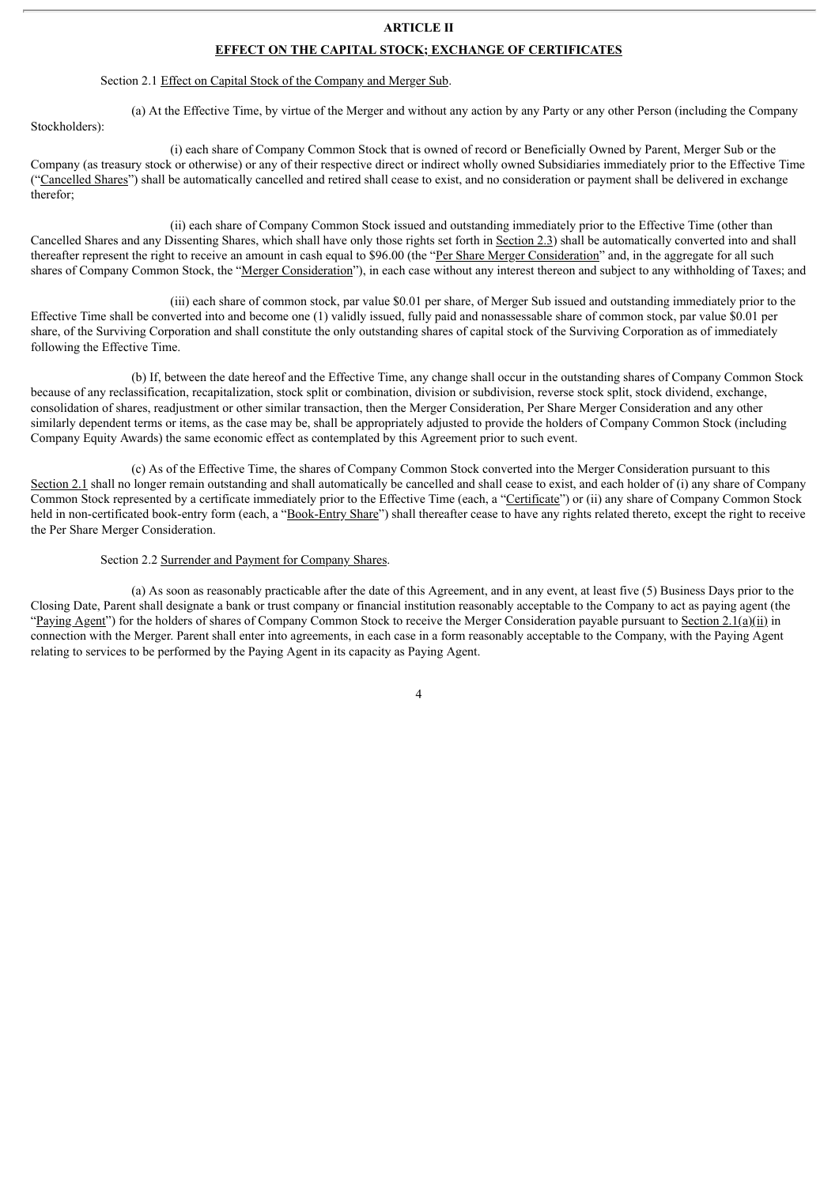### **ARTICLE II**

#### **EFFECT ON THE CAPITAL STOCK; EXCHANGE OF CERTIFICATES**

### Section 2.1 Effect on Capital Stock of the Company and Merger Sub.

Stockholders):

(a) At the Effective Time, by virtue of the Merger and without any action by any Party or any other Person (including the Company

(i) each share of Company Common Stock that is owned of record or Beneficially Owned by Parent, Merger Sub or the Company (as treasury stock or otherwise) or any of their respective direct or indirect wholly owned Subsidiaries immediately prior to the Effective Time ("Cancelled Shares") shall be automatically cancelled and retired shall cease to exist, and no consideration or payment shall be delivered in exchange therefor;

(ii) each share of Company Common Stock issued and outstanding immediately prior to the Effective Time (other than Cancelled Shares and any Dissenting Shares, which shall have only those rights set forth in Section 2.3) shall be automatically converted into and shall thereafter represent the right to receive an amount in cash equal to \$96.00 (the "Per Share Merger Consideration" and, in the aggregate for all such shares of Company Common Stock, the "Merger Consideration"), in each case without any interest thereon and subject to any withholding of Taxes; and

(iii) each share of common stock, par value \$0.01 per share, of Merger Sub issued and outstanding immediately prior to the Effective Time shall be converted into and become one (1) validly issued, fully paid and nonassessable share of common stock, par value \$0.01 per share, of the Surviving Corporation and shall constitute the only outstanding shares of capital stock of the Surviving Corporation as of immediately following the Effective Time.

(b) If, between the date hereof and the Effective Time, any change shall occur in the outstanding shares of Company Common Stock because of any reclassification, recapitalization, stock split or combination, division or subdivision, reverse stock split, stock dividend, exchange, consolidation of shares, readjustment or other similar transaction, then the Merger Consideration, Per Share Merger Consideration and any other similarly dependent terms or items, as the case may be, shall be appropriately adjusted to provide the holders of Company Common Stock (including Company Equity Awards) the same economic effect as contemplated by this Agreement prior to such event.

(c) As of the Effective Time, the shares of Company Common Stock converted into the Merger Consideration pursuant to this Section 2.1 shall no longer remain outstanding and shall automatically be cancelled and shall cease to exist, and each holder of (i) any share of Company Common Stock represented by a certificate immediately prior to the Effective Time (each, a "Certificate") or (ii) any share of Company Common Stock held in non-certificated book-entry form (each, a "Book-Entry Share") shall thereafter cease to have any rights related thereto, except the right to receive the Per Share Merger Consideration.

#### Section 2.2 Surrender and Payment for Company Shares.

(a) As soon as reasonably practicable after the date of this Agreement, and in any event, at least five (5) Business Days prior to the Closing Date, Parent shall designate a bank or trust company or financial institution reasonably acceptable to the Company to act as paying agent (the "Paying Agent") for the holders of shares of Company Common Stock to receive the Merger Consideration payable pursuant to Section 2.1(a)(ii) in connection with the Merger. Parent shall enter into agreements, in each case in a form reasonably acceptable to the Company, with the Paying Agent relating to services to be performed by the Paying Agent in its capacity as Paying Agent.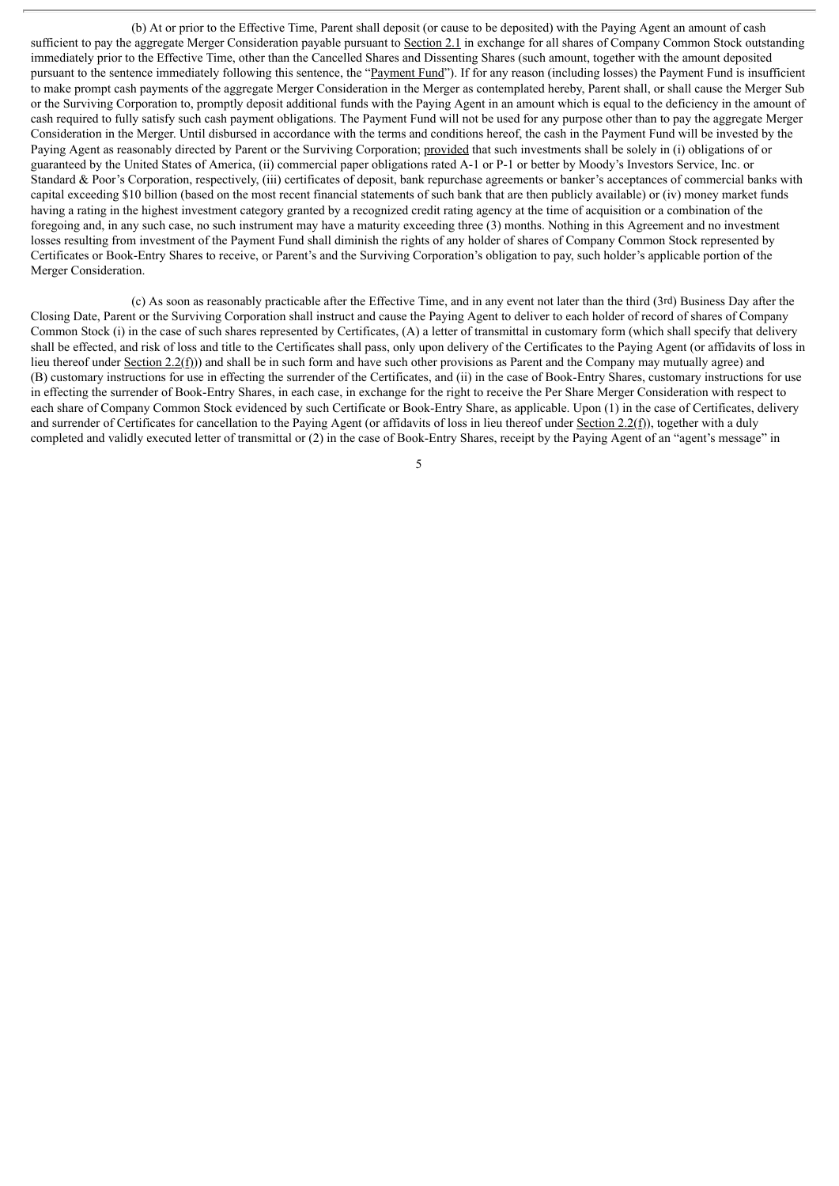(b) At or prior to the Effective Time, Parent shall deposit (or cause to be deposited) with the Paying Agent an amount of cash sufficient to pay the aggregate Merger Consideration payable pursuant to Section 2.1 in exchange for all shares of Company Common Stock outstanding immediately prior to the Effective Time, other than the Cancelled Shares and Dissenting Shares (such amount, together with the amount deposited pursuant to the sentence immediately following this sentence, the "Payment Fund"). If for any reason (including losses) the Payment Fund is insufficient to make prompt cash payments of the aggregate Merger Consideration in the Merger as contemplated hereby, Parent shall, or shall cause the Merger Sub or the Surviving Corporation to, promptly deposit additional funds with the Paying Agent in an amount which is equal to the deficiency in the amount of cash required to fully satisfy such cash payment obligations. The Payment Fund will not be used for any purpose other than to pay the aggregate Merger Consideration in the Merger. Until disbursed in accordance with the terms and conditions hereof, the cash in the Payment Fund will be invested by the Paying Agent as reasonably directed by Parent or the Surviving Corporation; provided that such investments shall be solely in (i) obligations of or guaranteed by the United States of America, (ii) commercial paper obligations rated A-1 or P-1 or better by Moody's Investors Service, Inc. or Standard & Poor's Corporation, respectively, (iii) certificates of deposit, bank repurchase agreements or banker's acceptances of commercial banks with capital exceeding \$10 billion (based on the most recent financial statements of such bank that are then publicly available) or (iv) money market funds having a rating in the highest investment category granted by a recognized credit rating agency at the time of acquisition or a combination of the foregoing and, in any such case, no such instrument may have a maturity exceeding three (3) months. Nothing in this Agreement and no investment losses resulting from investment of the Payment Fund shall diminish the rights of any holder of shares of Company Common Stock represented by Certificates or Book-Entry Shares to receive, or Parent's and the Surviving Corporation's obligation to pay, such holder's applicable portion of the Merger Consideration.

(c) As soon as reasonably practicable after the Effective Time, and in any event not later than the third (3rd) Business Day after the Closing Date, Parent or the Surviving Corporation shall instruct and cause the Paying Agent to deliver to each holder of record of shares of Company Common Stock (i) in the case of such shares represented by Certificates, (A) a letter of transmittal in customary form (which shall specify that delivery shall be effected, and risk of loss and title to the Certificates shall pass, only upon delivery of the Certificates to the Paying Agent (or affidavits of loss in lieu thereof under Section  $2.2(f)$ ) and shall be in such form and have such other provisions as Parent and the Company may mutually agree) and (B) customary instructions for use in effecting the surrender of the Certificates, and (ii) in the case of Book-Entry Shares, customary instructions for use in effecting the surrender of Book-Entry Shares, in each case, in exchange for the right to receive the Per Share Merger Consideration with respect to each share of Company Common Stock evidenced by such Certificate or Book-Entry Share, as applicable. Upon (1) in the case of Certificates, delivery and surrender of Certificates for cancellation to the Paying Agent (or affidavits of loss in lieu thereof under Section 2.2(f)), together with a duly completed and validly executed letter of transmittal or (2) in the case of Book-Entry Shares, receipt by the Paying Agent of an "agent's message" in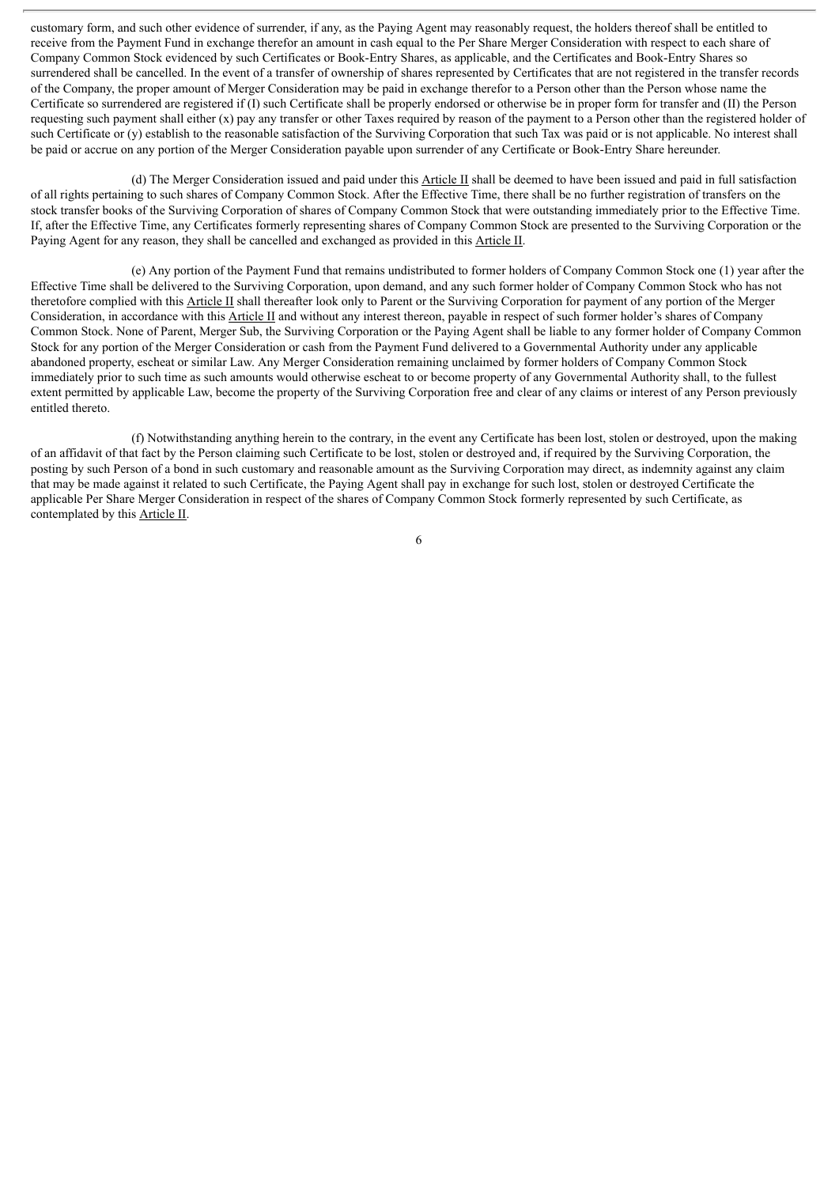customary form, and such other evidence of surrender, if any, as the Paying Agent may reasonably request, the holders thereof shall be entitled to receive from the Payment Fund in exchange therefor an amount in cash equal to the Per Share Merger Consideration with respect to each share of Company Common Stock evidenced by such Certificates or Book-Entry Shares, as applicable, and the Certificates and Book-Entry Shares so surrendered shall be cancelled. In the event of a transfer of ownership of shares represented by Certificates that are not registered in the transfer records of the Company, the proper amount of Merger Consideration may be paid in exchange therefor to a Person other than the Person whose name the Certificate so surrendered are registered if (I) such Certificate shall be properly endorsed or otherwise be in proper form for transfer and (II) the Person requesting such payment shall either  $(x)$  pay any transfer or other Taxes required by reason of the payment to a Person other than the registered holder of such Certificate or (y) establish to the reasonable satisfaction of the Surviving Corporation that such Tax was paid or is not applicable. No interest shall be paid or accrue on any portion of the Merger Consideration payable upon surrender of any Certificate or Book-Entry Share hereunder.

(d) The Merger Consideration issued and paid under this Article II shall be deemed to have been issued and paid in full satisfaction of all rights pertaining to such shares of Company Common Stock. After the Effective Time, there shall be no further registration of transfers on the stock transfer books of the Surviving Corporation of shares of Company Common Stock that were outstanding immediately prior to the Effective Time. If, after the Effective Time, any Certificates formerly representing shares of Company Common Stock are presented to the Surviving Corporation or the Paying Agent for any reason, they shall be cancelled and exchanged as provided in this Article II.

(e) Any portion of the Payment Fund that remains undistributed to former holders of Company Common Stock one (1) year after the Effective Time shall be delivered to the Surviving Corporation, upon demand, and any such former holder of Company Common Stock who has not theretofore complied with this Article II shall thereafter look only to Parent or the Surviving Corporation for payment of any portion of the Merger Consideration, in accordance with this Article II and without any interest thereon, payable in respect of such former holder's shares of Company Common Stock. None of Parent, Merger Sub, the Surviving Corporation or the Paying Agent shall be liable to any former holder of Company Common Stock for any portion of the Merger Consideration or cash from the Payment Fund delivered to a Governmental Authority under any applicable abandoned property, escheat or similar Law. Any Merger Consideration remaining unclaimed by former holders of Company Common Stock immediately prior to such time as such amounts would otherwise escheat to or become property of any Governmental Authority shall, to the fullest extent permitted by applicable Law, become the property of the Surviving Corporation free and clear of any claims or interest of any Person previously entitled thereto.

(f) Notwithstanding anything herein to the contrary, in the event any Certificate has been lost, stolen or destroyed, upon the making of an affidavit of that fact by the Person claiming such Certificate to be lost, stolen or destroyed and, if required by the Surviving Corporation, the posting by such Person of a bond in such customary and reasonable amount as the Surviving Corporation may direct, as indemnity against any claim that may be made against it related to such Certificate, the Paying Agent shall pay in exchange for such lost, stolen or destroyed Certificate the applicable Per Share Merger Consideration in respect of the shares of Company Common Stock formerly represented by such Certificate, as contemplated by this Article II.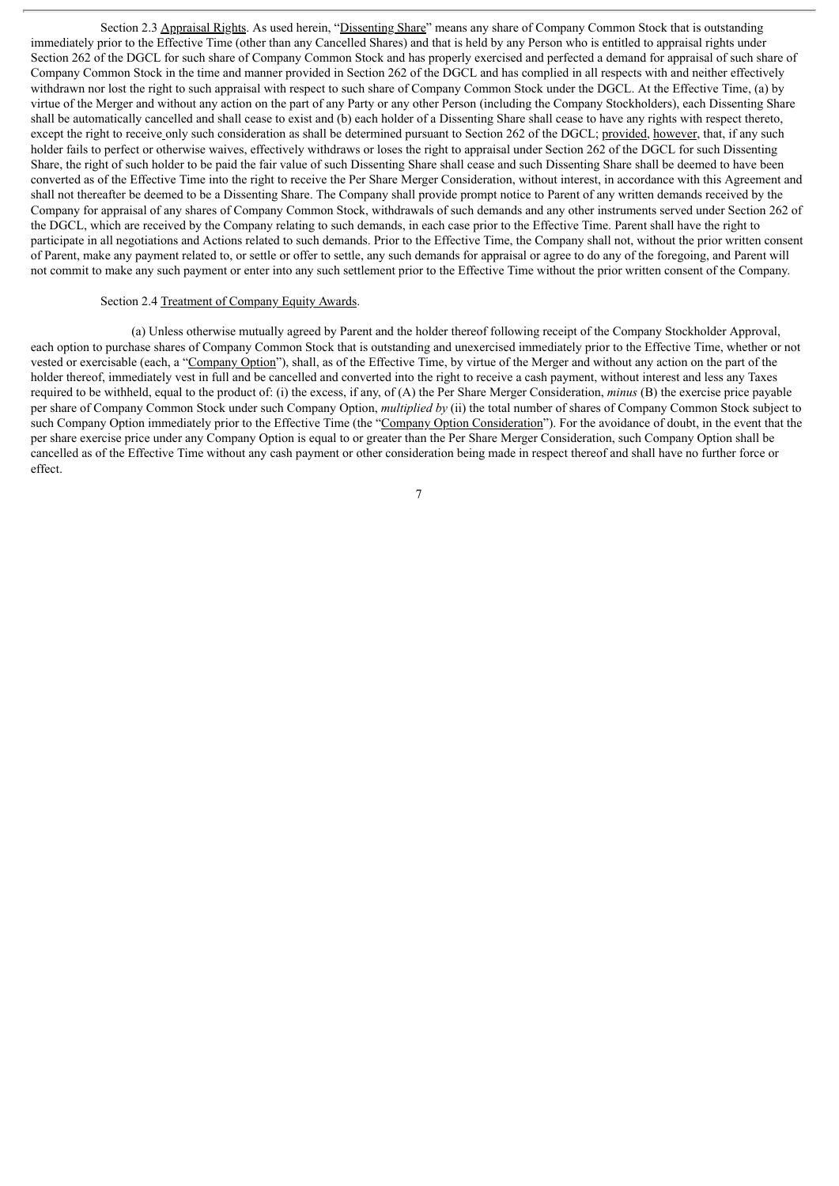Section 2.3 Appraisal Rights. As used herein, "Dissenting Share" means any share of Company Common Stock that is outstanding immediately prior to the Effective Time (other than any Cancelled Shares) and that is held by any Person who is entitled to appraisal rights under Section 262 of the DGCL for such share of Company Common Stock and has properly exercised and perfected a demand for appraisal of such share of Company Common Stock in the time and manner provided in Section 262 of the DGCL and has complied in all respects with and neither effectively withdrawn nor lost the right to such appraisal with respect to such share of Company Common Stock under the DGCL. At the Effective Time, (a) by virtue of the Merger and without any action on the part of any Party or any other Person (including the Company Stockholders), each Dissenting Share shall be automatically cancelled and shall cease to exist and (b) each holder of a Dissenting Share shall cease to have any rights with respect thereto, except the right to receive only such consideration as shall be determined pursuant to Section 262 of the DGCL; provided, however, that, if any such holder fails to perfect or otherwise waives, effectively withdraws or loses the right to appraisal under Section 262 of the DGCL for such Dissenting Share, the right of such holder to be paid the fair value of such Dissenting Share shall cease and such Dissenting Share shall be deemed to have been converted as of the Effective Time into the right to receive the Per Share Merger Consideration, without interest, in accordance with this Agreement and shall not thereafter be deemed to be a Dissenting Share. The Company shall provide prompt notice to Parent of any written demands received by the Company for appraisal of any shares of Company Common Stock, withdrawals of such demands and any other instruments served under Section 262 of the DGCL, which are received by the Company relating to such demands, in each case prior to the Effective Time. Parent shall have the right to participate in all negotiations and Actions related to such demands. Prior to the Effective Time, the Company shall not, without the prior written consent of Parent, make any payment related to, or settle or offer to settle, any such demands for appraisal or agree to do any of the foregoing, and Parent will not commit to make any such payment or enter into any such settlement prior to the Effective Time without the prior written consent of the Company.

### Section 2.4 Treatment of Company Equity Awards.

(a) Unless otherwise mutually agreed by Parent and the holder thereof following receipt of the Company Stockholder Approval, each option to purchase shares of Company Common Stock that is outstanding and unexercised immediately prior to the Effective Time, whether or not vested or exercisable (each, a "Company Option"), shall, as of the Effective Time, by virtue of the Merger and without any action on the part of the holder thereof, immediately vest in full and be cancelled and converted into the right to receive a cash payment, without interest and less any Taxes required to be withheld, equal to the product of: (i) the excess, if any, of (A) the Per Share Merger Consideration, *minus* (B) the exercise price payable per share of Company Common Stock under such Company Option, *multiplied by* (ii) the total number of shares of Company Common Stock subject to such Company Option immediately prior to the Effective Time (the "Company Option Consideration"). For the avoidance of doubt, in the event that the per share exercise price under any Company Option is equal to or greater than the Per Share Merger Consideration, such Company Option shall be cancelled as of the Effective Time without any cash payment or other consideration being made in respect thereof and shall have no further force or effect.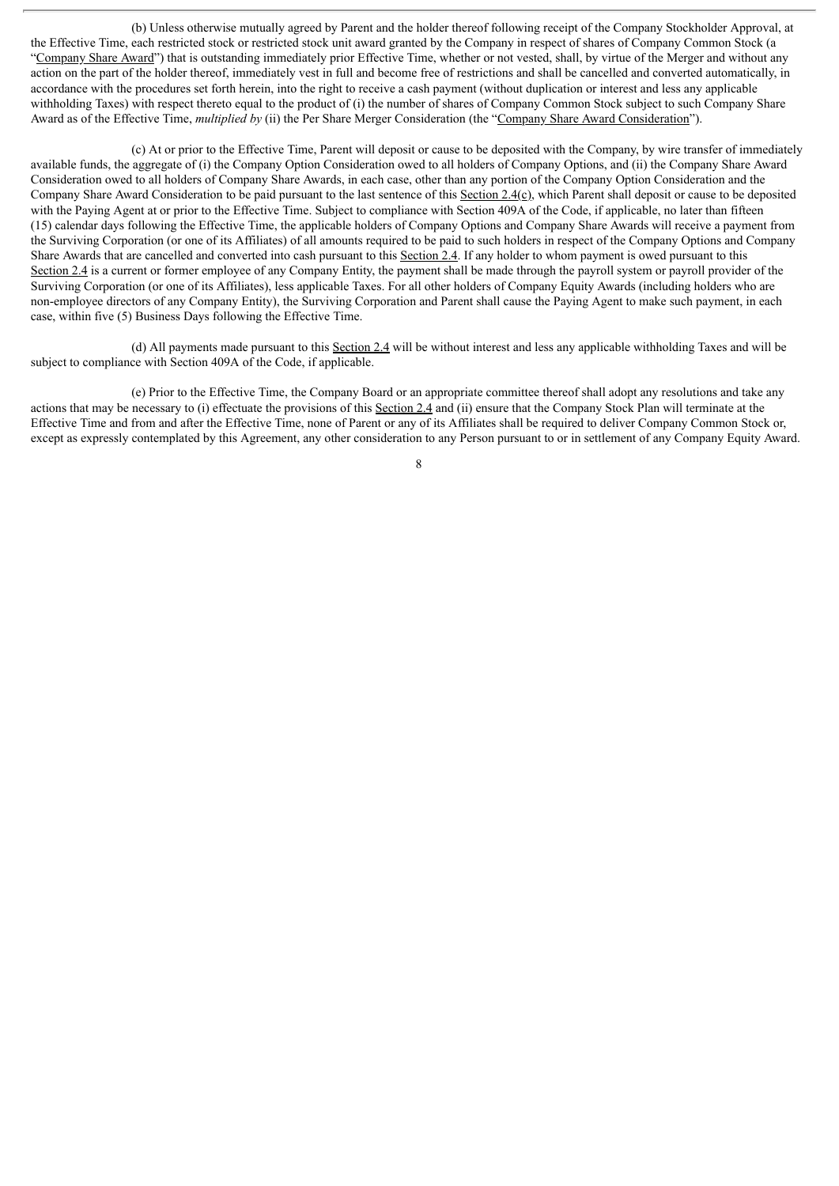(b) Unless otherwise mutually agreed by Parent and the holder thereof following receipt of the Company Stockholder Approval, at the Effective Time, each restricted stock or restricted stock unit award granted by the Company in respect of shares of Company Common Stock (a "Company Share Award") that is outstanding immediately prior Effective Time, whether or not vested, shall, by virtue of the Merger and without any action on the part of the holder thereof, immediately vest in full and become free of restrictions and shall be cancelled and converted automatically, in accordance with the procedures set forth herein, into the right to receive a cash payment (without duplication or interest and less any applicable withholding Taxes) with respect thereto equal to the product of (i) the number of shares of Company Common Stock subject to such Company Share Award as of the Effective Time, *multiplied by* (ii) the Per Share Merger Consideration (the "Company Share Award Consideration").

(c) At or prior to the Effective Time, Parent will deposit or cause to be deposited with the Company, by wire transfer of immediately available funds, the aggregate of (i) the Company Option Consideration owed to all holders of Company Options, and (ii) the Company Share Award Consideration owed to all holders of Company Share Awards, in each case, other than any portion of the Company Option Consideration and the Company Share Award Consideration to be paid pursuant to the last sentence of this Section 2.4(c), which Parent shall deposit or cause to be deposited with the Paying Agent at or prior to the Effective Time. Subject to compliance with Section 409A of the Code, if applicable, no later than fifteen (15) calendar days following the Effective Time, the applicable holders of Company Options and Company Share Awards will receive a payment from the Surviving Corporation (or one of its Affiliates) of all amounts required to be paid to such holders in respect of the Company Options and Company Share Awards that are cancelled and converted into cash pursuant to this Section 2.4. If any holder to whom payment is owed pursuant to this Section 2.4 is a current or former employee of any Company Entity, the payment shall be made through the payroll system or payroll provider of the Surviving Corporation (or one of its Affiliates), less applicable Taxes. For all other holders of Company Equity Awards (including holders who are non-employee directors of any Company Entity), the Surviving Corporation and Parent shall cause the Paying Agent to make such payment, in each case, within five (5) Business Days following the Effective Time.

(d) All payments made pursuant to this Section 2.4 will be without interest and less any applicable withholding Taxes and will be subject to compliance with Section 409A of the Code, if applicable.

(e) Prior to the Effective Time, the Company Board or an appropriate committee thereof shall adopt any resolutions and take any actions that may be necessary to (i) effectuate the provisions of this Section  $2.\overline{4}$  and (ii) ensure that the Company Stock Plan will terminate at the Effective Time and from and after the Effective Time, none of Parent or any of its Affiliates shall be required to deliver Company Common Stock or, except as expressly contemplated by this Agreement, any other consideration to any Person pursuant to or in settlement of any Company Equity Award.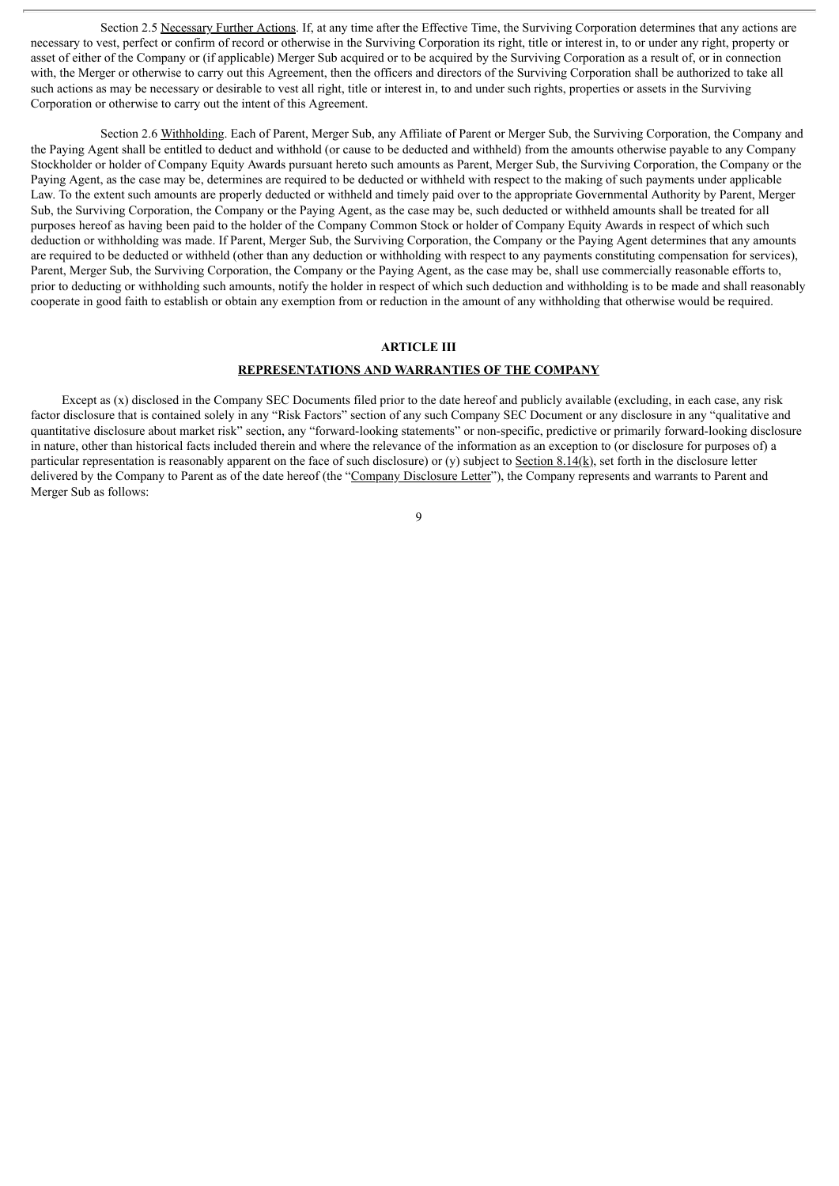Section 2.5 Necessary Further Actions. If, at any time after the Effective Time, the Surviving Corporation determines that any actions are necessary to vest, perfect or confirm of record or otherwise in the Surviving Corporation its right, title or interest in, to or under any right, property or asset of either of the Company or (if applicable) Merger Sub acquired or to be acquired by the Surviving Corporation as a result of, or in connection with, the Merger or otherwise to carry out this Agreement, then the officers and directors of the Surviving Corporation shall be authorized to take all such actions as may be necessary or desirable to vest all right, title or interest in, to and under such rights, properties or assets in the Surviving Corporation or otherwise to carry out the intent of this Agreement.

Section 2.6 Withholding. Each of Parent, Merger Sub, any Affiliate of Parent or Merger Sub, the Surviving Corporation, the Company and the Paying Agent shall be entitled to deduct and withhold (or cause to be deducted and withheld) from the amounts otherwise payable to any Company Stockholder or holder of Company Equity Awards pursuant hereto such amounts as Parent, Merger Sub, the Surviving Corporation, the Company or the Paying Agent, as the case may be, determines are required to be deducted or withheld with respect to the making of such payments under applicable Law. To the extent such amounts are properly deducted or withheld and timely paid over to the appropriate Governmental Authority by Parent, Merger Sub, the Surviving Corporation, the Company or the Paying Agent, as the case may be, such deducted or withheld amounts shall be treated for all purposes hereof as having been paid to the holder of the Company Common Stock or holder of Company Equity Awards in respect of which such deduction or withholding was made. If Parent, Merger Sub, the Surviving Corporation, the Company or the Paying Agent determines that any amounts are required to be deducted or withheld (other than any deduction or withholding with respect to any payments constituting compensation for services), Parent, Merger Sub, the Surviving Corporation, the Company or the Paying Agent, as the case may be, shall use commercially reasonable efforts to, prior to deducting or withholding such amounts, notify the holder in respect of which such deduction and withholding is to be made and shall reasonably cooperate in good faith to establish or obtain any exemption from or reduction in the amount of any withholding that otherwise would be required.

## **ARTICLE III**

# **REPRESENTATIONS AND WARRANTIES OF THE COMPANY**

Except as (x) disclosed in the Company SEC Documents filed prior to the date hereof and publicly available (excluding, in each case, any risk factor disclosure that is contained solely in any "Risk Factors" section of any such Company SEC Document or any disclosure in any "qualitative and quantitative disclosure about market risk" section, any "forward-looking statements" or non-specific, predictive or primarily forward-looking disclosure in nature, other than historical facts included therein and where the relevance of the information as an exception to (or disclosure for purposes of) a particular representation is reasonably apparent on the face of such disclosure) or (y) subject to Section  $8.14(k)$ , set forth in the disclosure letter delivered by the Company to Parent as of the date hereof (the "Company Disclosure Letter"), the Company represents and warrants to Parent and Merger Sub as follows: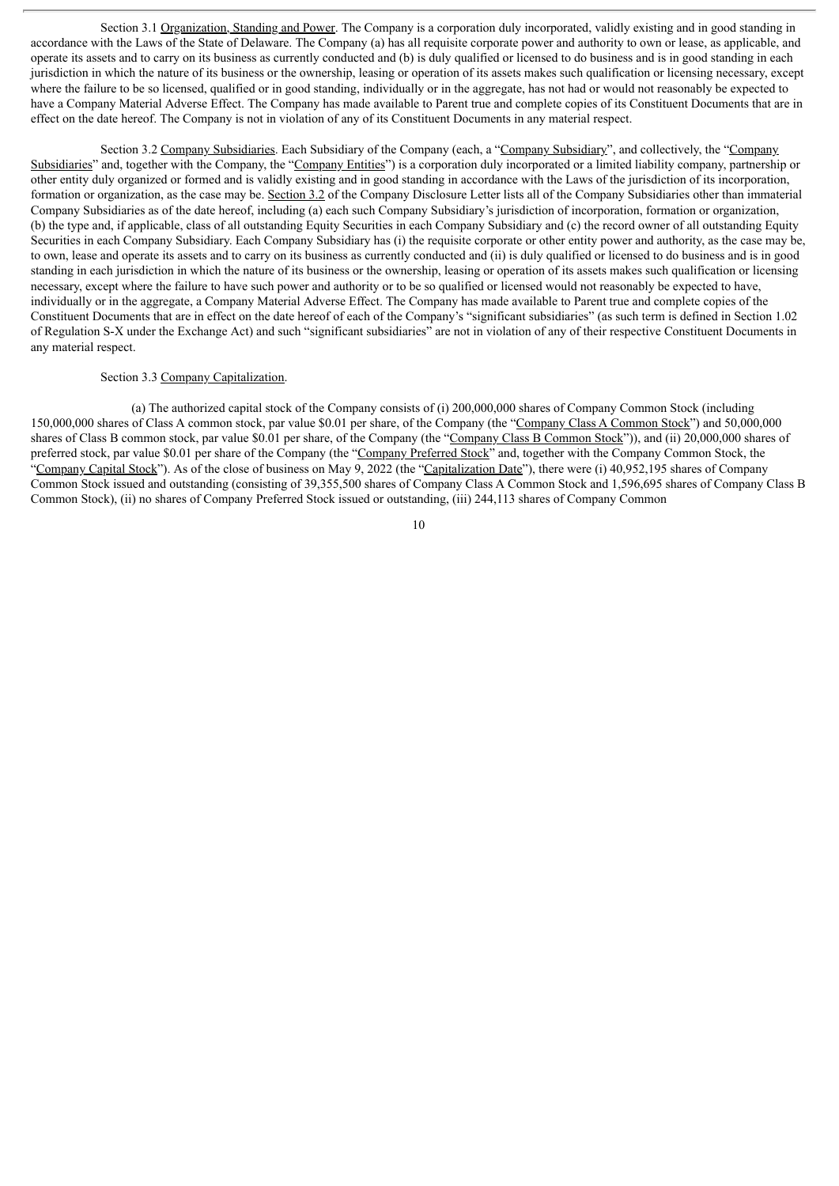Section 3.1 Organization, Standing and Power. The Company is a corporation duly incorporated, validly existing and in good standing in accordance with the Laws of the State of Delaware. The Company (a) has all requisite corporate power and authority to own or lease, as applicable, and operate its assets and to carry on its business as currently conducted and (b) is duly qualified or licensed to do business and is in good standing in each jurisdiction in which the nature of its business or the ownership, leasing or operation of its assets makes such qualification or licensing necessary, except where the failure to be so licensed, qualified or in good standing, individually or in the aggregate, has not had or would not reasonably be expected to have a Company Material Adverse Effect. The Company has made available to Parent true and complete copies of its Constituent Documents that are in effect on the date hereof. The Company is not in violation of any of its Constituent Documents in any material respect.

Section 3.2 Company Subsidiaries. Each Subsidiary of the Company (each, a "Company Subsidiary", and collectively, the "Company Subsidiaries" and, together with the Company, the "Company Entities") is a corporation duly incorporated or a limited liability company, partnership or other entity duly organized or formed and is validly existing and in good standing in accordance with the Laws of the jurisdiction of its incorporation, formation or organization, as the case may be. Section 3.2 of the Company Disclosure Letter lists all of the Company Subsidiaries other than immaterial Company Subsidiaries as of the date hereof, including (a) each such Company Subsidiary's jurisdiction of incorporation, formation or organization, (b) the type and, if applicable, class of all outstanding Equity Securities in each Company Subsidiary and (c) the record owner of all outstanding Equity Securities in each Company Subsidiary. Each Company Subsidiary has (i) the requisite corporate or other entity power and authority, as the case may be, to own, lease and operate its assets and to carry on its business as currently conducted and (ii) is duly qualified or licensed to do business and is in good standing in each jurisdiction in which the nature of its business or the ownership, leasing or operation of its assets makes such qualification or licensing necessary, except where the failure to have such power and authority or to be so qualified or licensed would not reasonably be expected to have, individually or in the aggregate, a Company Material Adverse Effect. The Company has made available to Parent true and complete copies of the Constituent Documents that are in effect on the date hereof of each of the Company's "significant subsidiaries" (as such term is defined in Section 1.02 of Regulation S-X under the Exchange Act) and such "significant subsidiaries" are not in violation of any of their respective Constituent Documents in any material respect.

#### Section 3.3 Company Capitalization.

(a) The authorized capital stock of the Company consists of (i) 200,000,000 shares of Company Common Stock (including 150,000,000 shares of Class A common stock, par value \$0.01 per share, of the Company (the "Company Class A Common Stock") and 50,000,000 shares of Class B common stock, par value \$0.01 per share, of the Company (the "Company Class B Common Stock")), and (ii) 20,000,000 shares of preferred stock, par value \$0.01 per share of the Company (the "Company Preferred Stock" and, together with the Company Common Stock, the "Company Capital Stock"). As of the close of business on May 9, 2022 (the "Capitalization Date"), there were (i) 40,952,195 shares of Company Common Stock issued and outstanding (consisting of 39,355,500 shares of Company Class A Common Stock and 1,596,695 shares of Company Class B Common Stock), (ii) no shares of Company Preferred Stock issued or outstanding, (iii) 244,113 shares of Company Common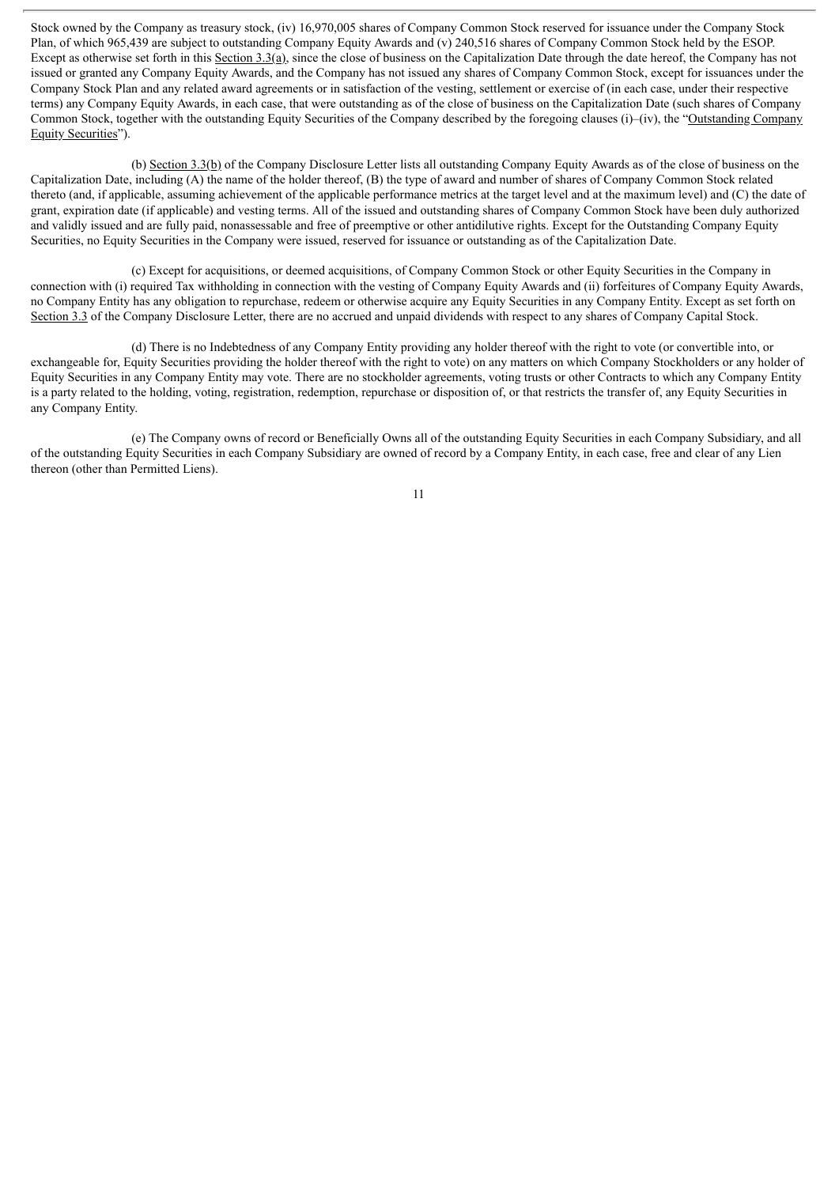Stock owned by the Company as treasury stock, (iv) 16,970,005 shares of Company Common Stock reserved for issuance under the Company Stock Plan, of which 965,439 are subject to outstanding Company Equity Awards and (v) 240,516 shares of Company Common Stock held by the ESOP. Except as otherwise set forth in this Section  $3.3(a)$ , since the close of business on the Capitalization Date through the date hereof, the Company has not issued or granted any Company Equity Awards, and the Company has not issued any shares of Company Common Stock, except for issuances under the Company Stock Plan and any related award agreements or in satisfaction of the vesting, settlement or exercise of (in each case, under their respective terms) any Company Equity Awards, in each case, that were outstanding as of the close of business on the Capitalization Date (such shares of Company Common Stock, together with the outstanding Equity Securities of the Company described by the foregoing clauses (i)–(iv), the "Outstanding Company Equity Securities").

(b) Section 3.3(b) of the Company Disclosure Letter lists all outstanding Company Equity Awards as of the close of business on the Capitalization Date, including (A) the name of the holder thereof, (B) the type of award and number of shares of Company Common Stock related thereto (and, if applicable, assuming achievement of the applicable performance metrics at the target level and at the maximum level) and (C) the date of grant, expiration date (if applicable) and vesting terms. All of the issued and outstanding shares of Company Common Stock have been duly authorized and validly issued and are fully paid, nonassessable and free of preemptive or other antidilutive rights. Except for the Outstanding Company Equity Securities, no Equity Securities in the Company were issued, reserved for issuance or outstanding as of the Capitalization Date.

(c) Except for acquisitions, or deemed acquisitions, of Company Common Stock or other Equity Securities in the Company in connection with (i) required Tax withholding in connection with the vesting of Company Equity Awards and (ii) forfeitures of Company Equity Awards, no Company Entity has any obligation to repurchase, redeem or otherwise acquire any Equity Securities in any Company Entity. Except as set forth on Section 3.3 of the Company Disclosure Letter, there are no accrued and unpaid dividends with respect to any shares of Company Capital Stock.

(d) There is no Indebtedness of any Company Entity providing any holder thereof with the right to vote (or convertible into, or exchangeable for, Equity Securities providing the holder thereof with the right to vote) on any matters on which Company Stockholders or any holder of Equity Securities in any Company Entity may vote. There are no stockholder agreements, voting trusts or other Contracts to which any Company Entity is a party related to the holding, voting, registration, redemption, repurchase or disposition of, or that restricts the transfer of, any Equity Securities in any Company Entity.

(e) The Company owns of record or Beneficially Owns all of the outstanding Equity Securities in each Company Subsidiary, and all of the outstanding Equity Securities in each Company Subsidiary are owned of record by a Company Entity, in each case, free and clear of any Lien thereon (other than Permitted Liens).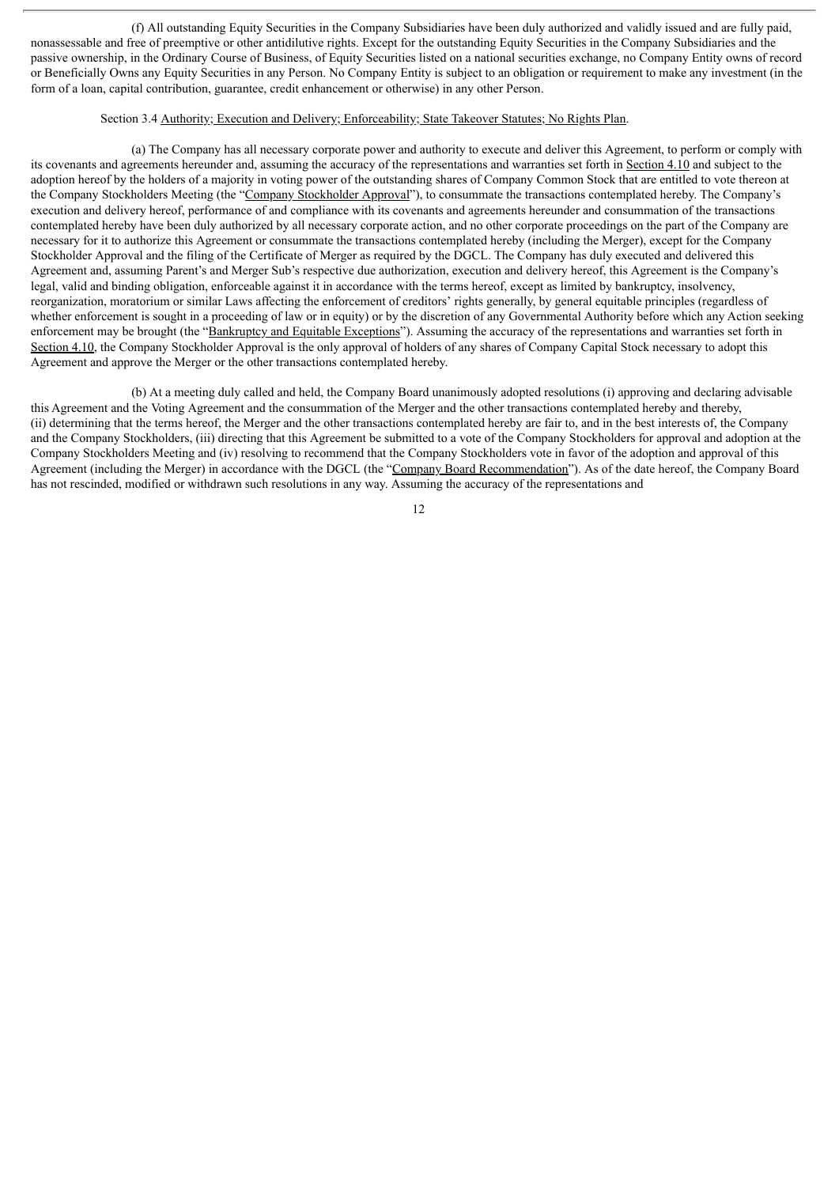(f) All outstanding Equity Securities in the Company Subsidiaries have been duly authorized and validly issued and are fully paid, nonassessable and free of preemptive or other antidilutive rights. Except for the outstanding Equity Securities in the Company Subsidiaries and the passive ownership, in the Ordinary Course of Business, of Equity Securities listed on a national securities exchange, no Company Entity owns of record or Beneficially Owns any Equity Securities in any Person. No Company Entity is subject to an obligation or requirement to make any investment (in the form of a loan, capital contribution, guarantee, credit enhancement or otherwise) in any other Person.

### Section 3.4 Authority; Execution and Delivery; Enforceability; State Takeover Statutes; No Rights Plan.

(a) The Company has all necessary corporate power and authority to execute and deliver this Agreement, to perform or comply with its covenants and agreements hereunder and, assuming the accuracy of the representations and warranties set forth in Section 4.10 and subject to the adoption hereof by the holders of a majority in voting power of the outstanding shares of Company Common Stock that are entitled to vote thereon at the Company Stockholders Meeting (the "Company Stockholder Approval"), to consummate the transactions contemplated hereby. The Company's execution and delivery hereof, performance of and compliance with its covenants and agreements hereunder and consummation of the transactions contemplated hereby have been duly authorized by all necessary corporate action, and no other corporate proceedings on the part of the Company are necessary for it to authorize this Agreement or consummate the transactions contemplated hereby (including the Merger), except for the Company Stockholder Approval and the filing of the Certificate of Merger as required by the DGCL. The Company has duly executed and delivered this Agreement and, assuming Parent's and Merger Sub's respective due authorization, execution and delivery hereof, this Agreement is the Company's legal, valid and binding obligation, enforceable against it in accordance with the terms hereof, except as limited by bankruptcy, insolvency, reorganization, moratorium or similar Laws affecting the enforcement of creditors' rights generally, by general equitable principles (regardless of whether enforcement is sought in a proceeding of law or in equity) or by the discretion of any Governmental Authority before which any Action seeking enforcement may be brought (the "Bankruptcy and Equitable Exceptions"). Assuming the accuracy of the representations and warranties set forth in Section 4.10, the Company Stockholder Approval is the only approval of holders of any shares of Company Capital Stock necessary to adopt this Agreement and approve the Merger or the other transactions contemplated hereby.

(b) At a meeting duly called and held, the Company Board unanimously adopted resolutions (i) approving and declaring advisable this Agreement and the Voting Agreement and the consummation of the Merger and the other transactions contemplated hereby and thereby, (ii) determining that the terms hereof, the Merger and the other transactions contemplated hereby are fair to, and in the best interests of, the Company and the Company Stockholders, (iii) directing that this Agreement be submitted to a vote of the Company Stockholders for approval and adoption at the Company Stockholders Meeting and (iv) resolving to recommend that the Company Stockholders vote in favor of the adoption and approval of this Agreement (including the Merger) in accordance with the DGCL (the "Company Board Recommendation"). As of the date hereof, the Company Board has not rescinded, modified or withdrawn such resolutions in any way. Assuming the accuracy of the representations and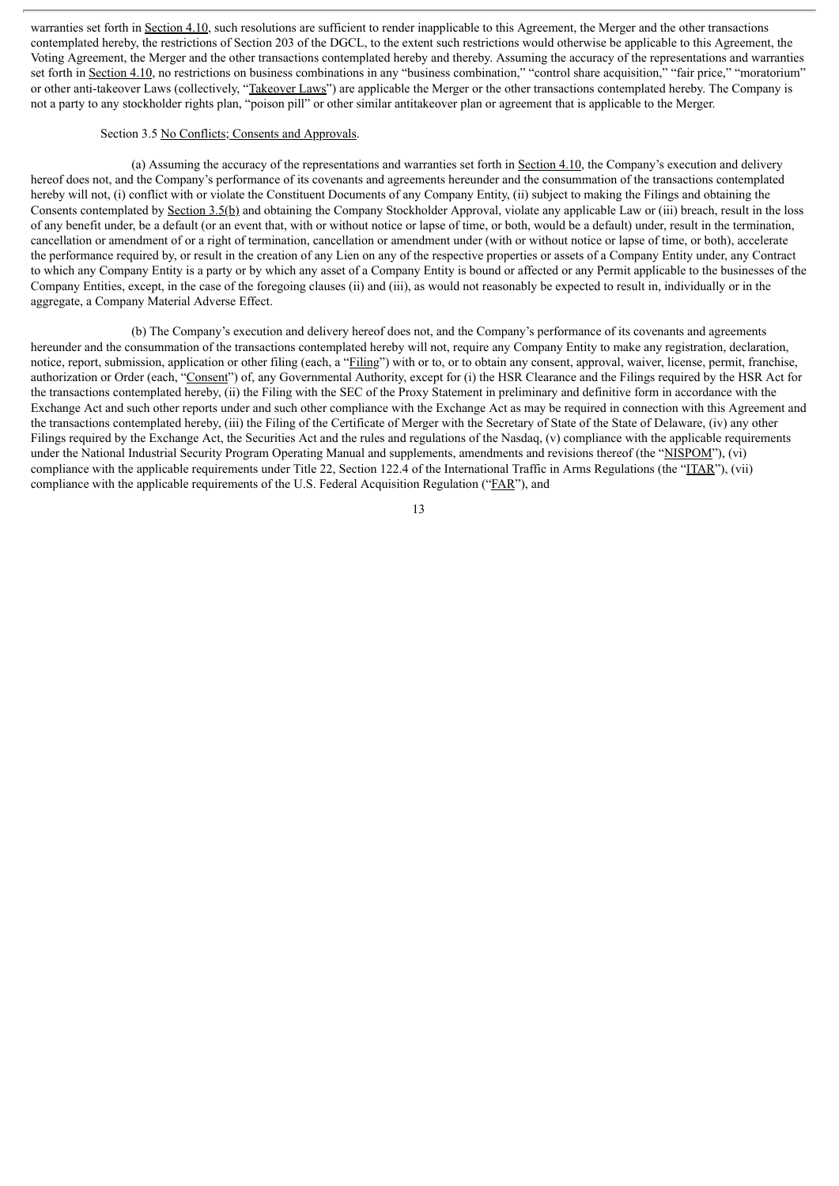warranties set forth in Section 4.10, such resolutions are sufficient to render inapplicable to this Agreement, the Merger and the other transactions contemplated hereby, the restrictions of Section 203 of the DGCL, to the extent such restrictions would otherwise be applicable to this Agreement, the Voting Agreement, the Merger and the other transactions contemplated hereby and thereby. Assuming the accuracy of the representations and warranties set forth in Section 4.10, no restrictions on business combinations in any "business combination," "control share acquisition," "fair price," "moratorium" or other anti-takeover Laws (collectively, "Takeover Laws") are applicable the Merger or the other transactions contemplated hereby. The Company is not a party to any stockholder rights plan, "poison pill" or other similar antitakeover plan or agreement that is applicable to the Merger.

#### Section 3.5 No Conflicts; Consents and Approvals.

(a) Assuming the accuracy of the representations and warranties set forth in Section 4.10, the Company's execution and delivery hereof does not, and the Company's performance of its covenants and agreements hereunder and the consummation of the transactions contemplated hereby will not, (i) conflict with or violate the Constituent Documents of any Company Entity, (ii) subject to making the Filings and obtaining the Consents contemplated by Section 3.5(b) and obtaining the Company Stockholder Approval, violate any applicable Law or (iii) breach, result in the loss of any benefit under, be a default (or an event that, with or without notice or lapse of time, or both, would be a default) under, result in the termination, cancellation or amendment of or a right of termination, cancellation or amendment under (with or without notice or lapse of time, or both), accelerate the performance required by, or result in the creation of any Lien on any of the respective properties or assets of a Company Entity under, any Contract to which any Company Entity is a party or by which any asset of a Company Entity is bound or affected or any Permit applicable to the businesses of the Company Entities, except, in the case of the foregoing clauses (ii) and (iii), as would not reasonably be expected to result in, individually or in the aggregate, a Company Material Adverse Effect.

(b) The Company's execution and delivery hereof does not, and the Company's performance of its covenants and agreements hereunder and the consummation of the transactions contemplated hereby will not, require any Company Entity to make any registration, declaration, notice, report, submission, application or other filing (each, a "Filing") with or to, or to obtain any consent, approval, waiver, license, permit, franchise, authorization or Order (each, "Consent") of, any Governmental Authority, except for (i) the HSR Clearance and the Filings required by the HSR Act for the transactions contemplated hereby, (ii) the Filing with the SEC of the Proxy Statement in preliminary and definitive form in accordance with the Exchange Act and such other reports under and such other compliance with the Exchange Act as may be required in connection with this Agreement and the transactions contemplated hereby, (iii) the Filing of the Certificate of Merger with the Secretary of State of the State of Delaware, (iv) any other Filings required by the Exchange Act, the Securities Act and the rules and regulations of the Nasdaq, (v) compliance with the applicable requirements under the National Industrial Security Program Operating Manual and supplements, amendments and revisions thereof (the "NISPOM"), (vi) compliance with the applicable requirements under Title 22, Section 122.4 of the International Traffic in Arms Regulations (the "ITAR"), (vii) compliance with the applicable requirements of the U.S. Federal Acquisition Regulation ("FAR"), and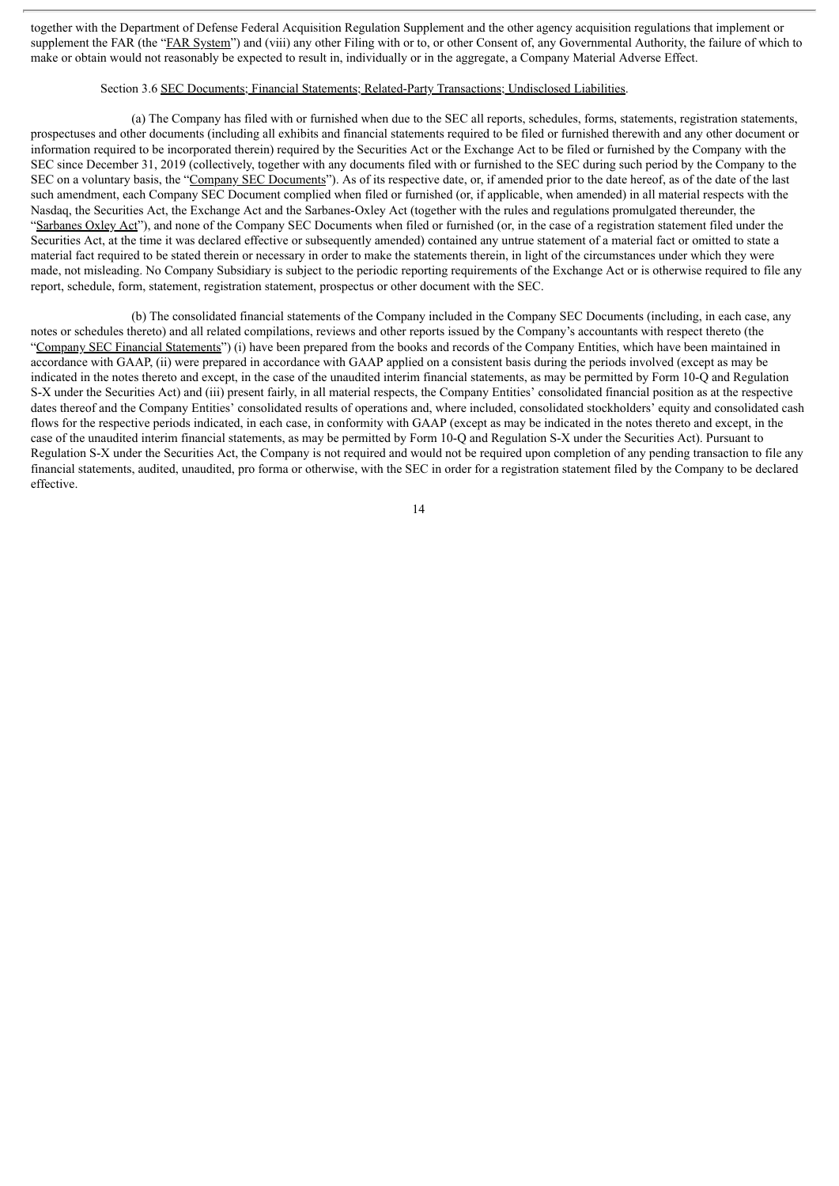together with the Department of Defense Federal Acquisition Regulation Supplement and the other agency acquisition regulations that implement or supplement the FAR (the "FAR System") and (viii) any other Filing with or to, or other Consent of, any Governmental Authority, the failure of which to make or obtain would not reasonably be expected to result in, individually or in the aggregate, a Company Material Adverse Effect.

### Section 3.6 SEC Documents; Financial Statements; Related-Party Transactions; Undisclosed Liabilities.

(a) The Company has filed with or furnished when due to the SEC all reports, schedules, forms, statements, registration statements, prospectuses and other documents (including all exhibits and financial statements required to be filed or furnished therewith and any other document or information required to be incorporated therein) required by the Securities Act or the Exchange Act to be filed or furnished by the Company with the SEC since December 31, 2019 (collectively, together with any documents filed with or furnished to the SEC during such period by the Company to the SEC on a voluntary basis, the "Company SEC Documents"). As of its respective date, or, if amended prior to the date hereof, as of the date of the last such amendment, each Company SEC Document complied when filed or furnished (or, if applicable, when amended) in all material respects with the Nasdaq, the Securities Act, the Exchange Act and the Sarbanes-Oxley Act (together with the rules and regulations promulgated thereunder, the "Sarbanes Oxley Act"), and none of the Company SEC Documents when filed or furnished (or, in the case of a registration statement filed under the Securities Act, at the time it was declared effective or subsequently amended) contained any untrue statement of a material fact or omitted to state a material fact required to be stated therein or necessary in order to make the statements therein, in light of the circumstances under which they were made, not misleading. No Company Subsidiary is subject to the periodic reporting requirements of the Exchange Act or is otherwise required to file any report, schedule, form, statement, registration statement, prospectus or other document with the SEC.

(b) The consolidated financial statements of the Company included in the Company SEC Documents (including, in each case, any notes or schedules thereto) and all related compilations, reviews and other reports issued by the Company's accountants with respect thereto (the "Company SEC Financial Statements") (i) have been prepared from the books and records of the Company Entities, which have been maintained in accordance with GAAP, (ii) were prepared in accordance with GAAP applied on a consistent basis during the periods involved (except as may be indicated in the notes thereto and except, in the case of the unaudited interim financial statements, as may be permitted by Form 10-Q and Regulation S-X under the Securities Act) and (iii) present fairly, in all material respects, the Company Entities' consolidated financial position as at the respective dates thereof and the Company Entities' consolidated results of operations and, where included, consolidated stockholders' equity and consolidated cash flows for the respective periods indicated, in each case, in conformity with GAAP (except as may be indicated in the notes thereto and except, in the case of the unaudited interim financial statements, as may be permitted by Form 10-Q and Regulation S-X under the Securities Act). Pursuant to Regulation S-X under the Securities Act, the Company is not required and would not be required upon completion of any pending transaction to file any financial statements, audited, unaudited, pro forma or otherwise, with the SEC in order for a registration statement filed by the Company to be declared effective.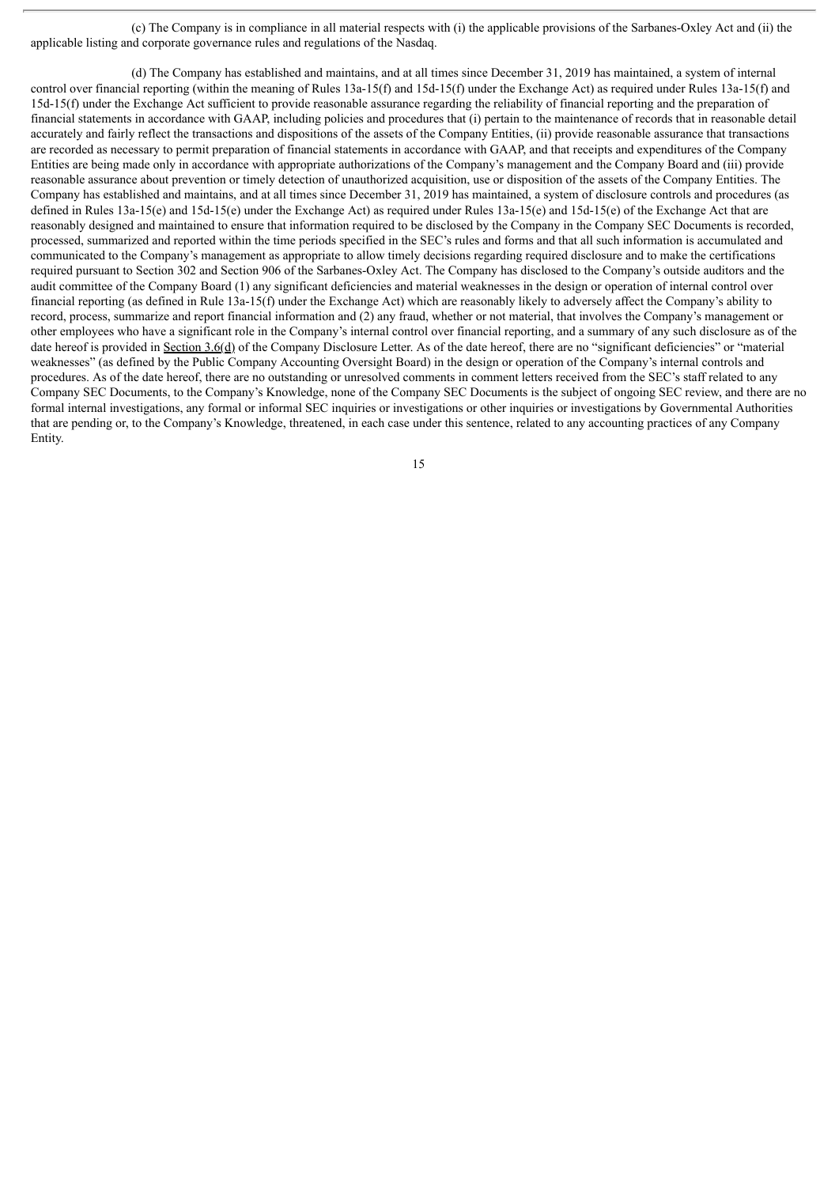(c) The Company is in compliance in all material respects with (i) the applicable provisions of the Sarbanes-Oxley Act and (ii) the applicable listing and corporate governance rules and regulations of the Nasdaq.

(d) The Company has established and maintains, and at all times since December 31, 2019 has maintained, a system of internal control over financial reporting (within the meaning of Rules 13a-15(f) and 15d-15(f) under the Exchange Act) as required under Rules 13a-15(f) and 15d-15(f) under the Exchange Act sufficient to provide reasonable assurance regarding the reliability of financial reporting and the preparation of financial statements in accordance with GAAP, including policies and procedures that (i) pertain to the maintenance of records that in reasonable detail accurately and fairly reflect the transactions and dispositions of the assets of the Company Entities, (ii) provide reasonable assurance that transactions are recorded as necessary to permit preparation of financial statements in accordance with GAAP, and that receipts and expenditures of the Company Entities are being made only in accordance with appropriate authorizations of the Company's management and the Company Board and (iii) provide reasonable assurance about prevention or timely detection of unauthorized acquisition, use or disposition of the assets of the Company Entities. The Company has established and maintains, and at all times since December 31, 2019 has maintained, a system of disclosure controls and procedures (as defined in Rules 13a-15(e) and 15d-15(e) under the Exchange Act) as required under Rules 13a-15(e) and 15d-15(e) of the Exchange Act that are reasonably designed and maintained to ensure that information required to be disclosed by the Company in the Company SEC Documents is recorded, processed, summarized and reported within the time periods specified in the SEC's rules and forms and that all such information is accumulated and communicated to the Company's management as appropriate to allow timely decisions regarding required disclosure and to make the certifications required pursuant to Section 302 and Section 906 of the Sarbanes-Oxley Act. The Company has disclosed to the Company's outside auditors and the audit committee of the Company Board (1) any significant deficiencies and material weaknesses in the design or operation of internal control over financial reporting (as defined in Rule 13a-15(f) under the Exchange Act) which are reasonably likely to adversely affect the Company's ability to record, process, summarize and report financial information and (2) any fraud, whether or not material, that involves the Company's management or other employees who have a significant role in the Company's internal control over financial reporting, and a summary of any such disclosure as of the date hereof is provided in Section 3.6(d) of the Company Disclosure Letter. As of the date hereof, there are no "significant deficiencies" or "material weaknesses" (as defined by the Public Company Accounting Oversight Board) in the design or operation of the Company's internal controls and procedures. As of the date hereof, there are no outstanding or unresolved comments in comment letters received from the SEC's staff related to any Company SEC Documents, to the Company's Knowledge, none of the Company SEC Documents is the subject of ongoing SEC review, and there are no formal internal investigations, any formal or informal SEC inquiries or investigations or other inquiries or investigations by Governmental Authorities that are pending or, to the Company's Knowledge, threatened, in each case under this sentence, related to any accounting practices of any Company Entity.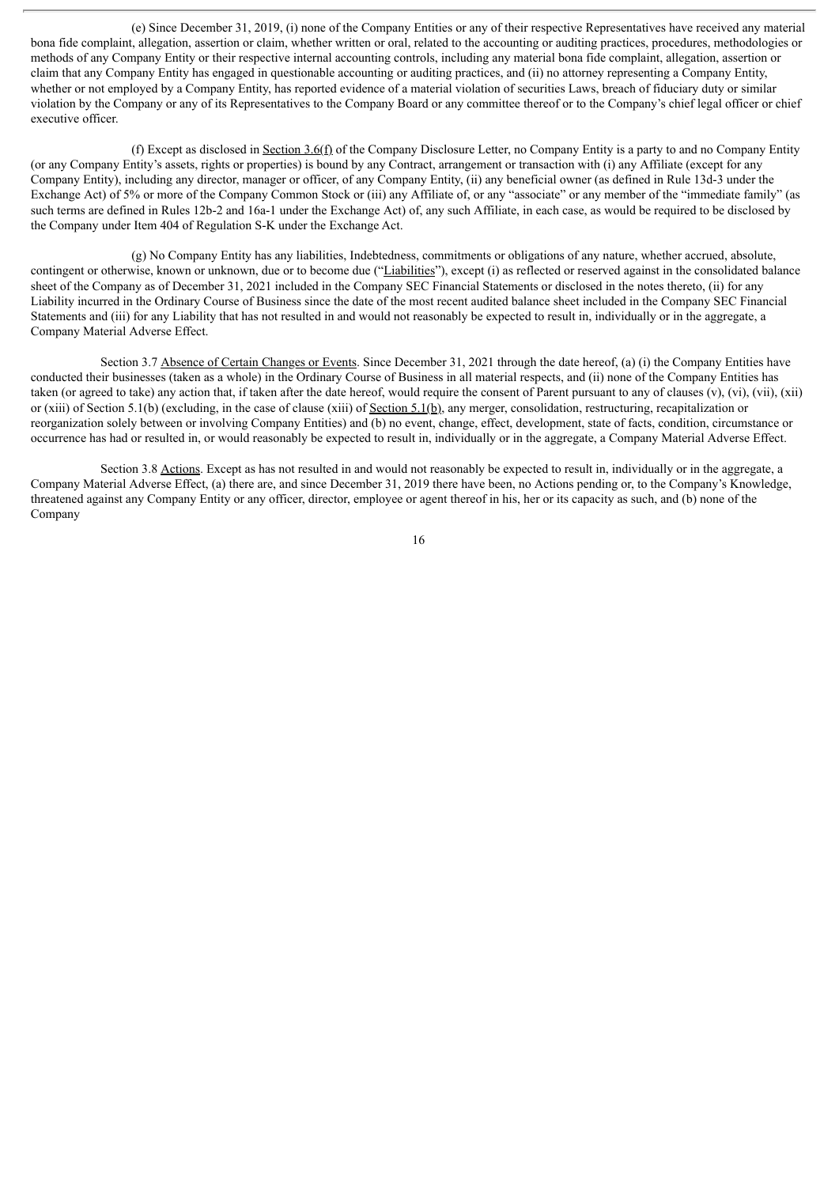(e) Since December 31, 2019, (i) none of the Company Entities or any of their respective Representatives have received any material bona fide complaint, allegation, assertion or claim, whether written or oral, related to the accounting or auditing practices, procedures, methodologies or methods of any Company Entity or their respective internal accounting controls, including any material bona fide complaint, allegation, assertion or claim that any Company Entity has engaged in questionable accounting or auditing practices, and (ii) no attorney representing a Company Entity, whether or not employed by a Company Entity, has reported evidence of a material violation of securities Laws, breach of fiduciary duty or similar violation by the Company or any of its Representatives to the Company Board or any committee thereof or to the Company's chief legal officer or chief executive officer.

(f) Except as disclosed in Section  $3.6(f)$  of the Company Disclosure Letter, no Company Entity is a party to and no Company Entity (or any Company Entity's assets, rights or properties) is bound by any Contract, arrangement or transaction with (i) any Affiliate (except for any Company Entity), including any director, manager or officer, of any Company Entity, (ii) any beneficial owner (as defined in Rule 13d-3 under the Exchange Act) of 5% or more of the Company Common Stock or (iii) any Affiliate of, or any "associate" or any member of the "immediate family" (as such terms are defined in Rules 12b-2 and 16a-1 under the Exchange Act) of, any such Affiliate, in each case, as would be required to be disclosed by the Company under Item 404 of Regulation S-K under the Exchange Act.

(g) No Company Entity has any liabilities, Indebtedness, commitments or obligations of any nature, whether accrued, absolute, contingent or otherwise, known or unknown, due or to become due ("Liabilities"), except (i) as reflected or reserved against in the consolidated balance sheet of the Company as of December 31, 2021 included in the Company SEC Financial Statements or disclosed in the notes thereto, (ii) for any Liability incurred in the Ordinary Course of Business since the date of the most recent audited balance sheet included in the Company SEC Financial Statements and (iii) for any Liability that has not resulted in and would not reasonably be expected to result in, individually or in the aggregate, a Company Material Adverse Effect.

Section 3.7 Absence of Certain Changes or Events. Since December 31, 2021 through the date hereof, (a) (i) the Company Entities have conducted their businesses (taken as a whole) in the Ordinary Course of Business in all material respects, and (ii) none of the Company Entities has taken (or agreed to take) any action that, if taken after the date hereof, would require the consent of Parent pursuant to any of clauses (y), (yi), (yii), (xii) or (xiii) of Section 5.1(b) (excluding, in the case of clause (xiii) of <u>Section 5.1(b)</u>, any merger, consolidation, restructuring, recapitalization or reorganization solely between or involving Company Entities) and (b) no event, change, effect, development, state of facts, condition, circumstance or occurrence has had or resulted in, or would reasonably be expected to result in, individually or in the aggregate, a Company Material Adverse Effect.

Section 3.8 Actions. Except as has not resulted in and would not reasonably be expected to result in, individually or in the aggregate, a Company Material Adverse Effect, (a) there are, and since December 31, 2019 there have been, no Actions pending or, to the Company's Knowledge, threatened against any Company Entity or any officer, director, employee or agent thereof in his, her or its capacity as such, and (b) none of the Company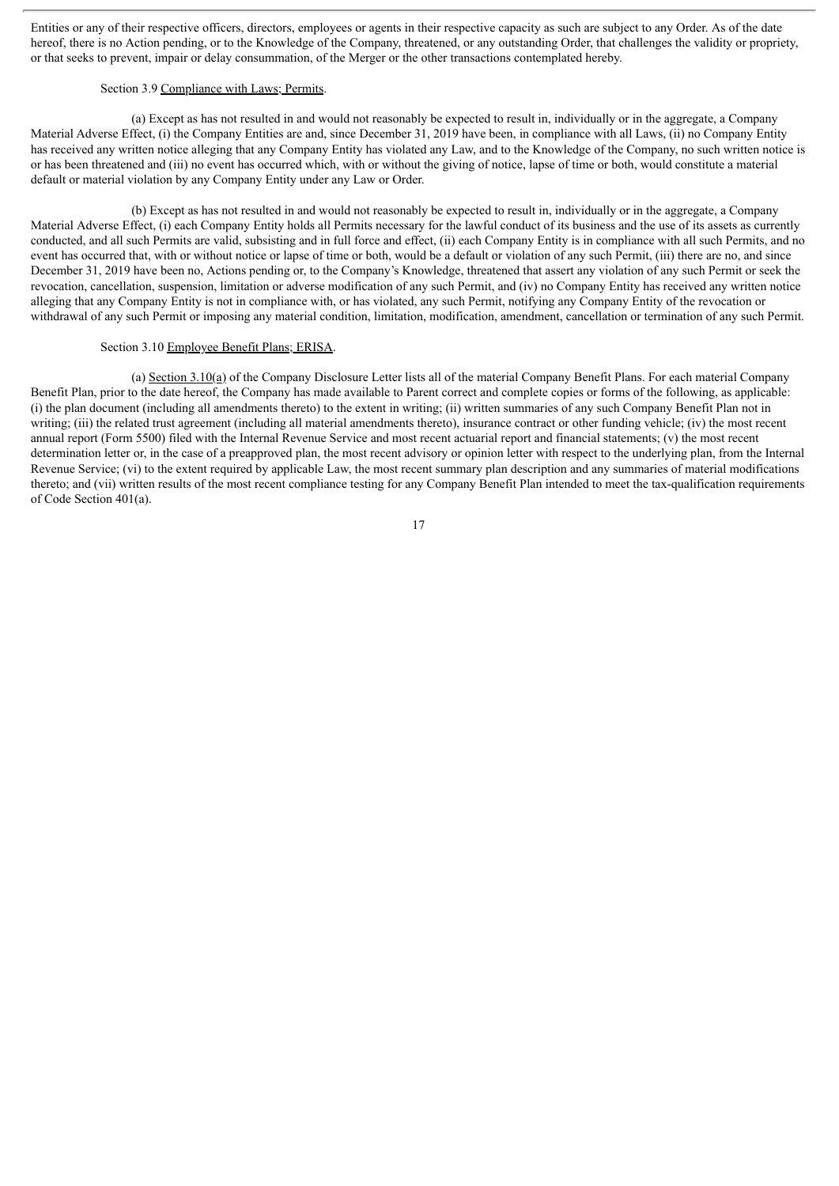Entities or any of their respective officers, directors, employees or agents in their respective capacity as such are subject to any Order. As of the date hereof, there is no Action pending, or to the Knowledge of the Company, threatened, or any outstanding Order, that challenges the validity or propriety, or that seeks to prevent, impair or delay consummation, of the Merger or the other transactions contemplated hereby.

### Section 3.9 Compliance with Laws; Permits.

(a) Except as has not resulted in and would not reasonably be expected to result in, individually or in the aggregate, a Company Material Adverse Effect, (i) the Company Entities are and, since December 31, 2019 have been, in compliance with all Laws, (ii) no Company Entity has received any written notice alleging that any Company Entity has violated any Law, and to the Knowledge of the Company, no such written notice is or has been threatened and (iii) no event has occurred which, with or without the giving of notice, lapse of time or both, would constitute a material default or material violation by any Company Entity under any Law or Order.

(b) Except as has not resulted in and would not reasonably be expected to result in, individually or in the aggregate, a Company Material Adverse Effect, (i) each Company Entity holds all Permits necessary for the lawful conduct of its business and the use of its assets as currently conducted, and all such Permits are valid, subsisting and in full force and effect, (ii) each Company Entity is in compliance with all such Permits, and no event has occurred that, with or without notice or lapse of time or both, would be a default or violation of any such Permit, (iii) there are no, and since December 31, 2019 have been no, Actions pending or, to the Company's Knowledge, threatened that assert any violation of any such Permit or seek the revocation, cancellation, suspension, limitation or adverse modification of any such Permit, and (iv) no Company Entity has received any written notice alleging that any Company Entity is not in compliance with, or has violated, any such Permit, notifying any Company Entity of the revocation or withdrawal of any such Permit or imposing any material condition, limitation, modification, amendment, cancellation or termination of any such Permit.

#### Section 3.10 Employee Benefit Plans; ERISA.

(a) Section  $3.10(a)$  of the Company Disclosure Letter lists all of the material Company Benefit Plans. For each material Company Benefit Plan, prior to the date hereof, the Company has made available to Parent correct and complete copies or forms of the following, as applicable: (i) the plan document (including all amendments thereto) to the extent in writing; (ii) written summaries of any such Company Benefit Plan not in writing; (iii) the related trust agreement (including all material amendments thereto), insurance contract or other funding vehicle; (iv) the most recent annual report (Form 5500) filed with the Internal Revenue Service and most recent actuarial report and financial statements; (v) the most recent determination letter or, in the case of a preapproved plan, the most recent advisory or opinion letter with respect to the underlying plan, from the Internal Revenue Service; (vi) to the extent required by applicable Law, the most recent summary plan description and any summaries of material modifications thereto; and (vii) written results of the most recent compliance testing for any Company Benefit Plan intended to meet the tax-qualification requirements of Code Section 401(a).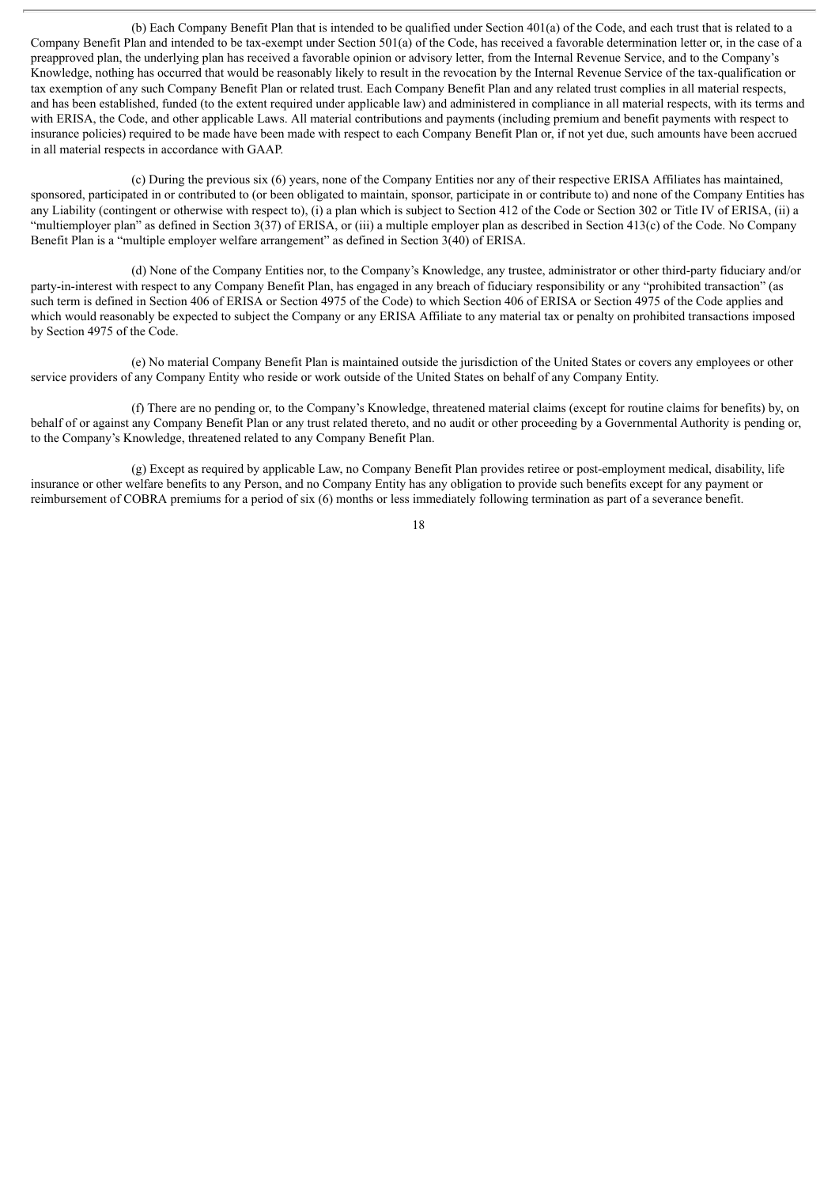(b) Each Company Benefit Plan that is intended to be qualified under Section 401(a) of the Code, and each trust that is related to a Company Benefit Plan and intended to be tax-exempt under Section 501(a) of the Code, has received a favorable determination letter or, in the case of a preapproved plan, the underlying plan has received a favorable opinion or advisory letter, from the Internal Revenue Service, and to the Company's Knowledge, nothing has occurred that would be reasonably likely to result in the revocation by the Internal Revenue Service of the tax-qualification or tax exemption of any such Company Benefit Plan or related trust. Each Company Benefit Plan and any related trust complies in all material respects, and has been established, funded (to the extent required under applicable law) and administered in compliance in all material respects, with its terms and with ERISA, the Code, and other applicable Laws. All material contributions and payments (including premium and benefit payments with respect to insurance policies) required to be made have been made with respect to each Company Benefit Plan or, if not yet due, such amounts have been accrued in all material respects in accordance with GAAP.

(c) During the previous six (6) years, none of the Company Entities nor any of their respective ERISA Affiliates has maintained, sponsored, participated in or contributed to (or been obligated to maintain, sponsor, participate in or contribute to) and none of the Company Entities has any Liability (contingent or otherwise with respect to), (i) a plan which is subject to Section 412 of the Code or Section 302 or Title IV of ERISA, (ii) a "multiemployer plan" as defined in Section 3(37) of ERISA, or (iii) a multiple employer plan as described in Section 413(c) of the Code. No Company Benefit Plan is a "multiple employer welfare arrangement" as defined in Section 3(40) of ERISA.

(d) None of the Company Entities nor, to the Company's Knowledge, any trustee, administrator or other third-party fiduciary and/or party-in-interest with respect to any Company Benefit Plan, has engaged in any breach of fiduciary responsibility or any "prohibited transaction" (as such term is defined in Section 406 of ERISA or Section 4975 of the Code) to which Section 406 of ERISA or Section 4975 of the Code applies and which would reasonably be expected to subject the Company or any ERISA Affiliate to any material tax or penalty on prohibited transactions imposed by Section 4975 of the Code.

(e) No material Company Benefit Plan is maintained outside the jurisdiction of the United States or covers any employees or other service providers of any Company Entity who reside or work outside of the United States on behalf of any Company Entity.

(f) There are no pending or, to the Company's Knowledge, threatened material claims (except for routine claims for benefits) by, on behalf of or against any Company Benefit Plan or any trust related thereto, and no audit or other proceeding by a Governmental Authority is pending or, to the Company's Knowledge, threatened related to any Company Benefit Plan.

(g) Except as required by applicable Law, no Company Benefit Plan provides retiree or post-employment medical, disability, life insurance or other welfare benefits to any Person, and no Company Entity has any obligation to provide such benefits except for any payment or reimbursement of COBRA premiums for a period of six (6) months or less immediately following termination as part of a severance benefit.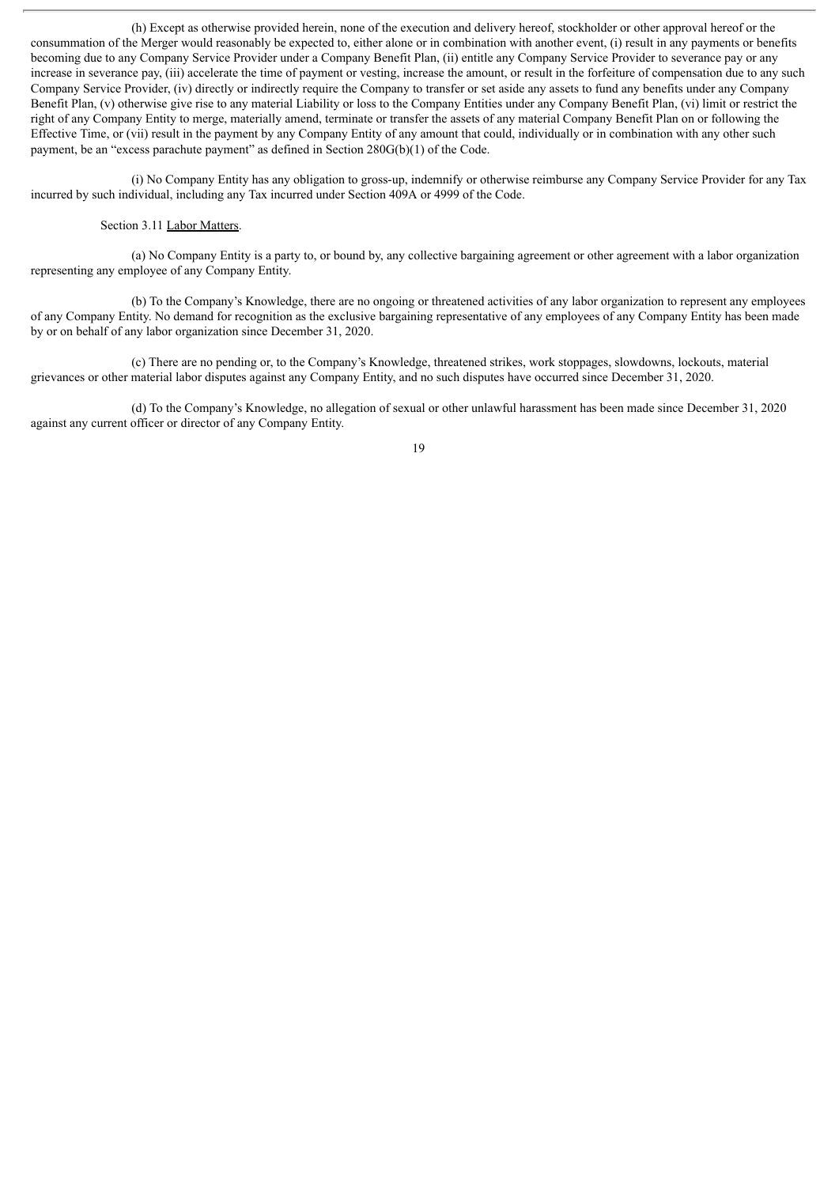(h) Except as otherwise provided herein, none of the execution and delivery hereof, stockholder or other approval hereof or the consummation of the Merger would reasonably be expected to, either alone or in combination with another event, (i) result in any payments or benefits becoming due to any Company Service Provider under a Company Benefit Plan, (ii) entitle any Company Service Provider to severance pay or any increase in severance pay, (iii) accelerate the time of payment or vesting, increase the amount, or result in the forfeiture of compensation due to any such Company Service Provider, (iv) directly or indirectly require the Company to transfer or set aside any assets to fund any benefits under any Company Benefit Plan, (v) otherwise give rise to any material Liability or loss to the Company Entities under any Company Benefit Plan, (vi) limit or restrict the right of any Company Entity to merge, materially amend, terminate or transfer the assets of any material Company Benefit Plan on or following the Effective Time, or (vii) result in the payment by any Company Entity of any amount that could, individually or in combination with any other such payment, be an "excess parachute payment" as defined in Section 280G(b)(1) of the Code.

(i) No Company Entity has any obligation to gross-up, indemnify or otherwise reimburse any Company Service Provider for any Tax incurred by such individual, including any Tax incurred under Section 409A or 4999 of the Code.

### Section 3.11 Labor Matters.

(a) No Company Entity is a party to, or bound by, any collective bargaining agreement or other agreement with a labor organization representing any employee of any Company Entity.

(b) To the Company's Knowledge, there are no ongoing or threatened activities of any labor organization to represent any employees of any Company Entity. No demand for recognition as the exclusive bargaining representative of any employees of any Company Entity has been made by or on behalf of any labor organization since December 31, 2020.

(c) There are no pending or, to the Company's Knowledge, threatened strikes, work stoppages, slowdowns, lockouts, material grievances or other material labor disputes against any Company Entity, and no such disputes have occurred since December 31, 2020.

(d) To the Company's Knowledge, no allegation of sexual or other unlawful harassment has been made since December 31, 2020 against any current officer or director of any Company Entity.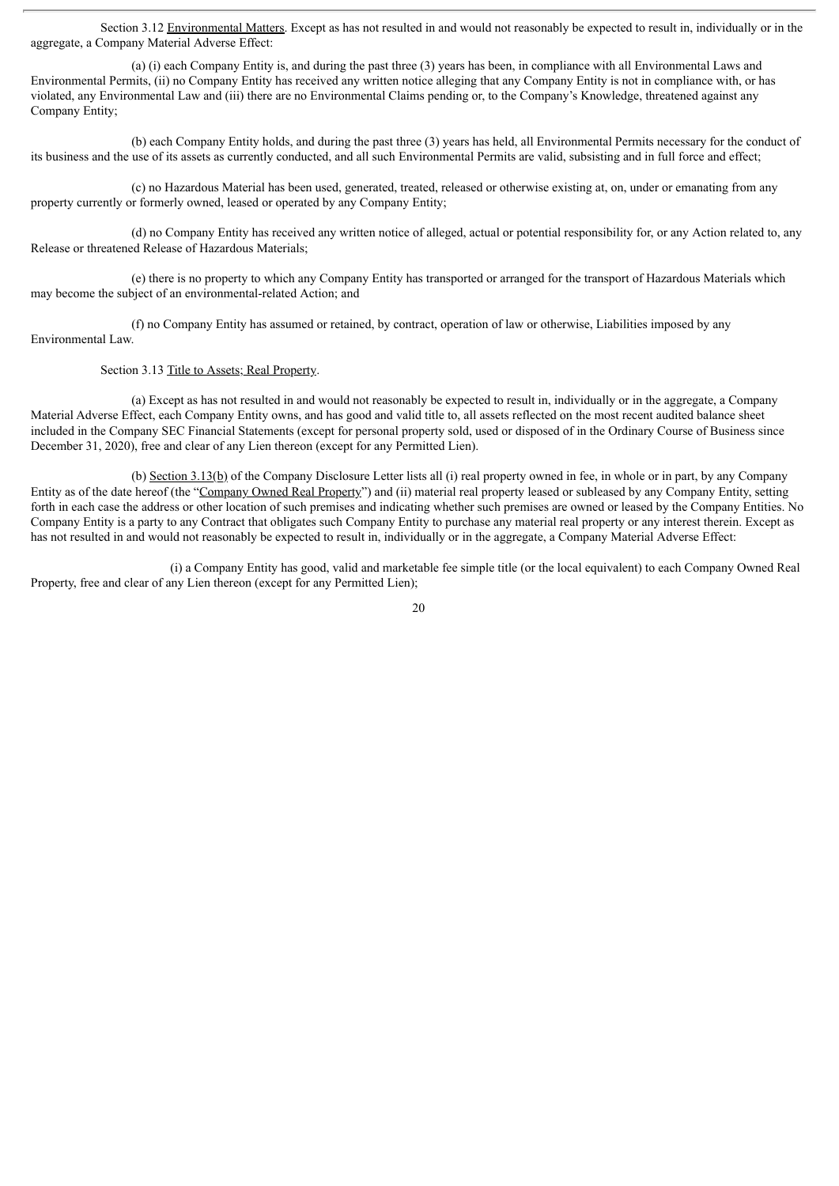Section 3.12 Environmental Matters. Except as has not resulted in and would not reasonably be expected to result in, individually or in the aggregate, a Company Material Adverse Effect:

(a) (i) each Company Entity is, and during the past three (3) years has been, in compliance with all Environmental Laws and Environmental Permits, (ii) no Company Entity has received any written notice alleging that any Company Entity is not in compliance with, or has violated, any Environmental Law and (iii) there are no Environmental Claims pending or, to the Company's Knowledge, threatened against any Company Entity;

(b) each Company Entity holds, and during the past three (3) years has held, all Environmental Permits necessary for the conduct of its business and the use of its assets as currently conducted, and all such Environmental Permits are valid, subsisting and in full force and effect;

(c) no Hazardous Material has been used, generated, treated, released or otherwise existing at, on, under or emanating from any property currently or formerly owned, leased or operated by any Company Entity;

(d) no Company Entity has received any written notice of alleged, actual or potential responsibility for, or any Action related to, any Release or threatened Release of Hazardous Materials;

(e) there is no property to which any Company Entity has transported or arranged for the transport of Hazardous Materials which may become the subject of an environmental-related Action; and

(f) no Company Entity has assumed or retained, by contract, operation of law or otherwise, Liabilities imposed by any Environmental Law.

Section 3.13 Title to Assets; Real Property.

(a) Except as has not resulted in and would not reasonably be expected to result in, individually or in the aggregate, a Company Material Adverse Effect, each Company Entity owns, and has good and valid title to, all assets reflected on the most recent audited balance sheet included in the Company SEC Financial Statements (except for personal property sold, used or disposed of in the Ordinary Course of Business since December 31, 2020), free and clear of any Lien thereon (except for any Permitted Lien).

(b) Section 3.13(b) of the Company Disclosure Letter lists all (i) real property owned in fee, in whole or in part, by any Company Entity as of the date hereof (the "Company Owned Real Property") and (ii) material real property leased or subleased by any Company Entity, setting forth in each case the address or other location of such premises and indicating whether such premises are owned or leased by the Company Entities. No Company Entity is a party to any Contract that obligates such Company Entity to purchase any material real property or any interest therein. Except as has not resulted in and would not reasonably be expected to result in, individually or in the aggregate, a Company Material Adverse Effect:

(i) a Company Entity has good, valid and marketable fee simple title (or the local equivalent) to each Company Owned Real Property, free and clear of any Lien thereon (except for any Permitted Lien);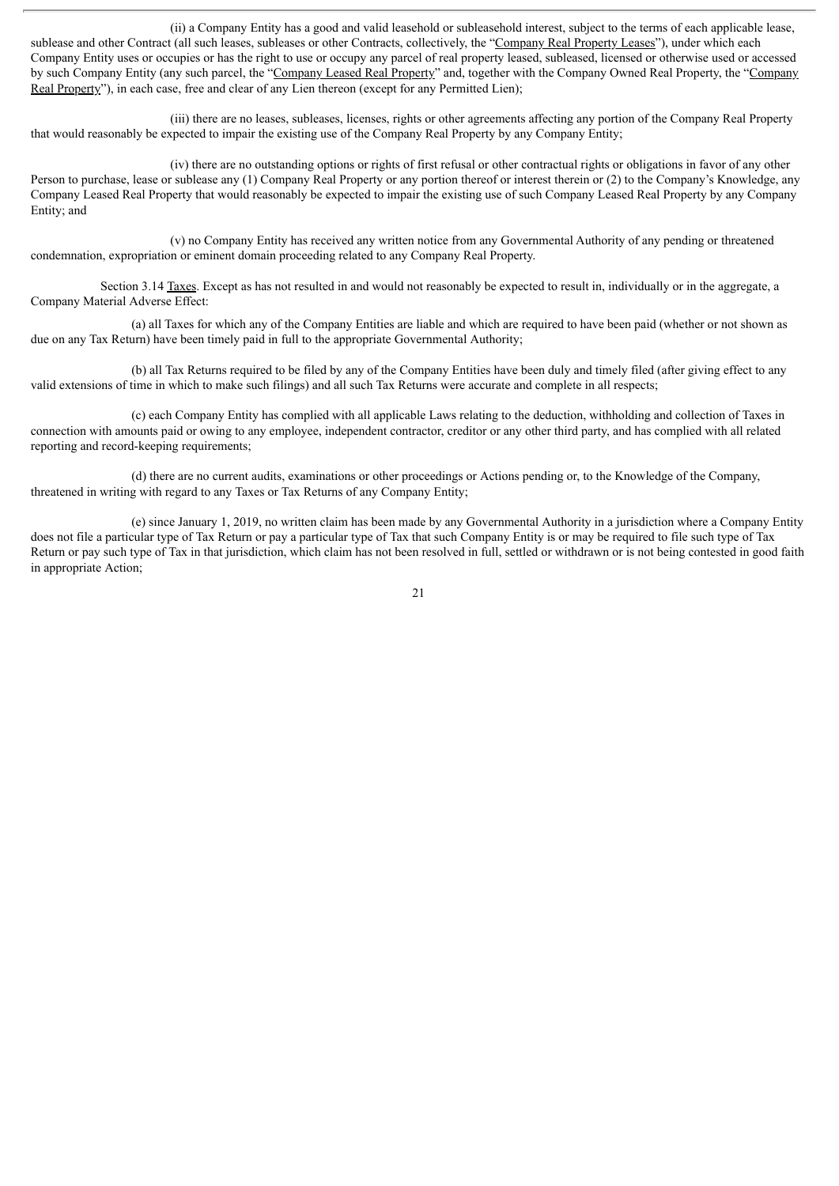(ii) a Company Entity has a good and valid leasehold or subleasehold interest, subject to the terms of each applicable lease, sublease and other Contract (all such leases, subleases or other Contracts, collectively, the "Company Real Property Leases"), under which each Company Entity uses or occupies or has the right to use or occupy any parcel of real property leased, subleased, licensed or otherwise used or accessed by such Company Entity (any such parcel, the "Company Leased Real Property" and, together with the Company Owned Real Property, the "Company Real Property"), in each case, free and clear of any Lien thereon (except for any Permitted Lien);

(iii) there are no leases, subleases, licenses, rights or other agreements affecting any portion of the Company Real Property that would reasonably be expected to impair the existing use of the Company Real Property by any Company Entity;

(iv) there are no outstanding options or rights of first refusal or other contractual rights or obligations in favor of any other Person to purchase, lease or sublease any (1) Company Real Property or any portion thereof or interest therein or (2) to the Company's Knowledge, any Company Leased Real Property that would reasonably be expected to impair the existing use of such Company Leased Real Property by any Company Entity; and

(v) no Company Entity has received any written notice from any Governmental Authority of any pending or threatened condemnation, expropriation or eminent domain proceeding related to any Company Real Property.

Section 3.14 Taxes. Except as has not resulted in and would not reasonably be expected to result in, individually or in the aggregate, a Company Material Adverse Effect:

(a) all Taxes for which any of the Company Entities are liable and which are required to have been paid (whether or not shown as due on any Tax Return) have been timely paid in full to the appropriate Governmental Authority;

(b) all Tax Returns required to be filed by any of the Company Entities have been duly and timely filed (after giving effect to any valid extensions of time in which to make such filings) and all such Tax Returns were accurate and complete in all respects;

(c) each Company Entity has complied with all applicable Laws relating to the deduction, withholding and collection of Taxes in connection with amounts paid or owing to any employee, independent contractor, creditor or any other third party, and has complied with all related reporting and record-keeping requirements;

(d) there are no current audits, examinations or other proceedings or Actions pending or, to the Knowledge of the Company, threatened in writing with regard to any Taxes or Tax Returns of any Company Entity;

(e) since January 1, 2019, no written claim has been made by any Governmental Authority in a jurisdiction where a Company Entity does not file a particular type of Tax Return or pay a particular type of Tax that such Company Entity is or may be required to file such type of Tax Return or pay such type of Tax in that jurisdiction, which claim has not been resolved in full, settled or withdrawn or is not being contested in good faith in appropriate Action;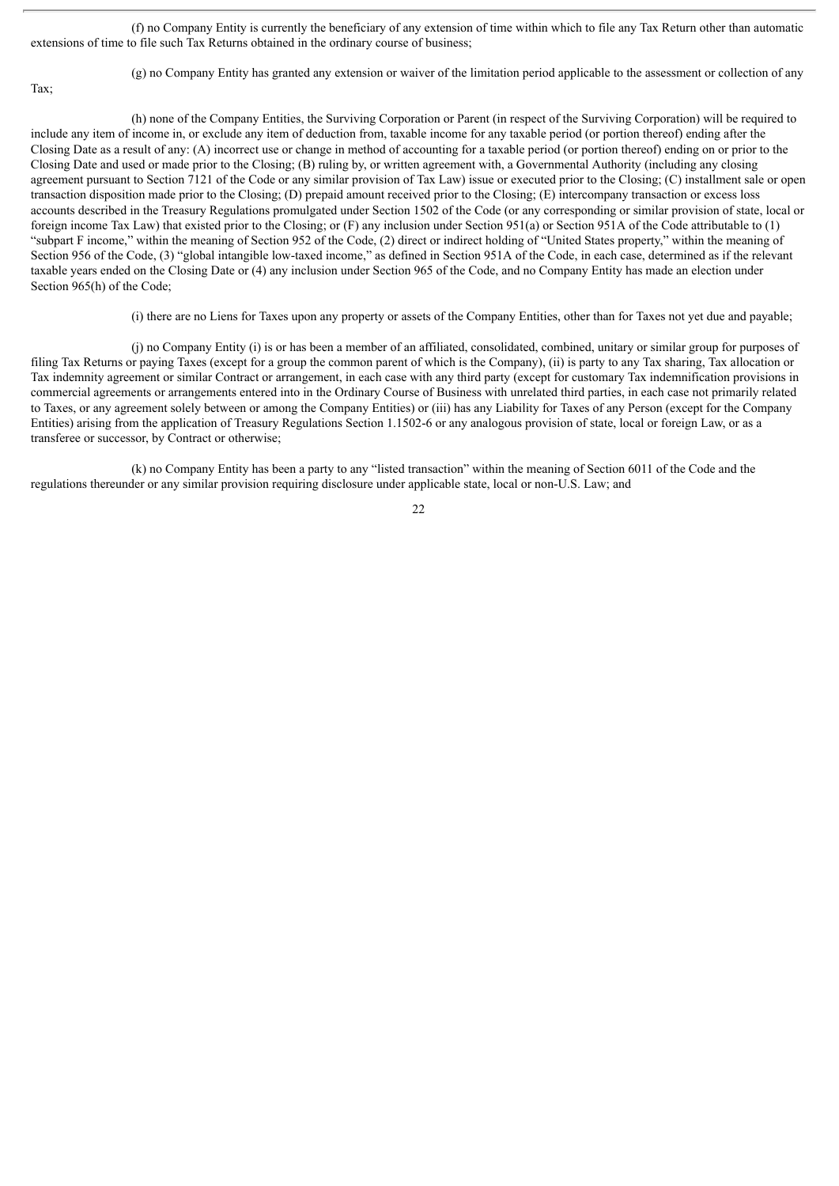(f) no Company Entity is currently the beneficiary of any extension of time within which to file any Tax Return other than automatic extensions of time to file such Tax Returns obtained in the ordinary course of business;

Tax;

(g) no Company Entity has granted any extension or waiver of the limitation period applicable to the assessment or collection of any

(h) none of the Company Entities, the Surviving Corporation or Parent (in respect of the Surviving Corporation) will be required to include any item of income in, or exclude any item of deduction from, taxable income for any taxable period (or portion thereof) ending after the Closing Date as a result of any: (A) incorrect use or change in method of accounting for a taxable period (or portion thereof) ending on or prior to the Closing Date and used or made prior to the Closing; (B) ruling by, or written agreement with, a Governmental Authority (including any closing agreement pursuant to Section 7121 of the Code or any similar provision of Tax Law) issue or executed prior to the Closing; (C) installment sale or open transaction disposition made prior to the Closing; (D) prepaid amount received prior to the Closing; (E) intercompany transaction or excess loss accounts described in the Treasury Regulations promulgated under Section 1502 of the Code (or any corresponding or similar provision of state, local or foreign income Tax Law) that existed prior to the Closing; or (F) any inclusion under Section 951(a) or Section 951A of the Code attributable to (1) "subpart F income," within the meaning of Section 952 of the Code, (2) direct or indirect holding of "United States property," within the meaning of Section 956 of the Code, (3) "global intangible low-taxed income," as defined in Section 951A of the Code, in each case, determined as if the relevant taxable years ended on the Closing Date or (4) any inclusion under Section 965 of the Code, and no Company Entity has made an election under Section 965(h) of the Code;

(i) there are no Liens for Taxes upon any property or assets of the Company Entities, other than for Taxes not yet due and payable;

(j) no Company Entity (i) is or has been a member of an affiliated, consolidated, combined, unitary or similar group for purposes of filing Tax Returns or paying Taxes (except for a group the common parent of which is the Company), (ii) is party to any Tax sharing, Tax allocation or Tax indemnity agreement or similar Contract or arrangement, in each case with any third party (except for customary Tax indemnification provisions in commercial agreements or arrangements entered into in the Ordinary Course of Business with unrelated third parties, in each case not primarily related to Taxes, or any agreement solely between or among the Company Entities) or (iii) has any Liability for Taxes of any Person (except for the Company Entities) arising from the application of Treasury Regulations Section 1.1502-6 or any analogous provision of state, local or foreign Law, or as a transferee or successor, by Contract or otherwise;

(k) no Company Entity has been a party to any "listed transaction" within the meaning of Section 6011 of the Code and the regulations thereunder or any similar provision requiring disclosure under applicable state, local or non-U.S. Law; and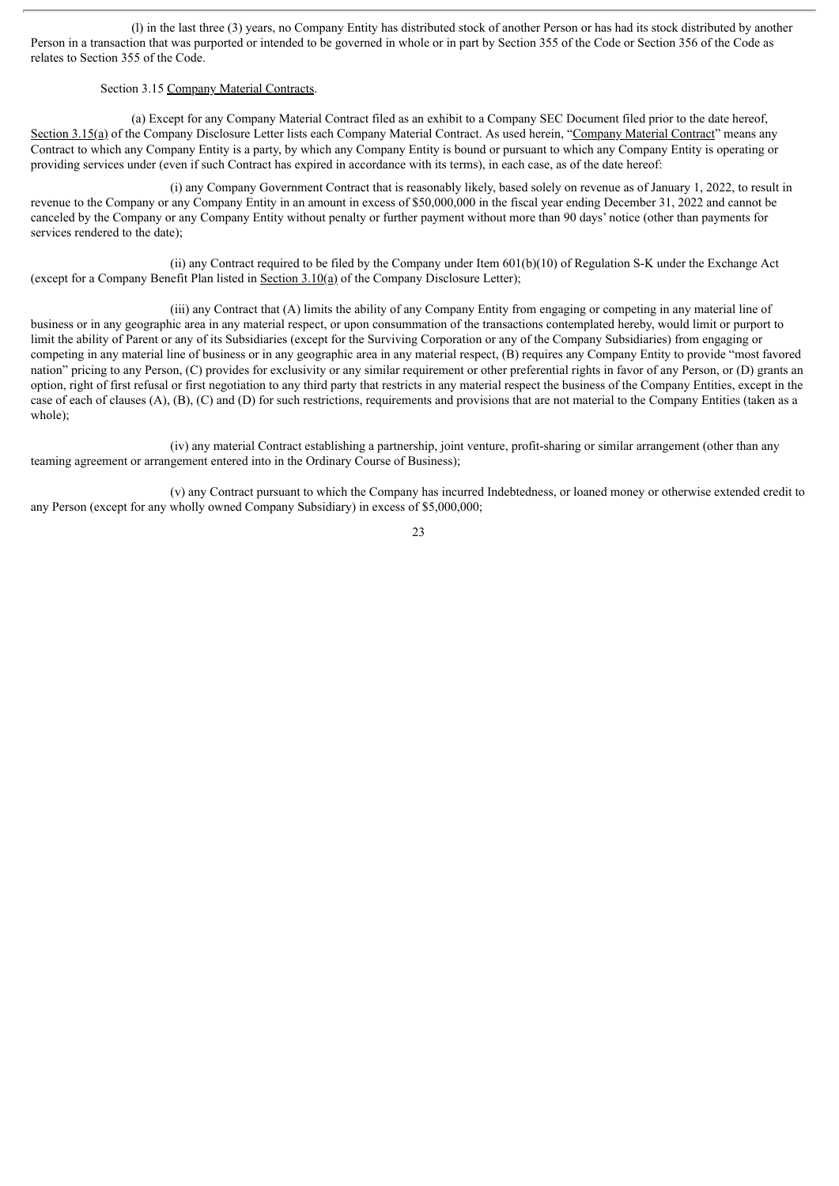(l) in the last three (3) years, no Company Entity has distributed stock of another Person or has had its stock distributed by another Person in a transaction that was purported or intended to be governed in whole or in part by Section 355 of the Code or Section 356 of the Code as relates to Section 355 of the Code.

### Section 3.15 Company Material Contracts.

(a) Except for any Company Material Contract filed as an exhibit to a Company SEC Document filed prior to the date hereof, Section 3.15(a) of the Company Disclosure Letter lists each Company Material Contract. As used herein, "Company Material Contract" means any Contract to which any Company Entity is a party, by which any Company Entity is bound or pursuant to which any Company Entity is operating or providing services under (even if such Contract has expired in accordance with its terms), in each case, as of the date hereof:

(i) any Company Government Contract that is reasonably likely, based solely on revenue as of January 1, 2022, to result in revenue to the Company or any Company Entity in an amount in excess of \$50,000,000 in the fiscal year ending December 31, 2022 and cannot be canceled by the Company or any Company Entity without penalty or further payment without more than 90 days' notice (other than payments for services rendered to the date);

(ii) any Contract required to be filed by the Company under Item 601(b)(10) of Regulation S-K under the Exchange Act (except for a Company Benefit Plan listed in Section 3.10(a) of the Company Disclosure Letter);

(iii) any Contract that (A) limits the ability of any Company Entity from engaging or competing in any material line of business or in any geographic area in any material respect, or upon consummation of the transactions contemplated hereby, would limit or purport to limit the ability of Parent or any of its Subsidiaries (except for the Surviving Corporation or any of the Company Subsidiaries) from engaging or competing in any material line of business or in any geographic area in any material respect, (B) requires any Company Entity to provide "most favored nation" pricing to any Person, (C) provides for exclusivity or any similar requirement or other preferential rights in favor of any Person, or (D) grants an option, right of first refusal or first negotiation to any third party that restricts in any material respect the business of the Company Entities, except in the case of each of clauses (A), (B), (C) and (D) for such restrictions, requirements and provisions that are not material to the Company Entities (taken as a whole);

(iv) any material Contract establishing a partnership, joint venture, profit-sharing or similar arrangement (other than any teaming agreement or arrangement entered into in the Ordinary Course of Business);

(v) any Contract pursuant to which the Company has incurred Indebtedness, or loaned money or otherwise extended credit to any Person (except for any wholly owned Company Subsidiary) in excess of \$5,000,000;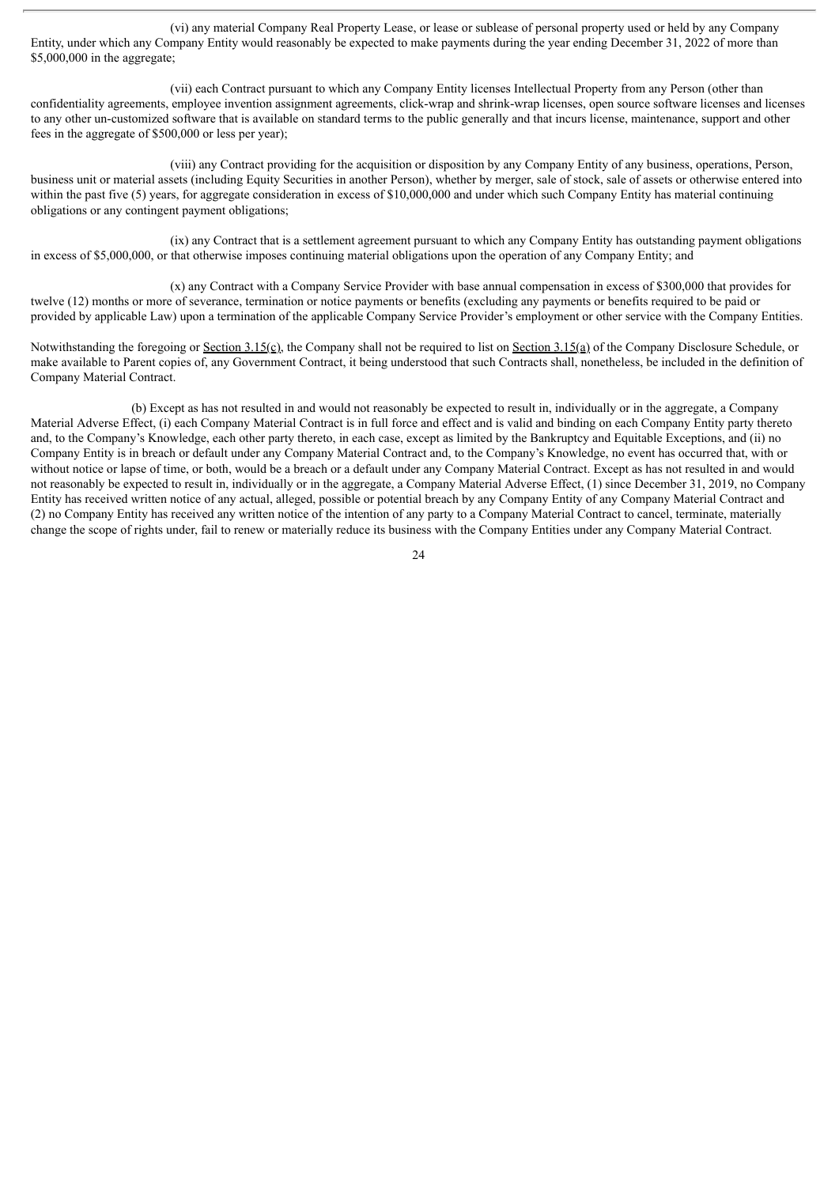(vi) any material Company Real Property Lease, or lease or sublease of personal property used or held by any Company Entity, under which any Company Entity would reasonably be expected to make payments during the year ending December 31, 2022 of more than \$5,000,000 in the aggregate;

(vii) each Contract pursuant to which any Company Entity licenses Intellectual Property from any Person (other than confidentiality agreements, employee invention assignment agreements, click-wrap and shrink-wrap licenses, open source software licenses and licenses to any other un-customized software that is available on standard terms to the public generally and that incurs license, maintenance, support and other fees in the aggregate of \$500,000 or less per year);

(viii) any Contract providing for the acquisition or disposition by any Company Entity of any business, operations, Person, business unit or material assets (including Equity Securities in another Person), whether by merger, sale of stock, sale of assets or otherwise entered into within the past five (5) years, for aggregate consideration in excess of \$10,000,000 and under which such Company Entity has material continuing obligations or any contingent payment obligations;

(ix) any Contract that is a settlement agreement pursuant to which any Company Entity has outstanding payment obligations in excess of \$5,000,000, or that otherwise imposes continuing material obligations upon the operation of any Company Entity; and

(x) any Contract with a Company Service Provider with base annual compensation in excess of \$300,000 that provides for twelve (12) months or more of severance, termination or notice payments or benefits (excluding any payments or benefits required to be paid or provided by applicable Law) upon a termination of the applicable Company Service Provider's employment or other service with the Company Entities.

Notwithstanding the foregoing or Section 3.15(c), the Company shall not be required to list on Section 3.15(a) of the Company Disclosure Schedule, or make available to Parent copies of, any Government Contract, it being understood that such Contracts shall, nonetheless, be included in the definition of Company Material Contract.

(b) Except as has not resulted in and would not reasonably be expected to result in, individually or in the aggregate, a Company Material Adverse Effect, (i) each Company Material Contract is in full force and effect and is valid and binding on each Company Entity party thereto and, to the Company's Knowledge, each other party thereto, in each case, except as limited by the Bankruptcy and Equitable Exceptions, and (ii) no Company Entity is in breach or default under any Company Material Contract and, to the Company's Knowledge, no event has occurred that, with or without notice or lapse of time, or both, would be a breach or a default under any Company Material Contract. Except as has not resulted in and would not reasonably be expected to result in, individually or in the aggregate, a Company Material Adverse Effect, (1) since December 31, 2019, no Company Entity has received written notice of any actual, alleged, possible or potential breach by any Company Entity of any Company Material Contract and (2) no Company Entity has received any written notice of the intention of any party to a Company Material Contract to cancel, terminate, materially change the scope of rights under, fail to renew or materially reduce its business with the Company Entities under any Company Material Contract.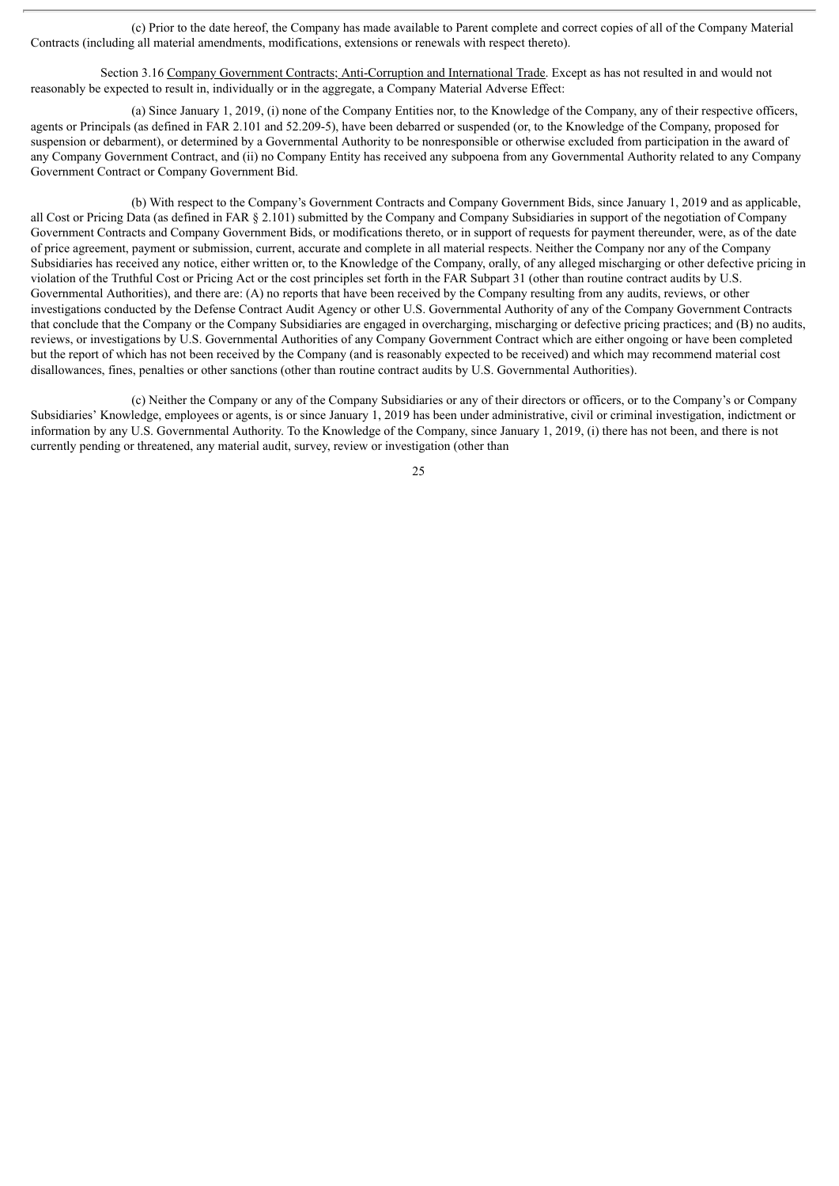(c) Prior to the date hereof, the Company has made available to Parent complete and correct copies of all of the Company Material Contracts (including all material amendments, modifications, extensions or renewals with respect thereto).

Section 3.16 Company Government Contracts; Anti-Corruption and International Trade. Except as has not resulted in and would not reasonably be expected to result in, individually or in the aggregate, a Company Material Adverse Effect:

(a) Since January 1, 2019, (i) none of the Company Entities nor, to the Knowledge of the Company, any of their respective officers, agents or Principals (as defined in FAR 2.101 and 52.209-5), have been debarred or suspended (or, to the Knowledge of the Company, proposed for suspension or debarment), or determined by a Governmental Authority to be nonresponsible or otherwise excluded from participation in the award of any Company Government Contract, and (ii) no Company Entity has received any subpoena from any Governmental Authority related to any Company Government Contract or Company Government Bid.

(b) With respect to the Company's Government Contracts and Company Government Bids, since January 1, 2019 and as applicable, all Cost or Pricing Data (as defined in FAR § 2.101) submitted by the Company and Company Subsidiaries in support of the negotiation of Company Government Contracts and Company Government Bids, or modifications thereto, or in support of requests for payment thereunder, were, as of the date of price agreement, payment or submission, current, accurate and complete in all material respects. Neither the Company nor any of the Company Subsidiaries has received any notice, either written or, to the Knowledge of the Company, orally, of any alleged mischarging or other defective pricing in violation of the Truthful Cost or Pricing Act or the cost principles set forth in the FAR Subpart 31 (other than routine contract audits by U.S. Governmental Authorities), and there are: (A) no reports that have been received by the Company resulting from any audits, reviews, or other investigations conducted by the Defense Contract Audit Agency or other U.S. Governmental Authority of any of the Company Government Contracts that conclude that the Company or the Company Subsidiaries are engaged in overcharging, mischarging or defective pricing practices; and (B) no audits, reviews, or investigations by U.S. Governmental Authorities of any Company Government Contract which are either ongoing or have been completed but the report of which has not been received by the Company (and is reasonably expected to be received) and which may recommend material cost disallowances, fines, penalties or other sanctions (other than routine contract audits by U.S. Governmental Authorities).

(c) Neither the Company or any of the Company Subsidiaries or any of their directors or officers, or to the Company's or Company Subsidiaries' Knowledge, employees or agents, is or since January 1, 2019 has been under administrative, civil or criminal investigation, indictment or information by any U.S. Governmental Authority. To the Knowledge of the Company, since January 1, 2019, (i) there has not been, and there is not currently pending or threatened, any material audit, survey, review or investigation (other than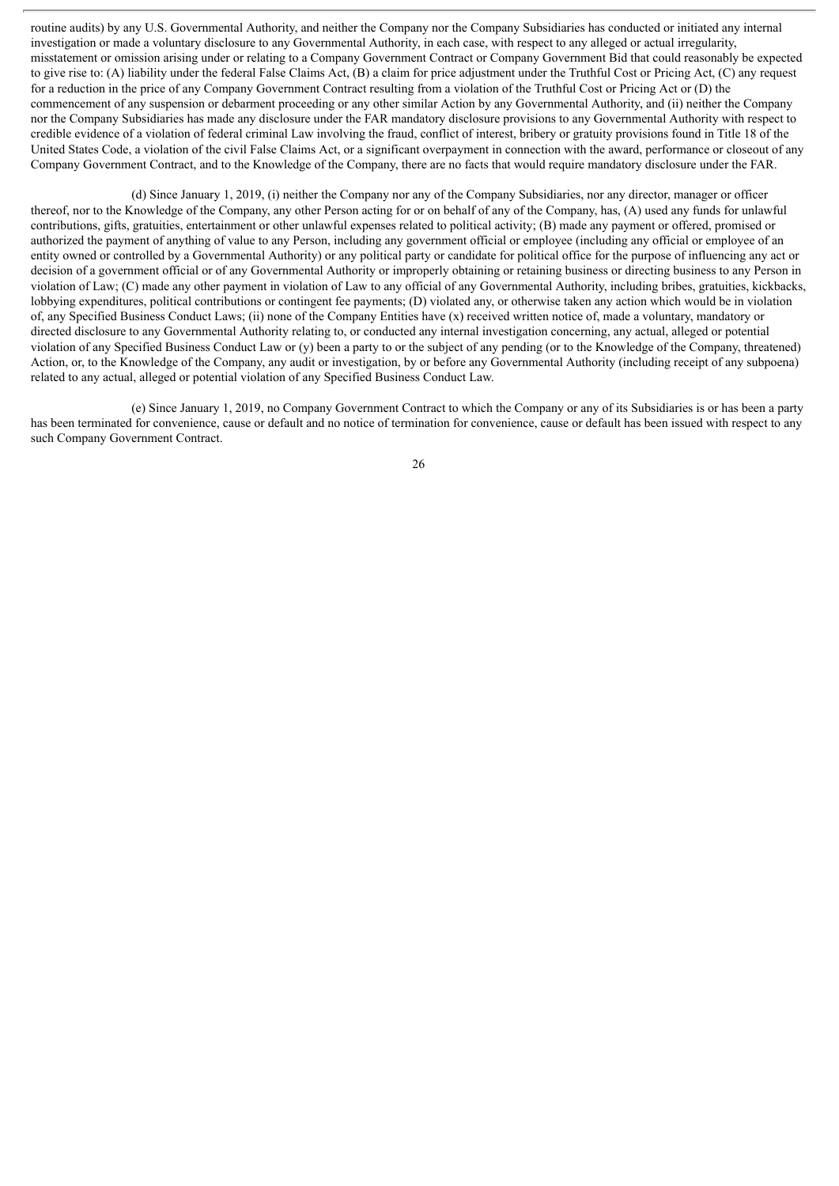routine audits) by any U.S. Governmental Authority, and neither the Company nor the Company Subsidiaries has conducted or initiated any internal investigation or made a voluntary disclosure to any Governmental Authority, in each case, with respect to any alleged or actual irregularity, misstatement or omission arising under or relating to a Company Government Contract or Company Government Bid that could reasonably be expected to give rise to: (A) liability under the federal False Claims Act, (B) a claim for price adjustment under the Truthful Cost or Pricing Act, (C) any request for a reduction in the price of any Company Government Contract resulting from a violation of the Truthful Cost or Pricing Act or (D) the commencement of any suspension or debarment proceeding or any other similar Action by any Governmental Authority, and (ii) neither the Company nor the Company Subsidiaries has made any disclosure under the FAR mandatory disclosure provisions to any Governmental Authority with respect to credible evidence of a violation of federal criminal Law involving the fraud, conflict of interest, bribery or gratuity provisions found in Title 18 of the United States Code, a violation of the civil False Claims Act, or a significant overpayment in connection with the award, performance or closeout of any Company Government Contract, and to the Knowledge of the Company, there are no facts that would require mandatory disclosure under the FAR.

(d) Since January 1, 2019, (i) neither the Company nor any of the Company Subsidiaries, nor any director, manager or officer thereof, nor to the Knowledge of the Company, any other Person acting for or on behalf of any of the Company, has, (A) used any funds for unlawful contributions, gifts, gratuities, entertainment or other unlawful expenses related to political activity; (B) made any payment or offered, promised or authorized the payment of anything of value to any Person, including any government official or employee (including any official or employee of an entity owned or controlled by a Governmental Authority) or any political party or candidate for political office for the purpose of influencing any act or decision of a government official or of any Governmental Authority or improperly obtaining or retaining business or directing business to any Person in violation of Law; (C) made any other payment in violation of Law to any official of any Governmental Authority, including bribes, gratuities, kickbacks, lobbying expenditures, political contributions or contingent fee payments; (D) violated any, or otherwise taken any action which would be in violation of, any Specified Business Conduct Laws; (ii) none of the Company Entities have (x) received written notice of, made a voluntary, mandatory or directed disclosure to any Governmental Authority relating to, or conducted any internal investigation concerning, any actual, alleged or potential violation of any Specified Business Conduct Law or (y) been a party to or the subject of any pending (or to the Knowledge of the Company, threatened) Action, or, to the Knowledge of the Company, any audit or investigation, by or before any Governmental Authority (including receipt of any subpoena) related to any actual, alleged or potential violation of any Specified Business Conduct Law.

(e) Since January 1, 2019, no Company Government Contract to which the Company or any of its Subsidiaries is or has been a party has been terminated for convenience, cause or default and no notice of termination for convenience, cause or default has been issued with respect to any such Company Government Contract.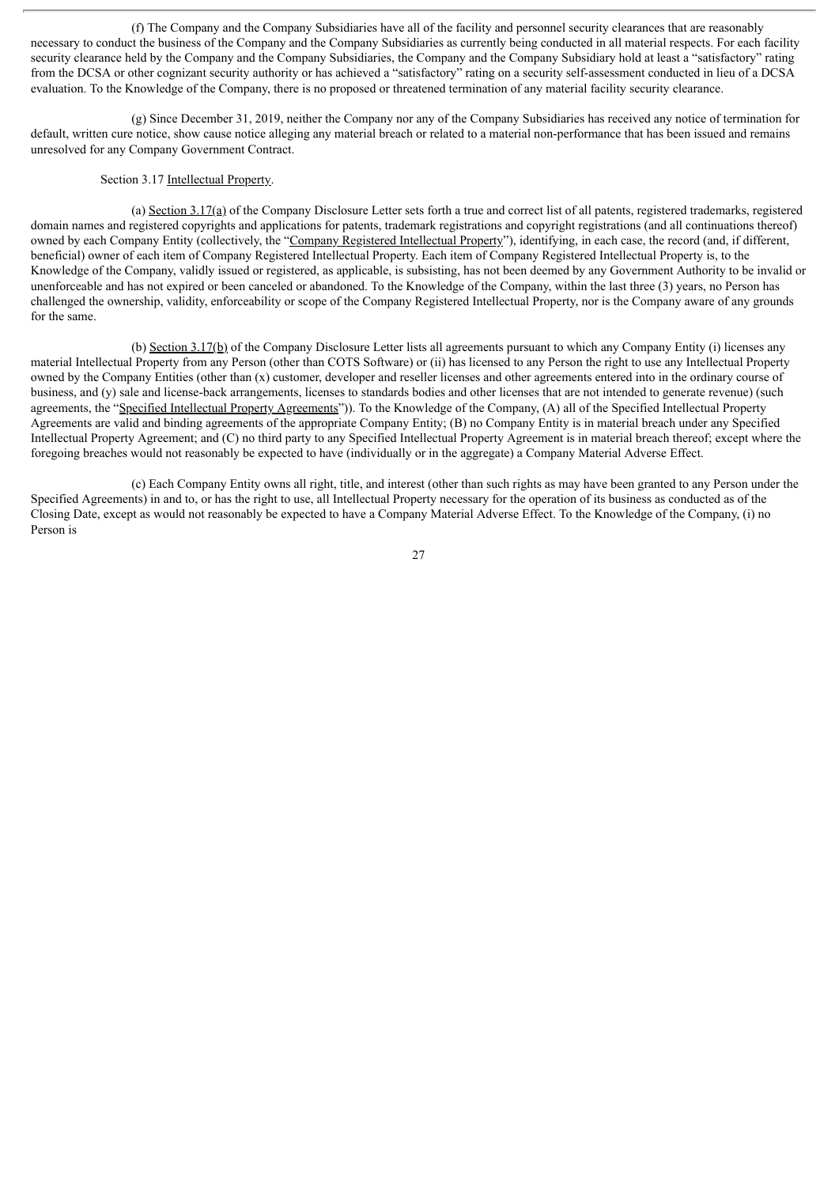(f) The Company and the Company Subsidiaries have all of the facility and personnel security clearances that are reasonably necessary to conduct the business of the Company and the Company Subsidiaries as currently being conducted in all material respects. For each facility security clearance held by the Company and the Company Subsidiaries, the Company and the Company Subsidiary hold at least a "satisfactory" rating from the DCSA or other cognizant security authority or has achieved a "satisfactory" rating on a security self-assessment conducted in lieu of a DCSA evaluation. To the Knowledge of the Company, there is no proposed or threatened termination of any material facility security clearance.

(g) Since December 31, 2019, neither the Company nor any of the Company Subsidiaries has received any notice of termination for default, written cure notice, show cause notice alleging any material breach or related to a material non-performance that has been issued and remains unresolved for any Company Government Contract.

# Section 3.17 Intellectual Property.

(a) Section 3.17(a) of the Company Disclosure Letter sets forth a true and correct list of all patents, registered trademarks, registered domain names and registered copyrights and applications for patents, trademark registrations and copyright registrations (and all continuations thereof) owned by each Company Entity (collectively, the "Company Registered Intellectual Property"), identifying, in each case, the record (and, if different, beneficial) owner of each item of Company Registered Intellectual Property. Each item of Company Registered Intellectual Property is, to the Knowledge of the Company, validly issued or registered, as applicable, is subsisting, has not been deemed by any Government Authority to be invalid or unenforceable and has not expired or been canceled or abandoned. To the Knowledge of the Company, within the last three (3) years, no Person has challenged the ownership, validity, enforceability or scope of the Company Registered Intellectual Property, nor is the Company aware of any grounds for the same.

(b) Section 3.17(b) of the Company Disclosure Letter lists all agreements pursuant to which any Company Entity (i) licenses any material Intellectual Property from any Person (other than COTS Software) or (ii) has licensed to any Person the right to use any Intellectual Property owned by the Company Entities (other than (x) customer, developer and reseller licenses and other agreements entered into in the ordinary course of business, and (y) sale and license-back arrangements, licenses to standards bodies and other licenses that are not intended to generate revenue) (such agreements, the "Specified Intellectual Property Agreements")). To the Knowledge of the Company, (A) all of the Specified Intellectual Property Agreements are valid and binding agreements of the appropriate Company Entity; (B) no Company Entity is in material breach under any Specified Intellectual Property Agreement; and (C) no third party to any Specified Intellectual Property Agreement is in material breach thereof; except where the foregoing breaches would not reasonably be expected to have (individually or in the aggregate) a Company Material Adverse Effect.

(c) Each Company Entity owns all right, title, and interest (other than such rights as may have been granted to any Person under the Specified Agreements) in and to, or has the right to use, all Intellectual Property necessary for the operation of its business as conducted as of the Closing Date, except as would not reasonably be expected to have a Company Material Adverse Effect. To the Knowledge of the Company, (i) no Person is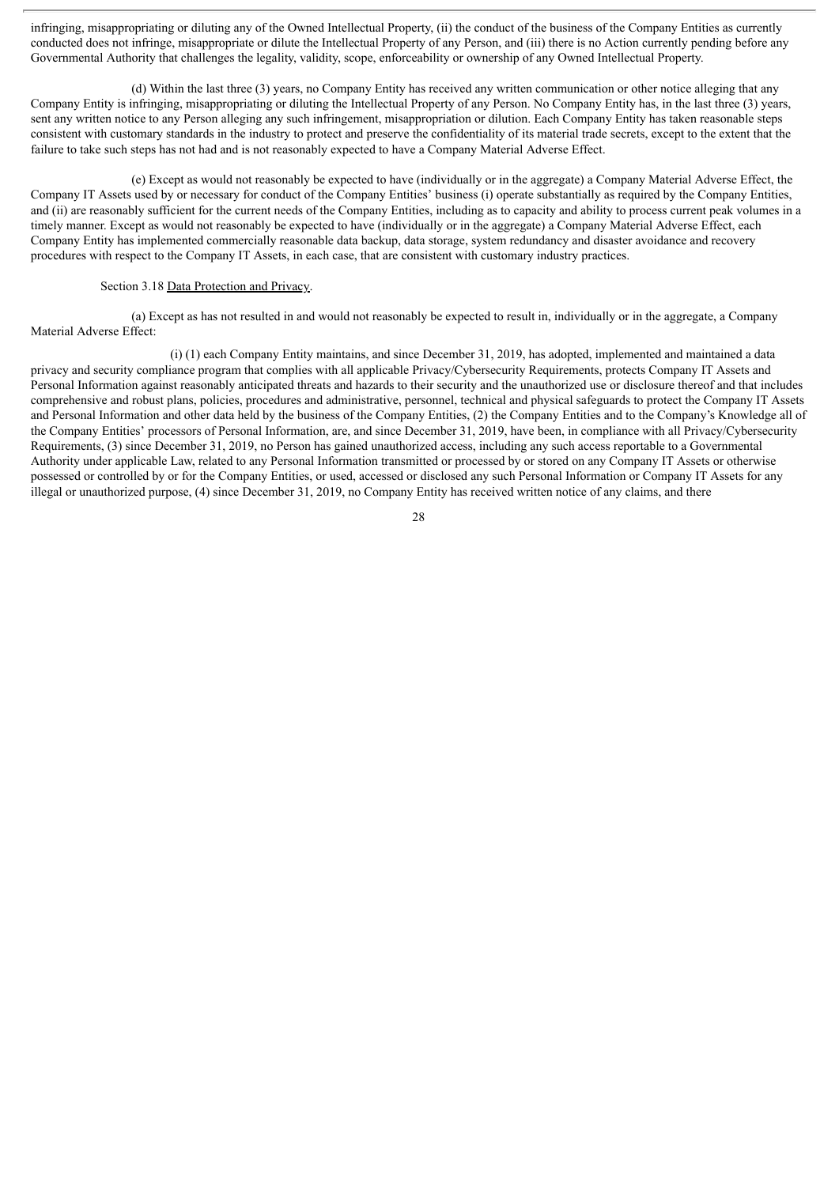infringing, misappropriating or diluting any of the Owned Intellectual Property, (ii) the conduct of the business of the Company Entities as currently conducted does not infringe, misappropriate or dilute the Intellectual Property of any Person, and (iii) there is no Action currently pending before any Governmental Authority that challenges the legality, validity, scope, enforceability or ownership of any Owned Intellectual Property.

(d) Within the last three (3) years, no Company Entity has received any written communication or other notice alleging that any Company Entity is infringing, misappropriating or diluting the Intellectual Property of any Person. No Company Entity has, in the last three (3) years, sent any written notice to any Person alleging any such infringement, misappropriation or dilution. Each Company Entity has taken reasonable steps consistent with customary standards in the industry to protect and preserve the confidentiality of its material trade secrets, except to the extent that the failure to take such steps has not had and is not reasonably expected to have a Company Material Adverse Effect.

(e) Except as would not reasonably be expected to have (individually or in the aggregate) a Company Material Adverse Effect, the Company IT Assets used by or necessary for conduct of the Company Entities' business (i) operate substantially as required by the Company Entities, and (ii) are reasonably sufficient for the current needs of the Company Entities, including as to capacity and ability to process current peak volumes in a timely manner. Except as would not reasonably be expected to have (individually or in the aggregate) a Company Material Adverse Effect, each Company Entity has implemented commercially reasonable data backup, data storage, system redundancy and disaster avoidance and recovery procedures with respect to the Company IT Assets, in each case, that are consistent with customary industry practices.

### Section 3.18 Data Protection and Privacy.

(a) Except as has not resulted in and would not reasonably be expected to result in, individually or in the aggregate, a Company Material Adverse Effect:

(i) (1) each Company Entity maintains, and since December 31, 2019, has adopted, implemented and maintained a data privacy and security compliance program that complies with all applicable Privacy/Cybersecurity Requirements, protects Company IT Assets and Personal Information against reasonably anticipated threats and hazards to their security and the unauthorized use or disclosure thereof and that includes comprehensive and robust plans, policies, procedures and administrative, personnel, technical and physical safeguards to protect the Company IT Assets and Personal Information and other data held by the business of the Company Entities, (2) the Company Entities and to the Company's Knowledge all of the Company Entities' processors of Personal Information, are, and since December 31, 2019, have been, in compliance with all Privacy/Cybersecurity Requirements, (3) since December 31, 2019, no Person has gained unauthorized access, including any such access reportable to a Governmental Authority under applicable Law, related to any Personal Information transmitted or processed by or stored on any Company IT Assets or otherwise possessed or controlled by or for the Company Entities, or used, accessed or disclosed any such Personal Information or Company IT Assets for any illegal or unauthorized purpose, (4) since December 31, 2019, no Company Entity has received written notice of any claims, and there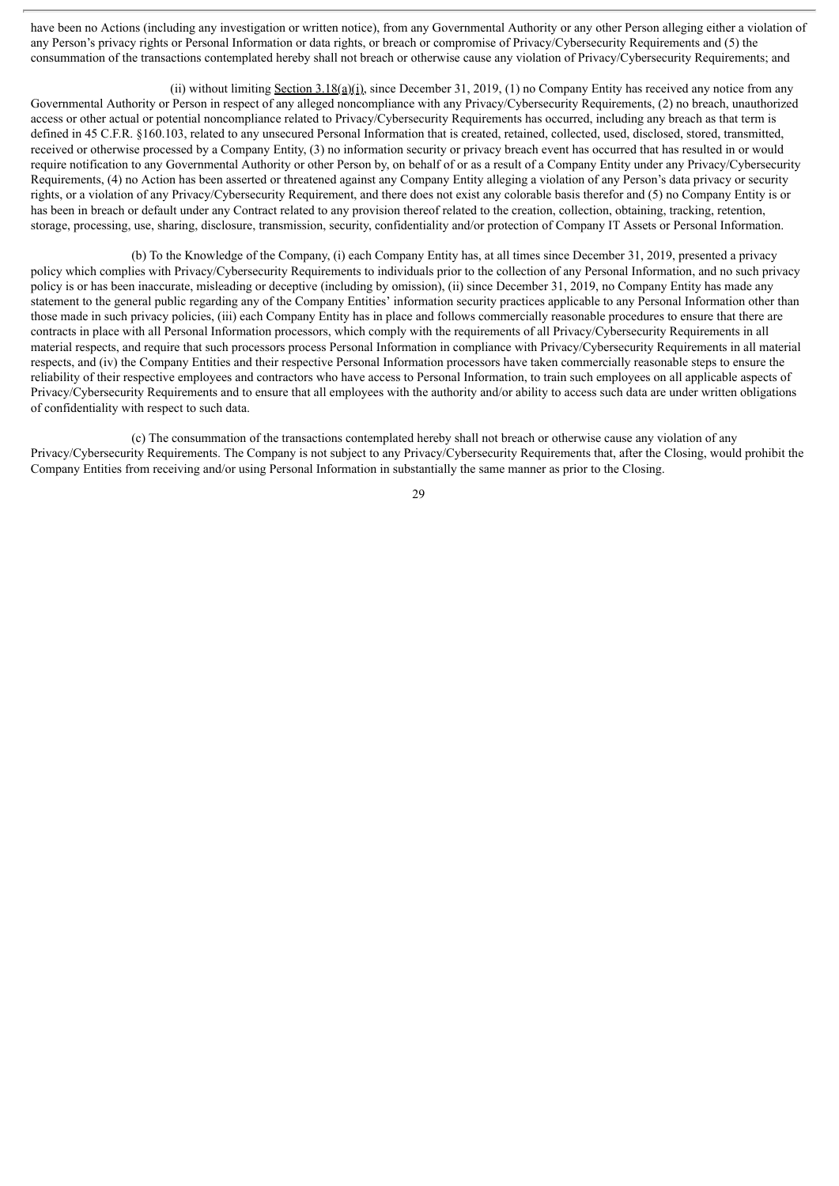have been no Actions (including any investigation or written notice), from any Governmental Authority or any other Person alleging either a violation of any Person's privacy rights or Personal Information or data rights, or breach or compromise of Privacy/Cybersecurity Requirements and (5) the consummation of the transactions contemplated hereby shall not breach or otherwise cause any violation of Privacy/Cybersecurity Requirements; and

(ii) without limiting Section  $3.18(a)(i)$ , since December 31, 2019, (1) no Company Entity has received any notice from any Governmental Authority or Person in respect of any alleged noncompliance with any Privacy/Cybersecurity Requirements, (2) no breach, unauthorized access or other actual or potential noncompliance related to Privacy/Cybersecurity Requirements has occurred, including any breach as that term is defined in 45 C.F.R. §160.103, related to any unsecured Personal Information that is created, retained, collected, used, disclosed, stored, transmitted, received or otherwise processed by a Company Entity, (3) no information security or privacy breach event has occurred that has resulted in or would require notification to any Governmental Authority or other Person by, on behalf of or as a result of a Company Entity under any Privacy/Cybersecurity Requirements, (4) no Action has been asserted or threatened against any Company Entity alleging a violation of any Person's data privacy or security rights, or a violation of any Privacy/Cybersecurity Requirement, and there does not exist any colorable basis therefor and (5) no Company Entity is or has been in breach or default under any Contract related to any provision thereof related to the creation, collection, obtaining, tracking, retention, storage, processing, use, sharing, disclosure, transmission, security, confidentiality and/or protection of Company IT Assets or Personal Information.

(b) To the Knowledge of the Company, (i) each Company Entity has, at all times since December 31, 2019, presented a privacy policy which complies with Privacy/Cybersecurity Requirements to individuals prior to the collection of any Personal Information, and no such privacy policy is or has been inaccurate, misleading or deceptive (including by omission), (ii) since December 31, 2019, no Company Entity has made any statement to the general public regarding any of the Company Entities' information security practices applicable to any Personal Information other than those made in such privacy policies, (iii) each Company Entity has in place and follows commercially reasonable procedures to ensure that there are contracts in place with all Personal Information processors, which comply with the requirements of all Privacy/Cybersecurity Requirements in all material respects, and require that such processors process Personal Information in compliance with Privacy/Cybersecurity Requirements in all material respects, and (iv) the Company Entities and their respective Personal Information processors have taken commercially reasonable steps to ensure the reliability of their respective employees and contractors who have access to Personal Information, to train such employees on all applicable aspects of Privacy/Cybersecurity Requirements and to ensure that all employees with the authority and/or ability to access such data are under written obligations of confidentiality with respect to such data.

(c) The consummation of the transactions contemplated hereby shall not breach or otherwise cause any violation of any Privacy/Cybersecurity Requirements. The Company is not subject to any Privacy/Cybersecurity Requirements that, after the Closing, would prohibit the Company Entities from receiving and/or using Personal Information in substantially the same manner as prior to the Closing.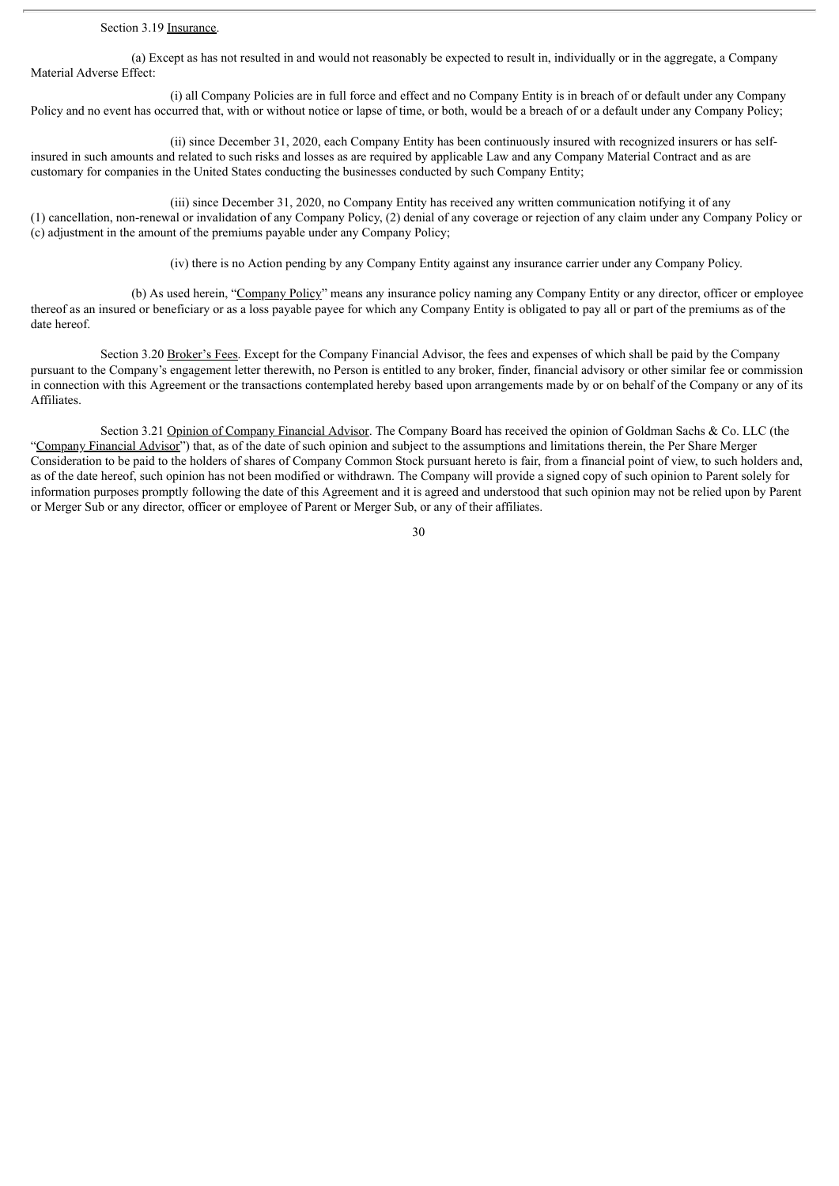## Section 3.19 Insurance.

(a) Except as has not resulted in and would not reasonably be expected to result in, individually or in the aggregate, a Company Material Adverse Effect:

(i) all Company Policies are in full force and effect and no Company Entity is in breach of or default under any Company Policy and no event has occurred that, with or without notice or lapse of time, or both, would be a breach of or a default under any Company Policy;

(ii) since December 31, 2020, each Company Entity has been continuously insured with recognized insurers or has selfinsured in such amounts and related to such risks and losses as are required by applicable Law and any Company Material Contract and as are customary for companies in the United States conducting the businesses conducted by such Company Entity;

(iii) since December 31, 2020, no Company Entity has received any written communication notifying it of any (1) cancellation, non-renewal or invalidation of any Company Policy, (2) denial of any coverage or rejection of any claim under any Company Policy or (c) adjustment in the amount of the premiums payable under any Company Policy;

(iv) there is no Action pending by any Company Entity against any insurance carrier under any Company Policy.

(b) As used herein, "Company Policy" means any insurance policy naming any Company Entity or any director, officer or employee thereof as an insured or beneficiary or as a loss payable payee for which any Company Entity is obligated to pay all or part of the premiums as of the date hereof.

Section 3.20 Broker's Fees. Except for the Company Financial Advisor, the fees and expenses of which shall be paid by the Company pursuant to the Company's engagement letter therewith, no Person is entitled to any broker, finder, financial advisory or other similar fee or commission in connection with this Agreement or the transactions contemplated hereby based upon arrangements made by or on behalf of the Company or any of its Affiliates.

Section 3.21 Opinion of Company Financial Advisor. The Company Board has received the opinion of Goldman Sachs & Co. LLC (the "Company Financial Advisor") that, as of the date of such opinion and subject to the assumptions and limitations therein, the Per Share Merger Consideration to be paid to the holders of shares of Company Common Stock pursuant hereto is fair, from a financial point of view, to such holders and, as of the date hereof, such opinion has not been modified or withdrawn. The Company will provide a signed copy of such opinion to Parent solely for information purposes promptly following the date of this Agreement and it is agreed and understood that such opinion may not be relied upon by Parent or Merger Sub or any director, officer or employee of Parent or Merger Sub, or any of their affiliates.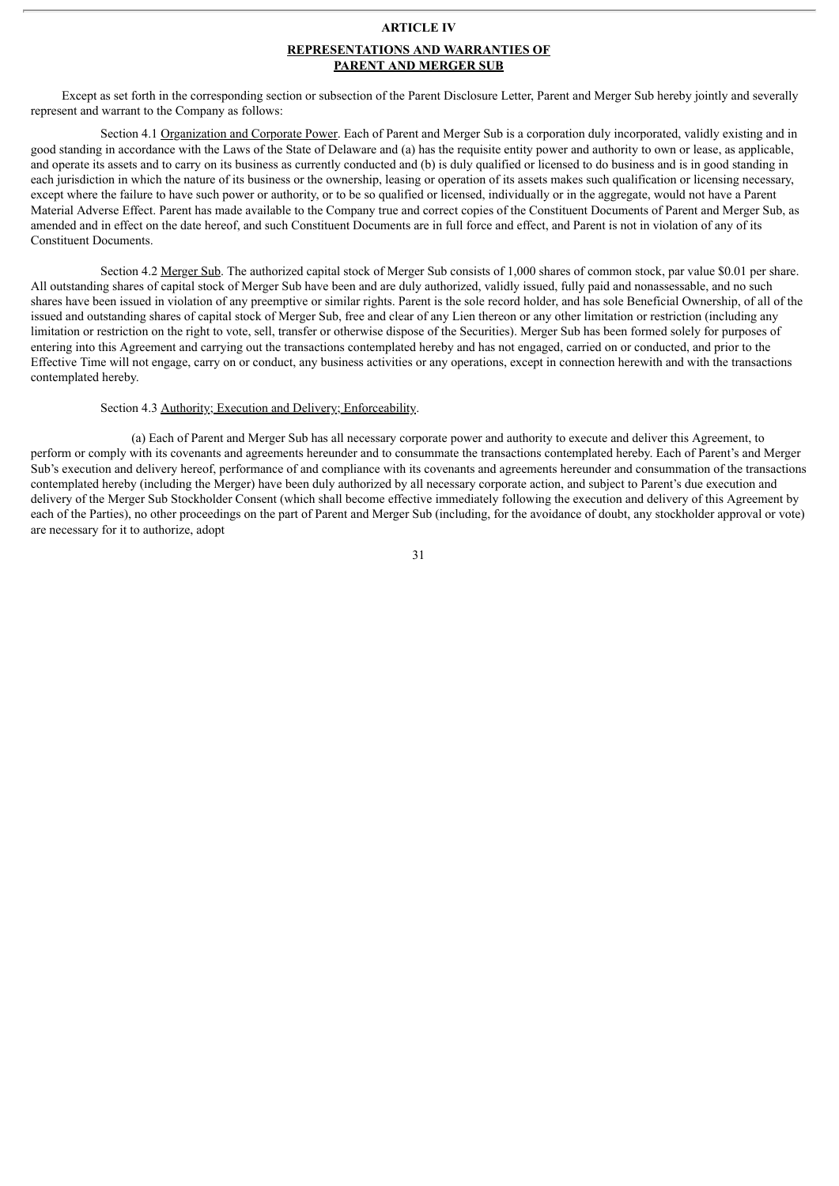#### **ARTICLE IV**

### **REPRESENTATIONS AND WARRANTIES OF PARENT AND MERGER SUB**

Except as set forth in the corresponding section or subsection of the Parent Disclosure Letter, Parent and Merger Sub hereby jointly and severally represent and warrant to the Company as follows:

Section 4.1 Organization and Corporate Power. Each of Parent and Merger Sub is a corporation duly incorporated, validly existing and in good standing in accordance with the Laws of the State of Delaware and (a) has the requisite entity power and authority to own or lease, as applicable, and operate its assets and to carry on its business as currently conducted and (b) is duly qualified or licensed to do business and is in good standing in each jurisdiction in which the nature of its business or the ownership, leasing or operation of its assets makes such qualification or licensing necessary, except where the failure to have such power or authority, or to be so qualified or licensed, individually or in the aggregate, would not have a Parent Material Adverse Effect. Parent has made available to the Company true and correct copies of the Constituent Documents of Parent and Merger Sub, as amended and in effect on the date hereof, and such Constituent Documents are in full force and effect, and Parent is not in violation of any of its Constituent Documents.

Section 4.2 Merger Sub. The authorized capital stock of Merger Sub consists of 1,000 shares of common stock, par value \$0.01 per share. All outstanding shares of capital stock of Merger Sub have been and are duly authorized, validly issued, fully paid and nonassessable, and no such shares have been issued in violation of any preemptive or similar rights. Parent is the sole record holder, and has sole Beneficial Ownership, of all of the issued and outstanding shares of capital stock of Merger Sub, free and clear of any Lien thereon or any other limitation or restriction (including any limitation or restriction on the right to vote, sell, transfer or otherwise dispose of the Securities). Merger Sub has been formed solely for purposes of entering into this Agreement and carrying out the transactions contemplated hereby and has not engaged, carried on or conducted, and prior to the Effective Time will not engage, carry on or conduct, any business activities or any operations, except in connection herewith and with the transactions contemplated hereby.

# Section 4.3 Authority; Execution and Delivery; Enforceability.

(a) Each of Parent and Merger Sub has all necessary corporate power and authority to execute and deliver this Agreement, to perform or comply with its covenants and agreements hereunder and to consummate the transactions contemplated hereby. Each of Parent's and Merger Sub's execution and delivery hereof, performance of and compliance with its covenants and agreements hereunder and consummation of the transactions contemplated hereby (including the Merger) have been duly authorized by all necessary corporate action, and subject to Parent's due execution and delivery of the Merger Sub Stockholder Consent (which shall become effective immediately following the execution and delivery of this Agreement by each of the Parties), no other proceedings on the part of Parent and Merger Sub (including, for the avoidance of doubt, any stockholder approval or vote) are necessary for it to authorize, adopt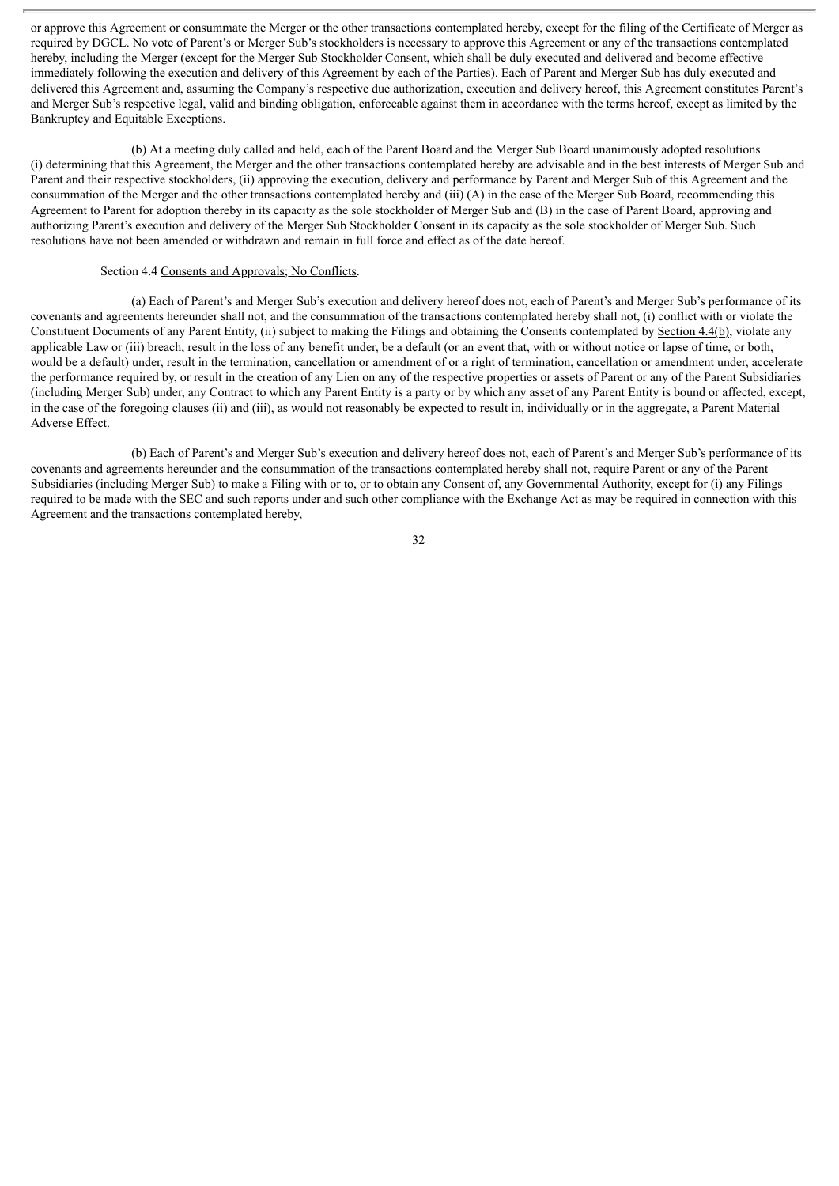or approve this Agreement or consummate the Merger or the other transactions contemplated hereby, except for the filing of the Certificate of Merger as required by DGCL. No vote of Parent's or Merger Sub's stockholders is necessary to approve this Agreement or any of the transactions contemplated hereby, including the Merger (except for the Merger Sub Stockholder Consent, which shall be duly executed and delivered and become effective immediately following the execution and delivery of this Agreement by each of the Parties). Each of Parent and Merger Sub has duly executed and delivered this Agreement and, assuming the Company's respective due authorization, execution and delivery hereof, this Agreement constitutes Parent's and Merger Sub's respective legal, valid and binding obligation, enforceable against them in accordance with the terms hereof, except as limited by the Bankruptcy and Equitable Exceptions.

(b) At a meeting duly called and held, each of the Parent Board and the Merger Sub Board unanimously adopted resolutions (i) determining that this Agreement, the Merger and the other transactions contemplated hereby are advisable and in the best interests of Merger Sub and Parent and their respective stockholders, (ii) approving the execution, delivery and performance by Parent and Merger Sub of this Agreement and the consummation of the Merger and the other transactions contemplated hereby and (iii) (A) in the case of the Merger Sub Board, recommending this Agreement to Parent for adoption thereby in its capacity as the sole stockholder of Merger Sub and (B) in the case of Parent Board, approving and authorizing Parent's execution and delivery of the Merger Sub Stockholder Consent in its capacity as the sole stockholder of Merger Sub. Such resolutions have not been amended or withdrawn and remain in full force and effect as of the date hereof.

## Section 4.4 Consents and Approvals; No Conflicts.

(a) Each of Parent's and Merger Sub's execution and delivery hereof does not, each of Parent's and Merger Sub's performance of its covenants and agreements hereunder shall not, and the consummation of the transactions contemplated hereby shall not, (i) conflict with or violate the Constituent Documents of any Parent Entity, (ii) subject to making the Filings and obtaining the Consents contemplated by Section 4.4(b), violate any applicable Law or (iii) breach, result in the loss of any benefit under, be a default (or an event that, with or without notice or lapse of time, or both, would be a default) under, result in the termination, cancellation or amendment of or a right of termination, cancellation or amendment under, accelerate the performance required by, or result in the creation of any Lien on any of the respective properties or assets of Parent or any of the Parent Subsidiaries (including Merger Sub) under, any Contract to which any Parent Entity is a party or by which any asset of any Parent Entity is bound or affected, except, in the case of the foregoing clauses (ii) and (iii), as would not reasonably be expected to result in, individually or in the aggregate, a Parent Material Adverse Effect.

(b) Each of Parent's and Merger Sub's execution and delivery hereof does not, each of Parent's and Merger Sub's performance of its covenants and agreements hereunder and the consummation of the transactions contemplated hereby shall not, require Parent or any of the Parent Subsidiaries (including Merger Sub) to make a Filing with or to, or to obtain any Consent of, any Governmental Authority, except for (i) any Filings required to be made with the SEC and such reports under and such other compliance with the Exchange Act as may be required in connection with this Agreement and the transactions contemplated hereby,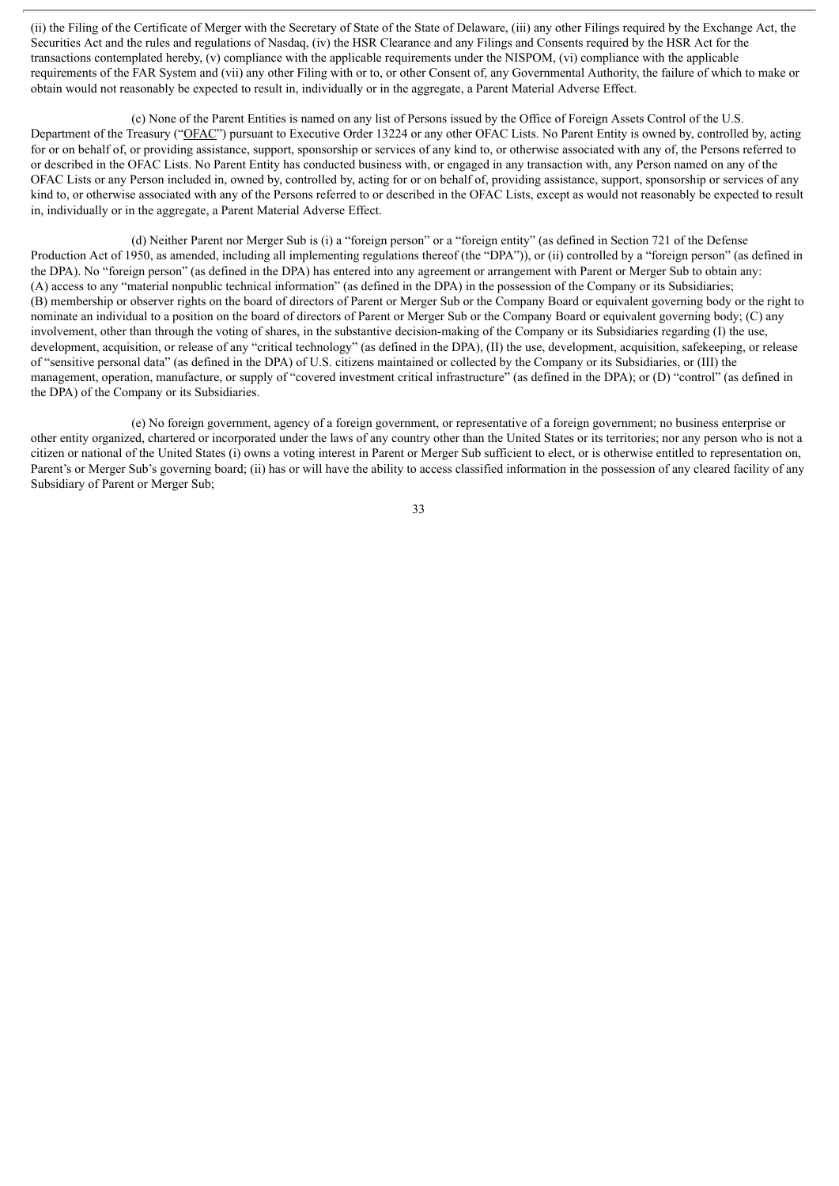(ii) the Filing of the Certificate of Merger with the Secretary of State of the State of Delaware, (iii) any other Filings required by the Exchange Act, the Securities Act and the rules and regulations of Nasdaq, (iv) the HSR Clearance and any Filings and Consents required by the HSR Act for the transactions contemplated hereby, (v) compliance with the applicable requirements under the NISPOM, (vi) compliance with the applicable requirements of the FAR System and (vii) any other Filing with or to, or other Consent of, any Governmental Authority, the failure of which to make or obtain would not reasonably be expected to result in, individually or in the aggregate, a Parent Material Adverse Effect.

(c) None of the Parent Entities is named on any list of Persons issued by the Office of Foreign Assets Control of the U.S. Department of the Treasury ("OFAC") pursuant to Executive Order 13224 or any other OFAC Lists. No Parent Entity is owned by, controlled by, acting for or on behalf of, or providing assistance, support, sponsorship or services of any kind to, or otherwise associated with any of, the Persons referred to or described in the OFAC Lists. No Parent Entity has conducted business with, or engaged in any transaction with, any Person named on any of the OFAC Lists or any Person included in, owned by, controlled by, acting for or on behalf of, providing assistance, support, sponsorship or services of any kind to, or otherwise associated with any of the Persons referred to or described in the OFAC Lists, except as would not reasonably be expected to result in, individually or in the aggregate, a Parent Material Adverse Effect.

(d) Neither Parent nor Merger Sub is (i) a "foreign person" or a "foreign entity" (as defined in Section 721 of the Defense Production Act of 1950, as amended, including all implementing regulations thereof (the "DPA")), or (ii) controlled by a "foreign person" (as defined in the DPA). No "foreign person" (as defined in the DPA) has entered into any agreement or arrangement with Parent or Merger Sub to obtain any: (A) access to any "material nonpublic technical information" (as defined in the DPA) in the possession of the Company or its Subsidiaries; (B) membership or observer rights on the board of directors of Parent or Merger Sub or the Company Board or equivalent governing body or the right to nominate an individual to a position on the board of directors of Parent or Merger Sub or the Company Board or equivalent governing body; (C) any involvement, other than through the voting of shares, in the substantive decision-making of the Company or its Subsidiaries regarding (I) the use, development, acquisition, or release of any "critical technology" (as defined in the DPA), (II) the use, development, acquisition, safekeeping, or release of "sensitive personal data" (as defined in the DPA) of U.S. citizens maintained or collected by the Company or its Subsidiaries, or (III) the management, operation, manufacture, or supply of "covered investment critical infrastructure" (as defined in the DPA); or (D) "control" (as defined in the DPA) of the Company or its Subsidiaries.

(e) No foreign government, agency of a foreign government, or representative of a foreign government; no business enterprise or other entity organized, chartered or incorporated under the laws of any country other than the United States or its territories; nor any person who is not a citizen or national of the United States (i) owns a voting interest in Parent or Merger Sub sufficient to elect, or is otherwise entitled to representation on, Parent's or Merger Sub's governing board; (ii) has or will have the ability to access classified information in the possession of any cleared facility of any Subsidiary of Parent or Merger Sub;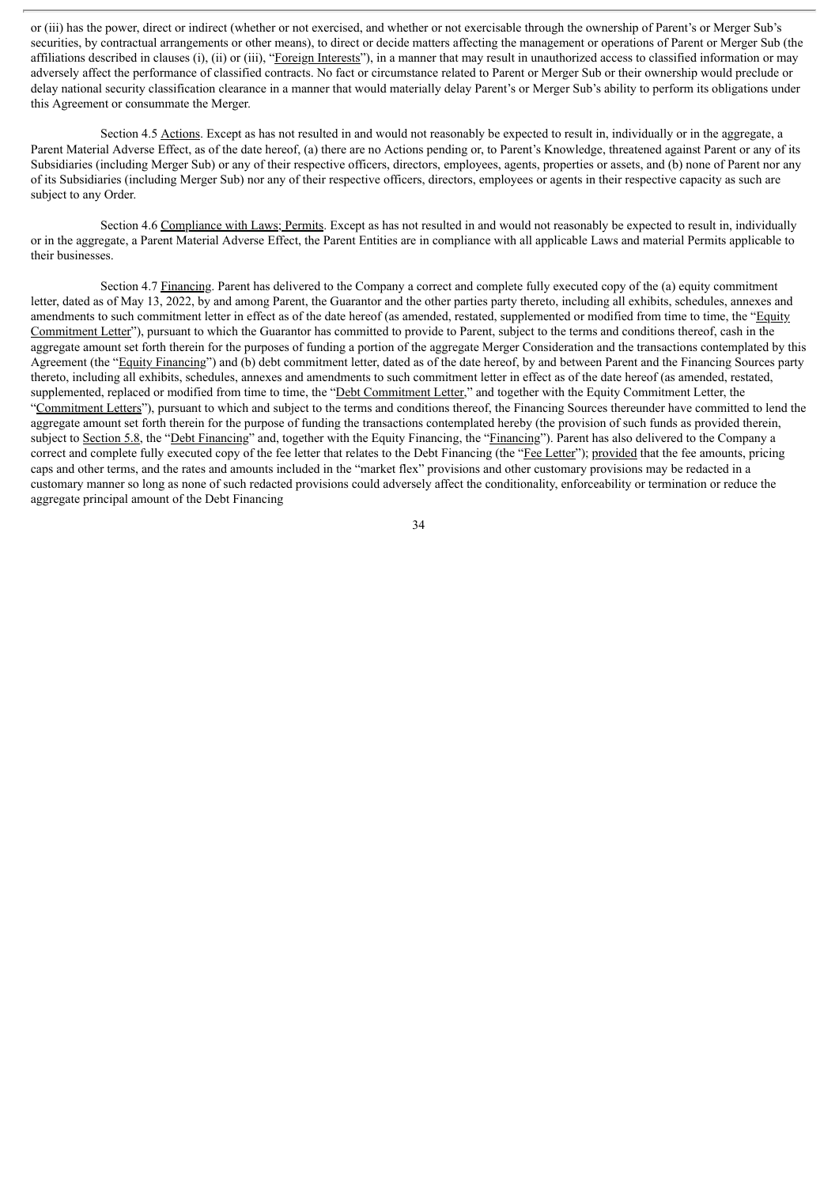or (iii) has the power, direct or indirect (whether or not exercised, and whether or not exercisable through the ownership of Parent's or Merger Sub's securities, by contractual arrangements or other means), to direct or decide matters affecting the management or operations of Parent or Merger Sub (the affiliations described in clauses (i), (ii) or (iii), "Foreign Interests"), in a manner that may result in unauthorized access to classified information or may adversely affect the performance of classified contracts. No fact or circumstance related to Parent or Merger Sub or their ownership would preclude or delay national security classification clearance in a manner that would materially delay Parent's or Merger Sub's ability to perform its obligations under this Agreement or consummate the Merger.

Section 4.5 Actions. Except as has not resulted in and would not reasonably be expected to result in, individually or in the aggregate, a Parent Material Adverse Effect, as of the date hereof, (a) there are no Actions pending or, to Parent's Knowledge, threatened against Parent or any of its Subsidiaries (including Merger Sub) or any of their respective officers, directors, employees, agents, properties or assets, and (b) none of Parent nor any of its Subsidiaries (including Merger Sub) nor any of their respective officers, directors, employees or agents in their respective capacity as such are subject to any Order.

Section 4.6 Compliance with Laws; Permits. Except as has not resulted in and would not reasonably be expected to result in, individually or in the aggregate, a Parent Material Adverse Effect, the Parent Entities are in compliance with all applicable Laws and material Permits applicable to their businesses.

Section 4.7 Financing. Parent has delivered to the Company a correct and complete fully executed copy of the (a) equity commitment letter, dated as of May 13, 2022, by and among Parent, the Guarantor and the other parties party thereto, including all exhibits, schedules, annexes and amendments to such commitment letter in effect as of the date hereof (as amended, restated, supplemented or modified from time to time, the "Equity Commitment Letter"), pursuant to which the Guarantor has committed to provide to Parent, subject to the terms and conditions thereof, cash in the aggregate amount set forth therein for the purposes of funding a portion of the aggregate Merger Consideration and the transactions contemplated by this Agreement (the "Equity Financing") and (b) debt commitment letter, dated as of the date hereof, by and between Parent and the Financing Sources party thereto, including all exhibits, schedules, annexes and amendments to such commitment letter in effect as of the date hereof (as amended, restated, supplemented, replaced or modified from time to time, the "Debt Commitment Letter," and together with the Equity Commitment Letter, the "Commitment Letters"), pursuant to which and subject to the terms and conditions thereof, the Financing Sources thereunder have committed to lend the aggregate amount set forth therein for the purpose of funding the transactions contemplated hereby (the provision of such funds as provided therein, subject to Section 5.8, the "Debt Financing" and, together with the Equity Financing, the "Financing"). Parent has also delivered to the Company a correct and complete fully executed copy of the fee letter that relates to the Debt Financing (the "Fee Letter"); provided that the fee amounts, pricing caps and other terms, and the rates and amounts included in the "market flex" provisions and other customary provisions may be redacted in a customary manner so long as none of such redacted provisions could adversely affect the conditionality, enforceability or termination or reduce the aggregate principal amount of the Debt Financing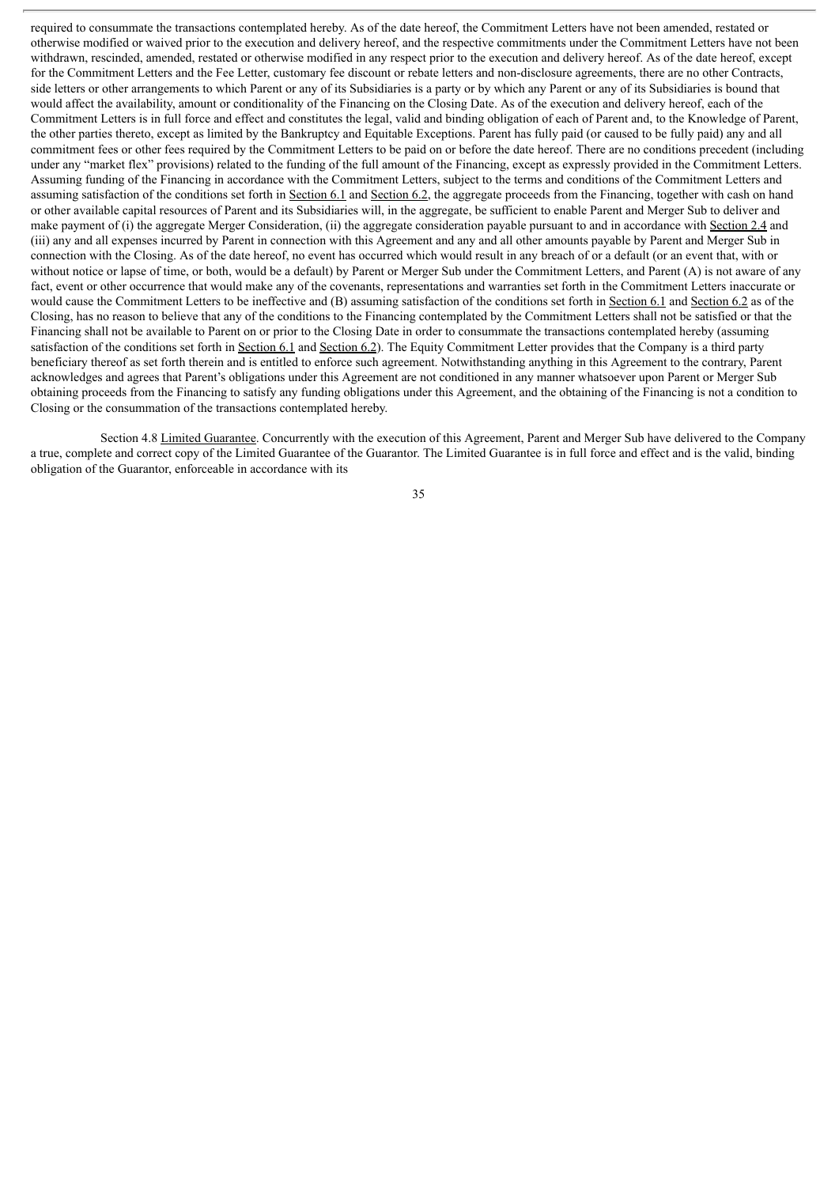required to consummate the transactions contemplated hereby. As of the date hereof, the Commitment Letters have not been amended, restated or otherwise modified or waived prior to the execution and delivery hereof, and the respective commitments under the Commitment Letters have not been withdrawn, rescinded, amended, restated or otherwise modified in any respect prior to the execution and delivery hereof. As of the date hereof, except for the Commitment Letters and the Fee Letter, customary fee discount or rebate letters and non-disclosure agreements, there are no other Contracts, side letters or other arrangements to which Parent or any of its Subsidiaries is a party or by which any Parent or any of its Subsidiaries is bound that would affect the availability, amount or conditionality of the Financing on the Closing Date. As of the execution and delivery hereof, each of the Commitment Letters is in full force and effect and constitutes the legal, valid and binding obligation of each of Parent and, to the Knowledge of Parent, the other parties thereto, except as limited by the Bankruptcy and Equitable Exceptions. Parent has fully paid (or caused to be fully paid) any and all commitment fees or other fees required by the Commitment Letters to be paid on or before the date hereof. There are no conditions precedent (including under any "market flex" provisions) related to the funding of the full amount of the Financing, except as expressly provided in the Commitment Letters. Assuming funding of the Financing in accordance with the Commitment Letters, subject to the terms and conditions of the Commitment Letters and assuming satisfaction of the conditions set forth in Section 6.1 and Section 6.2, the aggregate proceeds from the Financing, together with cash on hand or other available capital resources of Parent and its Subsidiaries will, in the aggregate, be sufficient to enable Parent and Merger Sub to deliver and make payment of (i) the aggregate Merger Consideration, (ii) the aggregate consideration payable pursuant to and in accordance with Section 2.4 and (iii) any and all expenses incurred by Parent in connection with this Agreement and any and all other amounts payable by Parent and Merger Sub in connection with the Closing. As of the date hereof, no event has occurred which would result in any breach of or a default (or an event that, with or without notice or lapse of time, or both, would be a default) by Parent or Merger Sub under the Commitment Letters, and Parent (A) is not aware of any fact, event or other occurrence that would make any of the covenants, representations and warranties set forth in the Commitment Letters inaccurate or would cause the Commitment Letters to be ineffective and (B) assuming satisfaction of the conditions set forth in Section 6.1 and Section 6.2 as of the Closing, has no reason to believe that any of the conditions to the Financing contemplated by the Commitment Letters shall not be satisfied or that the Financing shall not be available to Parent on or prior to the Closing Date in order to consummate the transactions contemplated hereby (assuming satisfaction of the conditions set forth in Section 6.1 and Section 6.2). The Equity Commitment Letter provides that the Company is a third party beneficiary thereof as set forth therein and is entitled to enforce such agreement. Notwithstanding anything in this Agreement to the contrary, Parent acknowledges and agrees that Parent's obligations under this Agreement are not conditioned in any manner whatsoever upon Parent or Merger Sub obtaining proceeds from the Financing to satisfy any funding obligations under this Agreement, and the obtaining of the Financing is not a condition to Closing or the consummation of the transactions contemplated hereby.

Section 4.8 Limited Guarantee. Concurrently with the execution of this Agreement, Parent and Merger Sub have delivered to the Company a true, complete and correct copy of the Limited Guarantee of the Guarantor. The Limited Guarantee is in full force and effect and is the valid, binding obligation of the Guarantor, enforceable in accordance with its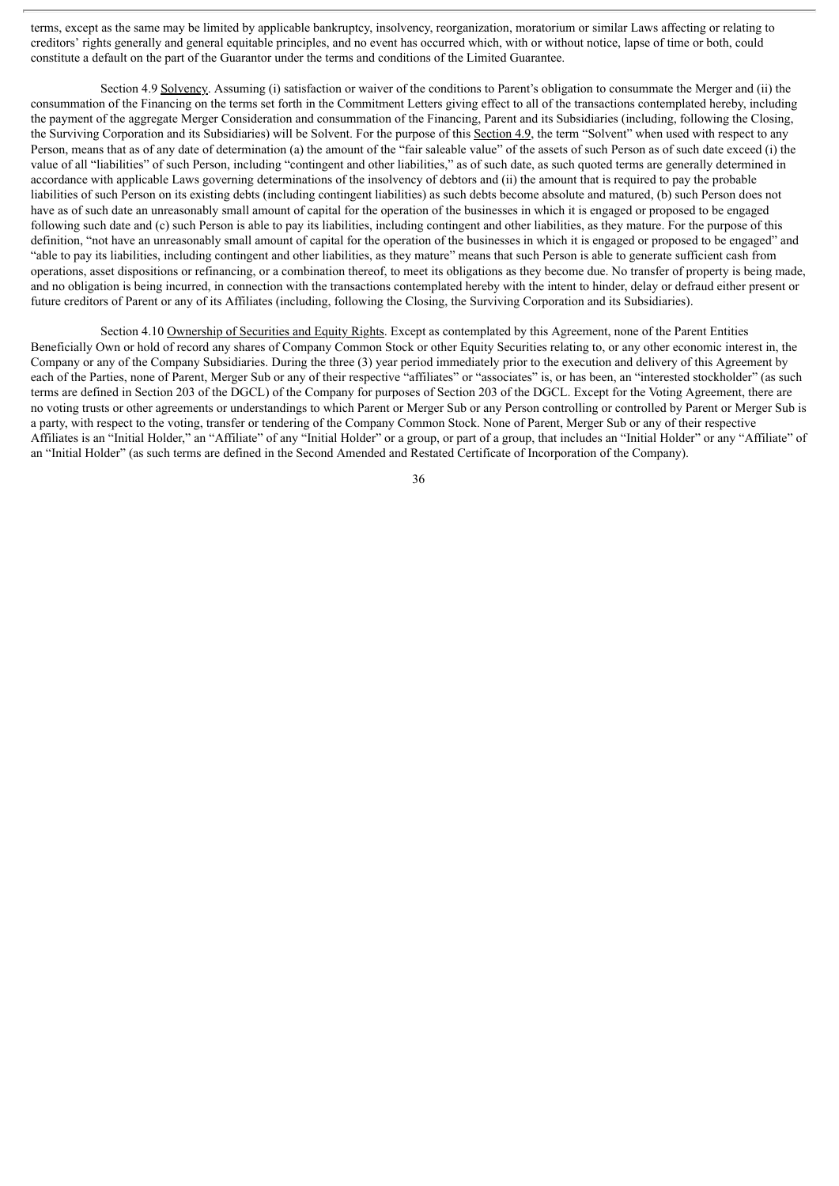terms, except as the same may be limited by applicable bankruptcy, insolvency, reorganization, moratorium or similar Laws affecting or relating to creditors' rights generally and general equitable principles, and no event has occurred which, with or without notice, lapse of time or both, could constitute a default on the part of the Guarantor under the terms and conditions of the Limited Guarantee.

Section 4.9 Solvency. Assuming (i) satisfaction or waiver of the conditions to Parent's obligation to consummate the Merger and (ii) the consummation of the Financing on the terms set forth in the Commitment Letters giving effect to all of the transactions contemplated hereby, including the payment of the aggregate Merger Consideration and consummation of the Financing, Parent and its Subsidiaries (including, following the Closing, the Surviving Corporation and its Subsidiaries) will be Solvent. For the purpose of this Section 4.9, the term "Solvent" when used with respect to any Person, means that as of any date of determination (a) the amount of the "fair saleable value" of the assets of such Person as of such date exceed (i) the value of all "liabilities" of such Person, including "contingent and other liabilities," as of such date, as such quoted terms are generally determined in accordance with applicable Laws governing determinations of the insolvency of debtors and (ii) the amount that is required to pay the probable liabilities of such Person on its existing debts (including contingent liabilities) as such debts become absolute and matured, (b) such Person does not have as of such date an unreasonably small amount of capital for the operation of the businesses in which it is engaged or proposed to be engaged following such date and (c) such Person is able to pay its liabilities, including contingent and other liabilities, as they mature. For the purpose of this definition, "not have an unreasonably small amount of capital for the operation of the businesses in which it is engaged or proposed to be engaged" and "able to pay its liabilities, including contingent and other liabilities, as they mature" means that such Person is able to generate sufficient cash from operations, asset dispositions or refinancing, or a combination thereof, to meet its obligations as they become due. No transfer of property is being made, and no obligation is being incurred, in connection with the transactions contemplated hereby with the intent to hinder, delay or defraud either present or future creditors of Parent or any of its Affiliates (including, following the Closing, the Surviving Corporation and its Subsidiaries).

Section 4.10 Ownership of Securities and Equity Rights. Except as contemplated by this Agreement, none of the Parent Entities Beneficially Own or hold of record any shares of Company Common Stock or other Equity Securities relating to, or any other economic interest in, the Company or any of the Company Subsidiaries. During the three (3) year period immediately prior to the execution and delivery of this Agreement by each of the Parties, none of Parent, Merger Sub or any of their respective "affiliates" or "associates" is, or has been, an "interested stockholder" (as such terms are defined in Section 203 of the DGCL) of the Company for purposes of Section 203 of the DGCL. Except for the Voting Agreement, there are no voting trusts or other agreements or understandings to which Parent or Merger Sub or any Person controlling or controlled by Parent or Merger Sub is a party, with respect to the voting, transfer or tendering of the Company Common Stock. None of Parent, Merger Sub or any of their respective Affiliates is an "Initial Holder," an "Affiliate" of any "Initial Holder" or a group, or part of a group, that includes an "Initial Holder" or any "Affiliate" of an "Initial Holder" (as such terms are defined in the Second Amended and Restated Certificate of Incorporation of the Company).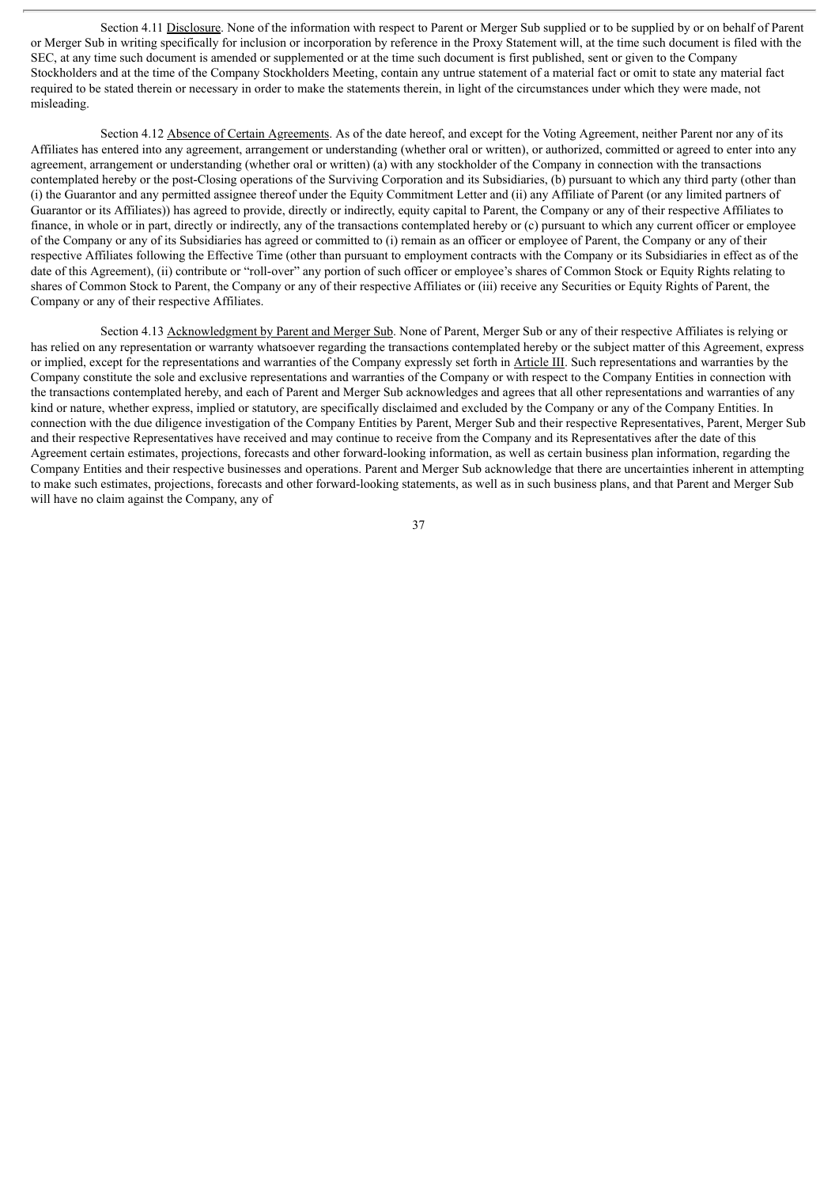Section 4.11 Disclosure. None of the information with respect to Parent or Merger Sub supplied or to be supplied by or on behalf of Parent or Merger Sub in writing specifically for inclusion or incorporation by reference in the Proxy Statement will, at the time such document is filed with the SEC, at any time such document is amended or supplemented or at the time such document is first published, sent or given to the Company Stockholders and at the time of the Company Stockholders Meeting, contain any untrue statement of a material fact or omit to state any material fact required to be stated therein or necessary in order to make the statements therein, in light of the circumstances under which they were made, not misleading.

Section 4.12 Absence of Certain Agreements. As of the date hereof, and except for the Voting Agreement, neither Parent nor any of its Affiliates has entered into any agreement, arrangement or understanding (whether oral or written), or authorized, committed or agreed to enter into any agreement, arrangement or understanding (whether oral or written) (a) with any stockholder of the Company in connection with the transactions contemplated hereby or the post-Closing operations of the Surviving Corporation and its Subsidiaries, (b) pursuant to which any third party (other than (i) the Guarantor and any permitted assignee thereof under the Equity Commitment Letter and (ii) any Affiliate of Parent (or any limited partners of Guarantor or its Affiliates)) has agreed to provide, directly or indirectly, equity capital to Parent, the Company or any of their respective Affiliates to finance, in whole or in part, directly or indirectly, any of the transactions contemplated hereby or (c) pursuant to which any current officer or employee of the Company or any of its Subsidiaries has agreed or committed to (i) remain as an officer or employee of Parent, the Company or any of their respective Affiliates following the Effective Time (other than pursuant to employment contracts with the Company or its Subsidiaries in effect as of the date of this Agreement), (ii) contribute or "roll-over" any portion of such officer or employee's shares of Common Stock or Equity Rights relating to shares of Common Stock to Parent, the Company or any of their respective Affiliates or (iii) receive any Securities or Equity Rights of Parent, the Company or any of their respective Affiliates.

Section 4.13 Acknowledgment by Parent and Merger Sub. None of Parent, Merger Sub or any of their respective Affiliates is relying or has relied on any representation or warranty whatsoever regarding the transactions contemplated hereby or the subject matter of this Agreement, express or implied, except for the representations and warranties of the Company expressly set forth in Article III. Such representations and warranties by the Company constitute the sole and exclusive representations and warranties of the Company or with respect to the Company Entities in connection with the transactions contemplated hereby, and each of Parent and Merger Sub acknowledges and agrees that all other representations and warranties of any kind or nature, whether express, implied or statutory, are specifically disclaimed and excluded by the Company or any of the Company Entities. In connection with the due diligence investigation of the Company Entities by Parent, Merger Sub and their respective Representatives, Parent, Merger Sub and their respective Representatives have received and may continue to receive from the Company and its Representatives after the date of this Agreement certain estimates, projections, forecasts and other forward-looking information, as well as certain business plan information, regarding the Company Entities and their respective businesses and operations. Parent and Merger Sub acknowledge that there are uncertainties inherent in attempting to make such estimates, projections, forecasts and other forward-looking statements, as well as in such business plans, and that Parent and Merger Sub will have no claim against the Company, any of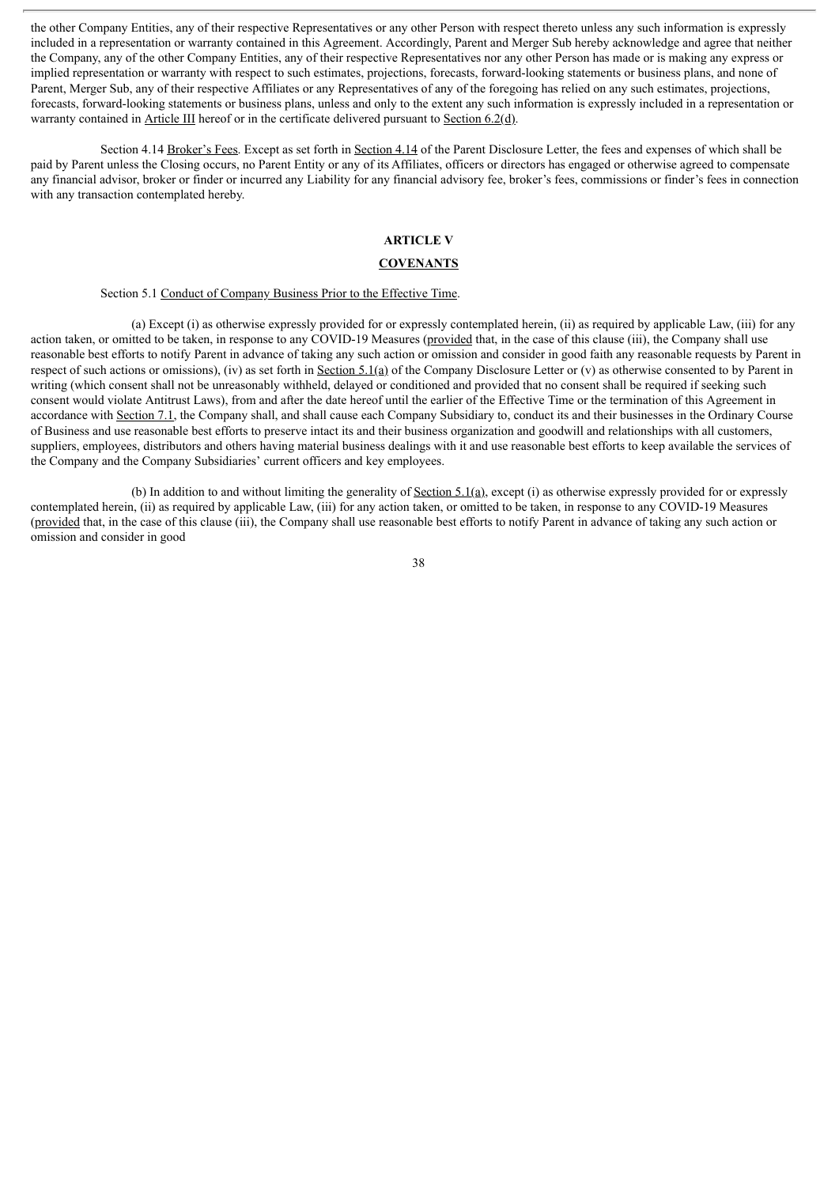the other Company Entities, any of their respective Representatives or any other Person with respect thereto unless any such information is expressly included in a representation or warranty contained in this Agreement. Accordingly, Parent and Merger Sub hereby acknowledge and agree that neither the Company, any of the other Company Entities, any of their respective Representatives nor any other Person has made or is making any express or implied representation or warranty with respect to such estimates, projections, forecasts, forward-looking statements or business plans, and none of Parent, Merger Sub, any of their respective Affiliates or any Representatives of any of the foregoing has relied on any such estimates, projections, forecasts, forward-looking statements or business plans, unless and only to the extent any such information is expressly included in a representation or warranty contained in Article III hereof or in the certificate delivered pursuant to Section 6.2(d).

Section 4.14 Broker's Fees. Except as set forth in Section 4.14 of the Parent Disclosure Letter, the fees and expenses of which shall be paid by Parent unless the Closing occurs, no Parent Entity or any of its Affiliates, officers or directors has engaged or otherwise agreed to compensate any financial advisor, broker or finder or incurred any Liability for any financial advisory fee, broker's fees, commissions or finder's fees in connection with any transaction contemplated hereby.

# **ARTICLE V**

#### **COVENANTS**

# Section 5.1 Conduct of Company Business Prior to the Effective Time.

(a) Except (i) as otherwise expressly provided for or expressly contemplated herein, (ii) as required by applicable Law, (iii) for any action taken, or omitted to be taken, in response to any COVID-19 Measures (provided that, in the case of this clause (iii), the Company shall use reasonable best efforts to notify Parent in advance of taking any such action or omission and consider in good faith any reasonable requests by Parent in respect of such actions or omissions), (iv) as set forth in Section 5.1(a) of the Company Disclosure Letter or (v) as otherwise consented to by Parent in writing (which consent shall not be unreasonably withheld, delayed or conditioned and provided that no consent shall be required if seeking such consent would violate Antitrust Laws), from and after the date hereof until the earlier of the Effective Time or the termination of this Agreement in accordance with Section 7.1, the Company shall, and shall cause each Company Subsidiary to, conduct its and their businesses in the Ordinary Course of Business and use reasonable best efforts to preserve intact its and their business organization and goodwill and relationships with all customers, suppliers, employees, distributors and others having material business dealings with it and use reasonable best efforts to keep available the services of the Company and the Company Subsidiaries' current officers and key employees.

(b) In addition to and without limiting the generality of Section 5.1(a), except (i) as otherwise expressly provided for or expressly contemplated herein, (ii) as required by applicable Law, (iii) for any action taken, or omitted to be taken, in response to any COVID-19 Measures (provided that, in the case of this clause (iii), the Company shall use reasonable best efforts to notify Parent in advance of taking any such action or omission and consider in good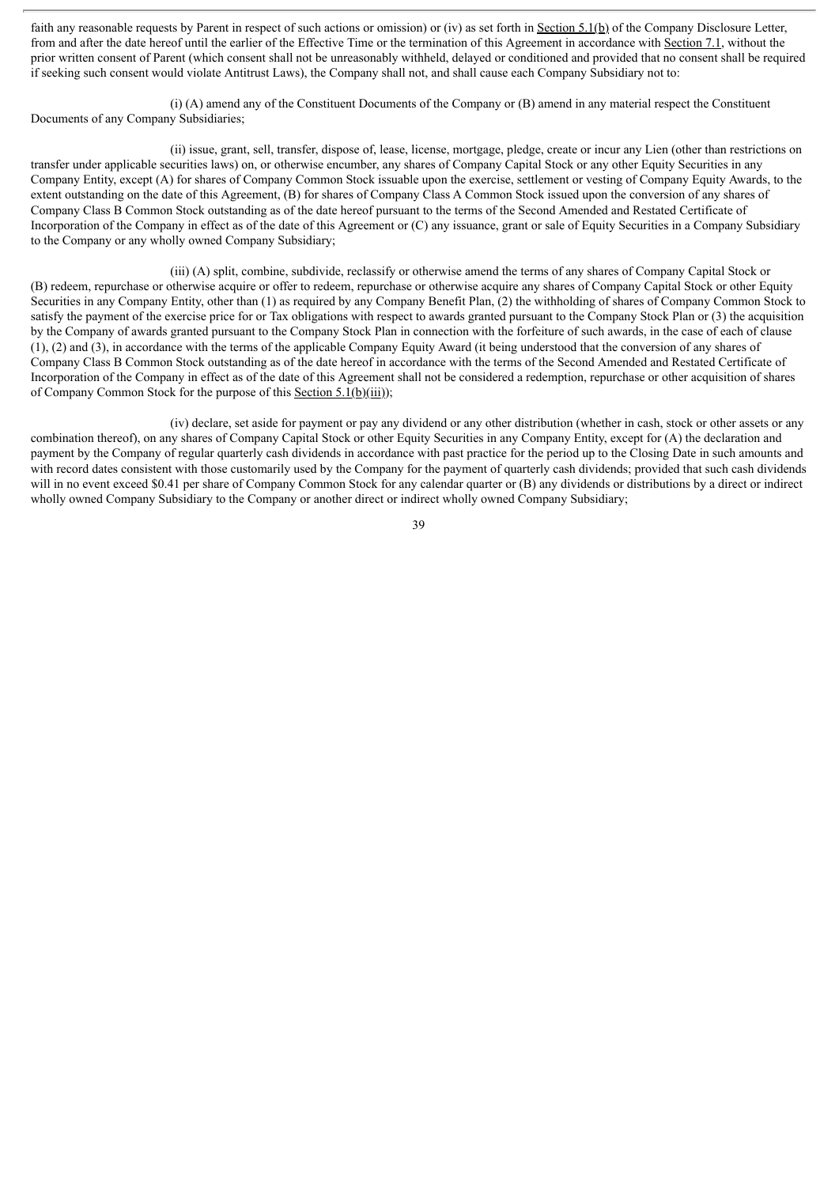faith any reasonable requests by Parent in respect of such actions or omission) or (iv) as set forth in Section 5.1(b) of the Company Disclosure Letter, from and after the date hereof until the earlier of the Effective Time or the termination of this Agreement in accordance with Section 7.1, without the prior written consent of Parent (which consent shall not be unreasonably withheld, delayed or conditioned and provided that no consent shall be required if seeking such consent would violate Antitrust Laws), the Company shall not, and shall cause each Company Subsidiary not to:

(i) (A) amend any of the Constituent Documents of the Company or (B) amend in any material respect the Constituent Documents of any Company Subsidiaries;

(ii) issue, grant, sell, transfer, dispose of, lease, license, mortgage, pledge, create or incur any Lien (other than restrictions on transfer under applicable securities laws) on, or otherwise encumber, any shares of Company Capital Stock or any other Equity Securities in any Company Entity, except (A) for shares of Company Common Stock issuable upon the exercise, settlement or vesting of Company Equity Awards, to the extent outstanding on the date of this Agreement, (B) for shares of Company Class A Common Stock issued upon the conversion of any shares of Company Class B Common Stock outstanding as of the date hereof pursuant to the terms of the Second Amended and Restated Certificate of Incorporation of the Company in effect as of the date of this Agreement or (C) any issuance, grant or sale of Equity Securities in a Company Subsidiary to the Company or any wholly owned Company Subsidiary;

(iii) (A) split, combine, subdivide, reclassify or otherwise amend the terms of any shares of Company Capital Stock or (B) redeem, repurchase or otherwise acquire or offer to redeem, repurchase or otherwise acquire any shares of Company Capital Stock or other Equity Securities in any Company Entity, other than (1) as required by any Company Benefit Plan, (2) the withholding of shares of Company Common Stock to satisfy the payment of the exercise price for or Tax obligations with respect to awards granted pursuant to the Company Stock Plan or (3) the acquisition by the Company of awards granted pursuant to the Company Stock Plan in connection with the forfeiture of such awards, in the case of each of clause (1), (2) and (3), in accordance with the terms of the applicable Company Equity Award (it being understood that the conversion of any shares of Company Class B Common Stock outstanding as of the date hereof in accordance with the terms of the Second Amended and Restated Certificate of Incorporation of the Company in effect as of the date of this Agreement shall not be considered a redemption, repurchase or other acquisition of shares of Company Common Stock for the purpose of this Section 5.1(b)(iii));

(iv) declare, set aside for payment or pay any dividend or any other distribution (whether in cash, stock or other assets or any combination thereof), on any shares of Company Capital Stock or other Equity Securities in any Company Entity, except for (A) the declaration and payment by the Company of regular quarterly cash dividends in accordance with past practice for the period up to the Closing Date in such amounts and with record dates consistent with those customarily used by the Company for the payment of quarterly cash dividends; provided that such cash dividends will in no event exceed \$0.41 per share of Company Common Stock for any calendar quarter or (B) any dividends or distributions by a direct or indirect wholly owned Company Subsidiary to the Company or another direct or indirect wholly owned Company Subsidiary;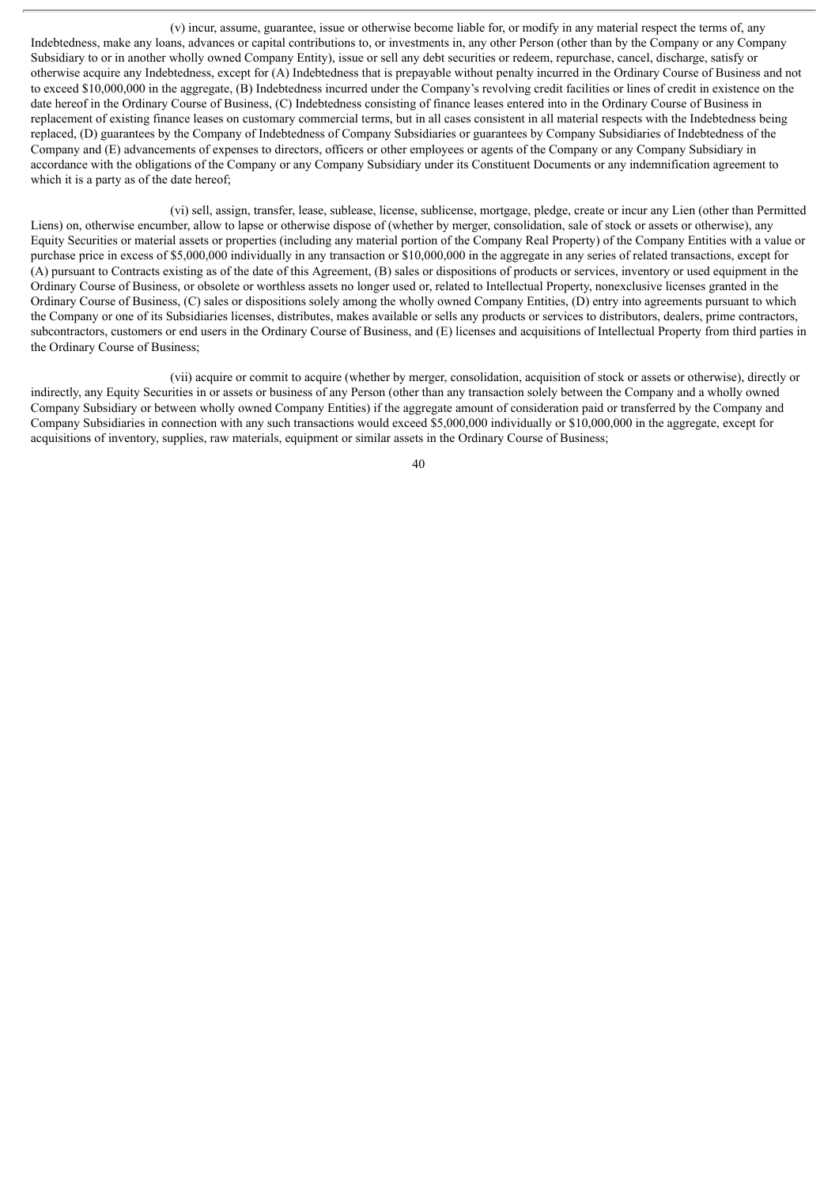(v) incur, assume, guarantee, issue or otherwise become liable for, or modify in any material respect the terms of, any Indebtedness, make any loans, advances or capital contributions to, or investments in, any other Person (other than by the Company or any Company Subsidiary to or in another wholly owned Company Entity), issue or sell any debt securities or redeem, repurchase, cancel, discharge, satisfy or otherwise acquire any Indebtedness, except for (A) Indebtedness that is prepayable without penalty incurred in the Ordinary Course of Business and not to exceed \$10,000,000 in the aggregate, (B) Indebtedness incurred under the Company's revolving credit facilities or lines of credit in existence on the date hereof in the Ordinary Course of Business, (C) Indebtedness consisting of finance leases entered into in the Ordinary Course of Business in replacement of existing finance leases on customary commercial terms, but in all cases consistent in all material respects with the Indebtedness being replaced, (D) guarantees by the Company of Indebtedness of Company Subsidiaries or guarantees by Company Subsidiaries of Indebtedness of the Company and (E) advancements of expenses to directors, officers or other employees or agents of the Company or any Company Subsidiary in accordance with the obligations of the Company or any Company Subsidiary under its Constituent Documents or any indemnification agreement to which it is a party as of the date hereof;

(vi) sell, assign, transfer, lease, sublease, license, sublicense, mortgage, pledge, create or incur any Lien (other than Permitted Liens) on, otherwise encumber, allow to lapse or otherwise dispose of (whether by merger, consolidation, sale of stock or assets or otherwise), any Equity Securities or material assets or properties (including any material portion of the Company Real Property) of the Company Entities with a value or purchase price in excess of \$5,000,000 individually in any transaction or \$10,000,000 in the aggregate in any series of related transactions, except for (A) pursuant to Contracts existing as of the date of this Agreement, (B) sales or dispositions of products or services, inventory or used equipment in the Ordinary Course of Business, or obsolete or worthless assets no longer used or, related to Intellectual Property, nonexclusive licenses granted in the Ordinary Course of Business, (C) sales or dispositions solely among the wholly owned Company Entities, (D) entry into agreements pursuant to which the Company or one of its Subsidiaries licenses, distributes, makes available or sells any products or services to distributors, dealers, prime contractors, subcontractors, customers or end users in the Ordinary Course of Business, and (E) licenses and acquisitions of Intellectual Property from third parties in the Ordinary Course of Business;

(vii) acquire or commit to acquire (whether by merger, consolidation, acquisition of stock or assets or otherwise), directly or indirectly, any Equity Securities in or assets or business of any Person (other than any transaction solely between the Company and a wholly owned Company Subsidiary or between wholly owned Company Entities) if the aggregate amount of consideration paid or transferred by the Company and Company Subsidiaries in connection with any such transactions would exceed \$5,000,000 individually or \$10,000,000 in the aggregate, except for acquisitions of inventory, supplies, raw materials, equipment or similar assets in the Ordinary Course of Business;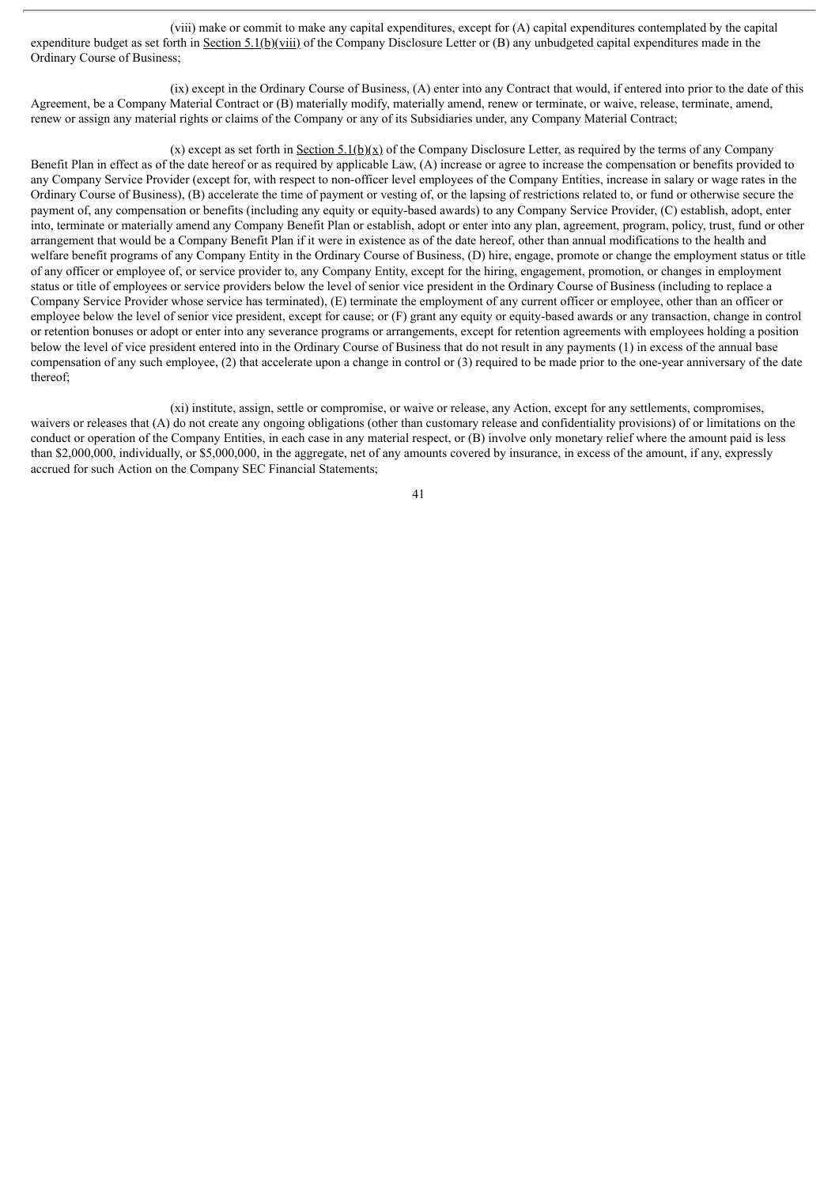(viii) make or commit to make any capital expenditures, except for (A) capital expenditures contemplated by the capital expenditure budget as set forth in Section 5.1(b)(viii) of the Company Disclosure Letter or (B) any unbudgeted capital expenditures made in the Ordinary Course of Business;

(ix) except in the Ordinary Course of Business, (A) enter into any Contract that would, if entered into prior to the date of this Agreement, be a Company Material Contract or (B) materially modify, materially amend, renew or terminate, or waive, release, terminate, amend, renew or assign any material rights or claims of the Company or any of its Subsidiaries under, any Company Material Contract;

(x) except as set forth in Section 5.1(b)(x) of the Company Disclosure Letter, as required by the terms of any Company Benefit Plan in effect as of the date hereof or as required by applicable Law, (A) increase or agree to increase the compensation or benefits provided to any Company Service Provider (except for, with respect to non-officer level employees of the Company Entities, increase in salary or wage rates in the Ordinary Course of Business), (B) accelerate the time of payment or vesting of, or the lapsing of restrictions related to, or fund or otherwise secure the payment of, any compensation or benefits (including any equity or equity-based awards) to any Company Service Provider, (C) establish, adopt, enter into, terminate or materially amend any Company Benefit Plan or establish, adopt or enter into any plan, agreement, program, policy, trust, fund or other arrangement that would be a Company Benefit Plan if it were in existence as of the date hereof, other than annual modifications to the health and welfare benefit programs of any Company Entity in the Ordinary Course of Business, (D) hire, engage, promote or change the employment status or title of any officer or employee of, or service provider to, any Company Entity, except for the hiring, engagement, promotion, or changes in employment status or title of employees or service providers below the level of senior vice president in the Ordinary Course of Business (including to replace a Company Service Provider whose service has terminated), (E) terminate the employment of any current officer or employee, other than an officer or employee below the level of senior vice president, except for cause; or (F) grant any equity or equity-based awards or any transaction, change in control or retention bonuses or adopt or enter into any severance programs or arrangements, except for retention agreements with employees holding a position below the level of vice president entered into in the Ordinary Course of Business that do not result in any payments (1) in excess of the annual base compensation of any such employee, (2) that accelerate upon a change in control or (3) required to be made prior to the one-year anniversary of the date thereof;

(xi) institute, assign, settle or compromise, or waive or release, any Action, except for any settlements, compromises, waivers or releases that (A) do not create any ongoing obligations (other than customary release and confidentiality provisions) of or limitations on the conduct or operation of the Company Entities, in each case in any material respect, or (B) involve only monetary relief where the amount paid is less than \$2,000,000, individually, or \$5,000,000, in the aggregate, net of any amounts covered by insurance, in excess of the amount, if any, expressly accrued for such Action on the Company SEC Financial Statements;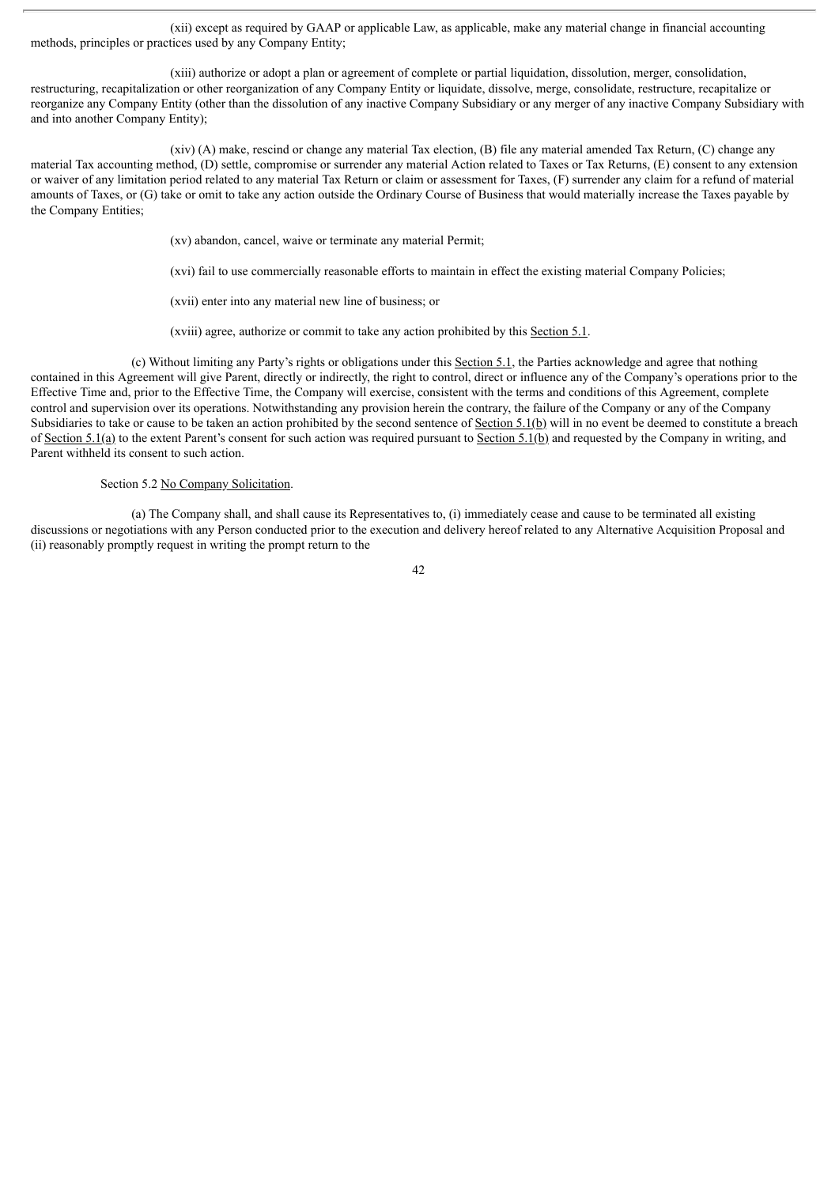(xii) except as required by GAAP or applicable Law, as applicable, make any material change in financial accounting methods, principles or practices used by any Company Entity;

(xiii) authorize or adopt a plan or agreement of complete or partial liquidation, dissolution, merger, consolidation, restructuring, recapitalization or other reorganization of any Company Entity or liquidate, dissolve, merge, consolidate, restructure, recapitalize or reorganize any Company Entity (other than the dissolution of any inactive Company Subsidiary or any merger of any inactive Company Subsidiary with and into another Company Entity);

(xiv) (A) make, rescind or change any material Tax election, (B) file any material amended Tax Return, (C) change any material Tax accounting method, (D) settle, compromise or surrender any material Action related to Taxes or Tax Returns, (E) consent to any extension or waiver of any limitation period related to any material Tax Return or claim or assessment for Taxes, (F) surrender any claim for a refund of material amounts of Taxes, or (G) take or omit to take any action outside the Ordinary Course of Business that would materially increase the Taxes payable by the Company Entities;

(xv) abandon, cancel, waive or terminate any material Permit;

(xvi) fail to use commercially reasonable efforts to maintain in effect the existing material Company Policies;

(xvii) enter into any material new line of business; or

(xviii) agree, authorize or commit to take any action prohibited by this Section 5.1.

(c) Without limiting any Party's rights or obligations under this Section 5.1, the Parties acknowledge and agree that nothing contained in this Agreement will give Parent, directly or indirectly, the right to control, direct or influence any of the Company's operations prior to the Effective Time and, prior to the Effective Time, the Company will exercise, consistent with the terms and conditions of this Agreement, complete control and supervision over its operations. Notwithstanding any provision herein the contrary, the failure of the Company or any of the Company Subsidiaries to take or cause to be taken an action prohibited by the second sentence of Section 5.1(b) will in no event be deemed to constitute a breach of Section 5.1(a) to the extent Parent's consent for such action was required pursuant to Section 5.1(b) and requested by the Company in writing, and Parent withheld its consent to such action.

## Section 5.2 No Company Solicitation.

(a) The Company shall, and shall cause its Representatives to, (i) immediately cease and cause to be terminated all existing discussions or negotiations with any Person conducted prior to the execution and delivery hereof related to any Alternative Acquisition Proposal and (ii) reasonably promptly request in writing the prompt return to the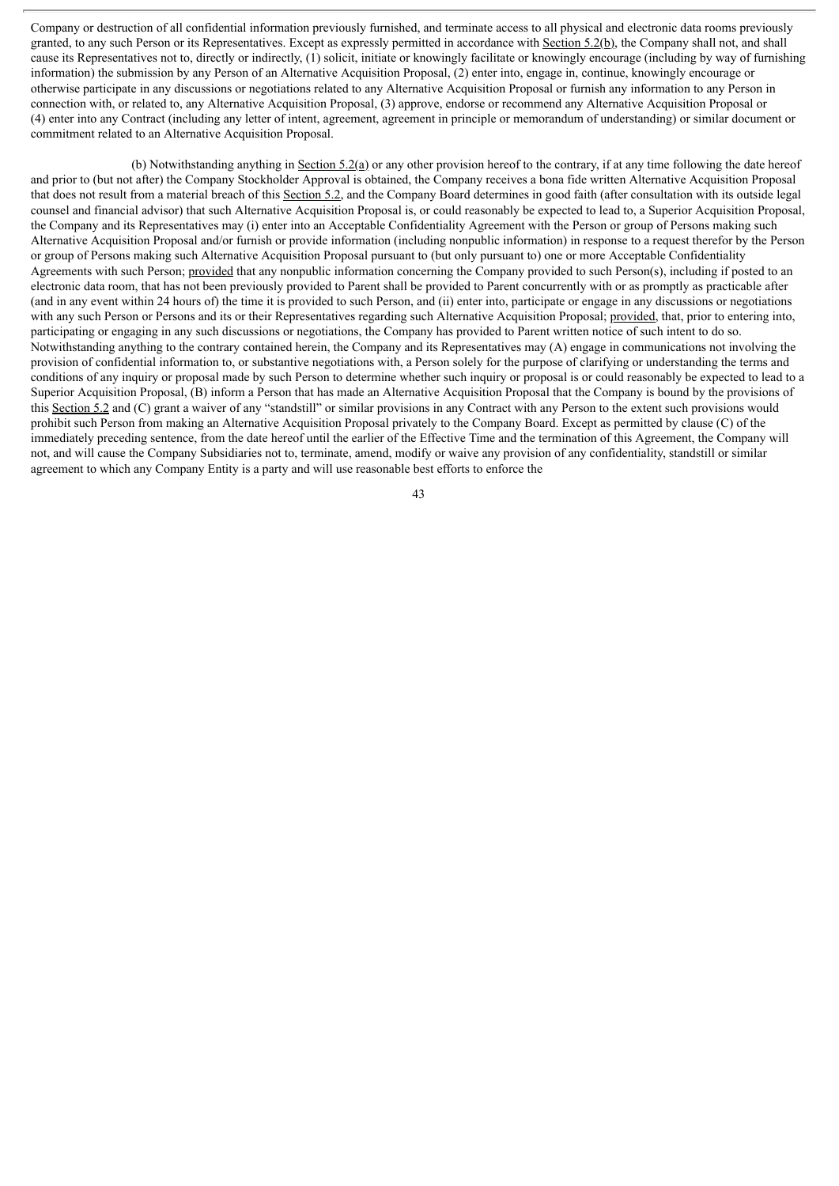Company or destruction of all confidential information previously furnished, and terminate access to all physical and electronic data rooms previously granted, to any such Person or its Representatives. Except as expressly permitted in accordance with Section 5.2(b), the Company shall not, and shall cause its Representatives not to, directly or indirectly, (1) solicit, initiate or knowingly facilitate or knowingly encourage (including by way of furnishing information) the submission by any Person of an Alternative Acquisition Proposal, (2) enter into, engage in, continue, knowingly encourage or otherwise participate in any discussions or negotiations related to any Alternative Acquisition Proposal or furnish any information to any Person in connection with, or related to, any Alternative Acquisition Proposal, (3) approve, endorse or recommend any Alternative Acquisition Proposal or (4) enter into any Contract (including any letter of intent, agreement, agreement in principle or memorandum of understanding) or similar document or commitment related to an Alternative Acquisition Proposal.

(b) Notwithstanding anything in Section 5.2(a) or any other provision hereof to the contrary, if at any time following the date hereof and prior to (but not after) the Company Stockholder Approval is obtained, the Company receives a bona fide written Alternative Acquisition Proposal that does not result from a material breach of this Section 5.2, and the Company Board determines in good faith (after consultation with its outside legal counsel and financial advisor) that such Alternative Acquisition Proposal is, or could reasonably be expected to lead to, a Superior Acquisition Proposal, the Company and its Representatives may (i) enter into an Acceptable Confidentiality Agreement with the Person or group of Persons making such Alternative Acquisition Proposal and/or furnish or provide information (including nonpublic information) in response to a request therefor by the Person or group of Persons making such Alternative Acquisition Proposal pursuant to (but only pursuant to) one or more Acceptable Confidentiality Agreements with such Person; provided that any nonpublic information concerning the Company provided to such Person(s), including if posted to an electronic data room, that has not been previously provided to Parent shall be provided to Parent concurrently with or as promptly as practicable after (and in any event within 24 hours of) the time it is provided to such Person, and (ii) enter into, participate or engage in any discussions or negotiations with any such Person or Persons and its or their Representatives regarding such Alternative Acquisition Proposal; provided, that, prior to entering into, participating or engaging in any such discussions or negotiations, the Company has provided to Parent written notice of such intent to do so. Notwithstanding anything to the contrary contained herein, the Company and its Representatives may (A) engage in communications not involving the provision of confidential information to, or substantive negotiations with, a Person solely for the purpose of clarifying or understanding the terms and conditions of any inquiry or proposal made by such Person to determine whether such inquiry or proposal is or could reasonably be expected to lead to a Superior Acquisition Proposal, (B) inform a Person that has made an Alternative Acquisition Proposal that the Company is bound by the provisions of this Section 5.2 and (C) grant a waiver of any "standstill" or similar provisions in any Contract with any Person to the extent such provisions would prohibit such Person from making an Alternative Acquisition Proposal privately to the Company Board. Except as permitted by clause (C) of the immediately preceding sentence, from the date hereof until the earlier of the Effective Time and the termination of this Agreement, the Company will not, and will cause the Company Subsidiaries not to, terminate, amend, modify or waive any provision of any confidentiality, standstill or similar agreement to which any Company Entity is a party and will use reasonable best efforts to enforce the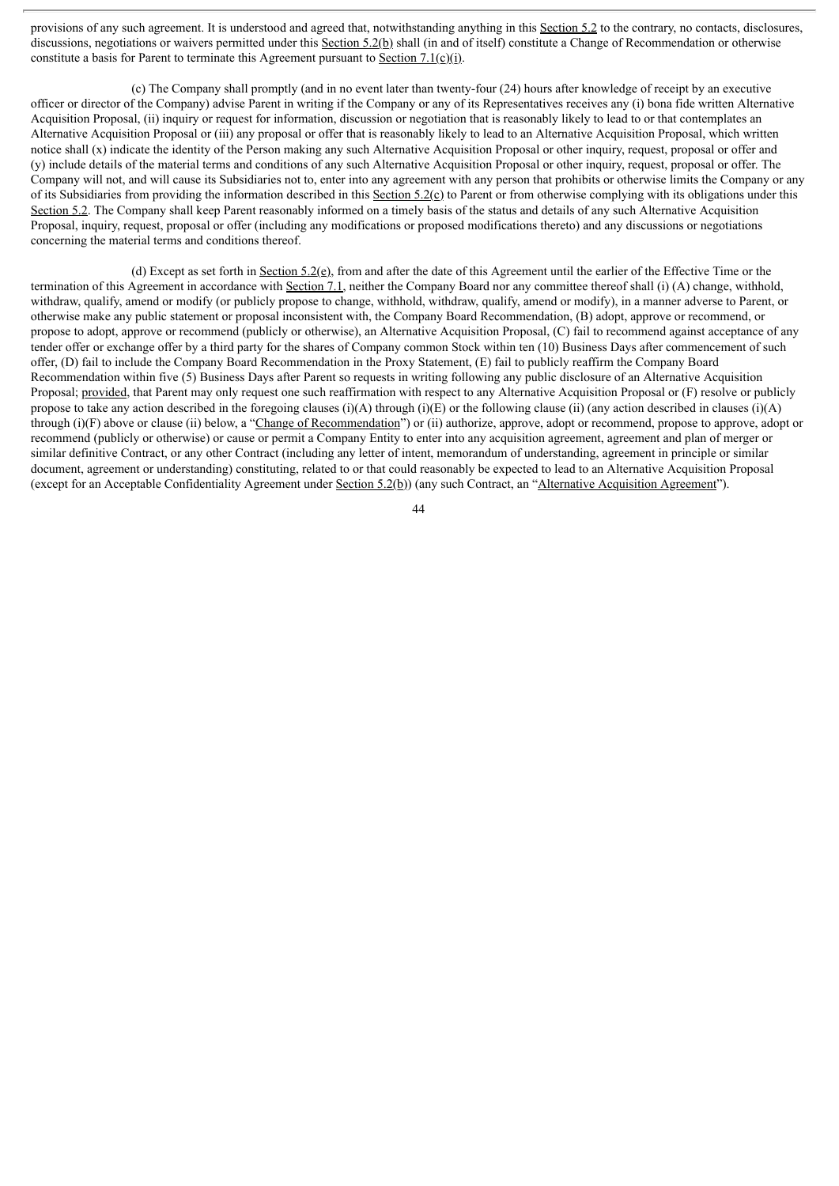provisions of any such agreement. It is understood and agreed that, notwithstanding anything in this Section 5.2 to the contrary, no contacts, disclosures, discussions, negotiations or waivers permitted under this Section 5.2(b) shall (in and of itself) constitute a Change of Recommendation or otherwise constitute a basis for Parent to terminate this Agreement pursuant to Section 7.1(c)(i).

(c) The Company shall promptly (and in no event later than twenty-four (24) hours after knowledge of receipt by an executive officer or director of the Company) advise Parent in writing if the Company or any of its Representatives receives any (i) bona fide written Alternative Acquisition Proposal, (ii) inquiry or request for information, discussion or negotiation that is reasonably likely to lead to or that contemplates an Alternative Acquisition Proposal or (iii) any proposal or offer that is reasonably likely to lead to an Alternative Acquisition Proposal, which written notice shall (x) indicate the identity of the Person making any such Alternative Acquisition Proposal or other inquiry, request, proposal or offer and (y) include details of the material terms and conditions of any such Alternative Acquisition Proposal or other inquiry, request, proposal or offer. The Company will not, and will cause its Subsidiaries not to, enter into any agreement with any person that prohibits or otherwise limits the Company or any of its Subsidiaries from providing the information described in this Section 5.2(c) to Parent or from otherwise complying with its obligations under this Section 5.2. The Company shall keep Parent reasonably informed on a timely basis of the status and details of any such Alternative Acquisition Proposal, inquiry, request, proposal or offer (including any modifications or proposed modifications thereto) and any discussions or negotiations concerning the material terms and conditions thereof.

(d) Except as set forth in Section 5.2(e), from and after the date of this Agreement until the earlier of the Effective Time or the termination of this Agreement in accordance with Section 7.1, neither the Company Board nor any committee thereof shall (i) (A) change, withhold, withdraw, qualify, amend or modify (or publicly propose to change, withhold, withdraw, qualify, amend or modify), in a manner adverse to Parent, or otherwise make any public statement or proposal inconsistent with, the Company Board Recommendation, (B) adopt, approve or recommend, or propose to adopt, approve or recommend (publicly or otherwise), an Alternative Acquisition Proposal, (C) fail to recommend against acceptance of any tender offer or exchange offer by a third party for the shares of Company common Stock within ten (10) Business Days after commencement of such offer, (D) fail to include the Company Board Recommendation in the Proxy Statement, (E) fail to publicly reaffirm the Company Board Recommendation within five (5) Business Days after Parent so requests in writing following any public disclosure of an Alternative Acquisition Proposal; provided, that Parent may only request one such reaffirmation with respect to any Alternative Acquisition Proposal or (F) resolve or publicly propose to take any action described in the foregoing clauses (i)(A) through (i)(E) or the following clause (ii) (any action described in clauses (i)(A) through (i)(F) above or clause (ii) below, a "Change of Recommendation") or (ii) authorize, approve, adopt or recommend, propose to approve, adopt or recommend (publicly or otherwise) or cause or permit a Company Entity to enter into any acquisition agreement, agreement and plan of merger or similar definitive Contract, or any other Contract (including any letter of intent, memorandum of understanding, agreement in principle or similar document, agreement or understanding) constituting, related to or that could reasonably be expected to lead to an Alternative Acquisition Proposal (except for an Acceptable Confidentiality Agreement under Section 5.2(b)) (any such Contract, an "Alternative Acquisition Agreement").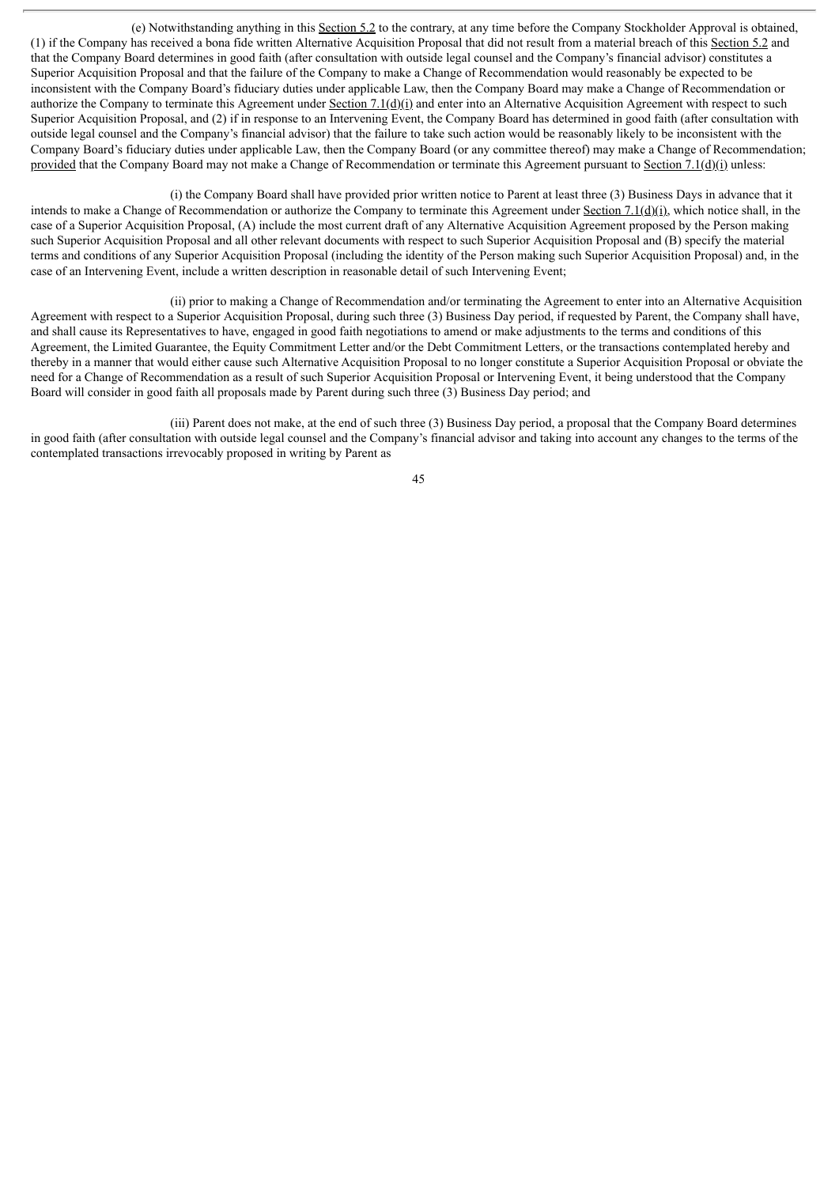(e) Notwithstanding anything in this Section 5.2 to the contrary, at any time before the Company Stockholder Approval is obtained, (1) if the Company has received a bona fide written Alternative Acquisition Proposal that did not result from a material breach of this Section 5.2 and that the Company Board determines in good faith (after consultation with outside legal counsel and the Company's financial advisor) constitutes a Superior Acquisition Proposal and that the failure of the Company to make a Change of Recommendation would reasonably be expected to be inconsistent with the Company Board's fiduciary duties under applicable Law, then the Company Board may make a Change of Recommendation or authorize the Company to terminate this Agreement under Section 7.1(d)(i) and enter into an Alternative Acquisition Agreement with respect to such Superior Acquisition Proposal, and (2) if in response to an Intervening Event, the Company Board has determined in good faith (after consultation with outside legal counsel and the Company's financial advisor) that the failure to take such action would be reasonably likely to be inconsistent with the Company Board's fiduciary duties under applicable Law, then the Company Board (or any committee thereof) may make a Change of Recommendation; provided that the Company Board may not make a Change of Recommendation or terminate this Agreement pursuant to Section 7.1(d)(i) unless:

(i) the Company Board shall have provided prior written notice to Parent at least three (3) Business Days in advance that it intends to make a Change of Recommendation or authorize the Company to terminate this Agreement under Section 7.1(d)(i), which notice shall, in the case of a Superior Acquisition Proposal, (A) include the most current draft of any Alternative Acquisition Agreement proposed by the Person making such Superior Acquisition Proposal and all other relevant documents with respect to such Superior Acquisition Proposal and (B) specify the material terms and conditions of any Superior Acquisition Proposal (including the identity of the Person making such Superior Acquisition Proposal) and, in the case of an Intervening Event, include a written description in reasonable detail of such Intervening Event;

(ii) prior to making a Change of Recommendation and/or terminating the Agreement to enter into an Alternative Acquisition Agreement with respect to a Superior Acquisition Proposal, during such three (3) Business Day period, if requested by Parent, the Company shall have, and shall cause its Representatives to have, engaged in good faith negotiations to amend or make adjustments to the terms and conditions of this Agreement, the Limited Guarantee, the Equity Commitment Letter and/or the Debt Commitment Letters, or the transactions contemplated hereby and thereby in a manner that would either cause such Alternative Acquisition Proposal to no longer constitute a Superior Acquisition Proposal or obviate the need for a Change of Recommendation as a result of such Superior Acquisition Proposal or Intervening Event, it being understood that the Company Board will consider in good faith all proposals made by Parent during such three (3) Business Day period; and

(iii) Parent does not make, at the end of such three (3) Business Day period, a proposal that the Company Board determines in good faith (after consultation with outside legal counsel and the Company's financial advisor and taking into account any changes to the terms of the contemplated transactions irrevocably proposed in writing by Parent as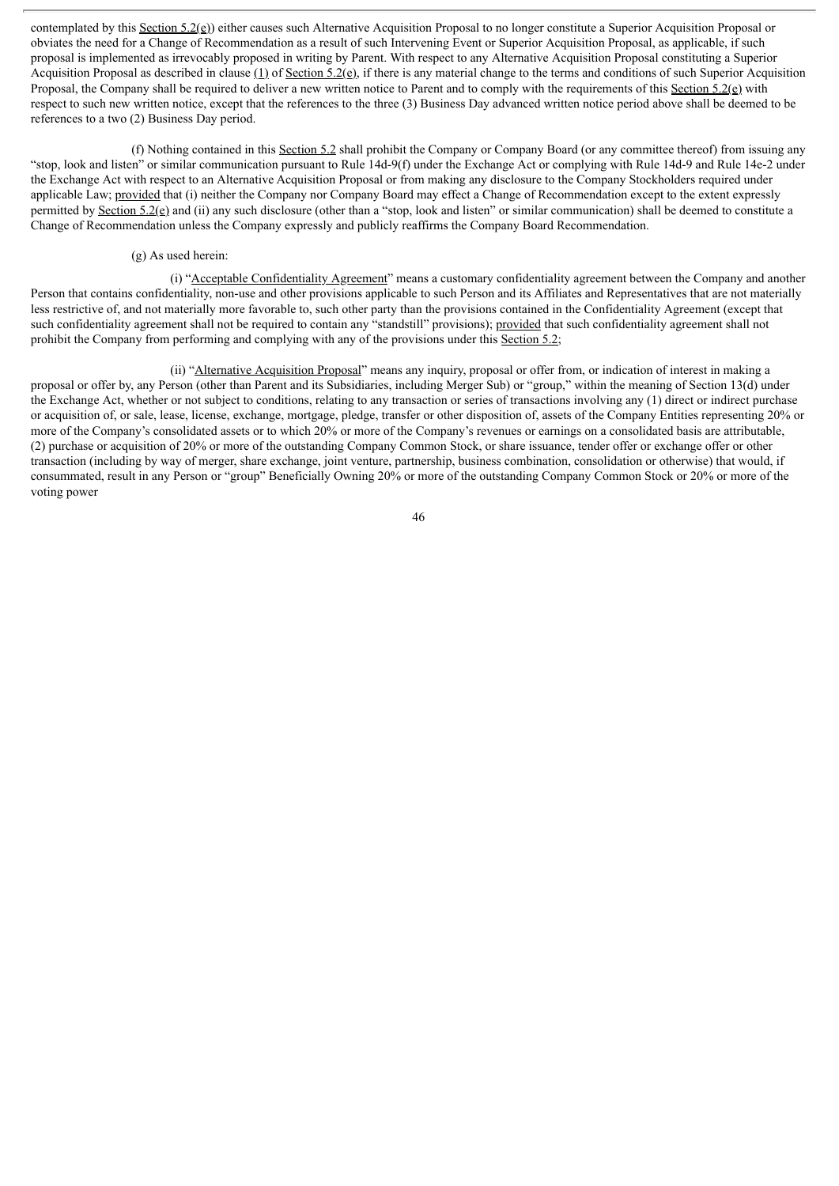contemplated by this Section 5.2(e)) either causes such Alternative Acquisition Proposal to no longer constitute a Superior Acquisition Proposal or obviates the need for a Change of Recommendation as a result of such Intervening Event or Superior Acquisition Proposal, as applicable, if such proposal is implemented as irrevocably proposed in writing by Parent. With respect to any Alternative Acquisition Proposal constituting a Superior Acquisition Proposal as described in clause (1) of Section 5.2(e), if there is any material change to the terms and conditions of such Superior Acquisition Proposal, the Company shall be required to deliver a new written notice to Parent and to comply with the requirements of this Section 5.2(e) with respect to such new written notice, except that the references to the three (3) Business Day advanced written notice period above shall be deemed to be references to a two (2) Business Day period.

(f) Nothing contained in this Section 5.2 shall prohibit the Company or Company Board (or any committee thereof) from issuing any "stop, look and listen" or similar communication pursuant to Rule 14d-9(f) under the Exchange Act or complying with Rule 14d-9 and Rule 14e-2 under the Exchange Act with respect to an Alternative Acquisition Proposal or from making any disclosure to the Company Stockholders required under applicable Law; provided that (i) neither the Company nor Company Board may effect a Change of Recommendation except to the extent expressly permitted by Section 5.2(e) and (ii) any such disclosure (other than a "stop, look and listen" or similar communication) shall be deemed to constitute a Change of Recommendation unless the Company expressly and publicly reaffirms the Company Board Recommendation.

## (g) As used herein:

(i) "Acceptable Confidentiality Agreement" means a customary confidentiality agreement between the Company and another Person that contains confidentiality, non-use and other provisions applicable to such Person and its Affiliates and Representatives that are not materially less restrictive of, and not materially more favorable to, such other party than the provisions contained in the Confidentiality Agreement (except that such confidentiality agreement shall not be required to contain any "standstill" provisions); provided that such confidentiality agreement shall not prohibit the Company from performing and complying with any of the provisions under this Section 5.2;

(ii) "Alternative Acquisition Proposal" means any inquiry, proposal or offer from, or indication of interest in making a proposal or offer by, any Person (other than Parent and its Subsidiaries, including Merger Sub) or "group," within the meaning of Section 13(d) under the Exchange Act, whether or not subject to conditions, relating to any transaction or series of transactions involving any (1) direct or indirect purchase or acquisition of, or sale, lease, license, exchange, mortgage, pledge, transfer or other disposition of, assets of the Company Entities representing 20% or more of the Company's consolidated assets or to which 20% or more of the Company's revenues or earnings on a consolidated basis are attributable, (2) purchase or acquisition of 20% or more of the outstanding Company Common Stock, or share issuance, tender offer or exchange offer or other transaction (including by way of merger, share exchange, joint venture, partnership, business combination, consolidation or otherwise) that would, if consummated, result in any Person or "group" Beneficially Owning 20% or more of the outstanding Company Common Stock or 20% or more of the voting power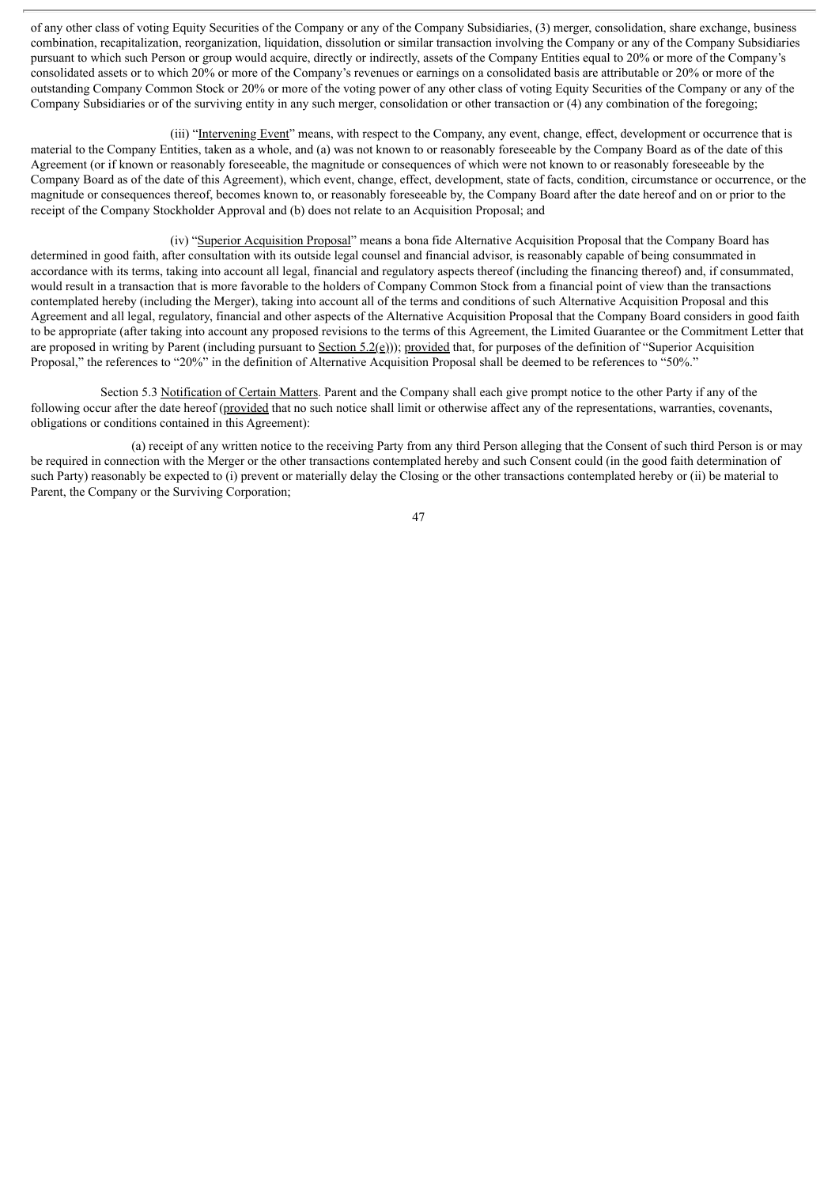of any other class of voting Equity Securities of the Company or any of the Company Subsidiaries, (3) merger, consolidation, share exchange, business combination, recapitalization, reorganization, liquidation, dissolution or similar transaction involving the Company or any of the Company Subsidiaries pursuant to which such Person or group would acquire, directly or indirectly, assets of the Company Entities equal to 20% or more of the Company's consolidated assets or to which 20% or more of the Company's revenues or earnings on a consolidated basis are attributable or 20% or more of the outstanding Company Common Stock or 20% or more of the voting power of any other class of voting Equity Securities of the Company or any of the Company Subsidiaries or of the surviving entity in any such merger, consolidation or other transaction or (4) any combination of the foregoing;

(iii) "Intervening Event" means, with respect to the Company, any event, change, effect, development or occurrence that is material to the Company Entities, taken as a whole, and (a) was not known to or reasonably foreseeable by the Company Board as of the date of this Agreement (or if known or reasonably foreseeable, the magnitude or consequences of which were not known to or reasonably foreseeable by the Company Board as of the date of this Agreement), which event, change, effect, development, state of facts, condition, circumstance or occurrence, or the magnitude or consequences thereof, becomes known to, or reasonably foreseeable by, the Company Board after the date hereof and on or prior to the receipt of the Company Stockholder Approval and (b) does not relate to an Acquisition Proposal; and

(iv) "Superior Acquisition Proposal" means a bona fide Alternative Acquisition Proposal that the Company Board has determined in good faith, after consultation with its outside legal counsel and financial advisor, is reasonably capable of being consummated in accordance with its terms, taking into account all legal, financial and regulatory aspects thereof (including the financing thereof) and, if consummated, would result in a transaction that is more favorable to the holders of Company Common Stock from a financial point of view than the transactions contemplated hereby (including the Merger), taking into account all of the terms and conditions of such Alternative Acquisition Proposal and this Agreement and all legal, regulatory, financial and other aspects of the Alternative Acquisition Proposal that the Company Board considers in good faith to be appropriate (after taking into account any proposed revisions to the terms of this Agreement, the Limited Guarantee or the Commitment Letter that are proposed in writing by Parent (including pursuant to Section 5.2(e))); provided that, for purposes of the definition of "Superior Acquisition Proposal," the references to "20%" in the definition of Alternative Acquisition Proposal shall be deemed to be references to "50%."

Section 5.3 Notification of Certain Matters. Parent and the Company shall each give prompt notice to the other Party if any of the following occur after the date hereof (provided that no such notice shall limit or otherwise affect any of the representations, warranties, covenants, obligations or conditions contained in this Agreement):

(a) receipt of any written notice to the receiving Party from any third Person alleging that the Consent of such third Person is or may be required in connection with the Merger or the other transactions contemplated hereby and such Consent could (in the good faith determination of such Party) reasonably be expected to (i) prevent or materially delay the Closing or the other transactions contemplated hereby or (ii) be material to Parent, the Company or the Surviving Corporation;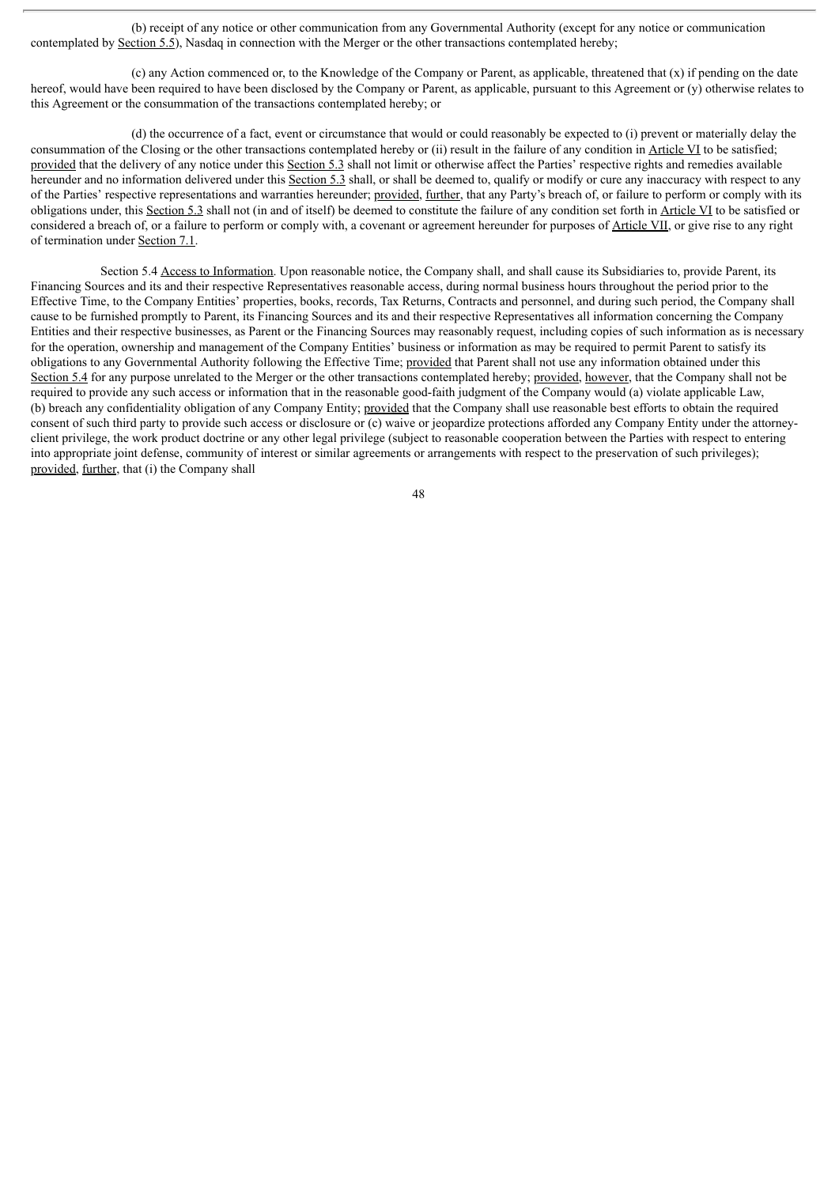(b) receipt of any notice or other communication from any Governmental Authority (except for any notice or communication contemplated by Section 5.5), Nasdaq in connection with the Merger or the other transactions contemplated hereby;

(c) any Action commenced or, to the Knowledge of the Company or Parent, as applicable, threatened that (x) if pending on the date hereof, would have been required to have been disclosed by the Company or Parent, as applicable, pursuant to this Agreement or (y) otherwise relates to this Agreement or the consummation of the transactions contemplated hereby; or

(d) the occurrence of a fact, event or circumstance that would or could reasonably be expected to (i) prevent or materially delay the consummation of the Closing or the other transactions contemplated hereby or (ii) result in the failure of any condition in Article VI to be satisfied; provided that the delivery of any notice under this Section 5.3 shall not limit or otherwise affect the Parties' respective rights and remedies available hereunder and no information delivered under this Section 5.3 shall, or shall be deemed to, qualify or modify or cure any inaccuracy with respect to any of the Parties' respective representations and warranties hereunder; provided, further, that any Party's breach of, or failure to perform or comply with its obligations under, this Section 5.3 shall not (in and of itself) be deemed to constitute the failure of any condition set forth in Article VI to be satisfied or considered a breach of, or a failure to perform or comply with, a covenant or agreement hereunder for purposes of Article VII, or give rise to any right of termination under Section 7.1.

Section 5.4 Access to Information. Upon reasonable notice, the Company shall, and shall cause its Subsidiaries to, provide Parent, its Financing Sources and its and their respective Representatives reasonable access, during normal business hours throughout the period prior to the Effective Time, to the Company Entities' properties, books, records, Tax Returns, Contracts and personnel, and during such period, the Company shall cause to be furnished promptly to Parent, its Financing Sources and its and their respective Representatives all information concerning the Company Entities and their respective businesses, as Parent or the Financing Sources may reasonably request, including copies of such information as is necessary for the operation, ownership and management of the Company Entities' business or information as may be required to permit Parent to satisfy its obligations to any Governmental Authority following the Effective Time; provided that Parent shall not use any information obtained under this Section 5.4 for any purpose unrelated to the Merger or the other transactions contemplated hereby; provided, however, that the Company shall not be required to provide any such access or information that in the reasonable good-faith judgment of the Company would (a) violate applicable Law, (b) breach any confidentiality obligation of any Company Entity; provided that the Company shall use reasonable best efforts to obtain the required consent of such third party to provide such access or disclosure or (c) waive or jeopardize protections afforded any Company Entity under the attorneyclient privilege, the work product doctrine or any other legal privilege (subject to reasonable cooperation between the Parties with respect to entering into appropriate joint defense, community of interest or similar agreements or arrangements with respect to the preservation of such privileges); provided, further, that (i) the Company shall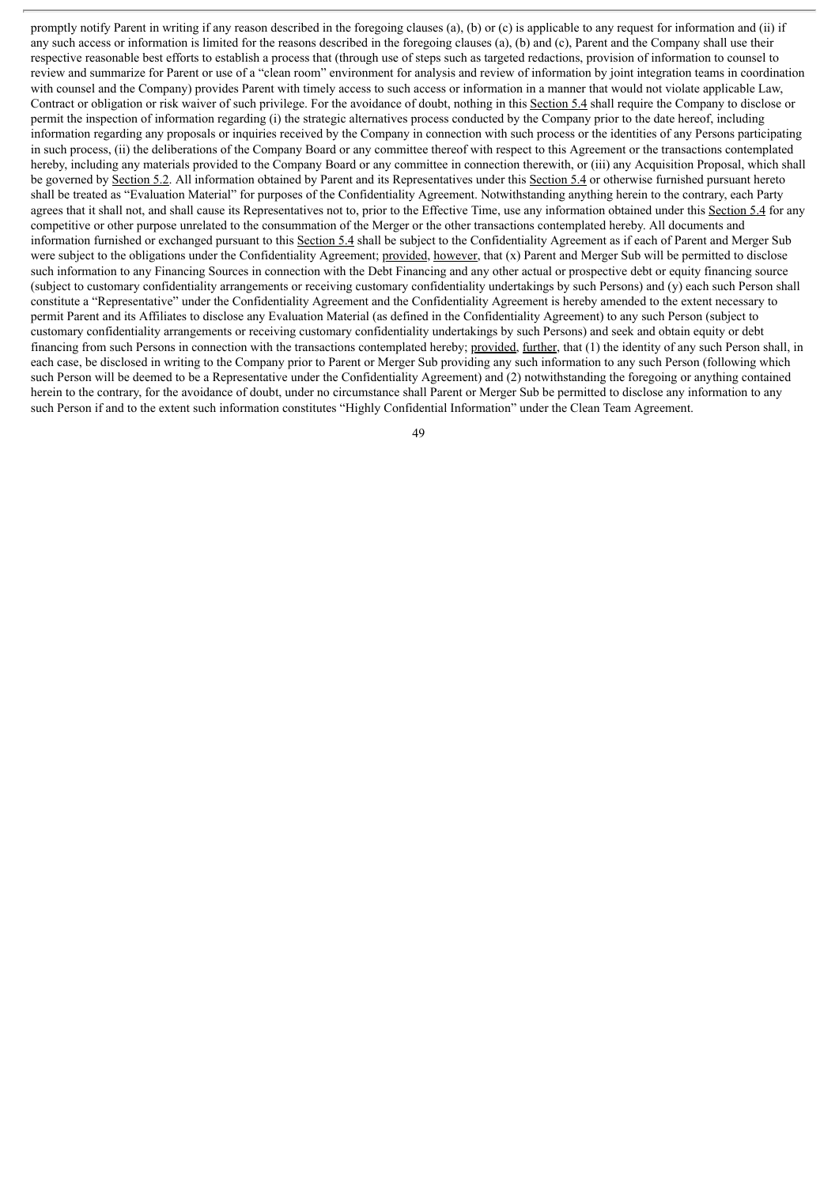promptly notify Parent in writing if any reason described in the foregoing clauses (a), (b) or (c) is applicable to any request for information and (ii) if any such access or information is limited for the reasons described in the foregoing clauses (a), (b) and (c), Parent and the Company shall use their respective reasonable best efforts to establish a process that (through use of steps such as targeted redactions, provision of information to counsel to review and summarize for Parent or use of a "clean room" environment for analysis and review of information by joint integration teams in coordination with counsel and the Company) provides Parent with timely access to such access or information in a manner that would not violate applicable Law, Contract or obligation or risk waiver of such privilege. For the avoidance of doubt, nothing in this Section 5.4 shall require the Company to disclose or permit the inspection of information regarding (i) the strategic alternatives process conducted by the Company prior to the date hereof, including information regarding any proposals or inquiries received by the Company in connection with such process or the identities of any Persons participating in such process, (ii) the deliberations of the Company Board or any committee thereof with respect to this Agreement or the transactions contemplated hereby, including any materials provided to the Company Board or any committee in connection therewith, or (iii) any Acquisition Proposal, which shall be governed by Section 5.2. All information obtained by Parent and its Representatives under this Section 5.4 or otherwise furnished pursuant hereto shall be treated as "Evaluation Material" for purposes of the Confidentiality Agreement. Notwithstanding anything herein to the contrary, each Party agrees that it shall not, and shall cause its Representatives not to, prior to the Effective Time, use any information obtained under this Section 5.4 for any competitive or other purpose unrelated to the consummation of the Merger or the other transactions contemplated hereby. All documents and information furnished or exchanged pursuant to this Section 5.4 shall be subject to the Confidentiality Agreement as if each of Parent and Merger Sub were subject to the obligations under the Confidentiality Agreement; provided, however, that (x) Parent and Merger Sub will be permitted to disclose such information to any Financing Sources in connection with the Debt Financing and any other actual or prospective debt or equity financing source (subject to customary confidentiality arrangements or receiving customary confidentiality undertakings by such Persons) and (y) each such Person shall constitute a "Representative" under the Confidentiality Agreement and the Confidentiality Agreement is hereby amended to the extent necessary to permit Parent and its Affiliates to disclose any Evaluation Material (as defined in the Confidentiality Agreement) to any such Person (subject to customary confidentiality arrangements or receiving customary confidentiality undertakings by such Persons) and seek and obtain equity or debt financing from such Persons in connection with the transactions contemplated hereby; provided, further, that (1) the identity of any such Person shall, in each case, be disclosed in writing to the Company prior to Parent or Merger Sub providing any such information to any such Person (following which such Person will be deemed to be a Representative under the Confidentiality Agreement) and (2) notwithstanding the foregoing or anything contained herein to the contrary, for the avoidance of doubt, under no circumstance shall Parent or Merger Sub be permitted to disclose any information to any such Person if and to the extent such information constitutes "Highly Confidential Information" under the Clean Team Agreement.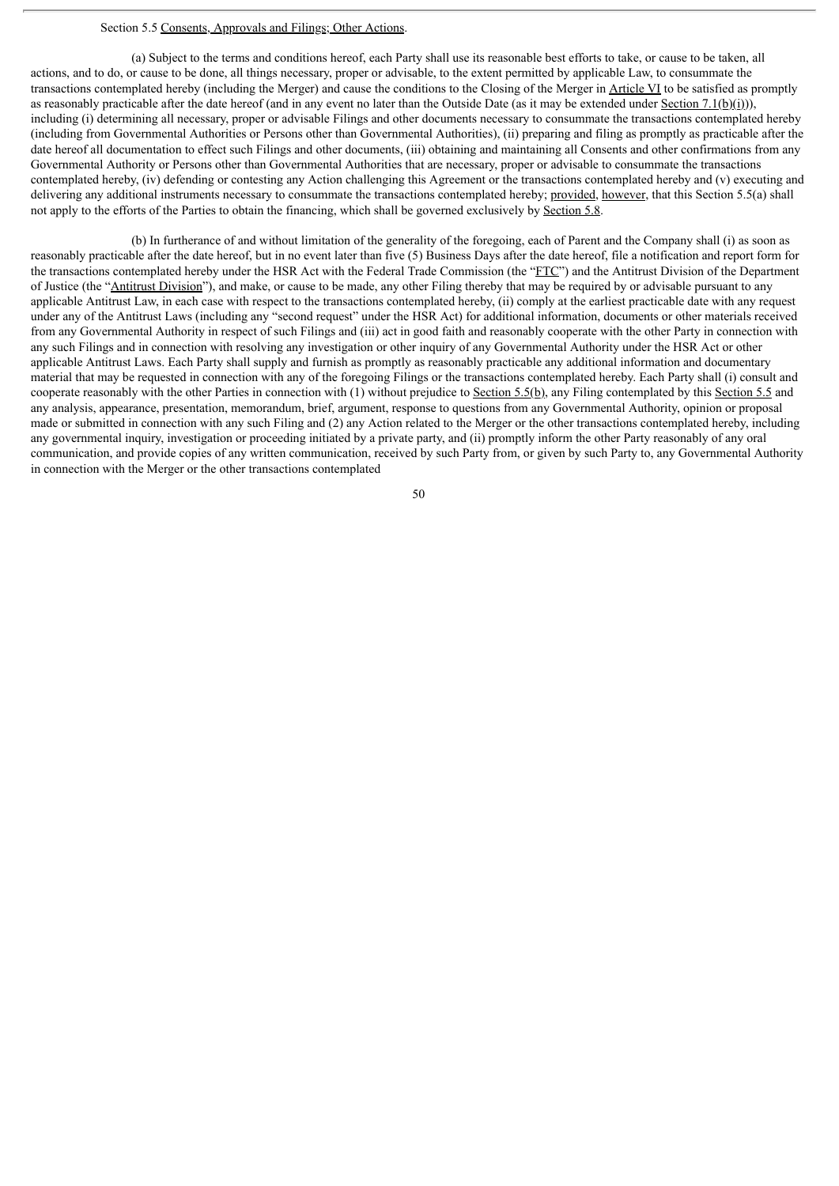## Section 5.5 Consents, Approvals and Filings; Other Actions.

(a) Subject to the terms and conditions hereof, each Party shall use its reasonable best efforts to take, or cause to be taken, all actions, and to do, or cause to be done, all things necessary, proper or advisable, to the extent permitted by applicable Law, to consummate the transactions contemplated hereby (including the Merger) and cause the conditions to the Closing of the Merger in Article VI to be satisfied as promptly as reasonably practicable after the date hereof (and in any event no later than the Outside Date (as it may be extended under Section 7.1(b)(i))), including (i) determining all necessary, proper or advisable Filings and other documents necessary to consummate the transactions contemplated hereby (including from Governmental Authorities or Persons other than Governmental Authorities), (ii) preparing and filing as promptly as practicable after the date hereof all documentation to effect such Filings and other documents, (iii) obtaining and maintaining all Consents and other confirmations from any Governmental Authority or Persons other than Governmental Authorities that are necessary, proper or advisable to consummate the transactions contemplated hereby, (iv) defending or contesting any Action challenging this Agreement or the transactions contemplated hereby and (v) executing and delivering any additional instruments necessary to consummate the transactions contemplated hereby; provided, however, that this Section 5.5(a) shall not apply to the efforts of the Parties to obtain the financing, which shall be governed exclusively by Section 5.8.

(b) In furtherance of and without limitation of the generality of the foregoing, each of Parent and the Company shall (i) as soon as reasonably practicable after the date hereof, but in no event later than five (5) Business Days after the date hereof, file a notification and report form for the transactions contemplated hereby under the HSR Act with the Federal Trade Commission (the "FTC") and the Antitrust Division of the Department of Justice (the "Antitrust Division"), and make, or cause to be made, any other Filing thereby that may be required by or advisable pursuant to any applicable Antitrust Law, in each case with respect to the transactions contemplated hereby, (ii) comply at the earliest practicable date with any request under any of the Antitrust Laws (including any "second request" under the HSR Act) for additional information, documents or other materials received from any Governmental Authority in respect of such Filings and (iii) act in good faith and reasonably cooperate with the other Party in connection with any such Filings and in connection with resolving any investigation or other inquiry of any Governmental Authority under the HSR Act or other applicable Antitrust Laws. Each Party shall supply and furnish as promptly as reasonably practicable any additional information and documentary material that may be requested in connection with any of the foregoing Filings or the transactions contemplated hereby. Each Party shall (i) consult and cooperate reasonably with the other Parties in connection with (1) without prejudice to Section 5.5(b), any Filing contemplated by this Section 5.5 and any analysis, appearance, presentation, memorandum, brief, argument, response to questions from any Governmental Authority, opinion or proposal made or submitted in connection with any such Filing and (2) any Action related to the Merger or the other transactions contemplated hereby, including any governmental inquiry, investigation or proceeding initiated by a private party, and (ii) promptly inform the other Party reasonably of any oral communication, and provide copies of any written communication, received by such Party from, or given by such Party to, any Governmental Authority in connection with the Merger or the other transactions contemplated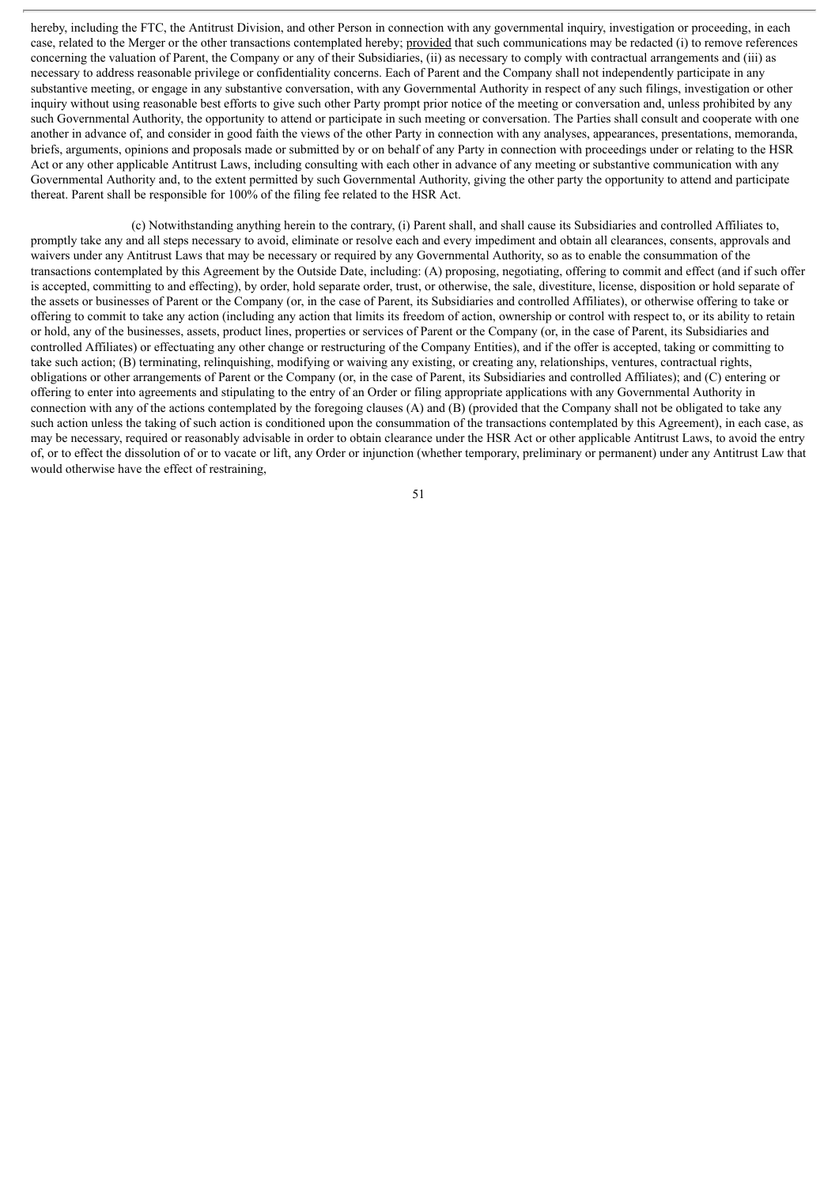hereby, including the FTC, the Antitrust Division, and other Person in connection with any governmental inquiry, investigation or proceeding, in each case, related to the Merger or the other transactions contemplated hereby; provided that such communications may be redacted (i) to remove references concerning the valuation of Parent, the Company or any of their Subsidiaries, (ii) as necessary to comply with contractual arrangements and (iii) as necessary to address reasonable privilege or confidentiality concerns. Each of Parent and the Company shall not independently participate in any substantive meeting, or engage in any substantive conversation, with any Governmental Authority in respect of any such filings, investigation or other inquiry without using reasonable best efforts to give such other Party prompt prior notice of the meeting or conversation and, unless prohibited by any such Governmental Authority, the opportunity to attend or participate in such meeting or conversation. The Parties shall consult and cooperate with one another in advance of, and consider in good faith the views of the other Party in connection with any analyses, appearances, presentations, memoranda, briefs, arguments, opinions and proposals made or submitted by or on behalf of any Party in connection with proceedings under or relating to the HSR Act or any other applicable Antitrust Laws, including consulting with each other in advance of any meeting or substantive communication with any Governmental Authority and, to the extent permitted by such Governmental Authority, giving the other party the opportunity to attend and participate thereat. Parent shall be responsible for 100% of the filing fee related to the HSR Act.

(c) Notwithstanding anything herein to the contrary, (i) Parent shall, and shall cause its Subsidiaries and controlled Affiliates to, promptly take any and all steps necessary to avoid, eliminate or resolve each and every impediment and obtain all clearances, consents, approvals and waivers under any Antitrust Laws that may be necessary or required by any Governmental Authority, so as to enable the consummation of the transactions contemplated by this Agreement by the Outside Date, including: (A) proposing, negotiating, offering to commit and effect (and if such offer is accepted, committing to and effecting), by order, hold separate order, trust, or otherwise, the sale, divestiture, license, disposition or hold separate of the assets or businesses of Parent or the Company (or, in the case of Parent, its Subsidiaries and controlled Affiliates), or otherwise offering to take or offering to commit to take any action (including any action that limits its freedom of action, ownership or control with respect to, or its ability to retain or hold, any of the businesses, assets, product lines, properties or services of Parent or the Company (or, in the case of Parent, its Subsidiaries and controlled Affiliates) or effectuating any other change or restructuring of the Company Entities), and if the offer is accepted, taking or committing to take such action; (B) terminating, relinquishing, modifying or waiving any existing, or creating any, relationships, ventures, contractual rights, obligations or other arrangements of Parent or the Company (or, in the case of Parent, its Subsidiaries and controlled Affiliates); and (C) entering or offering to enter into agreements and stipulating to the entry of an Order or filing appropriate applications with any Governmental Authority in connection with any of the actions contemplated by the foregoing clauses (A) and  $(B)$  (provided that the Company shall not be obligated to take any such action unless the taking of such action is conditioned upon the consummation of the transactions contemplated by this Agreement), in each case, as may be necessary, required or reasonably advisable in order to obtain clearance under the HSR Act or other applicable Antitrust Laws, to avoid the entry of, or to effect the dissolution of or to vacate or lift, any Order or injunction (whether temporary, preliminary or permanent) under any Antitrust Law that would otherwise have the effect of restraining,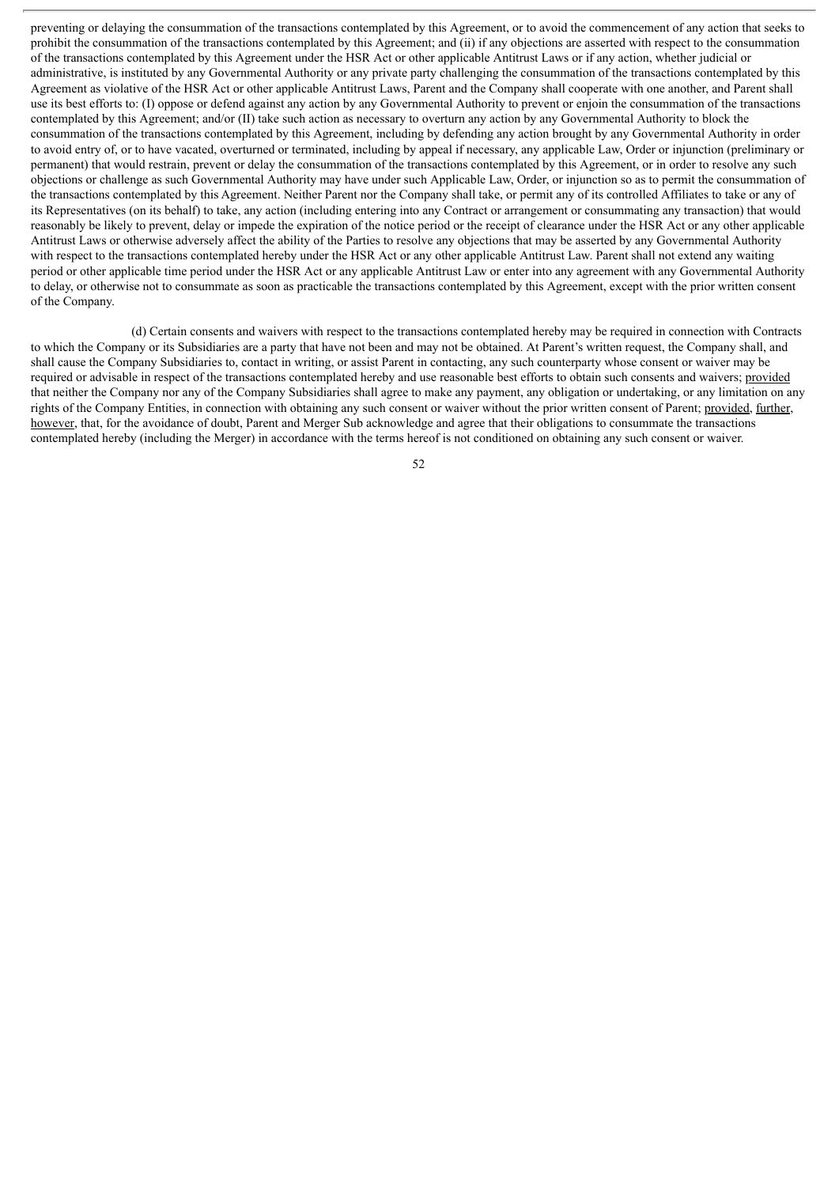preventing or delaying the consummation of the transactions contemplated by this Agreement, or to avoid the commencement of any action that seeks to prohibit the consummation of the transactions contemplated by this Agreement; and (ii) if any objections are asserted with respect to the consummation of the transactions contemplated by this Agreement under the HSR Act or other applicable Antitrust Laws or if any action, whether judicial or administrative, is instituted by any Governmental Authority or any private party challenging the consummation of the transactions contemplated by this Agreement as violative of the HSR Act or other applicable Antitrust Laws, Parent and the Company shall cooperate with one another, and Parent shall use its best efforts to: (I) oppose or defend against any action by any Governmental Authority to prevent or enjoin the consummation of the transactions contemplated by this Agreement; and/or (II) take such action as necessary to overturn any action by any Governmental Authority to block the consummation of the transactions contemplated by this Agreement, including by defending any action brought by any Governmental Authority in order to avoid entry of, or to have vacated, overturned or terminated, including by appeal if necessary, any applicable Law, Order or injunction (preliminary or permanent) that would restrain, prevent or delay the consummation of the transactions contemplated by this Agreement, or in order to resolve any such objections or challenge as such Governmental Authority may have under such Applicable Law, Order, or injunction so as to permit the consummation of the transactions contemplated by this Agreement. Neither Parent nor the Company shall take, or permit any of its controlled Affiliates to take or any of its Representatives (on its behalf) to take, any action (including entering into any Contract or arrangement or consummating any transaction) that would reasonably be likely to prevent, delay or impede the expiration of the notice period or the receipt of clearance under the HSR Act or any other applicable Antitrust Laws or otherwise adversely affect the ability of the Parties to resolve any objections that may be asserted by any Governmental Authority with respect to the transactions contemplated hereby under the HSR Act or any other applicable Antitrust Law. Parent shall not extend any waiting period or other applicable time period under the HSR Act or any applicable Antitrust Law or enter into any agreement with any Governmental Authority to delay, or otherwise not to consummate as soon as practicable the transactions contemplated by this Agreement, except with the prior written consent of the Company.

(d) Certain consents and waivers with respect to the transactions contemplated hereby may be required in connection with Contracts to which the Company or its Subsidiaries are a party that have not been and may not be obtained. At Parent's written request, the Company shall, and shall cause the Company Subsidiaries to, contact in writing, or assist Parent in contacting, any such counterparty whose consent or waiver may be required or advisable in respect of the transactions contemplated hereby and use reasonable best efforts to obtain such consents and waivers; provided that neither the Company nor any of the Company Subsidiaries shall agree to make any payment, any obligation or undertaking, or any limitation on any rights of the Company Entities, in connection with obtaining any such consent or waiver without the prior written consent of Parent; provided, further, however, that, for the avoidance of doubt, Parent and Merger Sub acknowledge and agree that their obligations to consummate the transactions contemplated hereby (including the Merger) in accordance with the terms hereof is not conditioned on obtaining any such consent or waiver.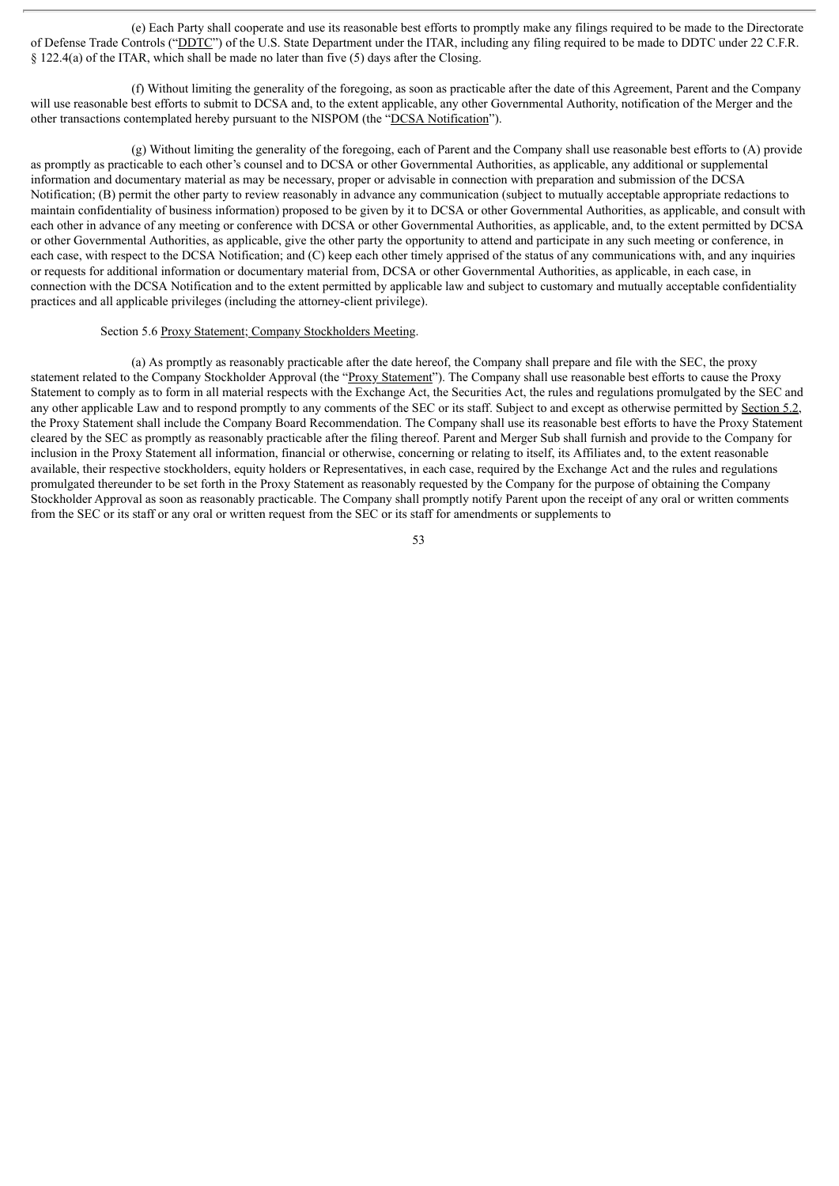(e) Each Party shall cooperate and use its reasonable best efforts to promptly make any filings required to be made to the Directorate of Defense Trade Controls ("DDTC") of the U.S. State Department under the ITAR, including any filing required to be made to DDTC under 22 C.F.R. § 122.4(a) of the ITAR, which shall be made no later than five (5) days after the Closing.

(f) Without limiting the generality of the foregoing, as soon as practicable after the date of this Agreement, Parent and the Company will use reasonable best efforts to submit to DCSA and, to the extent applicable, any other Governmental Authority, notification of the Merger and the other transactions contemplated hereby pursuant to the NISPOM (the "DCSA Notification").

(g) Without limiting the generality of the foregoing, each of Parent and the Company shall use reasonable best efforts to (A) provide as promptly as practicable to each other's counsel and to DCSA or other Governmental Authorities, as applicable, any additional or supplemental information and documentary material as may be necessary, proper or advisable in connection with preparation and submission of the DCSA Notification; (B) permit the other party to review reasonably in advance any communication (subject to mutually acceptable appropriate redactions to maintain confidentiality of business information) proposed to be given by it to DCSA or other Governmental Authorities, as applicable, and consult with each other in advance of any meeting or conference with DCSA or other Governmental Authorities, as applicable, and, to the extent permitted by DCSA or other Governmental Authorities, as applicable, give the other party the opportunity to attend and participate in any such meeting or conference, in each case, with respect to the DCSA Notification; and (C) keep each other timely apprised of the status of any communications with, and any inquiries or requests for additional information or documentary material from, DCSA or other Governmental Authorities, as applicable, in each case, in connection with the DCSA Notification and to the extent permitted by applicable law and subject to customary and mutually acceptable confidentiality practices and all applicable privileges (including the attorney-client privilege).

#### Section 5.6 Proxy Statement; Company Stockholders Meeting.

(a) As promptly as reasonably practicable after the date hereof, the Company shall prepare and file with the SEC, the proxy statement related to the Company Stockholder Approval (the "Proxy Statement"). The Company shall use reasonable best efforts to cause the Proxy Statement to comply as to form in all material respects with the Exchange Act, the Securities Act, the rules and regulations promulgated by the SEC and any other applicable Law and to respond promptly to any comments of the SEC or its staff. Subject to and except as otherwise permitted by Section 5.2, the Proxy Statement shall include the Company Board Recommendation. The Company shall use its reasonable best efforts to have the Proxy Statement cleared by the SEC as promptly as reasonably practicable after the filing thereof. Parent and Merger Sub shall furnish and provide to the Company for inclusion in the Proxy Statement all information, financial or otherwise, concerning or relating to itself, its Affiliates and, to the extent reasonable available, their respective stockholders, equity holders or Representatives, in each case, required by the Exchange Act and the rules and regulations promulgated thereunder to be set forth in the Proxy Statement as reasonably requested by the Company for the purpose of obtaining the Company Stockholder Approval as soon as reasonably practicable. The Company shall promptly notify Parent upon the receipt of any oral or written comments from the SEC or its staff or any oral or written request from the SEC or its staff for amendments or supplements to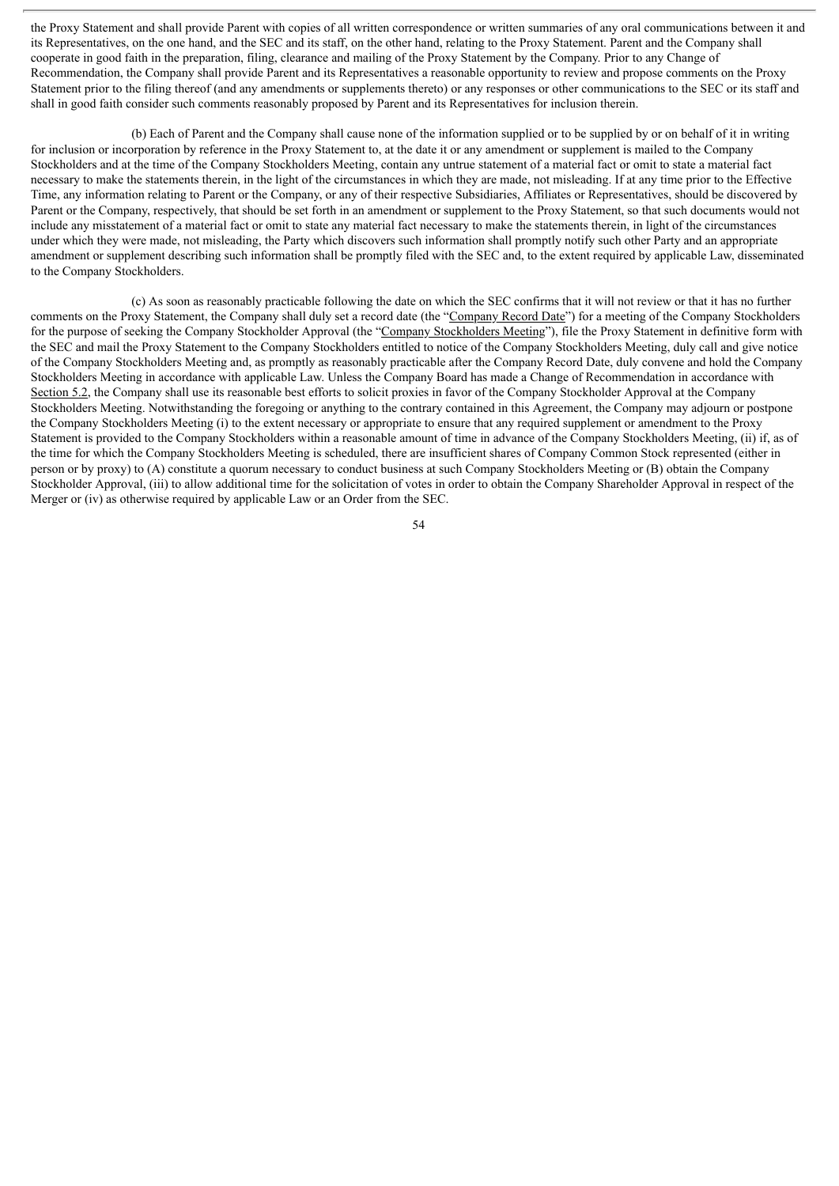the Proxy Statement and shall provide Parent with copies of all written correspondence or written summaries of any oral communications between it and its Representatives, on the one hand, and the SEC and its staff, on the other hand, relating to the Proxy Statement. Parent and the Company shall cooperate in good faith in the preparation, filing, clearance and mailing of the Proxy Statement by the Company. Prior to any Change of Recommendation, the Company shall provide Parent and its Representatives a reasonable opportunity to review and propose comments on the Proxy Statement prior to the filing thereof (and any amendments or supplements thereto) or any responses or other communications to the SEC or its staff and shall in good faith consider such comments reasonably proposed by Parent and its Representatives for inclusion therein.

(b) Each of Parent and the Company shall cause none of the information supplied or to be supplied by or on behalf of it in writing for inclusion or incorporation by reference in the Proxy Statement to, at the date it or any amendment or supplement is mailed to the Company Stockholders and at the time of the Company Stockholders Meeting, contain any untrue statement of a material fact or omit to state a material fact necessary to make the statements therein, in the light of the circumstances in which they are made, not misleading. If at any time prior to the Effective Time, any information relating to Parent or the Company, or any of their respective Subsidiaries, Affiliates or Representatives, should be discovered by Parent or the Company, respectively, that should be set forth in an amendment or supplement to the Proxy Statement, so that such documents would not include any misstatement of a material fact or omit to state any material fact necessary to make the statements therein, in light of the circumstances under which they were made, not misleading, the Party which discovers such information shall promptly notify such other Party and an appropriate amendment or supplement describing such information shall be promptly filed with the SEC and, to the extent required by applicable Law, disseminated to the Company Stockholders.

(c) As soon as reasonably practicable following the date on which the SEC confirms that it will not review or that it has no further comments on the Proxy Statement, the Company shall duly set a record date (the "Company Record Date") for a meeting of the Company Stockholders for the purpose of seeking the Company Stockholder Approval (the "Company Stockholders Meeting"), file the Proxy Statement in definitive form with the SEC and mail the Proxy Statement to the Company Stockholders entitled to notice of the Company Stockholders Meeting, duly call and give notice of the Company Stockholders Meeting and, as promptly as reasonably practicable after the Company Record Date, duly convene and hold the Company Stockholders Meeting in accordance with applicable Law. Unless the Company Board has made a Change of Recommendation in accordance with Section 5.2, the Company shall use its reasonable best efforts to solicit proxies in favor of the Company Stockholder Approval at the Company Stockholders Meeting. Notwithstanding the foregoing or anything to the contrary contained in this Agreement, the Company may adjourn or postpone the Company Stockholders Meeting (i) to the extent necessary or appropriate to ensure that any required supplement or amendment to the Proxy Statement is provided to the Company Stockholders within a reasonable amount of time in advance of the Company Stockholders Meeting, (ii) if, as of the time for which the Company Stockholders Meeting is scheduled, there are insufficient shares of Company Common Stock represented (either in person or by proxy) to (A) constitute a quorum necessary to conduct business at such Company Stockholders Meeting or (B) obtain the Company Stockholder Approval, (iii) to allow additional time for the solicitation of votes in order to obtain the Company Shareholder Approval in respect of the Merger or (iv) as otherwise required by applicable Law or an Order from the SEC.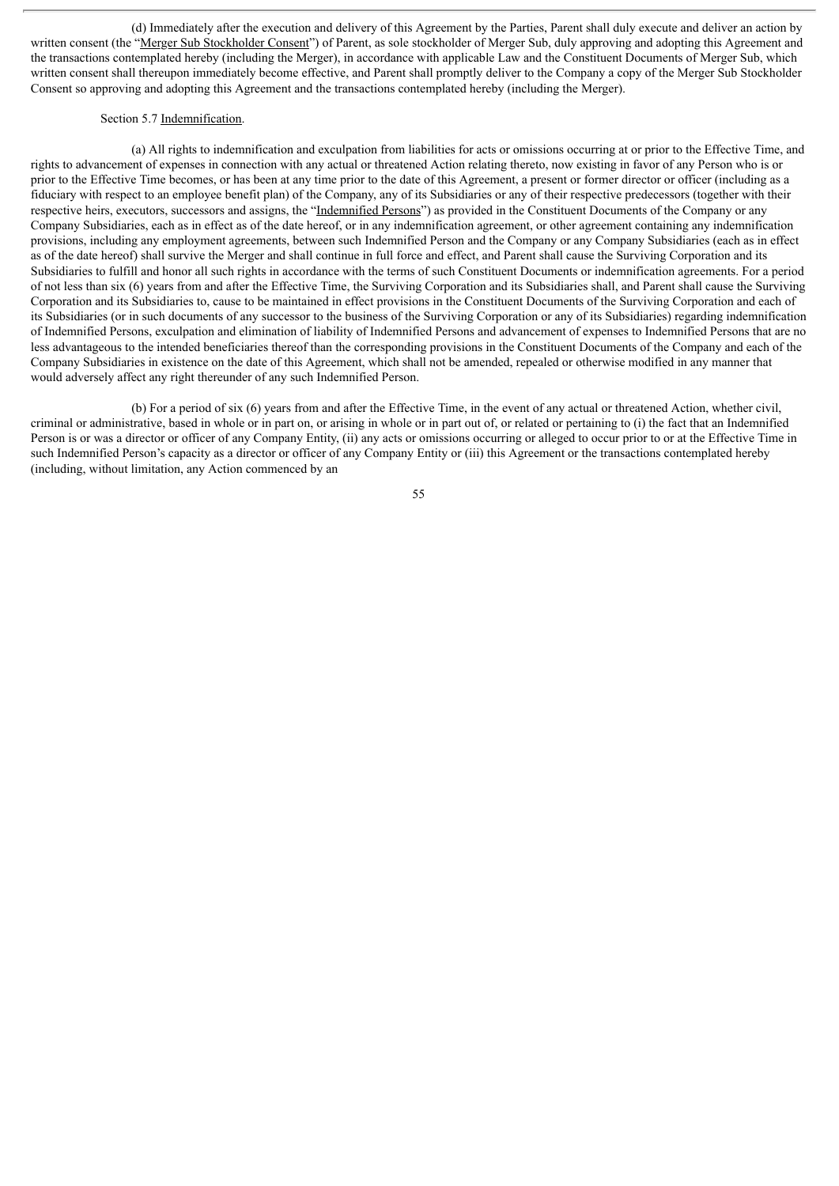(d) Immediately after the execution and delivery of this Agreement by the Parties, Parent shall duly execute and deliver an action by written consent (the "Merger Sub Stockholder Consent") of Parent, as sole stockholder of Merger Sub, duly approving and adopting this Agreement and the transactions contemplated hereby (including the Merger), in accordance with applicable Law and the Constituent Documents of Merger Sub, which written consent shall thereupon immediately become effective, and Parent shall promptly deliver to the Company a copy of the Merger Sub Stockholder Consent so approving and adopting this Agreement and the transactions contemplated hereby (including the Merger).

### Section 5.7 Indemnification.

(a) All rights to indemnification and exculpation from liabilities for acts or omissions occurring at or prior to the Effective Time, and rights to advancement of expenses in connection with any actual or threatened Action relating thereto, now existing in favor of any Person who is or prior to the Effective Time becomes, or has been at any time prior to the date of this Agreement, a present or former director or officer (including as a fiduciary with respect to an employee benefit plan) of the Company, any of its Subsidiaries or any of their respective predecessors (together with their respective heirs, executors, successors and assigns, the "Indemnified Persons") as provided in the Constituent Documents of the Company or any Company Subsidiaries, each as in effect as of the date hereof, or in any indemnification agreement, or other agreement containing any indemnification provisions, including any employment agreements, between such Indemnified Person and the Company or any Company Subsidiaries (each as in effect as of the date hereof) shall survive the Merger and shall continue in full force and effect, and Parent shall cause the Surviving Corporation and its Subsidiaries to fulfill and honor all such rights in accordance with the terms of such Constituent Documents or indemnification agreements. For a period of not less than six (6) years from and after the Effective Time, the Surviving Corporation and its Subsidiaries shall, and Parent shall cause the Surviving Corporation and its Subsidiaries to, cause to be maintained in effect provisions in the Constituent Documents of the Surviving Corporation and each of its Subsidiaries (or in such documents of any successor to the business of the Surviving Corporation or any of its Subsidiaries) regarding indemnification of Indemnified Persons, exculpation and elimination of liability of Indemnified Persons and advancement of expenses to Indemnified Persons that are no less advantageous to the intended beneficiaries thereof than the corresponding provisions in the Constituent Documents of the Company and each of the Company Subsidiaries in existence on the date of this Agreement, which shall not be amended, repealed or otherwise modified in any manner that would adversely affect any right thereunder of any such Indemnified Person.

(b) For a period of six (6) years from and after the Effective Time, in the event of any actual or threatened Action, whether civil, criminal or administrative, based in whole or in part on, or arising in whole or in part out of, or related or pertaining to (i) the fact that an Indemnified Person is or was a director or officer of any Company Entity, (ii) any acts or omissions occurring or alleged to occur prior to or at the Effective Time in such Indemnified Person's capacity as a director or officer of any Company Entity or (iii) this Agreement or the transactions contemplated hereby (including, without limitation, any Action commenced by an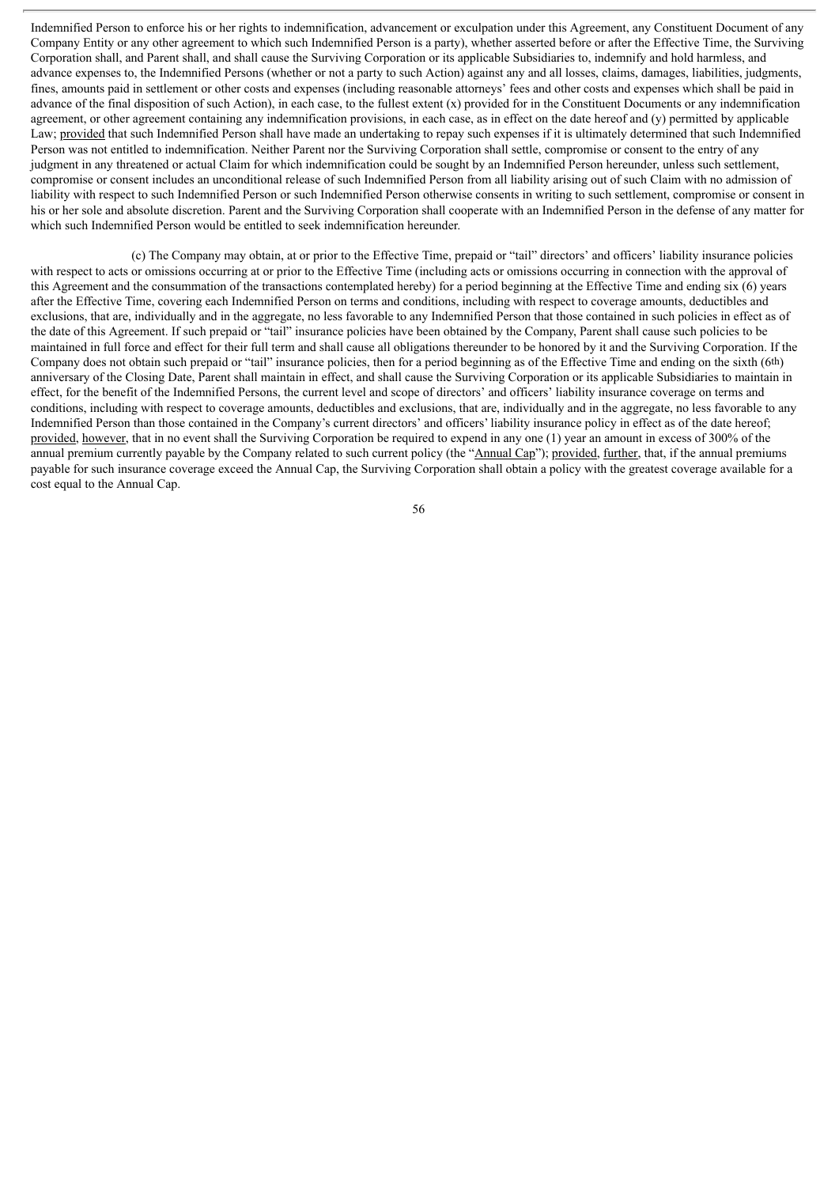Indemnified Person to enforce his or her rights to indemnification, advancement or exculpation under this Agreement, any Constituent Document of any Company Entity or any other agreement to which such Indemnified Person is a party), whether asserted before or after the Effective Time, the Surviving Corporation shall, and Parent shall, and shall cause the Surviving Corporation or its applicable Subsidiaries to, indemnify and hold harmless, and advance expenses to, the Indemnified Persons (whether or not a party to such Action) against any and all losses, claims, damages, liabilities, judgments, fines, amounts paid in settlement or other costs and expenses (including reasonable attorneys' fees and other costs and expenses which shall be paid in advance of the final disposition of such Action), in each case, to the fullest extent (x) provided for in the Constituent Documents or any indemnification agreement, or other agreement containing any indemnification provisions, in each case, as in effect on the date hereof and (y) permitted by applicable Law; provided that such Indemnified Person shall have made an undertaking to repay such expenses if it is ultimately determined that such Indemnified Person was not entitled to indemnification. Neither Parent nor the Surviving Corporation shall settle, compromise or consent to the entry of any judgment in any threatened or actual Claim for which indemnification could be sought by an Indemnified Person hereunder, unless such settlement, compromise or consent includes an unconditional release of such Indemnified Person from all liability arising out of such Claim with no admission of liability with respect to such Indemnified Person or such Indemnified Person otherwise consents in writing to such settlement, compromise or consent in his or her sole and absolute discretion. Parent and the Surviving Corporation shall cooperate with an Indemnified Person in the defense of any matter for which such Indemnified Person would be entitled to seek indemnification hereunder.

(c) The Company may obtain, at or prior to the Effective Time, prepaid or "tail" directors' and officers' liability insurance policies with respect to acts or omissions occurring at or prior to the Effective Time (including acts or omissions occurring in connection with the approval of this Agreement and the consummation of the transactions contemplated hereby) for a period beginning at the Effective Time and ending six (6) years after the Effective Time, covering each Indemnified Person on terms and conditions, including with respect to coverage amounts, deductibles and exclusions, that are, individually and in the aggregate, no less favorable to any Indemnified Person that those contained in such policies in effect as of the date of this Agreement. If such prepaid or "tail" insurance policies have been obtained by the Company, Parent shall cause such policies to be maintained in full force and effect for their full term and shall cause all obligations thereunder to be honored by it and the Surviving Corporation. If the Company does not obtain such prepaid or "tail" insurance policies, then for a period beginning as of the Effective Time and ending on the sixth (6th) anniversary of the Closing Date, Parent shall maintain in effect, and shall cause the Surviving Corporation or its applicable Subsidiaries to maintain in effect, for the benefit of the Indemnified Persons, the current level and scope of directors' and officers' liability insurance coverage on terms and conditions, including with respect to coverage amounts, deductibles and exclusions, that are, individually and in the aggregate, no less favorable to any Indemnified Person than those contained in the Company's current directors' and officers' liability insurance policy in effect as of the date hereof; provided, however, that in no event shall the Surviving Corporation be required to expend in any one (1) year an amount in excess of 300% of the annual premium currently payable by the Company related to such current policy (the "Annual Cap"); provided, further, that, if the annual premiums payable for such insurance coverage exceed the Annual Cap, the Surviving Corporation shall obtain a policy with the greatest coverage available for a cost equal to the Annual Cap.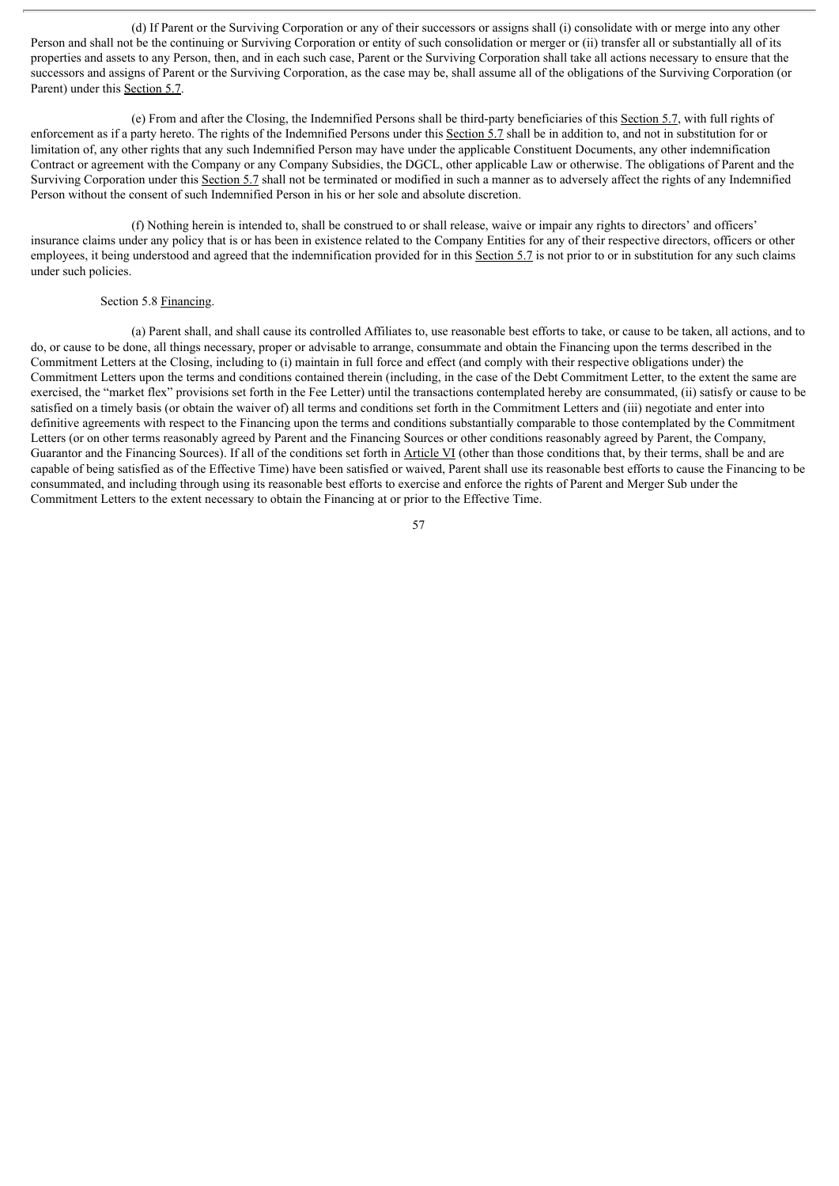(d) If Parent or the Surviving Corporation or any of their successors or assigns shall (i) consolidate with or merge into any other Person and shall not be the continuing or Surviving Corporation or entity of such consolidation or merger or (ii) transfer all or substantially all of its properties and assets to any Person, then, and in each such case, Parent or the Surviving Corporation shall take all actions necessary to ensure that the successors and assigns of Parent or the Surviving Corporation, as the case may be, shall assume all of the obligations of the Surviving Corporation (or Parent) under this Section 5.7.

(e) From and after the Closing, the Indemnified Persons shall be third-party beneficiaries of this Section 5.7, with full rights of enforcement as if a party hereto. The rights of the Indemnified Persons under this Section  $\overline{5.7}$  shall be in addition to, and not in substitution for or limitation of, any other rights that any such Indemnified Person may have under the applicable Constituent Documents, any other indemnification Contract or agreement with the Company or any Company Subsidies, the DGCL, other applicable Law or otherwise. The obligations of Parent and the Surviving Corporation under this Section 5.7 shall not be terminated or modified in such a manner as to adversely affect the rights of any Indemnified Person without the consent of such Indemnified Person in his or her sole and absolute discretion.

(f) Nothing herein is intended to, shall be construed to or shall release, waive or impair any rights to directors' and officers' insurance claims under any policy that is or has been in existence related to the Company Entities for any of their respective directors, officers or other employees, it being understood and agreed that the indemnification provided for in this Section 5.7 is not prior to or in substitution for any such claims under such policies.

### Section 5.8 Financing.

(a) Parent shall, and shall cause its controlled Affiliates to, use reasonable best efforts to take, or cause to be taken, all actions, and to do, or cause to be done, all things necessary, proper or advisable to arrange, consummate and obtain the Financing upon the terms described in the Commitment Letters at the Closing, including to (i) maintain in full force and effect (and comply with their respective obligations under) the Commitment Letters upon the terms and conditions contained therein (including, in the case of the Debt Commitment Letter, to the extent the same are exercised, the "market flex" provisions set forth in the Fee Letter) until the transactions contemplated hereby are consummated, (ii) satisfy or cause to be satisfied on a timely basis (or obtain the waiver of) all terms and conditions set forth in the Commitment Letters and (iii) negotiate and enter into definitive agreements with respect to the Financing upon the terms and conditions substantially comparable to those contemplated by the Commitment Letters (or on other terms reasonably agreed by Parent and the Financing Sources or other conditions reasonably agreed by Parent, the Company, Guarantor and the Financing Sources). If all of the conditions set forth in Article VI (other than those conditions that, by their terms, shall be and are capable of being satisfied as of the Effective Time) have been satisfied or waived, Parent shall use its reasonable best efforts to cause the Financing to be consummated, and including through using its reasonable best efforts to exercise and enforce the rights of Parent and Merger Sub under the Commitment Letters to the extent necessary to obtain the Financing at or prior to the Effective Time.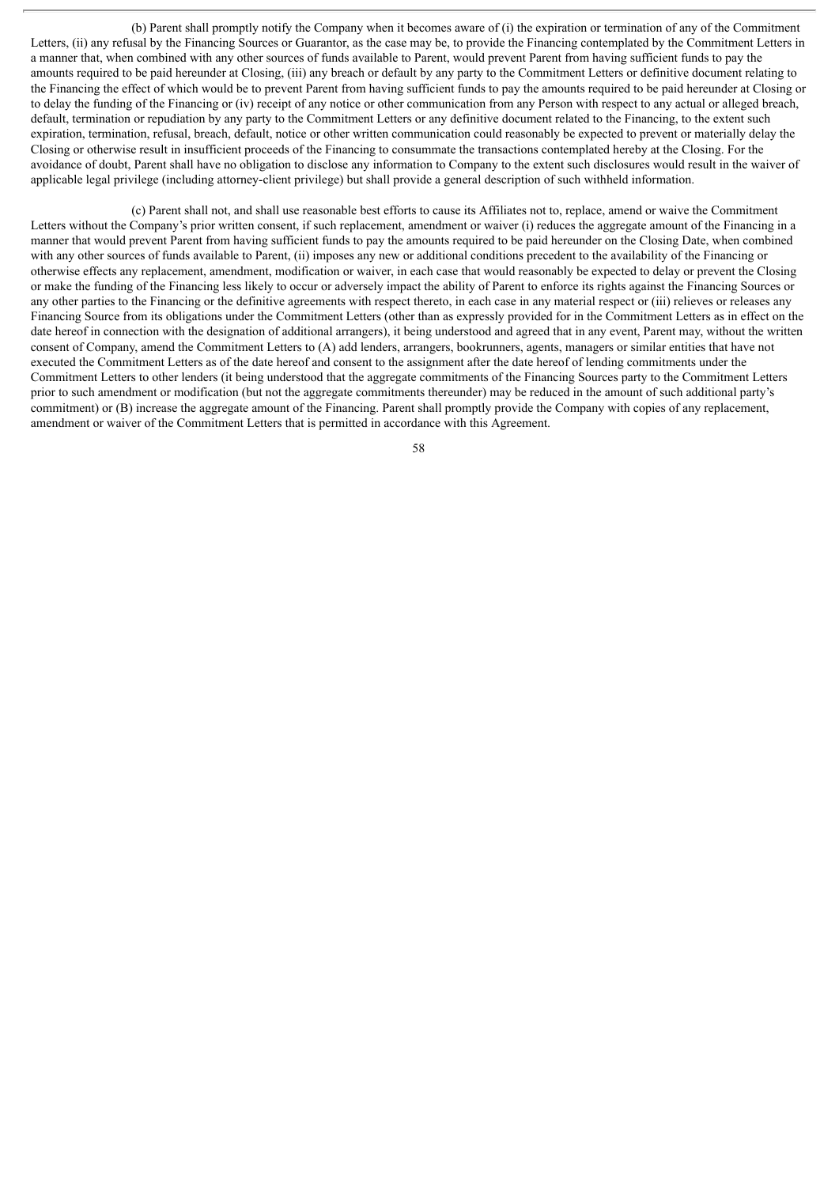(b) Parent shall promptly notify the Company when it becomes aware of (i) the expiration or termination of any of the Commitment Letters, (ii) any refusal by the Financing Sources or Guarantor, as the case may be, to provide the Financing contemplated by the Commitment Letters in a manner that, when combined with any other sources of funds available to Parent, would prevent Parent from having sufficient funds to pay the amounts required to be paid hereunder at Closing, (iii) any breach or default by any party to the Commitment Letters or definitive document relating to the Financing the effect of which would be to prevent Parent from having sufficient funds to pay the amounts required to be paid hereunder at Closing or to delay the funding of the Financing or (iv) receipt of any notice or other communication from any Person with respect to any actual or alleged breach, default, termination or repudiation by any party to the Commitment Letters or any definitive document related to the Financing, to the extent such expiration, termination, refusal, breach, default, notice or other written communication could reasonably be expected to prevent or materially delay the Closing or otherwise result in insufficient proceeds of the Financing to consummate the transactions contemplated hereby at the Closing. For the avoidance of doubt, Parent shall have no obligation to disclose any information to Company to the extent such disclosures would result in the waiver of applicable legal privilege (including attorney-client privilege) but shall provide a general description of such withheld information.

(c) Parent shall not, and shall use reasonable best efforts to cause its Affiliates not to, replace, amend or waive the Commitment Letters without the Company's prior written consent, if such replacement, amendment or waiver (i) reduces the aggregate amount of the Financing in a manner that would prevent Parent from having sufficient funds to pay the amounts required to be paid hereunder on the Closing Date, when combined with any other sources of funds available to Parent, (ii) imposes any new or additional conditions precedent to the availability of the Financing or otherwise effects any replacement, amendment, modification or waiver, in each case that would reasonably be expected to delay or prevent the Closing or make the funding of the Financing less likely to occur or adversely impact the ability of Parent to enforce its rights against the Financing Sources or any other parties to the Financing or the definitive agreements with respect thereto, in each case in any material respect or (iii) relieves or releases any Financing Source from its obligations under the Commitment Letters (other than as expressly provided for in the Commitment Letters as in effect on the date hereof in connection with the designation of additional arrangers), it being understood and agreed that in any event, Parent may, without the written consent of Company, amend the Commitment Letters to (A) add lenders, arrangers, bookrunners, agents, managers or similar entities that have not executed the Commitment Letters as of the date hereof and consent to the assignment after the date hereof of lending commitments under the Commitment Letters to other lenders (it being understood that the aggregate commitments of the Financing Sources party to the Commitment Letters prior to such amendment or modification (but not the aggregate commitments thereunder) may be reduced in the amount of such additional party's commitment) or (B) increase the aggregate amount of the Financing. Parent shall promptly provide the Company with copies of any replacement, amendment or waiver of the Commitment Letters that is permitted in accordance with this Agreement.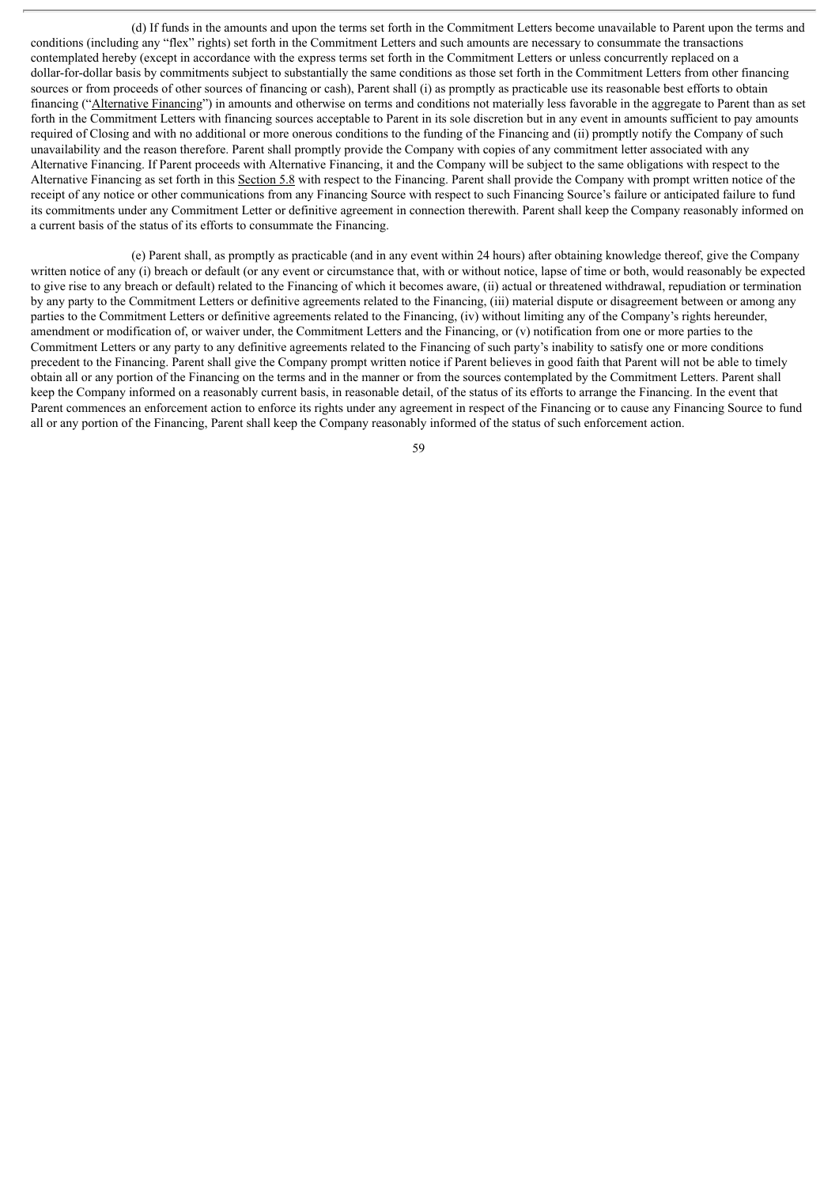(d) If funds in the amounts and upon the terms set forth in the Commitment Letters become unavailable to Parent upon the terms and conditions (including any "flex" rights) set forth in the Commitment Letters and such amounts are necessary to consummate the transactions contemplated hereby (except in accordance with the express terms set forth in the Commitment Letters or unless concurrently replaced on a dollar-for-dollar basis by commitments subject to substantially the same conditions as those set forth in the Commitment Letters from other financing sources or from proceeds of other sources of financing or cash), Parent shall (i) as promptly as practicable use its reasonable best efforts to obtain financing ("Alternative Financing") in amounts and otherwise on terms and conditions not materially less favorable in the aggregate to Parent than as set forth in the Commitment Letters with financing sources acceptable to Parent in its sole discretion but in any event in amounts sufficient to pay amounts required of Closing and with no additional or more onerous conditions to the funding of the Financing and (ii) promptly notify the Company of such unavailability and the reason therefore. Parent shall promptly provide the Company with copies of any commitment letter associated with any Alternative Financing. If Parent proceeds with Alternative Financing, it and the Company will be subject to the same obligations with respect to the Alternative Financing as set forth in this Section 5.8 with respect to the Financing. Parent shall provide the Company with prompt written notice of the receipt of any notice or other communications from any Financing Source with respect to such Financing Source's failure or anticipated failure to fund its commitments under any Commitment Letter or definitive agreement in connection therewith. Parent shall keep the Company reasonably informed on a current basis of the status of its efforts to consummate the Financing.

(e) Parent shall, as promptly as practicable (and in any event within 24 hours) after obtaining knowledge thereof, give the Company written notice of any (i) breach or default (or any event or circumstance that, with or without notice, lapse of time or both, would reasonably be expected to give rise to any breach or default) related to the Financing of which it becomes aware, (ii) actual or threatened withdrawal, repudiation or termination by any party to the Commitment Letters or definitive agreements related to the Financing, (iii) material dispute or disagreement between or among any parties to the Commitment Letters or definitive agreements related to the Financing, (iv) without limiting any of the Company's rights hereunder, amendment or modification of, or waiver under, the Commitment Letters and the Financing, or (v) notification from one or more parties to the Commitment Letters or any party to any definitive agreements related to the Financing of such party's inability to satisfy one or more conditions precedent to the Financing. Parent shall give the Company prompt written notice if Parent believes in good faith that Parent will not be able to timely obtain all or any portion of the Financing on the terms and in the manner or from the sources contemplated by the Commitment Letters. Parent shall keep the Company informed on a reasonably current basis, in reasonable detail, of the status of its efforts to arrange the Financing. In the event that Parent commences an enforcement action to enforce its rights under any agreement in respect of the Financing or to cause any Financing Source to fund all or any portion of the Financing, Parent shall keep the Company reasonably informed of the status of such enforcement action.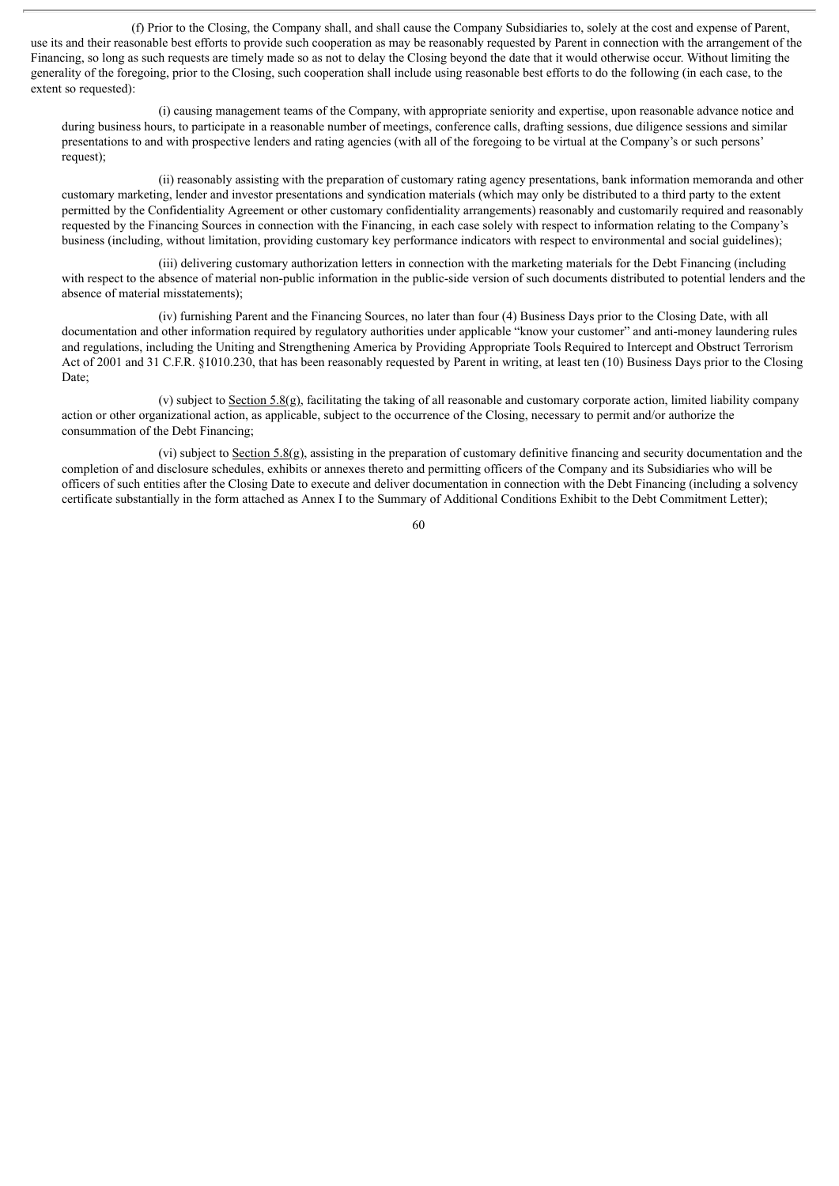(f) Prior to the Closing, the Company shall, and shall cause the Company Subsidiaries to, solely at the cost and expense of Parent, use its and their reasonable best efforts to provide such cooperation as may be reasonably requested by Parent in connection with the arrangement of the Financing, so long as such requests are timely made so as not to delay the Closing beyond the date that it would otherwise occur. Without limiting the generality of the foregoing, prior to the Closing, such cooperation shall include using reasonable best efforts to do the following (in each case, to the extent so requested):

(i) causing management teams of the Company, with appropriate seniority and expertise, upon reasonable advance notice and during business hours, to participate in a reasonable number of meetings, conference calls, drafting sessions, due diligence sessions and similar presentations to and with prospective lenders and rating agencies (with all of the foregoing to be virtual at the Company's or such persons' request);

(ii) reasonably assisting with the preparation of customary rating agency presentations, bank information memoranda and other customary marketing, lender and investor presentations and syndication materials (which may only be distributed to a third party to the extent permitted by the Confidentiality Agreement or other customary confidentiality arrangements) reasonably and customarily required and reasonably requested by the Financing Sources in connection with the Financing, in each case solely with respect to information relating to the Company's business (including, without limitation, providing customary key performance indicators with respect to environmental and social guidelines);

(iii) delivering customary authorization letters in connection with the marketing materials for the Debt Financing (including with respect to the absence of material non-public information in the public-side version of such documents distributed to potential lenders and the absence of material misstatements);

(iv) furnishing Parent and the Financing Sources, no later than four (4) Business Days prior to the Closing Date, with all documentation and other information required by regulatory authorities under applicable "know your customer" and anti-money laundering rules and regulations, including the Uniting and Strengthening America by Providing Appropriate Tools Required to Intercept and Obstruct Terrorism Act of 2001 and 31 C.F.R. §1010.230, that has been reasonably requested by Parent in writing, at least ten (10) Business Days prior to the Closing Date;

(v) subject to Section 5.8(g), facilitating the taking of all reasonable and customary corporate action, limited liability company action or other organizational action, as applicable, subject to the occurrence of the Closing, necessary to permit and/or authorize the consummation of the Debt Financing;

(vi) subject to Section 5.8(g), assisting in the preparation of customary definitive financing and security documentation and the completion of and disclosure schedules, exhibits or annexes thereto and permitting officers of the Company and its Subsidiaries who will be officers of such entities after the Closing Date to execute and deliver documentation in connection with the Debt Financing (including a solvency certificate substantially in the form attached as Annex I to the Summary of Additional Conditions Exhibit to the Debt Commitment Letter);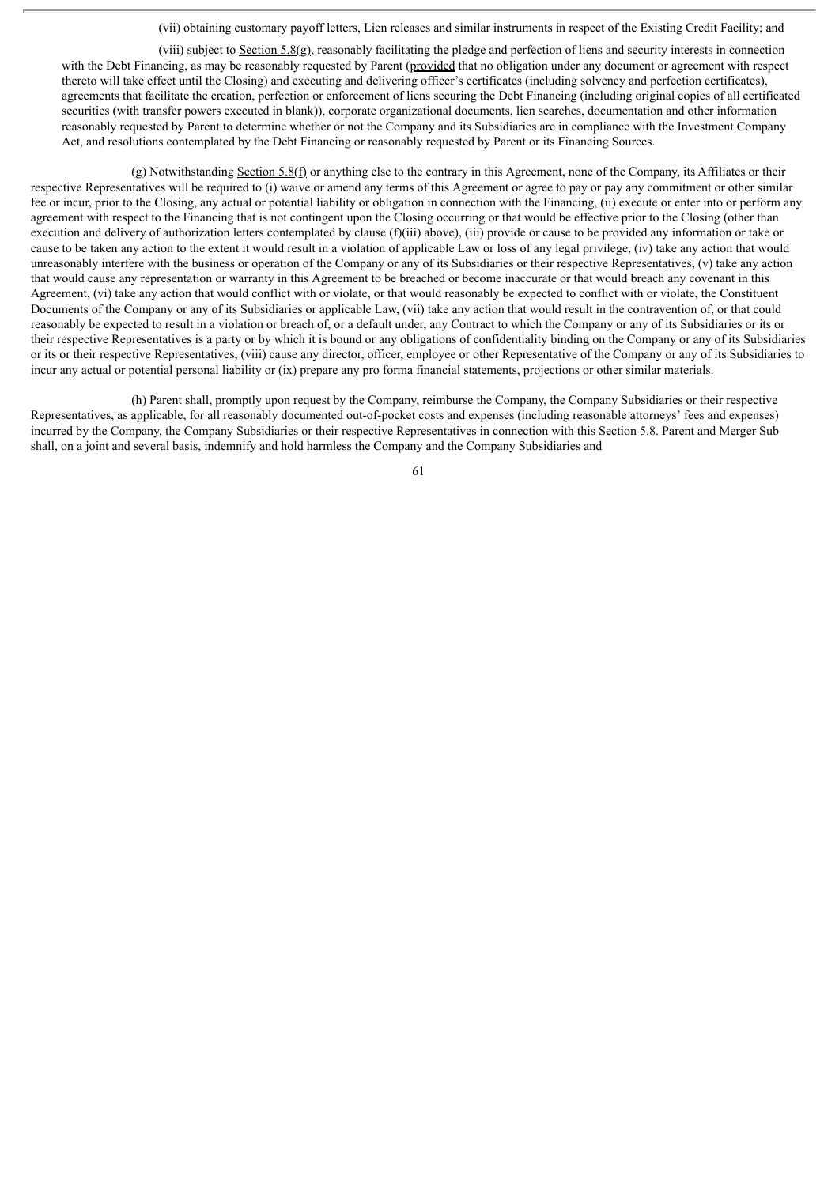(vii) obtaining customary payoff letters, Lien releases and similar instruments in respect of the Existing Credit Facility; and

(viii) subject to Section 5.8(g), reasonably facilitating the pledge and perfection of liens and security interests in connection with the Debt Financing, as may be reasonably requested by Parent (provided that no obligation under any document or agreement with respect thereto will take effect until the Closing) and executing and delivering officer's certificates (including solvency and perfection certificates), agreements that facilitate the creation, perfection or enforcement of liens securing the Debt Financing (including original copies of all certificated securities (with transfer powers executed in blank)), corporate organizational documents, lien searches, documentation and other information reasonably requested by Parent to determine whether or not the Company and its Subsidiaries are in compliance with the Investment Company Act, and resolutions contemplated by the Debt Financing or reasonably requested by Parent or its Financing Sources.

(g) Notwithstanding Section 5.8(f) or anything else to the contrary in this Agreement, none of the Company, its Affiliates or their respective Representatives will be required to (i) waive or amend any terms of this Agreement or agree to pay or pay any commitment or other similar fee or incur, prior to the Closing, any actual or potential liability or obligation in connection with the Financing, (ii) execute or enter into or perform any agreement with respect to the Financing that is not contingent upon the Closing occurring or that would be effective prior to the Closing (other than execution and delivery of authorization letters contemplated by clause  $(f)(iii)$  above),  $(iii)$  provide or cause to be provided any information or take or cause to be taken any action to the extent it would result in a violation of applicable Law or loss of any legal privilege, (iv) take any action that would unreasonably interfere with the business or operation of the Company or any of its Subsidiaries or their respective Representatives, (v) take any action that would cause any representation or warranty in this Agreement to be breached or become inaccurate or that would breach any covenant in this Agreement, (vi) take any action that would conflict with or violate, or that would reasonably be expected to conflict with or violate, the Constituent Documents of the Company or any of its Subsidiaries or applicable Law, (vii) take any action that would result in the contravention of, or that could reasonably be expected to result in a violation or breach of, or a default under, any Contract to which the Company or any of its Subsidiaries or its or their respective Representatives is a party or by which it is bound or any obligations of confidentiality binding on the Company or any of its Subsidiaries or its or their respective Representatives, (viii) cause any director, officer, employee or other Representative of the Company or any of its Subsidiaries to incur any actual or potential personal liability or (ix) prepare any pro forma financial statements, projections or other similar materials.

(h) Parent shall, promptly upon request by the Company, reimburse the Company, the Company Subsidiaries or their respective Representatives, as applicable, for all reasonably documented out-of-pocket costs and expenses (including reasonable attorneys' fees and expenses) incurred by the Company, the Company Subsidiaries or their respective Representatives in connection with this Section 5.8. Parent and Merger Sub shall, on a joint and several basis, indemnify and hold harmless the Company and the Company Subsidiaries and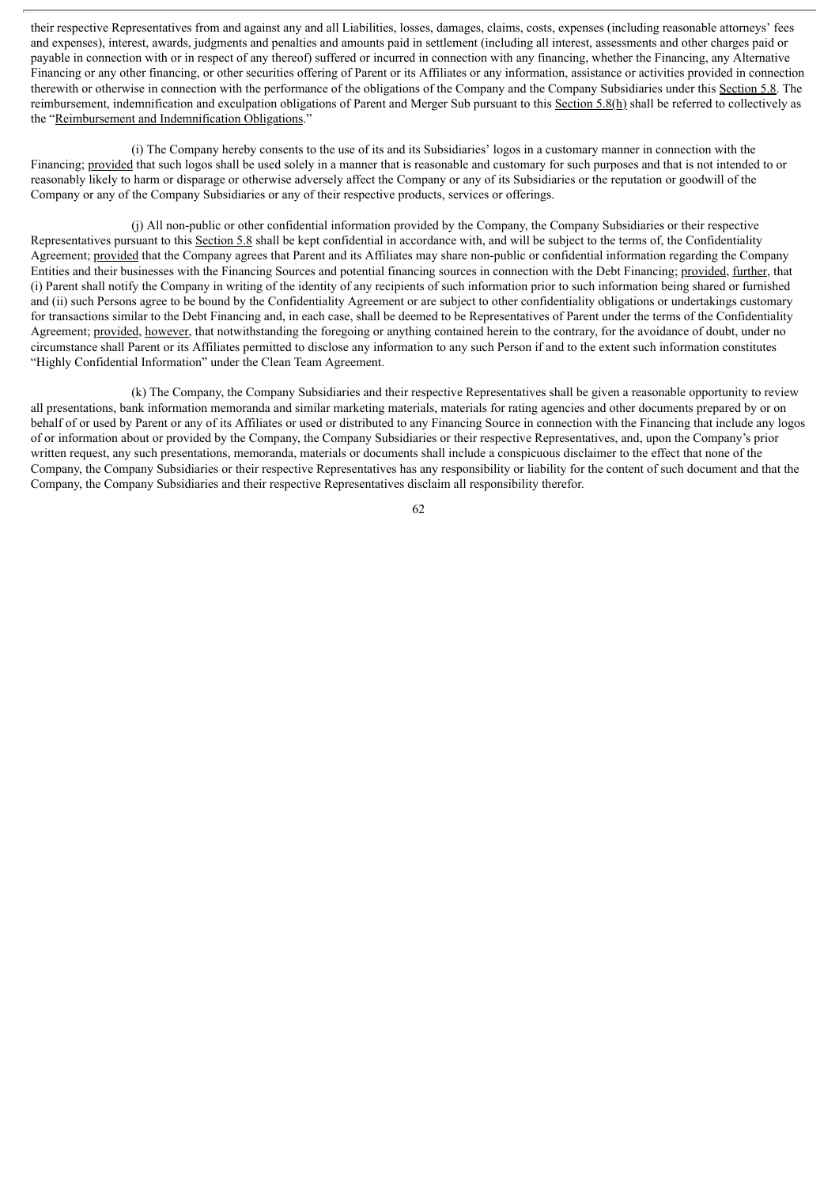their respective Representatives from and against any and all Liabilities, losses, damages, claims, costs, expenses (including reasonable attorneys' fees and expenses), interest, awards, judgments and penalties and amounts paid in settlement (including all interest, assessments and other charges paid or payable in connection with or in respect of any thereof) suffered or incurred in connection with any financing, whether the Financing, any Alternative Financing or any other financing, or other securities offering of Parent or its Affiliates or any information, assistance or activities provided in connection therewith or otherwise in connection with the performance of the obligations of the Company and the Company Subsidiaries under this Section 5.8. The reimbursement, indemnification and exculpation obligations of Parent and Merger Sub pursuant to this Section 5.8(h) shall be referred to collectively as the "Reimbursement and Indemnification Obligations."

(i) The Company hereby consents to the use of its and its Subsidiaries' logos in a customary manner in connection with the Financing; provided that such logos shall be used solely in a manner that is reasonable and customary for such purposes and that is not intended to or reasonably likely to harm or disparage or otherwise adversely affect the Company or any of its Subsidiaries or the reputation or goodwill of the Company or any of the Company Subsidiaries or any of their respective products, services or offerings.

(j) All non-public or other confidential information provided by the Company, the Company Subsidiaries or their respective Representatives pursuant to this Section 5.8 shall be kept confidential in accordance with, and will be subject to the terms of, the Confidentiality Agreement; provided that the Company agrees that Parent and its Affiliates may share non-public or confidential information regarding the Company Entities and their businesses with the Financing Sources and potential financing sources in connection with the Debt Financing; provided, further, that (i) Parent shall notify the Company in writing of the identity of any recipients of such information prior to such information being shared or furnished and (ii) such Persons agree to be bound by the Confidentiality Agreement or are subject to other confidentiality obligations or undertakings customary for transactions similar to the Debt Financing and, in each case, shall be deemed to be Representatives of Parent under the terms of the Confidentiality Agreement; provided, however, that notwithstanding the foregoing or anything contained herein to the contrary, for the avoidance of doubt, under no circumstance shall Parent or its Affiliates permitted to disclose any information to any such Person if and to the extent such information constitutes "Highly Confidential Information" under the Clean Team Agreement.

(k) The Company, the Company Subsidiaries and their respective Representatives shall be given a reasonable opportunity to review all presentations, bank information memoranda and similar marketing materials, materials for rating agencies and other documents prepared by or on behalf of or used by Parent or any of its Affiliates or used or distributed to any Financing Source in connection with the Financing that include any logos of or information about or provided by the Company, the Company Subsidiaries or their respective Representatives, and, upon the Company's prior written request, any such presentations, memoranda, materials or documents shall include a conspicuous disclaimer to the effect that none of the Company, the Company Subsidiaries or their respective Representatives has any responsibility or liability for the content of such document and that the Company, the Company Subsidiaries and their respective Representatives disclaim all responsibility therefor.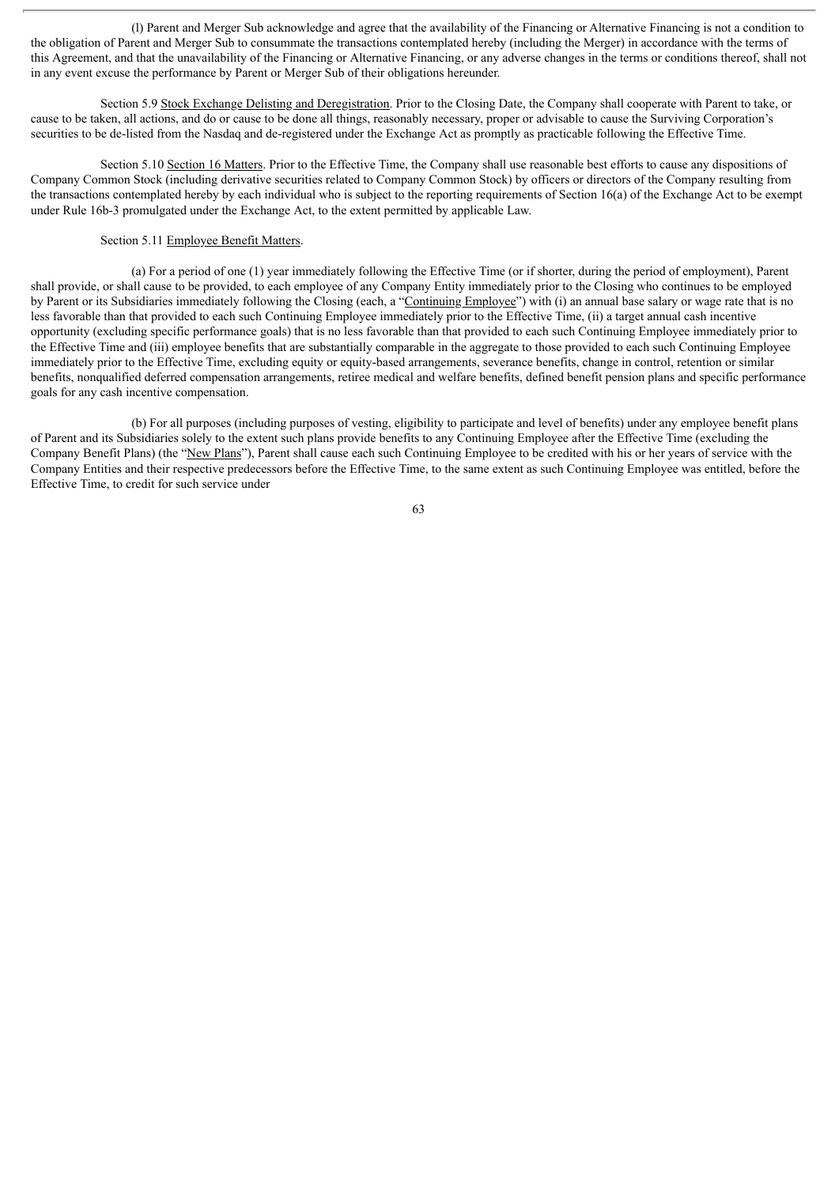(l) Parent and Merger Sub acknowledge and agree that the availability of the Financing or Alternative Financing is not a condition to the obligation of Parent and Merger Sub to consummate the transactions contemplated hereby (including the Merger) in accordance with the terms of this Agreement, and that the unavailability of the Financing or Alternative Financing, or any adverse changes in the terms or conditions thereof, shall not in any event excuse the performance by Parent or Merger Sub of their obligations hereunder.

Section 5.9 Stock Exchange Delisting and Deregistration. Prior to the Closing Date, the Company shall cooperate with Parent to take, or cause to be taken, all actions, and do or cause to be done all things, reasonably necessary, proper or advisable to cause the Surviving Corporation's securities to be de-listed from the Nasdaq and de-registered under the Exchange Act as promptly as practicable following the Effective Time.

Section 5.10 Section 16 Matters. Prior to the Effective Time, the Company shall use reasonable best efforts to cause any dispositions of Company Common Stock (including derivative securities related to Company Common Stock) by officers or directors of the Company resulting from the transactions contemplated hereby by each individual who is subject to the reporting requirements of Section 16(a) of the Exchange Act to be exempt under Rule 16b-3 promulgated under the Exchange Act, to the extent permitted by applicable Law.

## Section 5.11 Employee Benefit Matters.

(a) For a period of one (1) year immediately following the Effective Time (or if shorter, during the period of employment), Parent shall provide, or shall cause to be provided, to each employee of any Company Entity immediately prior to the Closing who continues to be employed by Parent or its Subsidiaries immediately following the Closing (each, a "Continuing Employee") with (i) an annual base salary or wage rate that is no less favorable than that provided to each such Continuing Employee immediately prior to the Effective Time, (ii) a target annual cash incentive opportunity (excluding specific performance goals) that is no less favorable than that provided to each such Continuing Employee immediately prior to the Effective Time and (iii) employee benefits that are substantially comparable in the aggregate to those provided to each such Continuing Employee immediately prior to the Effective Time, excluding equity or equity-based arrangements, severance benefits, change in control, retention or similar benefits, nonqualified deferred compensation arrangements, retiree medical and welfare benefits, defined benefit pension plans and specific performance goals for any cash incentive compensation.

(b) For all purposes (including purposes of vesting, eligibility to participate and level of benefits) under any employee benefit plans of Parent and its Subsidiaries solely to the extent such plans provide benefits to any Continuing Employee after the Effective Time (excluding the Company Benefit Plans) (the "New Plans"), Parent shall cause each such Continuing Employee to be credited with his or her years of service with the Company Entities and their respective predecessors before the Effective Time, to the same extent as such Continuing Employee was entitled, before the Effective Time, to credit for such service under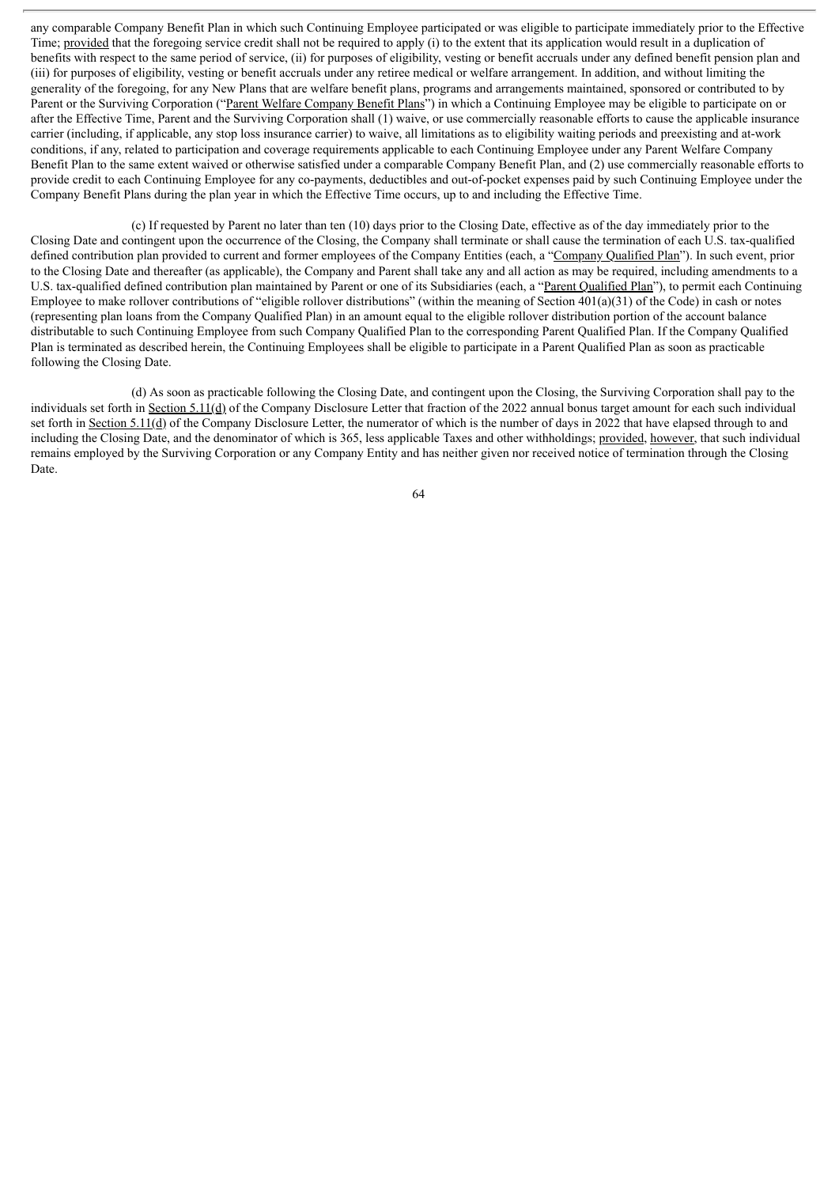any comparable Company Benefit Plan in which such Continuing Employee participated or was eligible to participate immediately prior to the Effective Time; provided that the foregoing service credit shall not be required to apply (i) to the extent that its application would result in a duplication of benefits with respect to the same period of service, (ii) for purposes of eligibility, vesting or benefit accruals under any defined benefit pension plan and (iii) for purposes of eligibility, vesting or benefit accruals under any retiree medical or welfare arrangement. In addition, and without limiting the generality of the foregoing, for any New Plans that are welfare benefit plans, programs and arrangements maintained, sponsored or contributed to by Parent or the Surviving Corporation ("Parent Welfare Company Benefit Plans") in which a Continuing Employee may be eligible to participate on or after the Effective Time, Parent and the Surviving Corporation shall (1) waive, or use commercially reasonable efforts to cause the applicable insurance carrier (including, if applicable, any stop loss insurance carrier) to waive, all limitations as to eligibility waiting periods and preexisting and at-work conditions, if any, related to participation and coverage requirements applicable to each Continuing Employee under any Parent Welfare Company Benefit Plan to the same extent waived or otherwise satisfied under a comparable Company Benefit Plan, and (2) use commercially reasonable efforts to provide credit to each Continuing Employee for any co-payments, deductibles and out-of-pocket expenses paid by such Continuing Employee under the Company Benefit Plans during the plan year in which the Effective Time occurs, up to and including the Effective Time.

(c) If requested by Parent no later than ten (10) days prior to the Closing Date, effective as of the day immediately prior to the Closing Date and contingent upon the occurrence of the Closing, the Company shall terminate or shall cause the termination of each U.S. tax-qualified defined contribution plan provided to current and former employees of the Company Entities (each, a "Company Qualified Plan"). In such event, prior to the Closing Date and thereafter (as applicable), the Company and Parent shall take any and all action as may be required, including amendments to a U.S. tax-qualified defined contribution plan maintained by Parent or one of its Subsidiaries (each, a "Parent Qualified Plan"), to permit each Continuing Employee to make rollover contributions of "eligible rollover distributions" (within the meaning of Section  $401(a)(31)$  of the Code) in cash or notes (representing plan loans from the Company Qualified Plan) in an amount equal to the eligible rollover distribution portion of the account balance distributable to such Continuing Employee from such Company Qualified Plan to the corresponding Parent Qualified Plan. If the Company Qualified Plan is terminated as described herein, the Continuing Employees shall be eligible to participate in a Parent Qualified Plan as soon as practicable following the Closing Date.

(d) As soon as practicable following the Closing Date, and contingent upon the Closing, the Surviving Corporation shall pay to the individuals set forth in Section 5.11(d) of the Company Disclosure Letter that fraction of the 2022 annual bonus target amount for each such individual set forth in Section 5.11(d) of the Company Disclosure Letter, the numerator of which is the number of days in 2022 that have elapsed through to and including the Closing Date, and the denominator of which is 365, less applicable Taxes and other withholdings; provided, however, that such individual remains employed by the Surviving Corporation or any Company Entity and has neither given nor received notice of termination through the Closing Date.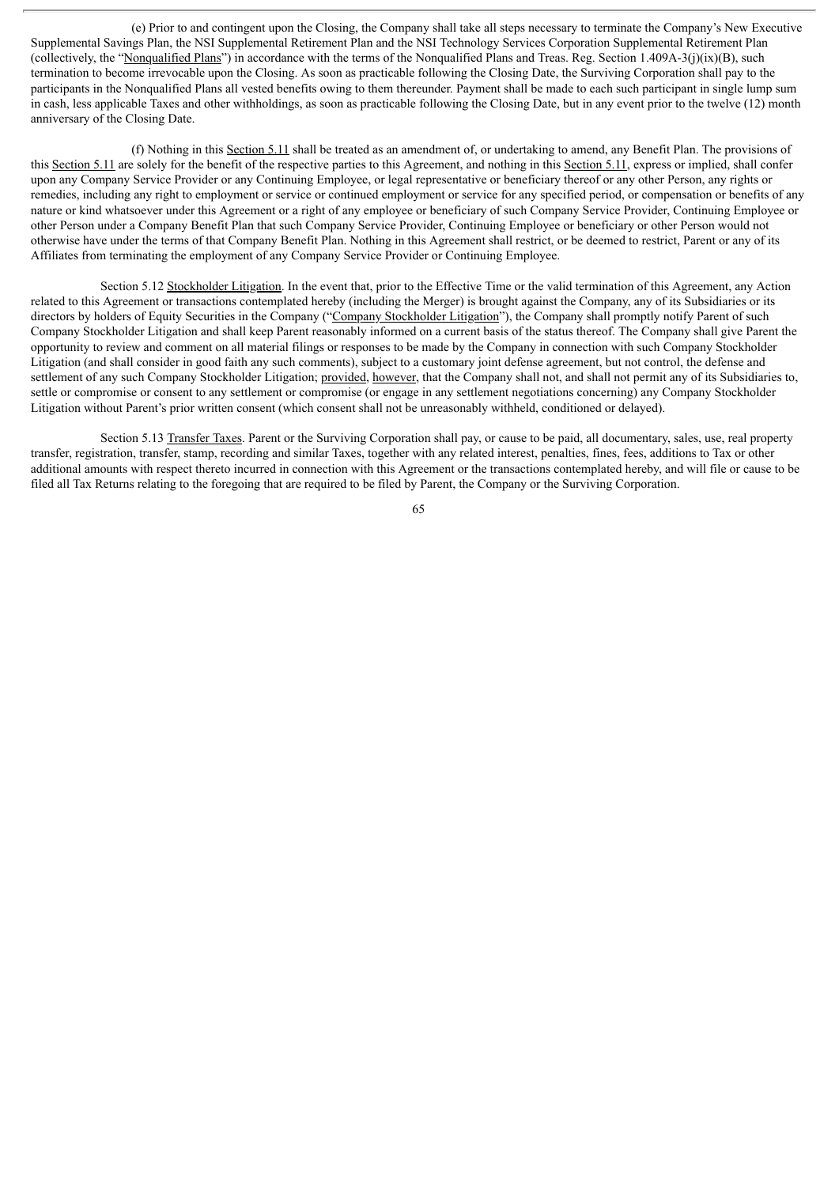(e) Prior to and contingent upon the Closing, the Company shall take all steps necessary to terminate the Company's New Executive Supplemental Savings Plan, the NSI Supplemental Retirement Plan and the NSI Technology Services Corporation Supplemental Retirement Plan (collectively, the "Nonqualified Plans") in accordance with the terms of the Nonqualified Plans and Treas. Reg. Section 1.409A-3(j)(ix)(B), such termination to become irrevocable upon the Closing. As soon as practicable following the Closing Date, the Surviving Corporation shall pay to the participants in the Nonqualified Plans all vested benefits owing to them thereunder. Payment shall be made to each such participant in single lump sum in cash, less applicable Taxes and other withholdings, as soon as practicable following the Closing Date, but in any event prior to the twelve (12) month anniversary of the Closing Date.

(f) Nothing in this Section 5.11 shall be treated as an amendment of, or undertaking to amend, any Benefit Plan. The provisions of this Section 5.11 are solely for the benefit of the respective parties to this Agreement, and nothing in this Section 5.11, express or implied, shall confer upon any Company Service Provider or any Continuing Employee, or legal representative or beneficiary thereof or any other Person, any rights or remedies, including any right to employment or service or continued employment or service for any specified period, or compensation or benefits of any nature or kind whatsoever under this Agreement or a right of any employee or beneficiary of such Company Service Provider, Continuing Employee or other Person under a Company Benefit Plan that such Company Service Provider, Continuing Employee or beneficiary or other Person would not otherwise have under the terms of that Company Benefit Plan. Nothing in this Agreement shall restrict, or be deemed to restrict, Parent or any of its Affiliates from terminating the employment of any Company Service Provider or Continuing Employee.

Section 5.12 Stockholder Litigation. In the event that, prior to the Effective Time or the valid termination of this Agreement, any Action related to this Agreement or transactions contemplated hereby (including the Merger) is brought against the Company, any of its Subsidiaries or its directors by holders of Equity Securities in the Company ("Company Stockholder Litigation"), the Company shall promptly notify Parent of such Company Stockholder Litigation and shall keep Parent reasonably informed on a current basis of the status thereof. The Company shall give Parent the opportunity to review and comment on all material filings or responses to be made by the Company in connection with such Company Stockholder Litigation (and shall consider in good faith any such comments), subject to a customary joint defense agreement, but not control, the defense and settlement of any such Company Stockholder Litigation; provided, however, that the Company shall not, and shall not permit any of its Subsidiaries to, settle or compromise or consent to any settlement or compromise (or engage in any settlement negotiations concerning) any Company Stockholder Litigation without Parent's prior written consent (which consent shall not be unreasonably withheld, conditioned or delayed).

Section 5.13 Transfer Taxes. Parent or the Surviving Corporation shall pay, or cause to be paid, all documentary, sales, use, real property transfer, registration, transfer, stamp, recording and similar Taxes, together with any related interest, penalties, fines, fees, additions to Tax or other additional amounts with respect thereto incurred in connection with this Agreement or the transactions contemplated hereby, and will file or cause to be filed all Tax Returns relating to the foregoing that are required to be filed by Parent, the Company or the Surviving Corporation.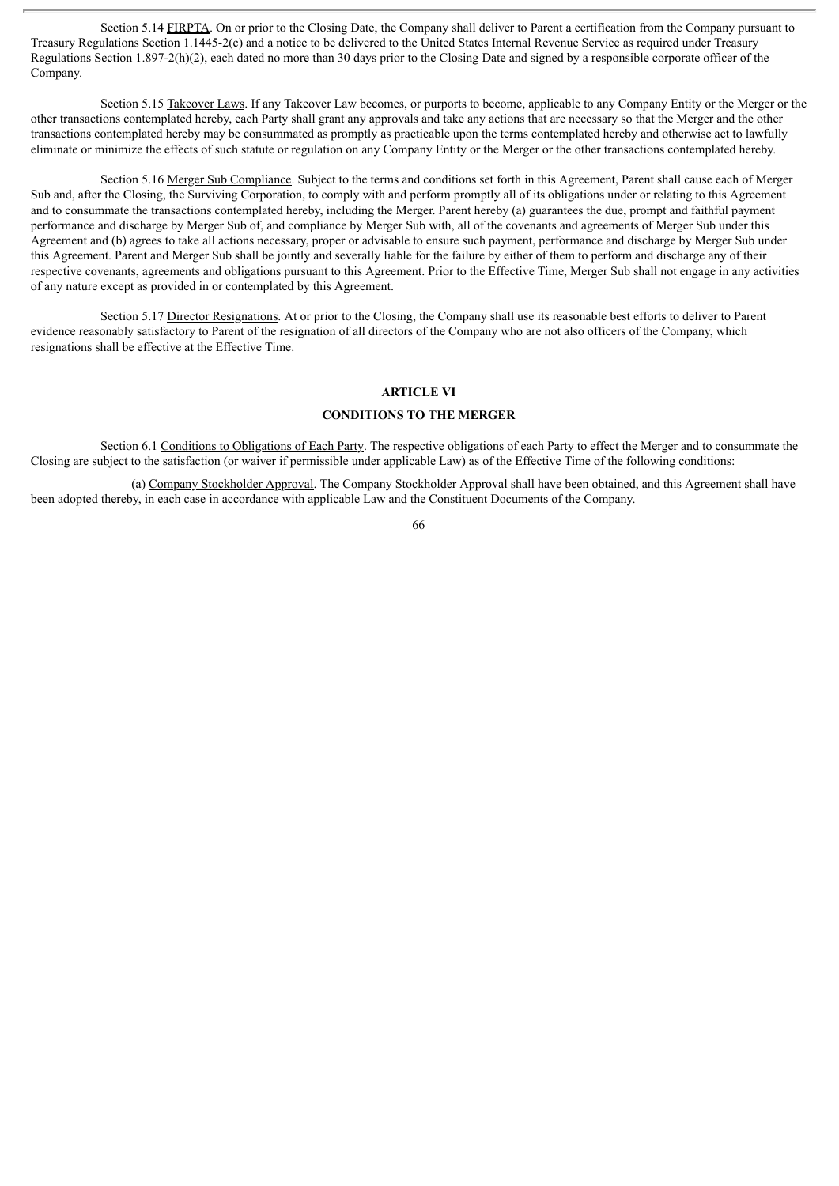Section 5.14 FIRPTA. On or prior to the Closing Date, the Company shall deliver to Parent a certification from the Company pursuant to Treasury Regulations Section 1.1445-2(c) and a notice to be delivered to the United States Internal Revenue Service as required under Treasury Regulations Section 1.897-2(h)(2), each dated no more than 30 days prior to the Closing Date and signed by a responsible corporate officer of the Company.

Section 5.15 Takeover Laws. If any Takeover Law becomes, or purports to become, applicable to any Company Entity or the Merger or the other transactions contemplated hereby, each Party shall grant any approvals and take any actions that are necessary so that the Merger and the other transactions contemplated hereby may be consummated as promptly as practicable upon the terms contemplated hereby and otherwise act to lawfully eliminate or minimize the effects of such statute or regulation on any Company Entity or the Merger or the other transactions contemplated hereby.

Section 5.16 Merger Sub Compliance. Subject to the terms and conditions set forth in this Agreement, Parent shall cause each of Merger Sub and, after the Closing, the Surviving Corporation, to comply with and perform promptly all of its obligations under or relating to this Agreement and to consummate the transactions contemplated hereby, including the Merger. Parent hereby (a) guarantees the due, prompt and faithful payment performance and discharge by Merger Sub of, and compliance by Merger Sub with, all of the covenants and agreements of Merger Sub under this Agreement and (b) agrees to take all actions necessary, proper or advisable to ensure such payment, performance and discharge by Merger Sub under this Agreement. Parent and Merger Sub shall be jointly and severally liable for the failure by either of them to perform and discharge any of their respective covenants, agreements and obligations pursuant to this Agreement. Prior to the Effective Time, Merger Sub shall not engage in any activities of any nature except as provided in or contemplated by this Agreement.

Section 5.17 Director Resignations. At or prior to the Closing, the Company shall use its reasonable best efforts to deliver to Parent evidence reasonably satisfactory to Parent of the resignation of all directors of the Company who are not also officers of the Company, which resignations shall be effective at the Effective Time.

# **ARTICLE VI**

## **CONDITIONS TO THE MERGER**

Section 6.1 Conditions to Obligations of Each Party. The respective obligations of each Party to effect the Merger and to consummate the Closing are subject to the satisfaction (or waiver if permissible under applicable Law) as of the Effective Time of the following conditions:

(a) Company Stockholder Approval. The Company Stockholder Approval shall have been obtained, and this Agreement shall have been adopted thereby, in each case in accordance with applicable Law and the Constituent Documents of the Company.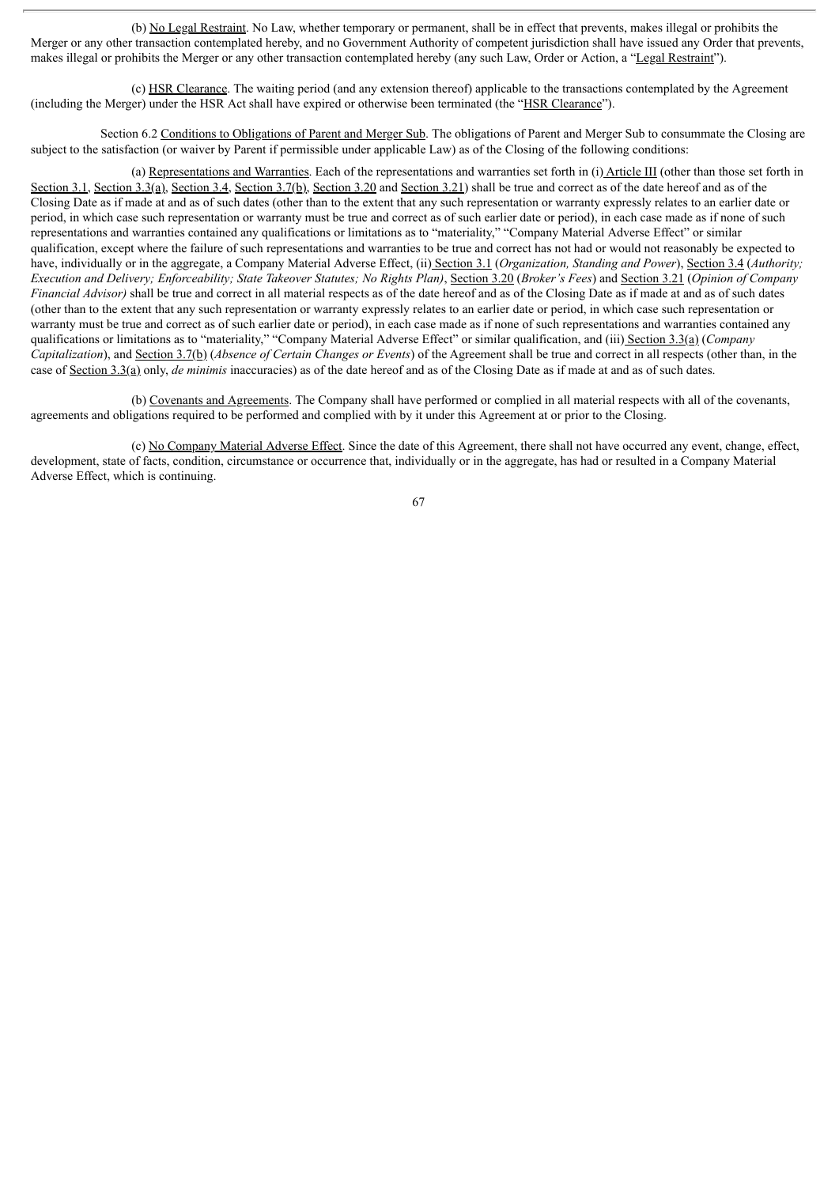(b) No Legal Restraint. No Law, whether temporary or permanent, shall be in effect that prevents, makes illegal or prohibits the Merger or any other transaction contemplated hereby, and no Government Authority of competent jurisdiction shall have issued any Order that prevents, makes illegal or prohibits the Merger or any other transaction contemplated hereby (any such Law, Order or Action, a "Legal Restraint").

(c) HSR Clearance. The waiting period (and any extension thereof) applicable to the transactions contemplated by the Agreement (including the Merger) under the HSR Act shall have expired or otherwise been terminated (the "HSR Clearance").

Section 6.2 Conditions to Obligations of Parent and Merger Sub. The obligations of Parent and Merger Sub to consummate the Closing are subject to the satisfaction (or waiver by Parent if permissible under applicable Law) as of the Closing of the following conditions:

(a) Representations and Warranties. Each of the representations and warranties set forth in (i) Article III (other than those set forth in Section 3.1, Section 3.3(a), Section 3.4, Section 3.7(b), Section 3.20 and Section 3.21) shall be true and correct as of the date hereof and as of the Closing Date as if made at and as of such dates (other than to the extent that any such representation or warranty expressly relates to an earlier date or period, in which case such representation or warranty must be true and correct as of such earlier date or period), in each case made as if none of such representations and warranties contained any qualifications or limitations as to "materiality," "Company Material Adverse Effect" or similar qualification, except where the failure of such representations and warranties to be true and correct has not had or would not reasonably be expected to have, individually or in the aggregate, a Company Material Adverse Effect, (ii) Section 3.1 (*Organization, Standing and Power*), Section 3.4 (*Authority;* Execution and Delivery; Enforceability; State Takeover Statutes; No Rights Plan), Section 3.20 (Broker's Fees) and Section 3.21 (Opinion of Company *Financial Advisor*) shall be true and correct in all material respects as of the date hereof and as of the Closing Date as if made at and as of such dates (other than to the extent that any such representation or warranty expressly relates to an earlier date or period, in which case such representation or warranty must be true and correct as of such earlier date or period), in each case made as if none of such representations and warranties contained any qualifications or limitations as to "materiality," "Company Material Adverse Effect" or similar qualification, and (iii) Section 3.3(a) (*Company Capitalization*), and Section 3.7(b) (*Absence of Certain Changes or Events*) of the Agreement shall be true and correct in all respects (other than, in the case of Section 3.3(a) only, *de minimis* inaccuracies) as of the date hereof and as of the Closing Date as if made at and as of such dates.

(b) Covenants and Agreements. The Company shall have performed or complied in all material respects with all of the covenants, agreements and obligations required to be performed and complied with by it under this Agreement at or prior to the Closing.

(c) No Company Material Adverse Effect. Since the date of this Agreement, there shall not have occurred any event, change, effect, development, state of facts, condition, circumstance or occurrence that, individually or in the aggregate, has had or resulted in a Company Material Adverse Effect, which is continuing.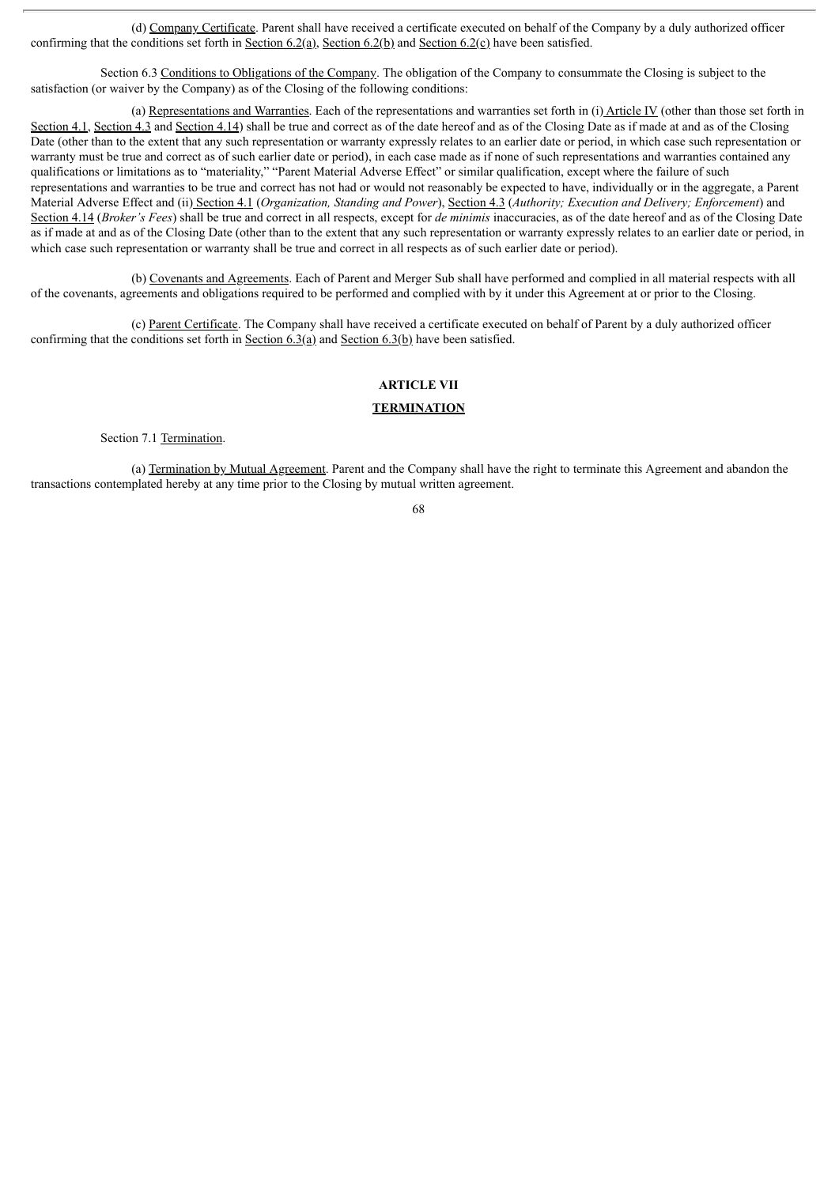(d) Company Certificate. Parent shall have received a certificate executed on behalf of the Company by a duly authorized officer confirming that the conditions set forth in Section 6.2(a), Section 6.2(b) and Section 6.2(c) have been satisfied.

Section 6.3 Conditions to Obligations of the Company. The obligation of the Company to consummate the Closing is subject to the satisfaction (or waiver by the Company) as of the Closing of the following conditions:

(a) Representations and Warranties. Each of the representations and warranties set forth in (i) Article IV (other than those set forth in Section 4.1, Section 4.3 and Section 4.14) shall be true and correct as of the date hereof and as of the Closing Date as if made at and as of the Closing Date (other than to the extent that any such representation or warranty expressly relates to an earlier date or period, in which case such representation or warranty must be true and correct as of such earlier date or period), in each case made as if none of such representations and warranties contained any qualifications or limitations as to "materiality," "Parent Material Adverse Effect" or similar qualification, except where the failure of such representations and warranties to be true and correct has not had or would not reasonably be expected to have, individually or in the aggregate, a Parent Material Adverse Effect and (ii) Section 4.1 (*Organization, Standing and Power*), Section 4.3 (*Authority; Execution and Delivery; Enforcement*) and Section 4.14 (*Broker's Fees*) shall be true and correct in all respects, except for *de minimis* inaccuracies, as of the date hereof and as of the Closing Date as if made at and as of the Closing Date (other than to the extent that any such representation or warranty expressly relates to an earlier date or period, in which case such representation or warranty shall be true and correct in all respects as of such earlier date or period).

(b) Covenants and Agreements. Each of Parent and Merger Sub shall have performed and complied in all material respects with all of the covenants, agreements and obligations required to be performed and complied with by it under this Agreement at or prior to the Closing.

(c) Parent Certificate. The Company shall have received a certificate executed on behalf of Parent by a duly authorized officer confirming that the conditions set forth in Section  $6.3(a)$  and Section  $6.3(b)$  have been satisfied.

## **ARTICLE VII**

# **TERMINATION**

Section 7.1 Termination.

(a) Termination by Mutual Agreement. Parent and the Company shall have the right to terminate this Agreement and abandon the transactions contemplated hereby at any time prior to the Closing by mutual written agreement.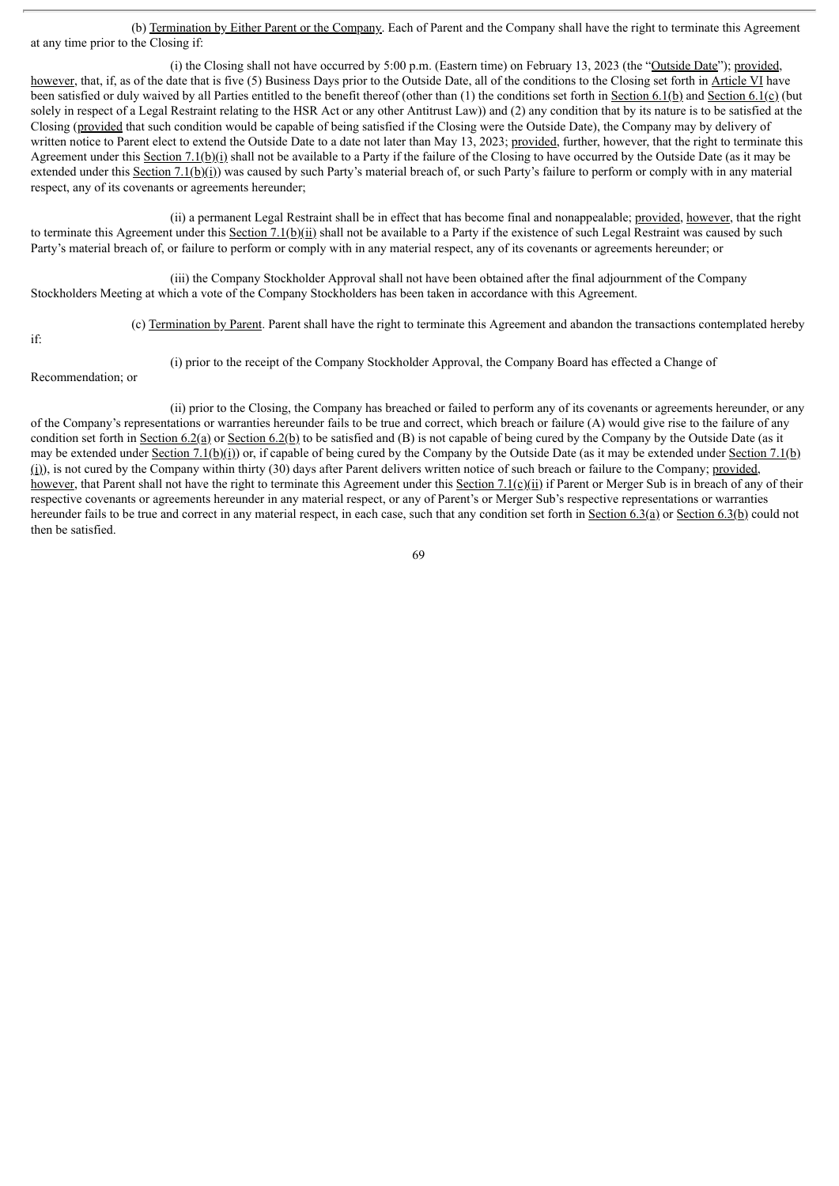(b) Termination by Either Parent or the Company. Each of Parent and the Company shall have the right to terminate this Agreement at any time prior to the Closing if:

(i) the Closing shall not have occurred by 5:00 p.m. (Eastern time) on February 13, 2023 (the "Outside Date"); provided, however, that, if, as of the date that is five (5) Business Days prior to the Outside Date, all of the conditions to the Closing set forth in Article VI have been satisfied or duly waived by all Parties entitled to the benefit thereof (other than (1) the conditions set forth in Section 6.1(b) and Section 6.1(c) (but solely in respect of a Legal Restraint relating to the HSR Act or any other Antitrust Law)) and (2) any condition that by its nature is to be satisfied at the Closing (provided that such condition would be capable of being satisfied if the Closing were the Outside Date), the Company may by delivery of written notice to Parent elect to extend the Outside Date to a date not later than May 13, 2023; provided, further, however, that the right to terminate this Agreement under this Section 7.1(b)(i) shall not be available to a Party if the failure of the Closing to have occurred by the Outside Date (as it may be extended under this Section 7.1(b)(i)) was caused by such Party's material breach of, or such Party's failure to perform or comply with in any material respect, any of its covenants or agreements hereunder;

(ii) a permanent Legal Restraint shall be in effect that has become final and nonappealable; provided, however, that the right to terminate this Agreement under this Section 7.1(b)(ii) shall not be available to a Party if the existence of such Legal Restraint was caused by such Party's material breach of, or failure to perform or comply with in any material respect, any of its covenants or agreements hereunder; or

(iii) the Company Stockholder Approval shall not have been obtained after the final adjournment of the Company Stockholders Meeting at which a vote of the Company Stockholders has been taken in accordance with this Agreement.

if:

(c) Termination by Parent. Parent shall have the right to terminate this Agreement and abandon the transactions contemplated hereby

(i) prior to the receipt of the Company Stockholder Approval, the Company Board has effected a Change of

Recommendation; or

(ii) prior to the Closing, the Company has breached or failed to perform any of its covenants or agreements hereunder, or any of the Company's representations or warranties hereunder fails to be true and correct, which breach or failure (A) would give rise to the failure of any condition set forth in Section 6.2(a) or Section 6.2(b) to be satisfied and (B) is not capable of being cured by the Company by the Outside Date (as it may be extended under Section  $7.1(b)(i)$  or, if capable of being cured by the Company by the Outside Date (as it may be extended under Section 7.1(b)  $(i)$ ), is not cured by the Company within thirty (30) days after Parent delivers written notice of such breach or failure to the Company; provided, however, that Parent shall not have the right to terminate this Agreement under this Section 7.1(c)(ii) if Parent or Merger Sub is in breach of any of their respective covenants or agreements hereunder in any material respect, or any of Parent's or Merger Sub's respective representations or warranties hereunder fails to be true and correct in any material respect, in each case, such that any condition set forth in  $Section 6.3(a)$  or Section 6.3(b) could not then be satisfied.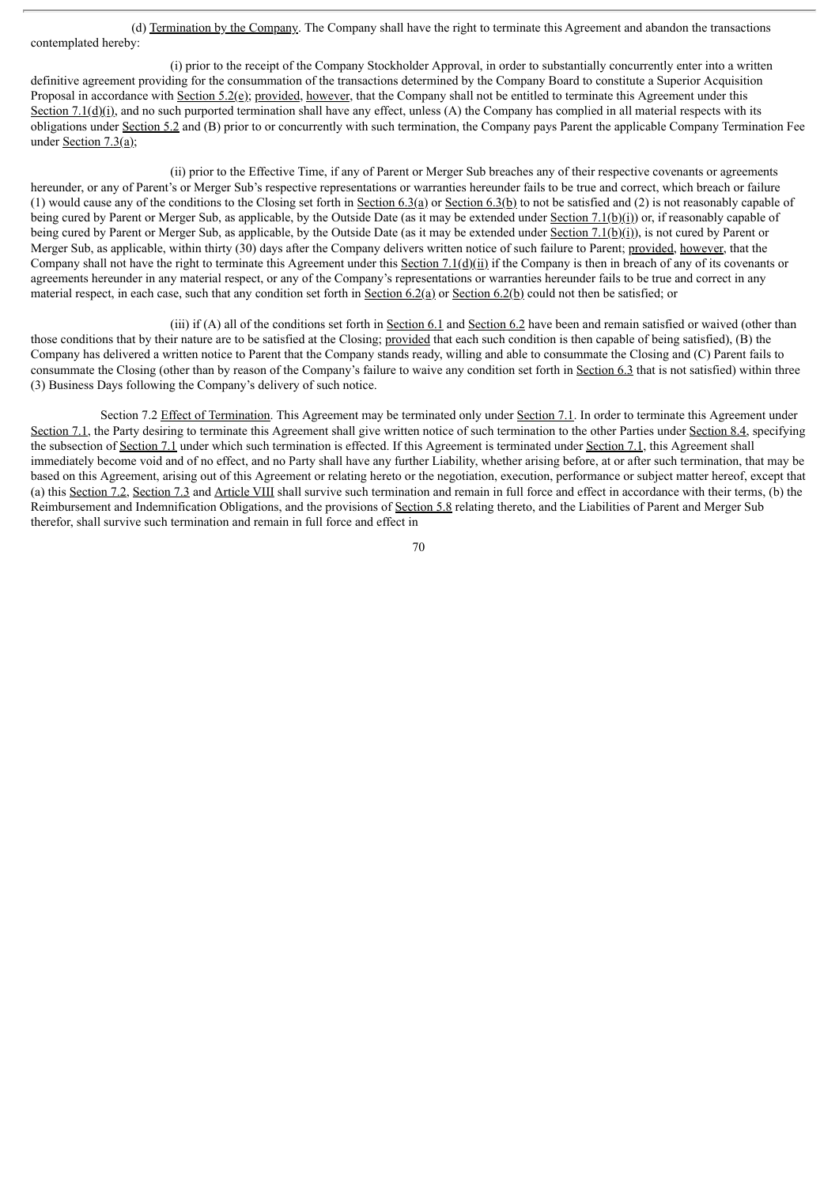(d) Termination by the Company. The Company shall have the right to terminate this Agreement and abandon the transactions contemplated hereby:

(i) prior to the receipt of the Company Stockholder Approval, in order to substantially concurrently enter into a written definitive agreement providing for the consummation of the transactions determined by the Company Board to constitute a Superior Acquisition Proposal in accordance with Section  $5.2(e)$ ; provided, however, that the Company shall not be entitled to terminate this Agreement under this Section 7.1( $g$ )(i), and no such purported termination shall have any effect, unless (A) the Company has complied in all material respects with its obligations under Section 5.2 and (B) prior to or concurrently with such termination, the Company pays Parent the applicable Company Termination Fee under Section  $7.3(a)$ ;

(ii) prior to the Effective Time, if any of Parent or Merger Sub breaches any of their respective covenants or agreements hereunder, or any of Parent's or Merger Sub's respective representations or warranties hereunder fails to be true and correct, which breach or failure (1) would cause any of the conditions to the Closing set forth in Section 6.3(a) or Section 6.3(b) to not be satisfied and (2) is not reasonably capable of being cured by Parent or Merger Sub, as applicable, by the Outside Date (as it may be extended under Section 7.1(b)(i)) or, if reasonably capable of being cured by Parent or Merger Sub, as applicable, by the Outside Date (as it may be extended under Section 7.1(b)(i)), is not cured by Parent or Merger Sub, as applicable, within thirty (30) days after the Company delivers written notice of such failure to Parent; provided, however, that the Company shall not have the right to terminate this Agreement under this Section 7.1(d)(ii) if the Company is then in breach of any of its covenants or agreements hereunder in any material respect, or any of the Company's representations or warranties hereunder fails to be true and correct in any material respect, in each case, such that any condition set forth in Section 6.2(a) or Section 6.2(b) could not then be satisfied; or

(iii) if (A) all of the conditions set forth in Section 6.1 and Section 6.2 have been and remain satisfied or waived (other than those conditions that by their nature are to be satisfied at the Closing; provided that each such condition is then capable of being satisfied), (B) the Company has delivered a written notice to Parent that the Company stands ready, willing and able to consummate the Closing and (C) Parent fails to consummate the Closing (other than by reason of the Company's failure to waive any condition set forth in Section 6.3 that is not satisfied) within three (3) Business Days following the Company's delivery of such notice.

Section 7.2 Effect of Termination. This Agreement may be terminated only under Section 7.1. In order to terminate this Agreement under Section 7.1, the Party desiring to terminate this Agreement shall give written notice of such termination to the other Parties under Section 8.4, specifying the subsection of Section 7.1 under which such termination is effected. If this Agreement is terminated under Section 7.1, this Agreement shall immediately become void and of no effect, and no Party shall have any further Liability, whether arising before, at or after such termination, that may be based on this Agreement, arising out of this Agreement or relating hereto or the negotiation, execution, performance or subject matter hereof, except that (a) this Section 7.2, Section 7.3 and Article VIII shall survive such termination and remain in full force and effect in accordance with their terms, (b) the Reimbursement and Indemnification Obligations, and the provisions of Section 5.8 relating thereto, and the Liabilities of Parent and Merger Sub therefor, shall survive such termination and remain in full force and effect in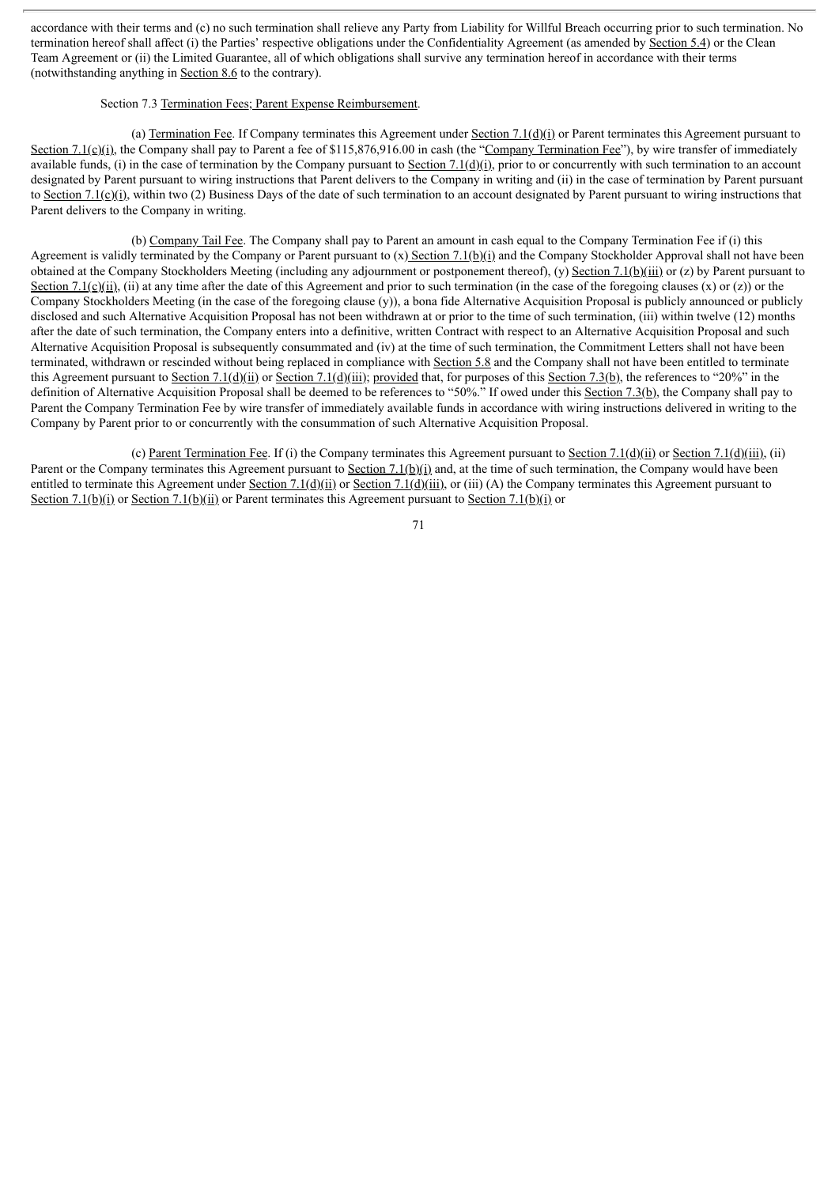accordance with their terms and (c) no such termination shall relieve any Party from Liability for Willful Breach occurring prior to such termination. No termination hereof shall affect (i) the Parties' respective obligations under the Confidentiality Agreement (as amended by Section 5.4) or the Clean Team Agreement or (ii) the Limited Guarantee, all of which obligations shall survive any termination hereof in accordance with their terms (notwithstanding anything in Section 8.6 to the contrary).

### Section 7.3 Termination Fees; Parent Expense Reimbursement.

(a) Termination Fee. If Company terminates this Agreement under Section 7.1(d)(i) or Parent terminates this Agreement pursuant to Section 7.1(c)(i), the Company shall pay to Parent a fee of \$115,876,916.00 in cash (the "Company Termination Fee"), by wire transfer of immediately available funds, (i) in the case of termination by the Company pursuant to Section 7.1(d)(i), prior to or concurrently with such termination to an account designated by Parent pursuant to wiring instructions that Parent delivers to the Company in writing and (ii) in the case of termination by Parent pursuant to Section 7.1(c)(i), within two (2) Business Days of the date of such termination to an account designated by Parent pursuant to wiring instructions that Parent delivers to the Company in writing.

(b) Company Tail Fee. The Company shall pay to Parent an amount in cash equal to the Company Termination Fee if (i) this Agreement is validly terminated by the Company or Parent pursuant to  $(x)$  Section 7.1(b)(i) and the Company Stockholder Approval shall not have been obtained at the Company Stockholders Meeting (including any adjournment or postponement thereof), (y) Section 7.1(b)(iii) or (z) by Parent pursuant to Section 7.1(c)(ii), (ii) at any time after the date of this Agreement and prior to such termination (in the case of the foregoing clauses (x) or (z)) or the Company Stockholders Meeting (in the case of the foregoing clause  $(y)$ ), a bona fide Alternative Acquisition Proposal is publicly announced or publicly disclosed and such Alternative Acquisition Proposal has not been withdrawn at or prior to the time of such termination, (iii) within twelve (12) months after the date of such termination, the Company enters into a definitive, written Contract with respect to an Alternative Acquisition Proposal and such Alternative Acquisition Proposal is subsequently consummated and (iv) at the time of such termination, the Commitment Letters shall not have been terminated, withdrawn or rescinded without being replaced in compliance with Section 5.8 and the Company shall not have been entitled to terminate this Agreement pursuant to Section 7.1(d)(ii) or Section 7.1(d)(iii); provided that, for purposes of this Section 7.3(b), the references to "20%" in the definition of Alternative Acquisition Proposal shall be deemed to be references to "50%." If owed under this Section 7.3(b), the Company shall pay to Parent the Company Termination Fee by wire transfer of immediately available funds in accordance with wiring instructions delivered in writing to the Company by Parent prior to or concurrently with the consummation of such Alternative Acquisition Proposal.

(c) Parent Termination Fee. If (i) the Company terminates this Agreement pursuant to Section 7.1(d)(ii) or Section 7.1(d)(iii), (ii) Parent or the Company terminates this Agreement pursuant to Section  $7.1(b)(i)$  and, at the time of such termination, the Company would have been entitled to terminate this Agreement under Section  $7.1(\underline{d})(\underline{ii})$  or Section  $7.1(\underline{d})(\underline{iii})$ , or (iii) (A) the Company terminates this Agreement pursuant to Section 7.1(b)(i) or Section 7.1(b)(ii) or Parent terminates this Agreement pursuant to Section 7.1(b)(i) or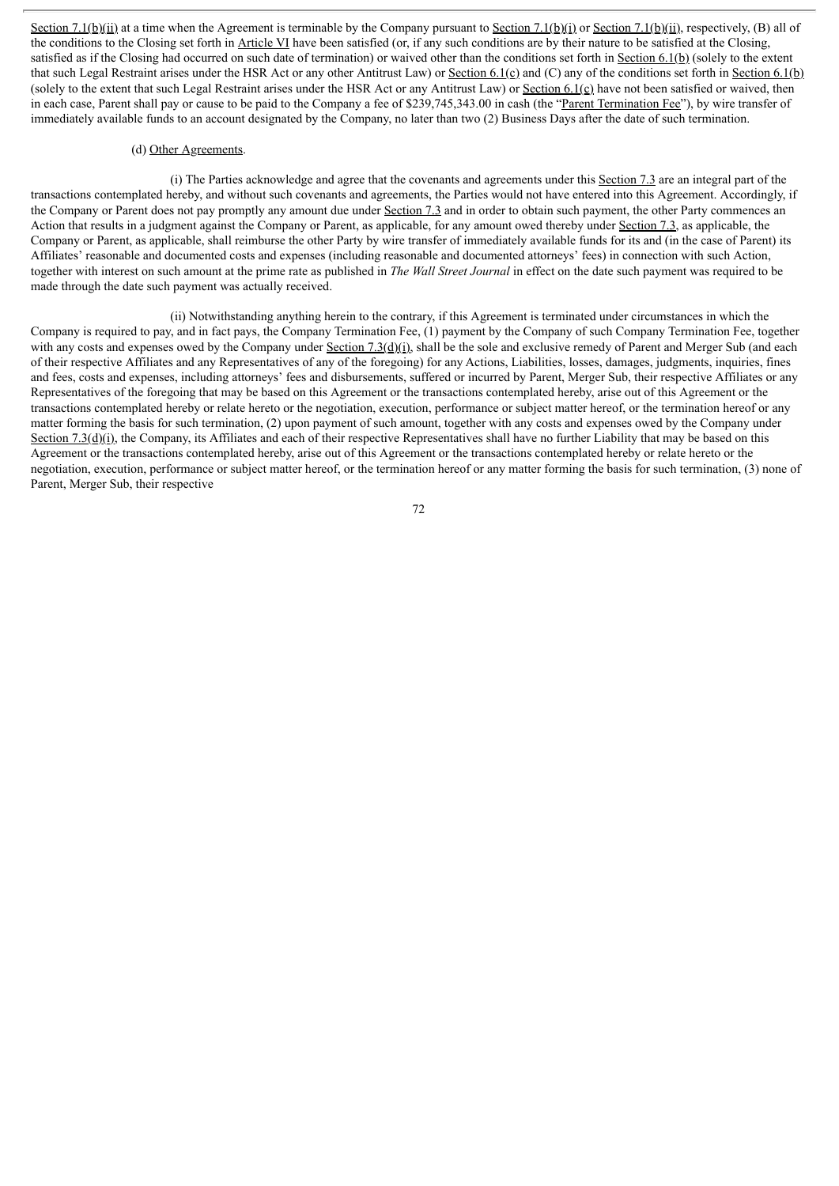Section 7.1(b)(ii) at a time when the Agreement is terminable by the Company pursuant to Section 7.1(b)(i) or Section 7.1(b)(ii), respectively, (B) all of the conditions to the Closing set forth in Article VI have been satisfied (or, if any such conditions are by their nature to be satisfied at the Closing, satisfied as if the Closing had occurred on such date of termination) or waived other than the conditions set forth in Section 6.1(b) (solely to the extent that such Legal Restraint arises under the HSR Act or any other Antitrust Law) or Section 6.1(c) and (C) any of the conditions set forth in Section 6.1(b) (solely to the extent that such Legal Restraint arises under the HSR Act or any Antitrust Law) or Section  $6.1$ (c) have not been satisfied or waived, then in each case, Parent shall pay or cause to be paid to the Company a fee of \$239,745,343.00 in cash (the "Parent Termination Fee"), by wire transfer of immediately available funds to an account designated by the Company, no later than two (2) Business Days after the date of such termination.

#### (d) Other Agreements.

(i) The Parties acknowledge and agree that the covenants and agreements under this Section 7.3 are an integral part of the transactions contemplated hereby, and without such covenants and agreements, the Parties would not have entered into this Agreement. Accordingly, if the Company or Parent does not pay promptly any amount due under Section 7.3 and in order to obtain such payment, the other Party commences an Action that results in a judgment against the Company or Parent, as applicable, for any amount owed thereby under Section 7.3, as applicable, the Company or Parent, as applicable, shall reimburse the other Party by wire transfer of immediately available funds for its and (in the case of Parent) its Affiliates' reasonable and documented costs and expenses (including reasonable and documented attorneys' fees) in connection with such Action, together with interest on such amount at the prime rate as published in *The Wall Street Journal* in effect on the date such payment was required to be made through the date such payment was actually received.

(ii) Notwithstanding anything herein to the contrary, if this Agreement is terminated under circumstances in which the Company is required to pay, and in fact pays, the Company Termination Fee, (1) payment by the Company of such Company Termination Fee, together with any costs and expenses owed by the Company under Section  $7.3(d)(i)$ , shall be the sole and exclusive remedy of Parent and Merger Sub (and each of their respective Affiliates and any Representatives of any of the foregoing) for any Actions, Liabilities, losses, damages, judgments, inquiries, fines and fees, costs and expenses, including attorneys' fees and disbursements, suffered or incurred by Parent, Merger Sub, their respective Affiliates or any Representatives of the foregoing that may be based on this Agreement or the transactions contemplated hereby, arise out of this Agreement or the transactions contemplated hereby or relate hereto or the negotiation, execution, performance or subject matter hereof, or the termination hereof or any matter forming the basis for such termination, (2) upon payment of such amount, together with any costs and expenses owed by the Company under Section 7.3( $d$ )(i), the Company, its Affiliates and each of their respective Representatives shall have no further Liability that may be based on this Agreement or the transactions contemplated hereby, arise out of this Agreement or the transactions contemplated hereby or relate hereto or the negotiation, execution, performance or subject matter hereof, or the termination hereof or any matter forming the basis for such termination, (3) none of Parent, Merger Sub, their respective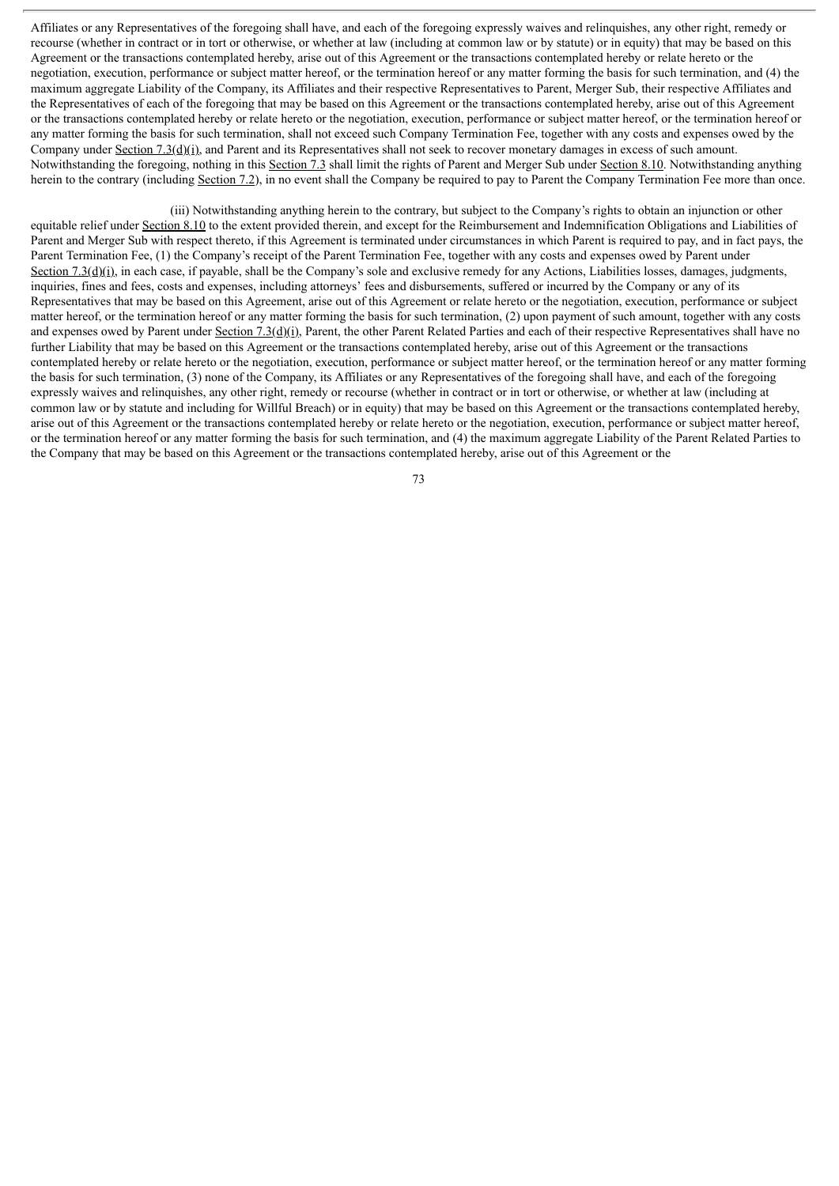Affiliates or any Representatives of the foregoing shall have, and each of the foregoing expressly waives and relinquishes, any other right, remedy or recourse (whether in contract or in tort or otherwise, or whether at law (including at common law or by statute) or in equity) that may be based on this Agreement or the transactions contemplated hereby, arise out of this Agreement or the transactions contemplated hereby or relate hereto or the negotiation, execution, performance or subject matter hereof, or the termination hereof or any matter forming the basis for such termination, and (4) the maximum aggregate Liability of the Company, its Affiliates and their respective Representatives to Parent, Merger Sub, their respective Affiliates and the Representatives of each of the foregoing that may be based on this Agreement or the transactions contemplated hereby, arise out of this Agreement or the transactions contemplated hereby or relate hereto or the negotiation, execution, performance or subject matter hereof, or the termination hereof or any matter forming the basis for such termination, shall not exceed such Company Termination Fee, together with any costs and expenses owed by the Company under Section 7.3(d)(i), and Parent and its Representatives shall not seek to recover monetary damages in excess of such amount. Notwithstanding the foregoing, nothing in this Section 7.3 shall limit the rights of Parent and Merger Sub under Section 8.10. Notwithstanding anything herein to the contrary (including Section 7.2), in no event shall the Company be required to pay to Parent the Company Termination Fee more than once.

(iii) Notwithstanding anything herein to the contrary, but subject to the Company's rights to obtain an injunction or other equitable relief under Section 8.10 to the extent provided therein, and except for the Reimbursement and Indemnification Obligations and Liabilities of Parent and Merger Sub with respect thereto, if this Agreement is terminated under circumstances in which Parent is required to pay, and in fact pays, the Parent Termination Fee, (1) the Company's receipt of the Parent Termination Fee, together with any costs and expenses owed by Parent under Section 7.3( $g$ )(i), in each case, if payable, shall be the Company's sole and exclusive remedy for any Actions, Liabilities losses, damages, judgments, inquiries, fines and fees, costs and expenses, including attorneys' fees and disbursements, suffered or incurred by the Company or any of its Representatives that may be based on this Agreement, arise out of this Agreement or relate hereto or the negotiation, execution, performance or subject matter hereof, or the termination hereof or any matter forming the basis for such termination, (2) upon payment of such amount, together with any costs and expenses owed by Parent under Section 7.3( $d$ )(i), Parent, the other Parent Related Parties and each of their respective Representatives shall have no further Liability that may be based on this Agreement or the transactions contemplated hereby, arise out of this Agreement or the transactions contemplated hereby or relate hereto or the negotiation, execution, performance or subject matter hereof, or the termination hereof or any matter forming the basis for such termination, (3) none of the Company, its Affiliates or any Representatives of the foregoing shall have, and each of the foregoing expressly waives and relinquishes, any other right, remedy or recourse (whether in contract or in tort or otherwise, or whether at law (including at common law or by statute and including for Willful Breach) or in equity) that may be based on this Agreement or the transactions contemplated hereby, arise out of this Agreement or the transactions contemplated hereby or relate hereto or the negotiation, execution, performance or subject matter hereof, or the termination hereof or any matter forming the basis for such termination, and (4) the maximum aggregate Liability of the Parent Related Parties to the Company that may be based on this Agreement or the transactions contemplated hereby, arise out of this Agreement or the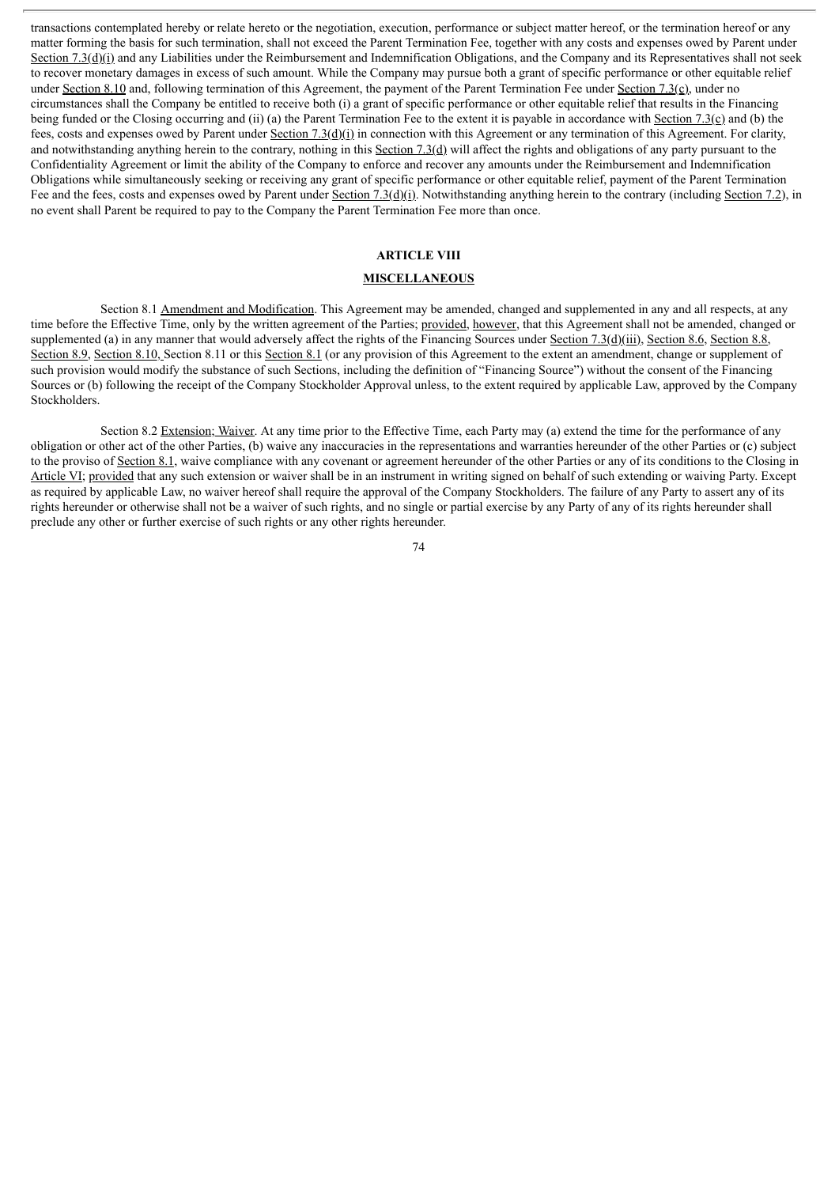transactions contemplated hereby or relate hereto or the negotiation, execution, performance or subject matter hereof, or the termination hereof or any matter forming the basis for such termination, shall not exceed the Parent Termination Fee, together with any costs and expenses owed by Parent under Section 7.3(d)(i) and any Liabilities under the Reimbursement and Indemnification Obligations, and the Company and its Representatives shall not seek to recover monetary damages in excess of such amount. While the Company may pursue both a grant of specific performance or other equitable relief under Section 8.10 and, following termination of this Agreement, the payment of the Parent Termination Fee under Section 7.3(c), under no circumstances shall the Company be entitled to receive both (i) a grant of specific performance or other equitable relief that results in the Financing being funded or the Closing occurring and (ii) (a) the Parent Termination Fee to the extent it is payable in accordance with Section 7.3(c) and (b) the fees, costs and expenses owed by Parent under Section 7.3( $d$ )(i) in connection with this Agreement or any termination of this Agreement. For clarity, and notwithstanding anything herein to the contrary, nothing in this Section 7.3(d) will affect the rights and obligations of any party pursuant to the Confidentiality Agreement or limit the ability of the Company to enforce and recover any amounts under the Reimbursement and Indemnification Obligations while simultaneously seeking or receiving any grant of specific performance or other equitable relief, payment of the Parent Termination Fee and the fees, costs and expenses owed by Parent under Section 7.3(d)(i). Notwithstanding anything herein to the contrary (including Section 7.2), in no event shall Parent be required to pay to the Company the Parent Termination Fee more than once.

# **ARTICLE VIII**

# **MISCELLANEOUS**

Section 8.1 Amendment and Modification. This Agreement may be amended, changed and supplemented in any and all respects, at any time before the Effective Time, only by the written agreement of the Parties; provided, however, that this Agreement shall not be amended, changed or supplemented (a) in any manner that would adversely affect the rights of the Financing Sources under Section 7.3(d)(iii), Section 8.6, Section 8.8, Section 8.9, Section 8.10, Section 8.11 or this Section 8.1 (or any provision of this Agreement to the extent an amendment, change or supplement of such provision would modify the substance of such Sections, including the definition of "Financing Source") without the consent of the Financing Sources or (b) following the receipt of the Company Stockholder Approval unless, to the extent required by applicable Law, approved by the Company Stockholders.

Section 8.2 Extension; Waiver. At any time prior to the Effective Time, each Party may (a) extend the time for the performance of any obligation or other act of the other Parties, (b) waive any inaccuracies in the representations and warranties hereunder of the other Parties or (c) subject to the proviso of Section 8.1, waive compliance with any covenant or agreement hereunder of the other Parties or any of its conditions to the Closing in Article VI; provided that any such extension or waiver shall be in an instrument in writing signed on behalf of such extending or waiving Party. Except as required by applicable Law, no waiver hereof shall require the approval of the Company Stockholders. The failure of any Party to assert any of its rights hereunder or otherwise shall not be a waiver of such rights, and no single or partial exercise by any Party of any of its rights hereunder shall preclude any other or further exercise of such rights or any other rights hereunder.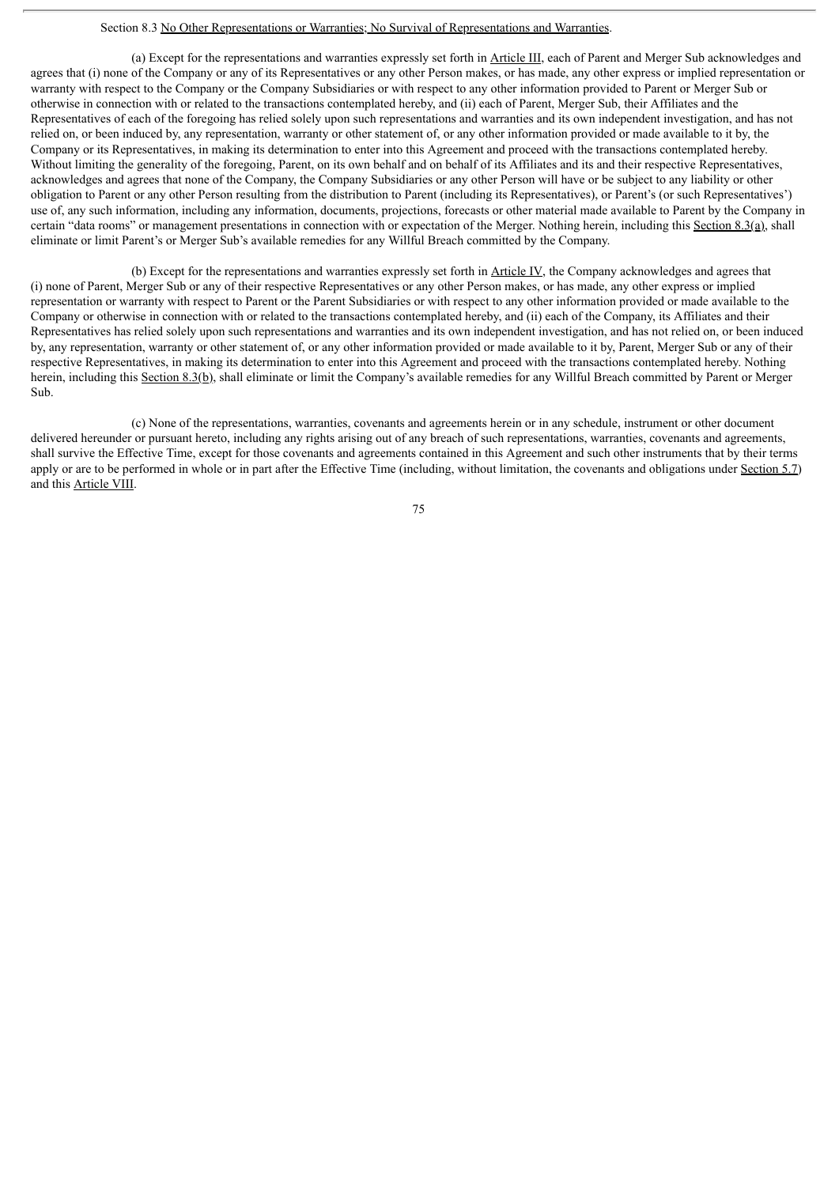#### Section 8.3 No Other Representations or Warranties; No Survival of Representations and Warranties.

(a) Except for the representations and warranties expressly set forth in Article III, each of Parent and Merger Sub acknowledges and agrees that (i) none of the Company or any of its Representatives or any other Person makes, or has made, any other express or implied representation or warranty with respect to the Company or the Company Subsidiaries or with respect to any other information provided to Parent or Merger Sub or otherwise in connection with or related to the transactions contemplated hereby, and (ii) each of Parent, Merger Sub, their Affiliates and the Representatives of each of the foregoing has relied solely upon such representations and warranties and its own independent investigation, and has not relied on, or been induced by, any representation, warranty or other statement of, or any other information provided or made available to it by, the Company or its Representatives, in making its determination to enter into this Agreement and proceed with the transactions contemplated hereby. Without limiting the generality of the foregoing, Parent, on its own behalf and on behalf of its Affiliates and its and their respective Representatives, acknowledges and agrees that none of the Company, the Company Subsidiaries or any other Person will have or be subject to any liability or other obligation to Parent or any other Person resulting from the distribution to Parent (including its Representatives), or Parent's (or such Representatives') use of, any such information, including any information, documents, projections, forecasts or other material made available to Parent by the Company in certain "data rooms" or management presentations in connection with or expectation of the Merger. Nothing herein, including this Section 8.3(a), shall eliminate or limit Parent's or Merger Sub's available remedies for any Willful Breach committed by the Company.

(b) Except for the representations and warranties expressly set forth in Article IV, the Company acknowledges and agrees that (i) none of Parent, Merger Sub or any of their respective Representatives or any other Person makes, or has made, any other express or implied representation or warranty with respect to Parent or the Parent Subsidiaries or with respect to any other information provided or made available to the Company or otherwise in connection with or related to the transactions contemplated hereby, and (ii) each of the Company, its Affiliates and their Representatives has relied solely upon such representations and warranties and its own independent investigation, and has not relied on, or been induced by, any representation, warranty or other statement of, or any other information provided or made available to it by, Parent, Merger Sub or any of their respective Representatives, in making its determination to enter into this Agreement and proceed with the transactions contemplated hereby. Nothing herein, including this Section 8.3(b), shall eliminate or limit the Company's available remedies for any Willful Breach committed by Parent or Merger Sub.

(c) None of the representations, warranties, covenants and agreements herein or in any schedule, instrument or other document delivered hereunder or pursuant hereto, including any rights arising out of any breach of such representations, warranties, covenants and agreements, shall survive the Effective Time, except for those covenants and agreements contained in this Agreement and such other instruments that by their terms apply or are to be performed in whole or in part after the Effective Time (including, without limitation, the covenants and obligations under Section  $5.7$ ) and this Article VIII.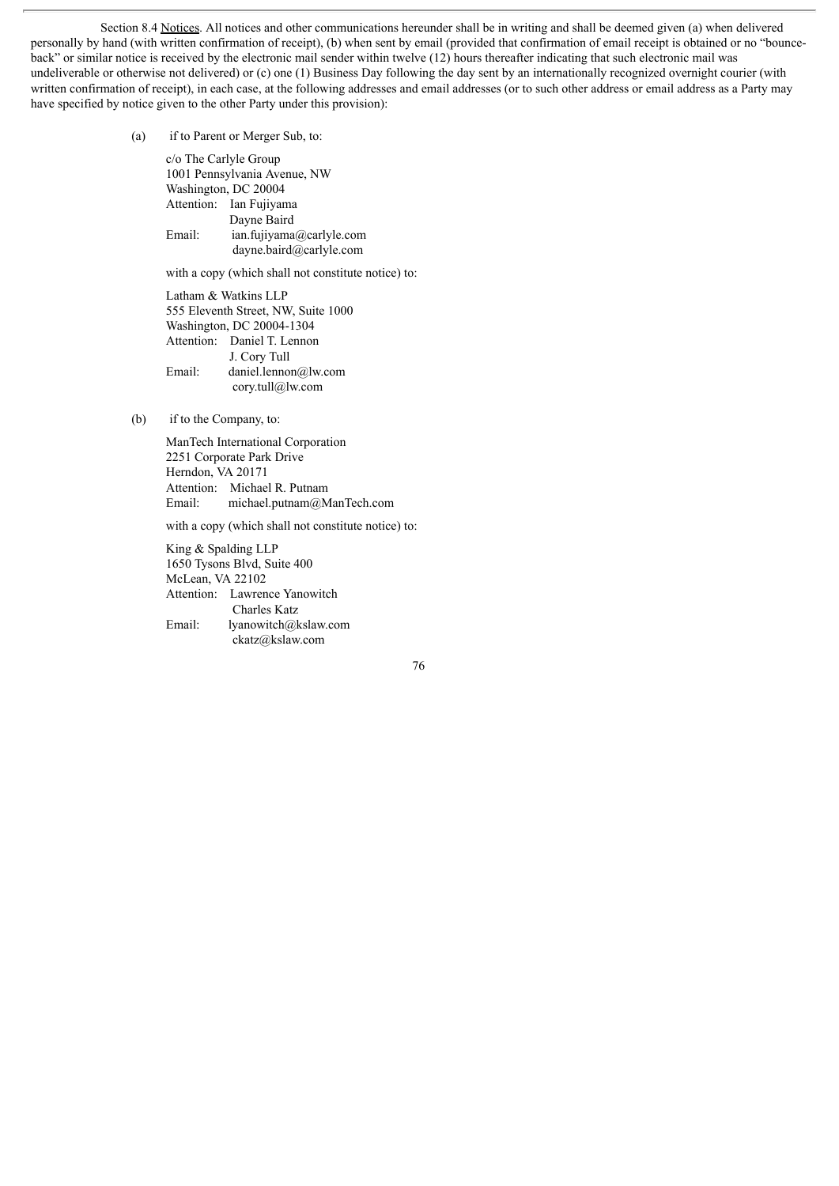Section 8.4 Notices. All notices and other communications hereunder shall be in writing and shall be deemed given (a) when delivered personally by hand (with written confirmation of receipt), (b) when sent by email (provided that confirmation of email receipt is obtained or no "bounceback" or similar notice is received by the electronic mail sender within twelve (12) hours thereafter indicating that such electronic mail was undeliverable or otherwise not delivered) or (c) one (1) Business Day following the day sent by an internationally recognized overnight courier (with written confirmation of receipt), in each case, at the following addresses and email addresses (or to such other address or email address as a Party may have specified by notice given to the other Party under this provision):

(a) if to Parent or Merger Sub, to:

c/o The Carlyle Group 1001 Pennsylvania Avenue, NW Washington, DC 20004 Attention: Ian Fujiyama Dayne Baird Email: ian.fujiyama@carlyle.com dayne.baird@carlyle.com

with a copy (which shall not constitute notice) to:

Latham & Watkins LLP 555 Eleventh Street, NW, Suite 1000 Washington, DC 20004-1304 Attention: Daniel T. Lennon J. Cory Tull Email: daniel.lennon@lw.com cory.tull@lw.com

(b) if to the Company, to:

ManTech International Corporation 2251 Corporate Park Drive Herndon, VA 20171 Attention: Michael R. Putnam Email: michael.putnam@ManTech.com

with a copy (which shall not constitute notice) to:

King & Spalding LLP 1650 Tysons Blvd, Suite 400 McLean, VA 22102 Attention: Lawrence Yanowitch Charles Katz Email: lyanowitch@kslaw.com ckatz@kslaw.com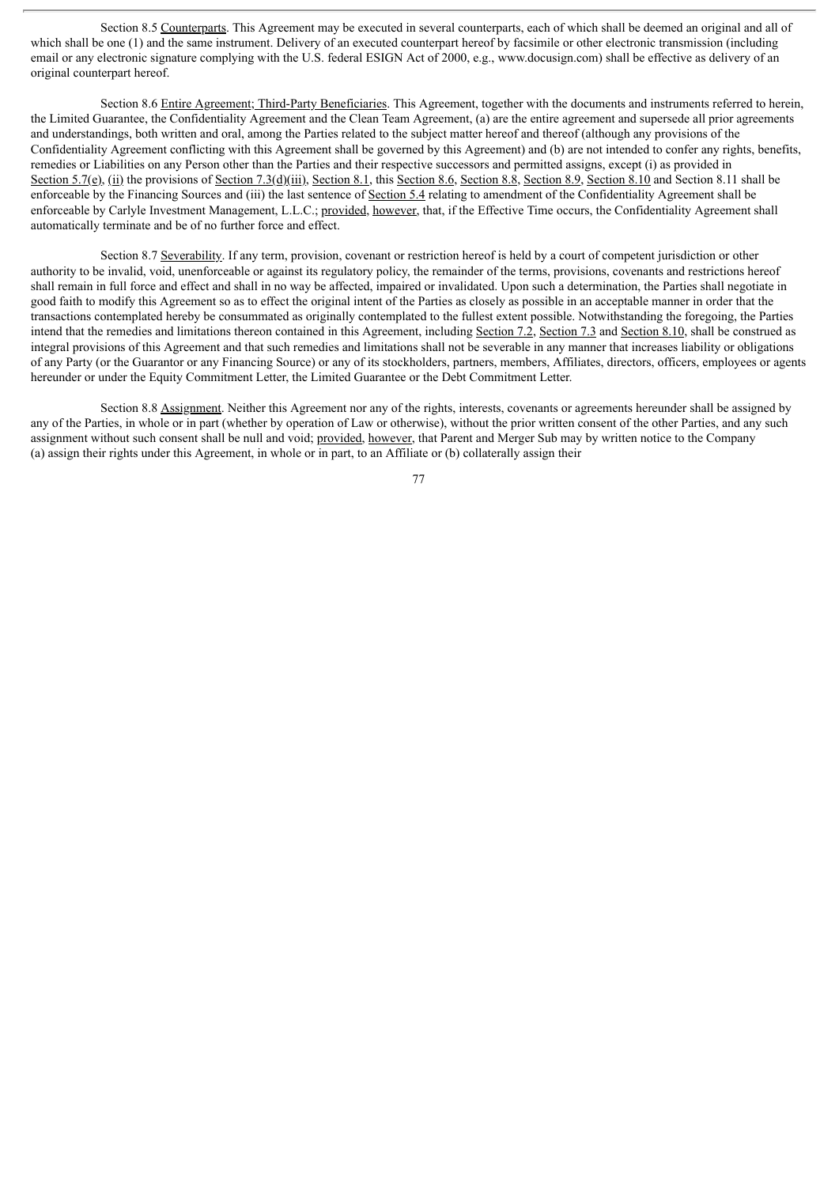Section 8.5 Counterparts. This Agreement may be executed in several counterparts, each of which shall be deemed an original and all of which shall be one (1) and the same instrument. Delivery of an executed counterpart hereof by facsimile or other electronic transmission (including email or any electronic signature complying with the U.S. federal ESIGN Act of 2000, e.g., www.docusign.com) shall be effective as delivery of an original counterpart hereof.

Section 8.6 Entire Agreement; Third-Party Beneficiaries. This Agreement, together with the documents and instruments referred to herein, the Limited Guarantee, the Confidentiality Agreement and the Clean Team Agreement, (a) are the entire agreement and supersede all prior agreements and understandings, both written and oral, among the Parties related to the subject matter hereof and thereof (although any provisions of the Confidentiality Agreement conflicting with this Agreement shall be governed by this Agreement) and (b) are not intended to confer any rights, benefits, remedies or Liabilities on any Person other than the Parties and their respective successors and permitted assigns, except (i) as provided in Section 5.7(e), (ii) the provisions of Section 7.3(d)(iii), Section 8.1, this Section 8.6, Section 8.8, Section 8.9, Section 8.10 and Section 8.11 shall be enforceable by the Financing Sources and (iii) the last sentence of Section 5.4 relating to amendment of the Confidentiality Agreement shall be enforceable by Carlyle Investment Management, L.L.C.; provided, however, that, if the Effective Time occurs, the Confidentiality Agreement shall automatically terminate and be of no further force and effect.

Section 8.7 Severability. If any term, provision, covenant or restriction hereof is held by a court of competent jurisdiction or other authority to be invalid, void, unenforceable or against its regulatory policy, the remainder of the terms, provisions, covenants and restrictions hereof shall remain in full force and effect and shall in no way be affected, impaired or invalidated. Upon such a determination, the Parties shall negotiate in good faith to modify this Agreement so as to effect the original intent of the Parties as closely as possible in an acceptable manner in order that the transactions contemplated hereby be consummated as originally contemplated to the fullest extent possible. Notwithstanding the foregoing, the Parties intend that the remedies and limitations thereon contained in this Agreement, including Section 7.2, Section 7.3 and Section 8.10, shall be construed as integral provisions of this Agreement and that such remedies and limitations shall not be severable in any manner that increases liability or obligations of any Party (or the Guarantor or any Financing Source) or any of its stockholders, partners, members, Affiliates, directors, officers, employees or agents hereunder or under the Equity Commitment Letter, the Limited Guarantee or the Debt Commitment Letter.

Section 8.8 Assignment. Neither this Agreement nor any of the rights, interests, covenants or agreements hereunder shall be assigned by any of the Parties, in whole or in part (whether by operation of Law or otherwise), without the prior written consent of the other Parties, and any such assignment without such consent shall be null and void; provided, however, that Parent and Merger Sub may by written notice to the Company (a) assign their rights under this Agreement, in whole or in part, to an Affiliate or (b) collaterally assign their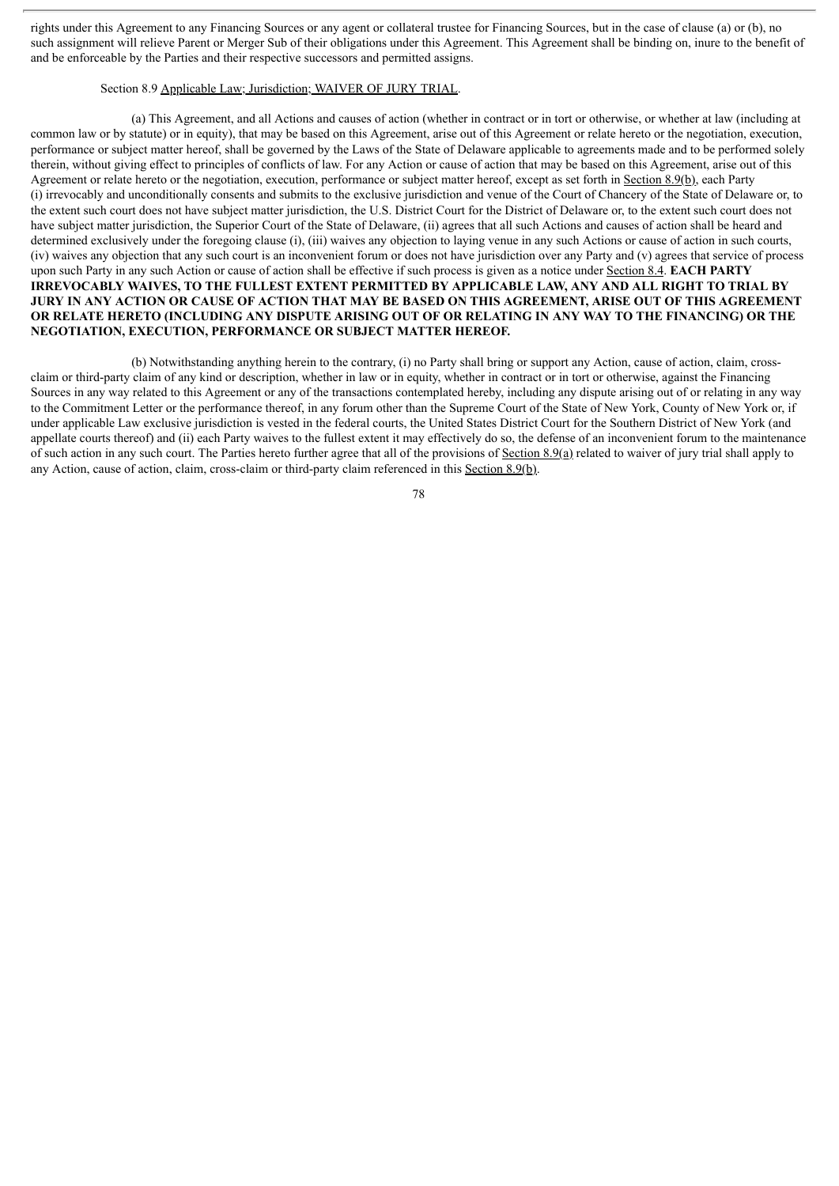rights under this Agreement to any Financing Sources or any agent or collateral trustee for Financing Sources, but in the case of clause (a) or (b), no such assignment will relieve Parent or Merger Sub of their obligations under this Agreement. This Agreement shall be binding on, inure to the benefit of and be enforceable by the Parties and their respective successors and permitted assigns.

# Section 8.9 Applicable Law; Jurisdiction; WAIVER OF JURY TRIAL.

(a) This Agreement, and all Actions and causes of action (whether in contract or in tort or otherwise, or whether at law (including at common law or by statute) or in equity), that may be based on this Agreement, arise out of this Agreement or relate hereto or the negotiation, execution, performance or subject matter hereof, shall be governed by the Laws of the State of Delaware applicable to agreements made and to be performed solely therein, without giving effect to principles of conflicts of law. For any Action or cause of action that may be based on this Agreement, arise out of this Agreement or relate hereto or the negotiation, execution, performance or subject matter hereof, except as set forth in Section 8.9(b), each Party (i) irrevocably and unconditionally consents and submits to the exclusive jurisdiction and venue of the Court of Chancery of the State of Delaware or, to the extent such court does not have subject matter jurisdiction, the U.S. District Court for the District of Delaware or, to the extent such court does not have subject matter jurisdiction, the Superior Court of the State of Delaware, (ii) agrees that all such Actions and causes of action shall be heard and determined exclusively under the foregoing clause (i), (iii) waives any objection to laying venue in any such Actions or cause of action in such courts, (iv) waives any objection that any such court is an inconvenient forum or does not have jurisdiction over any Party and (v) agrees that service of process upon such Party in any such Action or cause of action shall be effective if such process is given as a notice under Section 8.4. **EACH PARTY IRREVOCABLY WAIVES, TO THE FULLEST EXTENT PERMITTED BY APPLICABLE LAW, ANY AND ALL RIGHT TO TRIAL BY** JURY IN ANY ACTION OR CAUSE OF ACTION THAT MAY BE BASED ON THIS AGREEMENT, ARISE OUT OF THIS AGREEMENT OR RELATE HERETO (INCLUDING ANY DISPUTE ARISING OUT OF OR RELATING IN ANY WAY TO THE FINANCING) OR THE **NEGOTIATION, EXECUTION, PERFORMANCE OR SUBJECT MATTER HEREOF.**

(b) Notwithstanding anything herein to the contrary, (i) no Party shall bring or support any Action, cause of action, claim, crossclaim or third-party claim of any kind or description, whether in law or in equity, whether in contract or in tort or otherwise, against the Financing Sources in any way related to this Agreement or any of the transactions contemplated hereby, including any dispute arising out of or relating in any way to the Commitment Letter or the performance thereof, in any forum other than the Supreme Court of the State of New York, County of New York or, if under applicable Law exclusive jurisdiction is vested in the federal courts, the United States District Court for the Southern District of New York (and appellate courts thereof) and (ii) each Party waives to the fullest extent it may effectively do so, the defense of an inconvenient forum to the maintenance of such action in any such court. The Parties hereto further agree that all of the provisions of Section 8.9(a) related to waiver of jury trial shall apply to any Action, cause of action, claim, cross-claim or third-party claim referenced in this Section 8.9(b).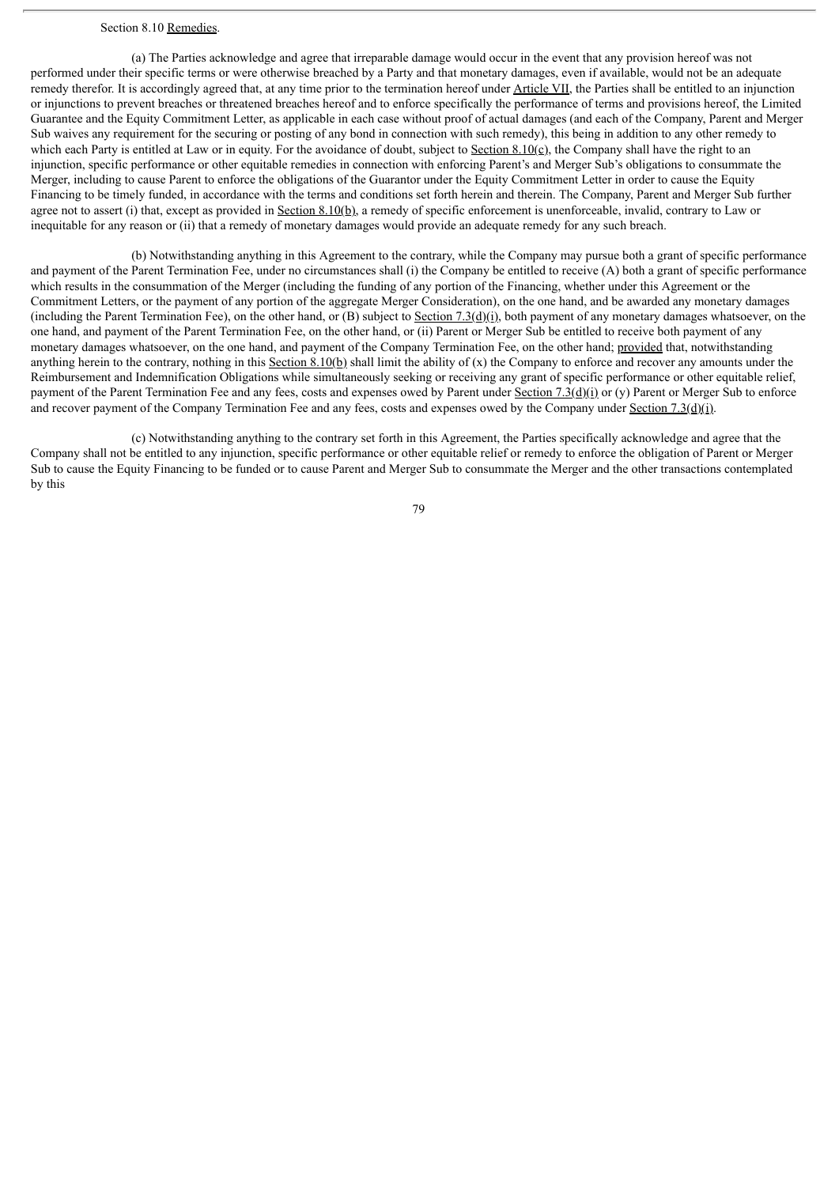## Section 8.10 Remedies.

(a) The Parties acknowledge and agree that irreparable damage would occur in the event that any provision hereof was not performed under their specific terms or were otherwise breached by a Party and that monetary damages, even if available, would not be an adequate remedy therefor. It is accordingly agreed that, at any time prior to the termination hereof under Article VII, the Parties shall be entitled to an injunction or injunctions to prevent breaches or threatened breaches hereof and to enforce specifically the performance of terms and provisions hereof, the Limited Guarantee and the Equity Commitment Letter, as applicable in each case without proof of actual damages (and each of the Company, Parent and Merger Sub waives any requirement for the securing or posting of any bond in connection with such remedy), this being in addition to any other remedy to which each Party is entitled at Law or in equity. For the avoidance of doubt, subject to Section  $8.10(c)$ , the Company shall have the right to an injunction, specific performance or other equitable remedies in connection with enforcing Parent's and Merger Sub's obligations to consummate the Merger, including to cause Parent to enforce the obligations of the Guarantor under the Equity Commitment Letter in order to cause the Equity Financing to be timely funded, in accordance with the terms and conditions set forth herein and therein. The Company, Parent and Merger Sub further agree not to assert (i) that, except as provided in Section 8.10(b), a remedy of specific enforcement is unenforceable, invalid, contrary to Law or inequitable for any reason or (ii) that a remedy of monetary damages would provide an adequate remedy for any such breach.

(b) Notwithstanding anything in this Agreement to the contrary, while the Company may pursue both a grant of specific performance and payment of the Parent Termination Fee, under no circumstances shall (i) the Company be entitled to receive (A) both a grant of specific performance which results in the consummation of the Merger (including the funding of any portion of the Financing, whether under this Agreement or the Commitment Letters, or the payment of any portion of the aggregate Merger Consideration), on the one hand, and be awarded any monetary damages (including the Parent Termination Fee), on the other hand, or  $(B)$  subject to Section 7.3(d)(i), both payment of any monetary damages whatsoever, on the one hand, and payment of the Parent Termination Fee, on the other hand, or (ii) Parent or Merger Sub be entitled to receive both payment of any monetary damages whatsoever, on the one hand, and payment of the Company Termination Fee, on the other hand; provided that, notwithstanding anything herein to the contrary, nothing in this Section 8.10(b) shall limit the ability of  $(x)$  the Company to enforce and recover any amounts under the Reimbursement and Indemnification Obligations while simultaneously seeking or receiving any grant of specific performance or other equitable relief, payment of the Parent Termination Fee and any fees, costs and expenses owed by Parent under Section 7.3(d)(i) or (y) Parent or Merger Sub to enforce and recover payment of the Company Termination Fee and any fees, costs and expenses owed by the Company under Section 7.3(d)(i).

(c) Notwithstanding anything to the contrary set forth in this Agreement, the Parties specifically acknowledge and agree that the Company shall not be entitled to any injunction, specific performance or other equitable relief or remedy to enforce the obligation of Parent or Merger Sub to cause the Equity Financing to be funded or to cause Parent and Merger Sub to consummate the Merger and the other transactions contemplated by this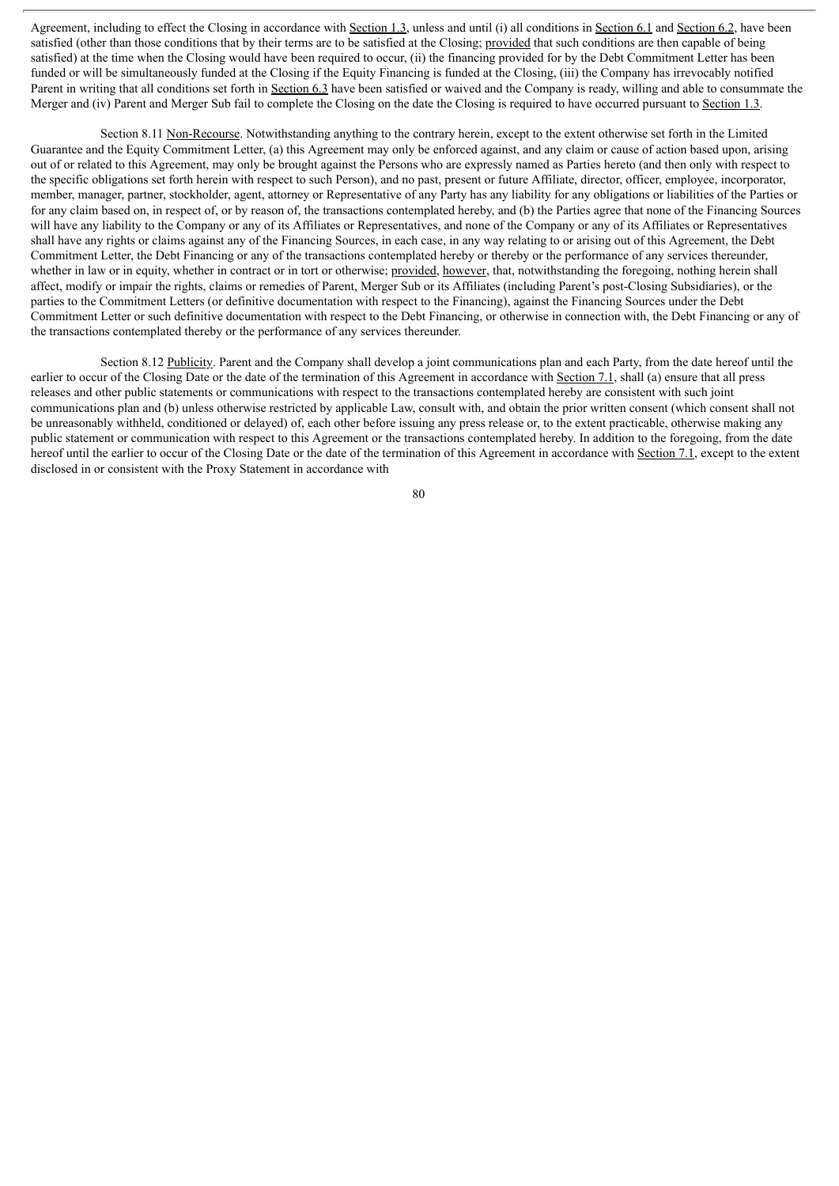Agreement, including to effect the Closing in accordance with Section 1.3, unless and until (i) all conditions in Section 6.1 and Section 6.2, have been satisfied (other than those conditions that by their terms are to be satisfied at the Closing; provided that such conditions are then capable of being satisfied) at the time when the Closing would have been required to occur, (ii) the financing provided for by the Debt Commitment Letter has been funded or will be simultaneously funded at the Closing if the Equity Financing is funded at the Closing, (iii) the Company has irrevocably notified Parent in writing that all conditions set forth in Section 6.3 have been satisfied or waived and the Company is ready, willing and able to consummate the Merger and (iv) Parent and Merger Sub fail to complete the Closing on the date the Closing is required to have occurred pursuant to Section 1.3.

Section 8.11 Non-Recourse. Notwithstanding anything to the contrary herein, except to the extent otherwise set forth in the Limited Guarantee and the Equity Commitment Letter, (a) this Agreement may only be enforced against, and any claim or cause of action based upon, arising out of or related to this Agreement, may only be brought against the Persons who are expressly named as Parties hereto (and then only with respect to the specific obligations set forth herein with respect to such Person), and no past, present or future Affiliate, director, officer, employee, incorporator, member, manager, partner, stockholder, agent, attorney or Representative of any Party has any liability for any obligations or liabilities of the Parties or for any claim based on, in respect of, or by reason of, the transactions contemplated hereby, and (b) the Parties agree that none of the Financing Sources will have any liability to the Company or any of its Affiliates or Representatives, and none of the Company or any of its Affiliates or Representatives shall have any rights or claims against any of the Financing Sources, in each case, in any way relating to or arising out of this Agreement, the Debt Commitment Letter, the Debt Financing or any of the transactions contemplated hereby or thereby or the performance of any services thereunder, whether in law or in equity, whether in contract or in tort or otherwise; provided, however, that, notwithstanding the foregoing, nothing herein shall affect, modify or impair the rights, claims or remedies of Parent, Merger Sub or its Affiliates (including Parent's post-Closing Subsidiaries), or the parties to the Commitment Letters (or definitive documentation with respect to the Financing), against the Financing Sources under the Debt Commitment Letter or such definitive documentation with respect to the Debt Financing, or otherwise in connection with, the Debt Financing or any of the transactions contemplated thereby or the performance of any services thereunder.

Section 8.12 Publicity. Parent and the Company shall develop a joint communications plan and each Party, from the date hereof until the earlier to occur of the Closing Date or the date of the termination of this Agreement in accordance with Section 7.1, shall (a) ensure that all press releases and other public statements or communications with respect to the transactions contemplated hereby are consistent with such joint communications plan and (b) unless otherwise restricted by applicable Law, consult with, and obtain the prior written consent (which consent shall not be unreasonably withheld, conditioned or delayed) of, each other before issuing any press release or, to the extent practicable, otherwise making any public statement or communication with respect to this Agreement or the transactions contemplated hereby. In addition to the foregoing, from the date hereof until the earlier to occur of the Closing Date or the date of the termination of this Agreement in accordance with Section 7.1, except to the extent disclosed in or consistent with the Proxy Statement in accordance with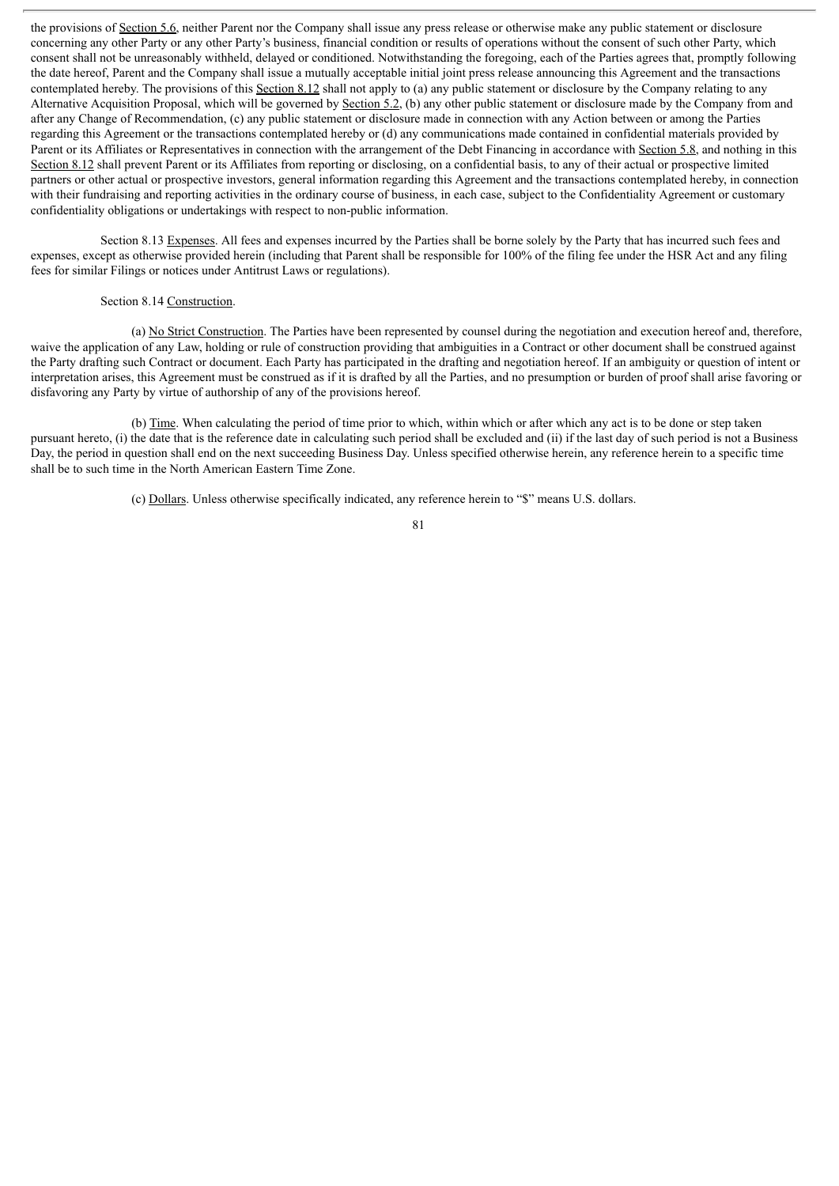the provisions of Section 5.6, neither Parent nor the Company shall issue any press release or otherwise make any public statement or disclosure concerning any other Party or any other Party's business, financial condition or results of operations without the consent of such other Party, which consent shall not be unreasonably withheld, delayed or conditioned. Notwithstanding the foregoing, each of the Parties agrees that, promptly following the date hereof, Parent and the Company shall issue a mutually acceptable initial joint press release announcing this Agreement and the transactions contemplated hereby. The provisions of this Section 8.12 shall not apply to (a) any public statement or disclosure by the Company relating to any Alternative Acquisition Proposal, which will be governed by Section 5.2, (b) any other public statement or disclosure made by the Company from and after any Change of Recommendation, (c) any public statement or disclosure made in connection with any Action between or among the Parties regarding this Agreement or the transactions contemplated hereby or (d) any communications made contained in confidential materials provided by Parent or its Affiliates or Representatives in connection with the arrangement of the Debt Financing in accordance with Section 5.8, and nothing in this Section 8.12 shall prevent Parent or its Affiliates from reporting or disclosing, on a confidential basis, to any of their actual or prospective limited partners or other actual or prospective investors, general information regarding this Agreement and the transactions contemplated hereby, in connection with their fundraising and reporting activities in the ordinary course of business, in each case, subject to the Confidentiality Agreement or customary confidentiality obligations or undertakings with respect to non-public information.

Section 8.13 Expenses. All fees and expenses incurred by the Parties shall be borne solely by the Party that has incurred such fees and expenses, except as otherwise provided herein (including that Parent shall be responsible for 100% of the filing fee under the HSR Act and any filing fees for similar Filings or notices under Antitrust Laws or regulations).

# Section 8.14 Construction.

(a) No Strict Construction. The Parties have been represented by counsel during the negotiation and execution hereof and, therefore, waive the application of any Law, holding or rule of construction providing that ambiguities in a Contract or other document shall be construed against the Party drafting such Contract or document. Each Party has participated in the drafting and negotiation hereof. If an ambiguity or question of intent or interpretation arises, this Agreement must be construed as if it is drafted by all the Parties, and no presumption or burden of proof shall arise favoring or disfavoring any Party by virtue of authorship of any of the provisions hereof.

(b) Time. When calculating the period of time prior to which, within which or after which any act is to be done or step taken pursuant hereto, (i) the date that is the reference date in calculating such period shall be excluded and (ii) if the last day of such period is not a Business Day, the period in question shall end on the next succeeding Business Day. Unless specified otherwise herein, any reference herein to a specific time shall be to such time in the North American Eastern Time Zone.

(c) Dollars. Unless otherwise specifically indicated, any reference herein to "\$" means U.S. dollars.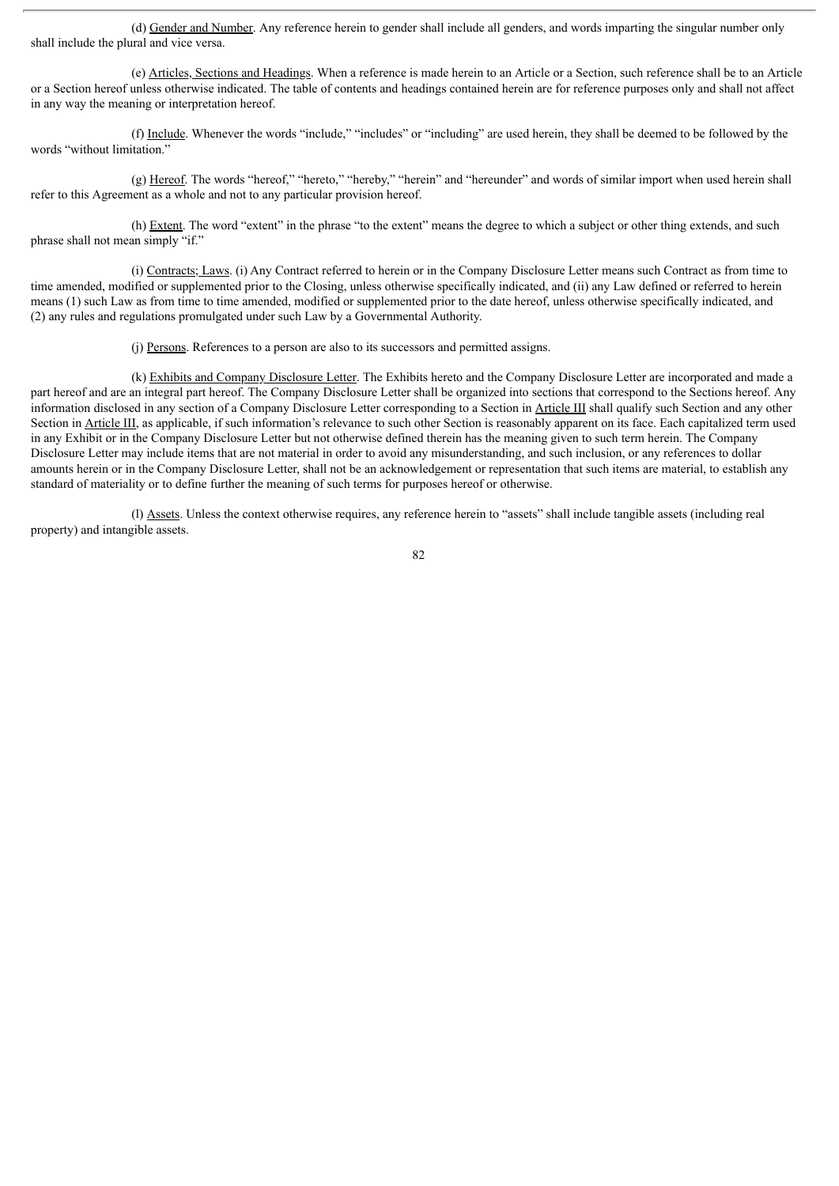(d) Gender and Number. Any reference herein to gender shall include all genders, and words imparting the singular number only shall include the plural and vice versa.

(e) Articles, Sections and Headings. When a reference is made herein to an Article or a Section, such reference shall be to an Article or a Section hereof unless otherwise indicated. The table of contents and headings contained herein are for reference purposes only and shall not affect in any way the meaning or interpretation hereof.

(f) Include. Whenever the words "include," "includes" or "including" are used herein, they shall be deemed to be followed by the words "without limitation."

(g) Hereof. The words "hereof," "hereto," "hereby," "herein" and "hereunder" and words of similar import when used herein shall refer to this Agreement as a whole and not to any particular provision hereof.

(h) Extent. The word "extent" in the phrase "to the extent" means the degree to which a subject or other thing extends, and such phrase shall not mean simply "if."

(i) Contracts; Laws. (i) Any Contract referred to herein or in the Company Disclosure Letter means such Contract as from time to time amended, modified or supplemented prior to the Closing, unless otherwise specifically indicated, and (ii) any Law defined or referred to herein means (1) such Law as from time to time amended, modified or supplemented prior to the date hereof, unless otherwise specifically indicated, and (2) any rules and regulations promulgated under such Law by a Governmental Authority.

(j) Persons. References to a person are also to its successors and permitted assigns.

(k) Exhibits and Company Disclosure Letter. The Exhibits hereto and the Company Disclosure Letter are incorporated and made a part hereof and are an integral part hereof. The Company Disclosure Letter shall be organized into sections that correspond to the Sections hereof. Any information disclosed in any section of a Company Disclosure Letter corresponding to a Section in Article III shall qualify such Section and any other Section in Article III, as applicable, if such information's relevance to such other Section is reasonably apparent on its face. Each capitalized term used in any Exhibit or in the Company Disclosure Letter but not otherwise defined therein has the meaning given to such term herein. The Company Disclosure Letter may include items that are not material in order to avoid any misunderstanding, and such inclusion, or any references to dollar amounts herein or in the Company Disclosure Letter, shall not be an acknowledgement or representation that such items are material, to establish any standard of materiality or to define further the meaning of such terms for purposes hereof or otherwise.

(l) Assets. Unless the context otherwise requires, any reference herein to "assets" shall include tangible assets (including real property) and intangible assets.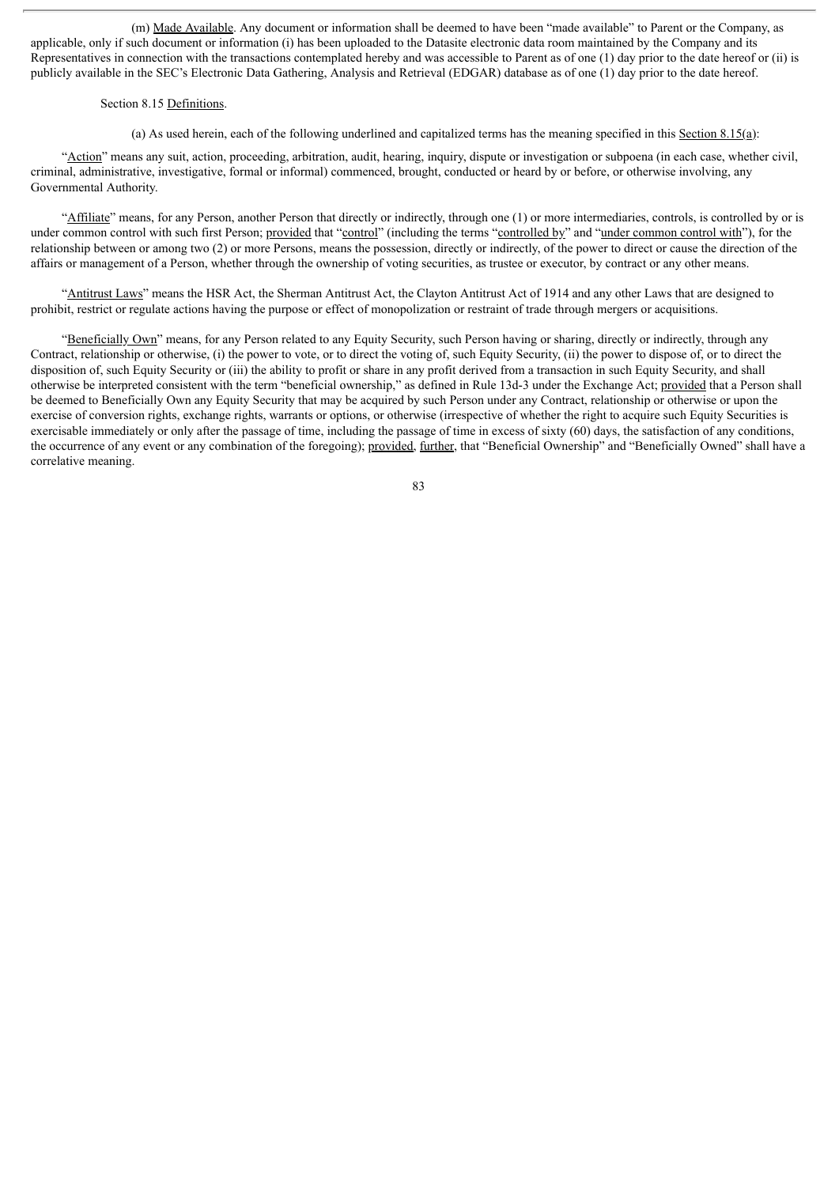(m) Made Available. Any document or information shall be deemed to have been "made available" to Parent or the Company, as applicable, only if such document or information (i) has been uploaded to the Datasite electronic data room maintained by the Company and its Representatives in connection with the transactions contemplated hereby and was accessible to Parent as of one (1) day prior to the date hereof or (ii) is publicly available in the SEC's Electronic Data Gathering, Analysis and Retrieval (EDGAR) database as of one (1) day prior to the date hereof.

### Section 8.15 Definitions.

(a) As used herein, each of the following underlined and capitalized terms has the meaning specified in this Section 8.15(a):

"Action" means any suit, action, proceeding, arbitration, audit, hearing, inquiry, dispute or investigation or subpoena (in each case, whether civil, criminal, administrative, investigative, formal or informal) commenced, brought, conducted or heard by or before, or otherwise involving, any Governmental Authority.

"Affiliate" means, for any Person, another Person that directly or indirectly, through one (1) or more intermediaries, controls, is controlled by or is under common control with such first Person; provided that "control" (including the terms "controlled by" and "under common control with"), for the relationship between or among two (2) or more Persons, means the possession, directly or indirectly, of the power to direct or cause the direction of the affairs or management of a Person, whether through the ownership of voting securities, as trustee or executor, by contract or any other means.

"Antitrust Laws" means the HSR Act, the Sherman Antitrust Act, the Clayton Antitrust Act of 1914 and any other Laws that are designed to prohibit, restrict or regulate actions having the purpose or effect of monopolization or restraint of trade through mergers or acquisitions.

"Beneficially Own" means, for any Person related to any Equity Security, such Person having or sharing, directly or indirectly, through any Contract, relationship or otherwise, (i) the power to vote, or to direct the voting of, such Equity Security, (ii) the power to dispose of, or to direct the disposition of, such Equity Security or (iii) the ability to profit or share in any profit derived from a transaction in such Equity Security, and shall otherwise be interpreted consistent with the term "beneficial ownership," as defined in Rule 13d-3 under the Exchange Act; provided that a Person shall be deemed to Beneficially Own any Equity Security that may be acquired by such Person under any Contract, relationship or otherwise or upon the exercise of conversion rights, exchange rights, warrants or options, or otherwise (irrespective of whether the right to acquire such Equity Securities is exercisable immediately or only after the passage of time, including the passage of time in excess of sixty (60) days, the satisfaction of any conditions, the occurrence of any event or any combination of the foregoing); provided, further, that "Beneficial Ownership" and "Beneficially Owned" shall have a correlative meaning.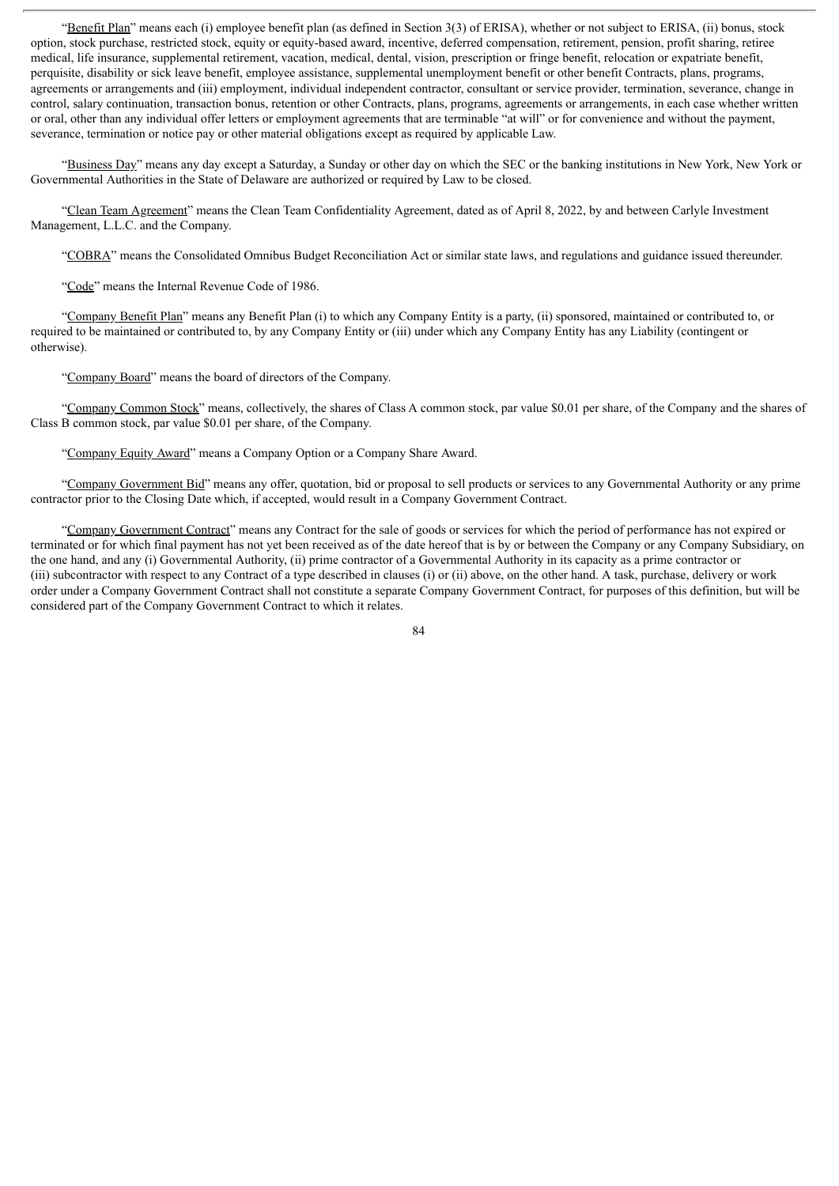"Benefit Plan" means each (i) employee benefit plan (as defined in Section 3(3) of ERISA), whether or not subject to ERISA, (ii) bonus, stock option, stock purchase, restricted stock, equity or equity-based award, incentive, deferred compensation, retirement, pension, profit sharing, retiree medical, life insurance, supplemental retirement, vacation, medical, dental, vision, prescription or fringe benefit, relocation or expatriate benefit, perquisite, disability or sick leave benefit, employee assistance, supplemental unemployment benefit or other benefit Contracts, plans, programs, agreements or arrangements and (iii) employment, individual independent contractor, consultant or service provider, termination, severance, change in control, salary continuation, transaction bonus, retention or other Contracts, plans, programs, agreements or arrangements, in each case whether written or oral, other than any individual offer letters or employment agreements that are terminable "at will" or for convenience and without the payment, severance, termination or notice pay or other material obligations except as required by applicable Law.

"Business Day" means any day except a Saturday, a Sunday or other day on which the SEC or the banking institutions in New York, New York or Governmental Authorities in the State of Delaware are authorized or required by Law to be closed.

"Clean Team Agreement" means the Clean Team Confidentiality Agreement, dated as of April 8, 2022, by and between Carlyle Investment Management, L.L.C. and the Company.

"COBRA" means the Consolidated Omnibus Budget Reconciliation Act or similar state laws, and regulations and guidance issued thereunder.

"Code" means the Internal Revenue Code of 1986.

"Company Benefit Plan" means any Benefit Plan (i) to which any Company Entity is a party, (ii) sponsored, maintained or contributed to, or required to be maintained or contributed to, by any Company Entity or (iii) under which any Company Entity has any Liability (contingent or otherwise).

"Company Board" means the board of directors of the Company.

"Company Common Stock" means, collectively, the shares of Class A common stock, par value \$0.01 per share, of the Company and the shares of Class B common stock, par value \$0.01 per share, of the Company.

"Company Equity Award" means a Company Option or a Company Share Award.

"Company Government Bid" means any offer, quotation, bid or proposal to sell products or services to any Governmental Authority or any prime contractor prior to the Closing Date which, if accepted, would result in a Company Government Contract.

"Company Government Contract" means any Contract for the sale of goods or services for which the period of performance has not expired or terminated or for which final payment has not yet been received as of the date hereof that is by or between the Company or any Company Subsidiary, on the one hand, and any (i) Governmental Authority, (ii) prime contractor of a Governmental Authority in its capacity as a prime contractor or (iii) subcontractor with respect to any Contract of a type described in clauses (i) or (ii) above, on the other hand. A task, purchase, delivery or work order under a Company Government Contract shall not constitute a separate Company Government Contract, for purposes of this definition, but will be considered part of the Company Government Contract to which it relates.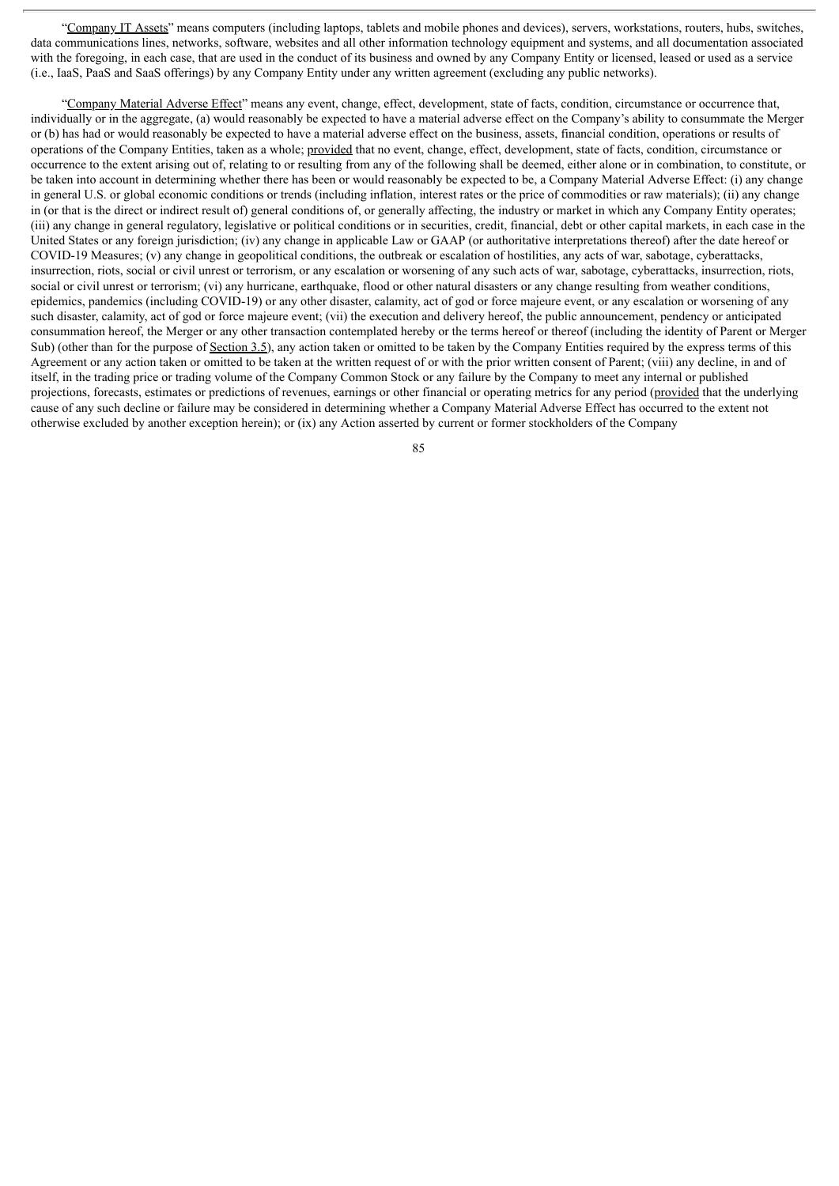"Company IT Assets" means computers (including laptops, tablets and mobile phones and devices), servers, workstations, routers, hubs, switches, data communications lines, networks, software, websites and all other information technology equipment and systems, and all documentation associated with the foregoing, in each case, that are used in the conduct of its business and owned by any Company Entity or licensed, leased or used as a service (i.e., IaaS, PaaS and SaaS offerings) by any Company Entity under any written agreement (excluding any public networks).

"Company Material Adverse Effect" means any event, change, effect, development, state of facts, condition, circumstance or occurrence that, individually or in the aggregate, (a) would reasonably be expected to have a material adverse effect on the Company's ability to consummate the Merger or (b) has had or would reasonably be expected to have a material adverse effect on the business, assets, financial condition, operations or results of operations of the Company Entities, taken as a whole; provided that no event, change, effect, development, state of facts, condition, circumstance or occurrence to the extent arising out of, relating to or resulting from any of the following shall be deemed, either alone or in combination, to constitute, or be taken into account in determining whether there has been or would reasonably be expected to be, a Company Material Adverse Effect: (i) any change in general U.S. or global economic conditions or trends (including inflation, interest rates or the price of commodities or raw materials); (ii) any change in (or that is the direct or indirect result of) general conditions of, or generally affecting, the industry or market in which any Company Entity operates; (iii) any change in general regulatory, legislative or political conditions or in securities, credit, financial, debt or other capital markets, in each case in the United States or any foreign jurisdiction; (iv) any change in applicable Law or GAAP (or authoritative interpretations thereof) after the date hereof or COVID-19 Measures; (v) any change in geopolitical conditions, the outbreak or escalation of hostilities, any acts of war, sabotage, cyberattacks, insurrection, riots, social or civil unrest or terrorism, or any escalation or worsening of any such acts of war, sabotage, cyberattacks, insurrection, riots, social or civil unrest or terrorism; (vi) any hurricane, earthquake, flood or other natural disasters or any change resulting from weather conditions, epidemics, pandemics (including COVID-19) or any other disaster, calamity, act of god or force majeure event, or any escalation or worsening of any such disaster, calamity, act of god or force majeure event; (vii) the execution and delivery hereof, the public announcement, pendency or anticipated consummation hereof, the Merger or any other transaction contemplated hereby or the terms hereof or thereof (including the identity of Parent or Merger Sub) (other than for the purpose of Section 3.5), any action taken or omitted to be taken by the Company Entities required by the express terms of this Agreement or any action taken or omitted to be taken at the written request of or with the prior written consent of Parent; (viii) any decline, in and of itself, in the trading price or trading volume of the Company Common Stock or any failure by the Company to meet any internal or published projections, forecasts, estimates or predictions of revenues, earnings or other financial or operating metrics for any period (provided that the underlying cause of any such decline or failure may be considered in determining whether a Company Material Adverse Effect has occurred to the extent not otherwise excluded by another exception herein); or (ix) any Action asserted by current or former stockholders of the Company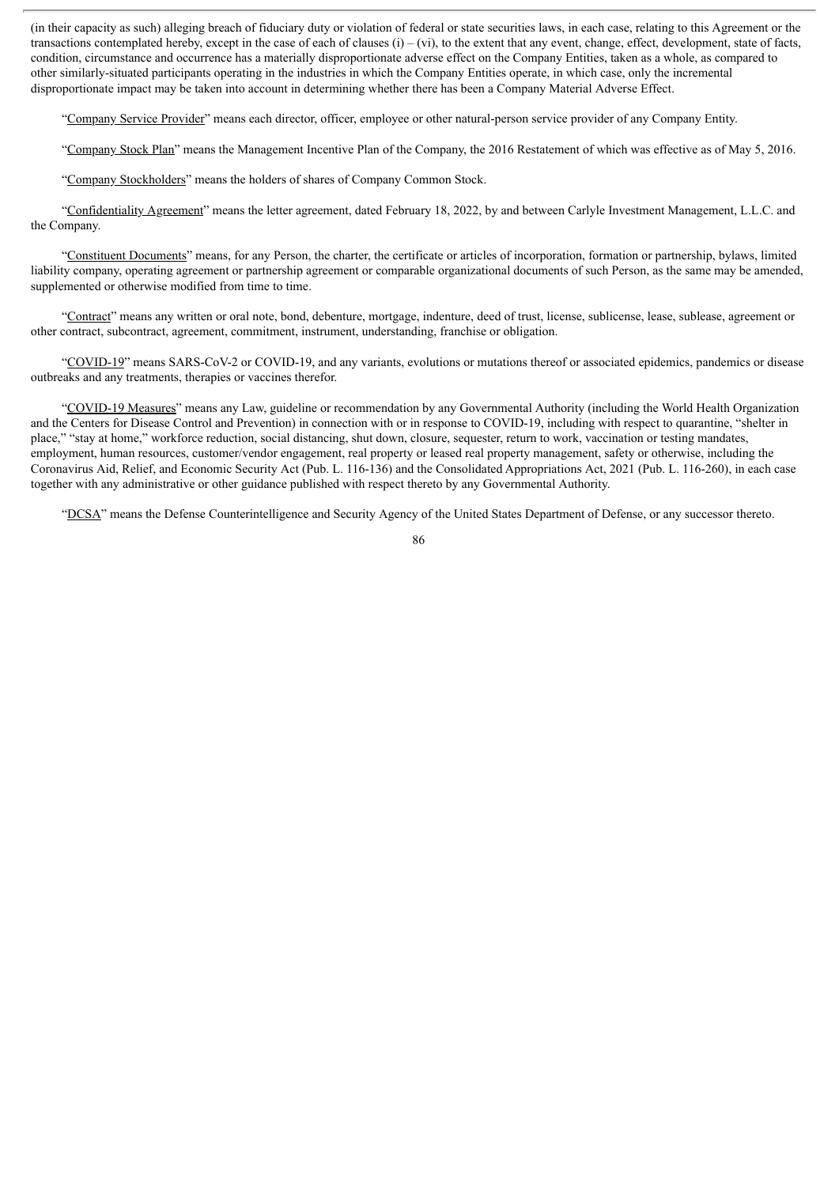(in their capacity as such) alleging breach of fiduciary duty or violation of federal or state securities laws, in each case, relating to this Agreement or the transactions contemplated hereby, except in the case of each of clauses  $(i) - (vi)$ , to the extent that any event, change, effect, development, state of facts, condition, circumstance and occurrence has a materially disproportionate adverse effect on the Company Entities, taken as a whole, as compared to other similarly-situated participants operating in the industries in which the Company Entities operate, in which case, only the incremental disproportionate impact may be taken into account in determining whether there has been a Company Material Adverse Effect.

"Company Service Provider" means each director, officer, employee or other natural-person service provider of any Company Entity.

"Company Stock Plan" means the Management Incentive Plan of the Company, the 2016 Restatement of which was effective as of May 5, 2016.

"Company Stockholders" means the holders of shares of Company Common Stock.

"Confidentiality Agreement" means the letter agreement, dated February 18, 2022, by and between Carlyle Investment Management, L.L.C. and the Company.

"Constituent Documents" means, for any Person, the charter, the certificate or articles of incorporation, formation or partnership, bylaws, limited liability company, operating agreement or partnership agreement or comparable organizational documents of such Person, as the same may be amended, supplemented or otherwise modified from time to time.

"Contract" means any written or oral note, bond, debenture, mortgage, indenture, deed of trust, license, sublicense, lease, sublease, agreement or other contract, subcontract, agreement, commitment, instrument, understanding, franchise or obligation.

"COVID-19" means SARS-CoV-2 or COVID-19, and any variants, evolutions or mutations thereof or associated epidemics, pandemics or disease outbreaks and any treatments, therapies or vaccines therefor.

"COVID-19 Measures" means any Law, guideline or recommendation by any Governmental Authority (including the World Health Organization and the Centers for Disease Control and Prevention) in connection with or in response to COVID-19, including with respect to quarantine, "shelter in place," "stay at home," workforce reduction, social distancing, shut down, closure, sequester, return to work, vaccination or testing mandates, employment, human resources, customer/vendor engagement, real property or leased real property management, safety or otherwise, including the Coronavirus Aid, Relief, and Economic Security Act (Pub. L. 116-136) and the Consolidated Appropriations Act, 2021 (Pub. L. 116-260), in each case together with any administrative or other guidance published with respect thereto by any Governmental Authority.

"DCSA" means the Defense Counterintelligence and Security Agency of the United States Department of Defense, or any successor thereto.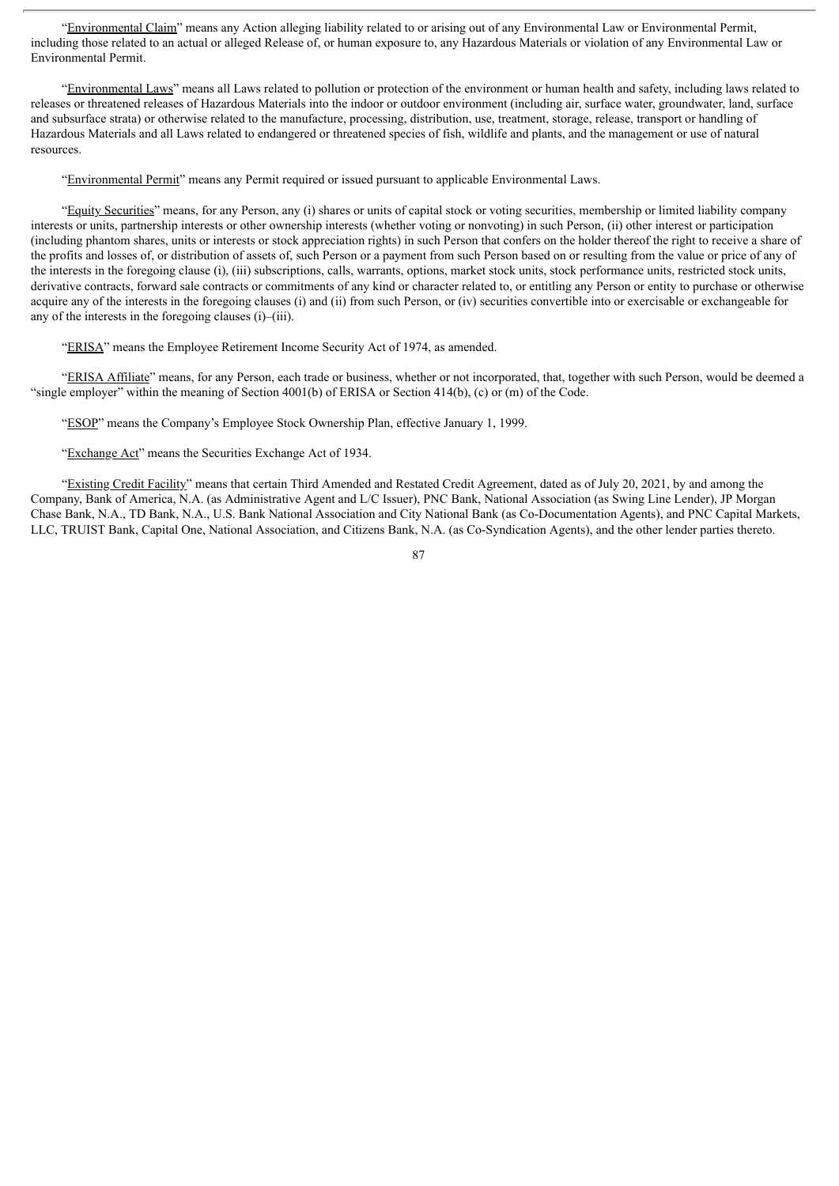"Environmental Claim" means any Action alleging liability related to or arising out of any Environmental Law or Environmental Permit, including those related to an actual or alleged Release of, or human exposure to, any Hazardous Materials or violation of any Environmental Law or Environmental Permit.

"Environmental Laws" means all Laws related to pollution or protection of the environment or human health and safety, including laws related to releases or threatened releases of Hazardous Materials into the indoor or outdoor environment (including air, surface water, groundwater, land, surface and subsurface strata) or otherwise related to the manufacture, processing, distribution, use, treatment, storage, release, transport or handling of Hazardous Materials and all Laws related to endangered or threatened species of fish, wildlife and plants, and the management or use of natural resources.

"Environmental Permit" means any Permit required or issued pursuant to applicable Environmental Laws.

"Equity Securities" means, for any Person, any (i) shares or units of capital stock or voting securities, membership or limited liability company interests or units, partnership interests or other ownership interests (whether voting or nonvoting) in such Person, (ii) other interest or participation (including phantom shares, units or interests or stock appreciation rights) in such Person that confers on the holder thereof the right to receive a share of the profits and losses of, or distribution of assets of, such Person or a payment from such Person based on or resulting from the value or price of any of the interests in the foregoing clause (i), (iii) subscriptions, calls, warrants, options, market stock units, stock performance units, restricted stock units, derivative contracts, forward sale contracts or commitments of any kind or character related to, or entitling any Person or entity to purchase or otherwise acquire any of the interests in the foregoing clauses (i) and (ii) from such Person, or (iv) securities convertible into or exercisable or exchangeable for any of the interests in the foregoing clauses (i)–(iii).

"ERISA" means the Employee Retirement Income Security Act of 1974, as amended.

"ERISA Affiliate" means, for any Person, each trade or business, whether or not incorporated, that, together with such Person, would be deemed a "single employer" within the meaning of Section 4001(b) of ERISA or Section 414(b), (c) or (m) of the Code.

"ESOP" means the Company's Employee Stock Ownership Plan, effective January 1, 1999.

"Exchange Act" means the Securities Exchange Act of 1934.

"Existing Credit Facility" means that certain Third Amended and Restated Credit Agreement, dated as of July 20, 2021, by and among the Company, Bank of America, N.A. (as Administrative Agent and L/C Issuer), PNC Bank, National Association (as Swing Line Lender), JP Morgan Chase Bank, N.A., TD Bank, N.A., U.S. Bank National Association and City National Bank (as Co-Documentation Agents), and PNC Capital Markets, LLC, TRUIST Bank, Capital One, National Association, and Citizens Bank, N.A. (as Co-Syndication Agents), and the other lender parties thereto.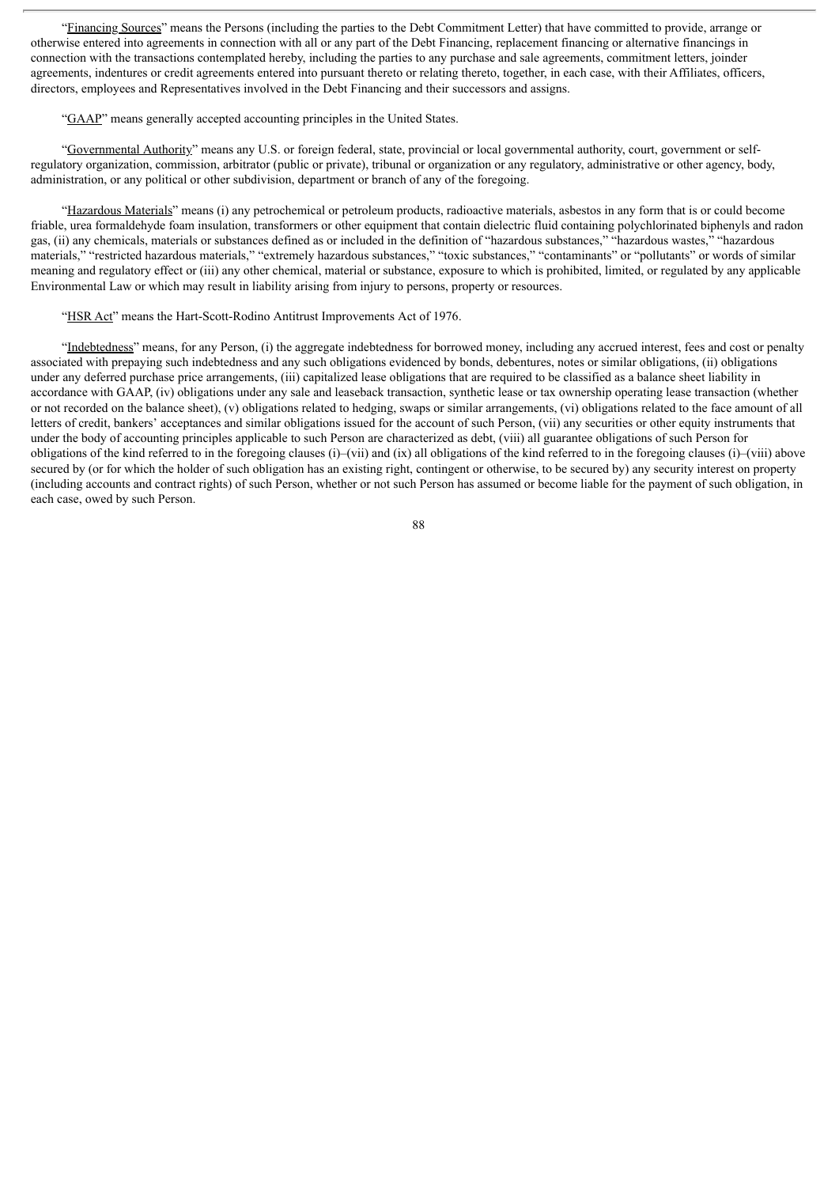"Financing Sources" means the Persons (including the parties to the Debt Commitment Letter) that have committed to provide, arrange or otherwise entered into agreements in connection with all or any part of the Debt Financing, replacement financing or alternative financings in connection with the transactions contemplated hereby, including the parties to any purchase and sale agreements, commitment letters, joinder agreements, indentures or credit agreements entered into pursuant thereto or relating thereto, together, in each case, with their Affiliates, officers, directors, employees and Representatives involved in the Debt Financing and their successors and assigns.

"GAAP" means generally accepted accounting principles in the United States.

"Governmental Authority" means any U.S. or foreign federal, state, provincial or local governmental authority, court, government or selfregulatory organization, commission, arbitrator (public or private), tribunal or organization or any regulatory, administrative or other agency, body, administration, or any political or other subdivision, department or branch of any of the foregoing.

"Hazardous Materials" means (i) any petrochemical or petroleum products, radioactive materials, asbestos in any form that is or could become friable, urea formaldehyde foam insulation, transformers or other equipment that contain dielectric fluid containing polychlorinated biphenyls and radon gas, (ii) any chemicals, materials or substances defined as or included in the definition of "hazardous substances," "hazardous wastes," "hazardous materials," "restricted hazardous materials," "extremely hazardous substances," "toxic substances," "contaminants" or "pollutants" or words of similar meaning and regulatory effect or (iii) any other chemical, material or substance, exposure to which is prohibited, limited, or regulated by any applicable Environmental Law or which may result in liability arising from injury to persons, property or resources.

"HSR Act" means the Hart-Scott-Rodino Antitrust Improvements Act of 1976.

"Indebtedness" means, for any Person, (i) the aggregate indebtedness for borrowed money, including any accrued interest, fees and cost or penalty associated with prepaying such indebtedness and any such obligations evidenced by bonds, debentures, notes or similar obligations, (ii) obligations under any deferred purchase price arrangements, (iii) capitalized lease obligations that are required to be classified as a balance sheet liability in accordance with GAAP, (iv) obligations under any sale and leaseback transaction, synthetic lease or tax ownership operating lease transaction (whether or not recorded on the balance sheet), (v) obligations related to hedging, swaps or similar arrangements, (vi) obligations related to the face amount of all letters of credit, bankers' acceptances and similar obligations issued for the account of such Person, (vii) any securities or other equity instruments that under the body of accounting principles applicable to such Person are characterized as debt, (viii) all guarantee obligations of such Person for obligations of the kind referred to in the foregoing clauses (i)–(vii) and (ix) all obligations of the kind referred to in the foregoing clauses (i)–(viii) above secured by (or for which the holder of such obligation has an existing right, contingent or otherwise, to be secured by) any security interest on property (including accounts and contract rights) of such Person, whether or not such Person has assumed or become liable for the payment of such obligation, in each case, owed by such Person.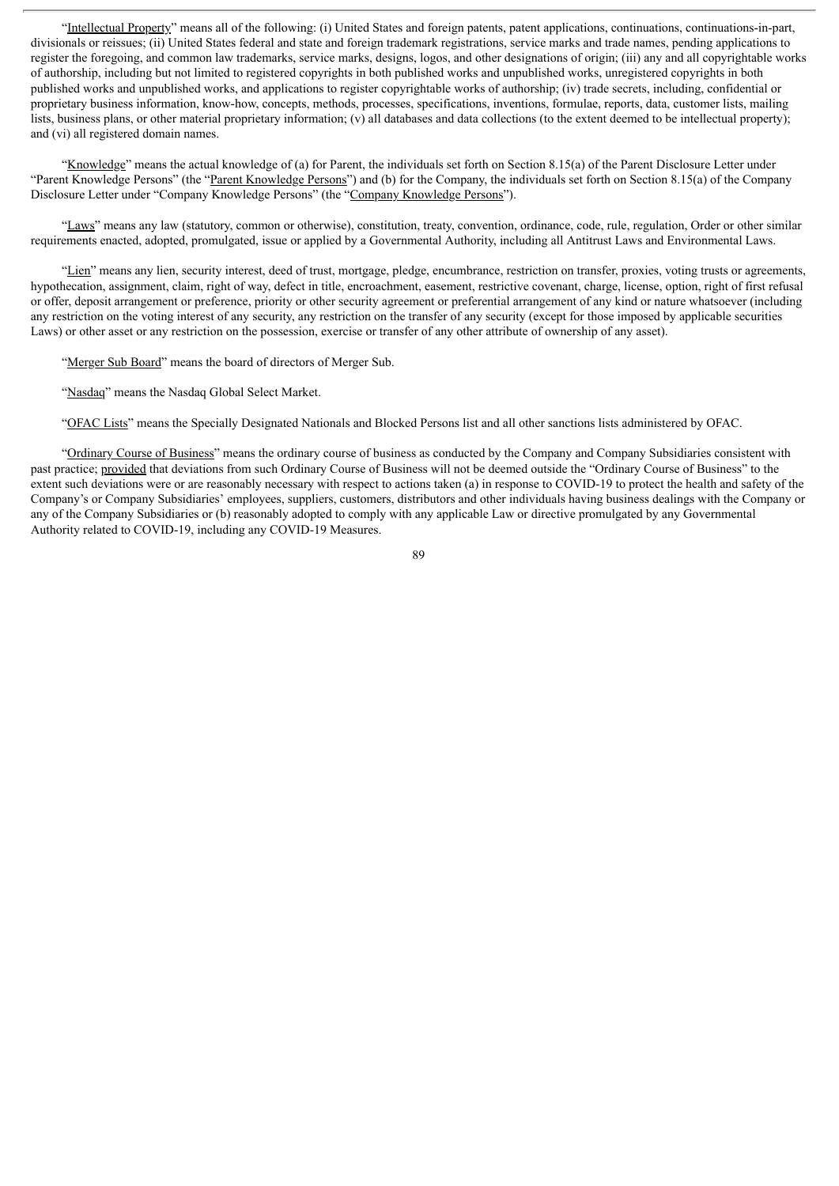"Intellectual Property" means all of the following: (i) United States and foreign patents, patent applications, continuations, continuations-in-part, divisionals or reissues; (ii) United States federal and state and foreign trademark registrations, service marks and trade names, pending applications to register the foregoing, and common law trademarks, service marks, designs, logos, and other designations of origin; (iii) any and all copyrightable works of authorship, including but not limited to registered copyrights in both published works and unpublished works, unregistered copyrights in both published works and unpublished works, and applications to register copyrightable works of authorship; (iv) trade secrets, including, confidential or proprietary business information, know-how, concepts, methods, processes, specifications, inventions, formulae, reports, data, customer lists, mailing lists, business plans, or other material proprietary information; (v) all databases and data collections (to the extent deemed to be intellectual property); and (vi) all registered domain names.

"Knowledge" means the actual knowledge of (a) for Parent, the individuals set forth on Section 8.15(a) of the Parent Disclosure Letter under "Parent Knowledge Persons" (the "Parent Knowledge Persons") and (b) for the Company, the individuals set forth on Section 8.15(a) of the Company Disclosure Letter under "Company Knowledge Persons" (the "Company Knowledge Persons").

"Laws" means any law (statutory, common or otherwise), constitution, treaty, convention, ordinance, code, rule, regulation, Order or other similar requirements enacted, adopted, promulgated, issue or applied by a Governmental Authority, including all Antitrust Laws and Environmental Laws.

"Lien" means any lien, security interest, deed of trust, mortgage, pledge, encumbrance, restriction on transfer, proxies, voting trusts or agreements, hypothecation, assignment, claim, right of way, defect in title, encroachment, easement, restrictive covenant, charge, license, option, right of first refusal or offer, deposit arrangement or preference, priority or other security agreement or preferential arrangement of any kind or nature whatsoever (including any restriction on the voting interest of any security, any restriction on the transfer of any security (except for those imposed by applicable securities Laws) or other asset or any restriction on the possession, exercise or transfer of any other attribute of ownership of any asset).

"Merger Sub Board" means the board of directors of Merger Sub.

"Nasdaq" means the Nasdaq Global Select Market.

"OFAC Lists" means the Specially Designated Nationals and Blocked Persons list and all other sanctions lists administered by OFAC.

"Ordinary Course of Business" means the ordinary course of business as conducted by the Company and Company Subsidiaries consistent with past practice; provided that deviations from such Ordinary Course of Business will not be deemed outside the "Ordinary Course of Business" to the extent such deviations were or are reasonably necessary with respect to actions taken (a) in response to COVID-19 to protect the health and safety of the Company's or Company Subsidiaries' employees, suppliers, customers, distributors and other individuals having business dealings with the Company or any of the Company Subsidiaries or (b) reasonably adopted to comply with any applicable Law or directive promulgated by any Governmental Authority related to COVID-19, including any COVID-19 Measures.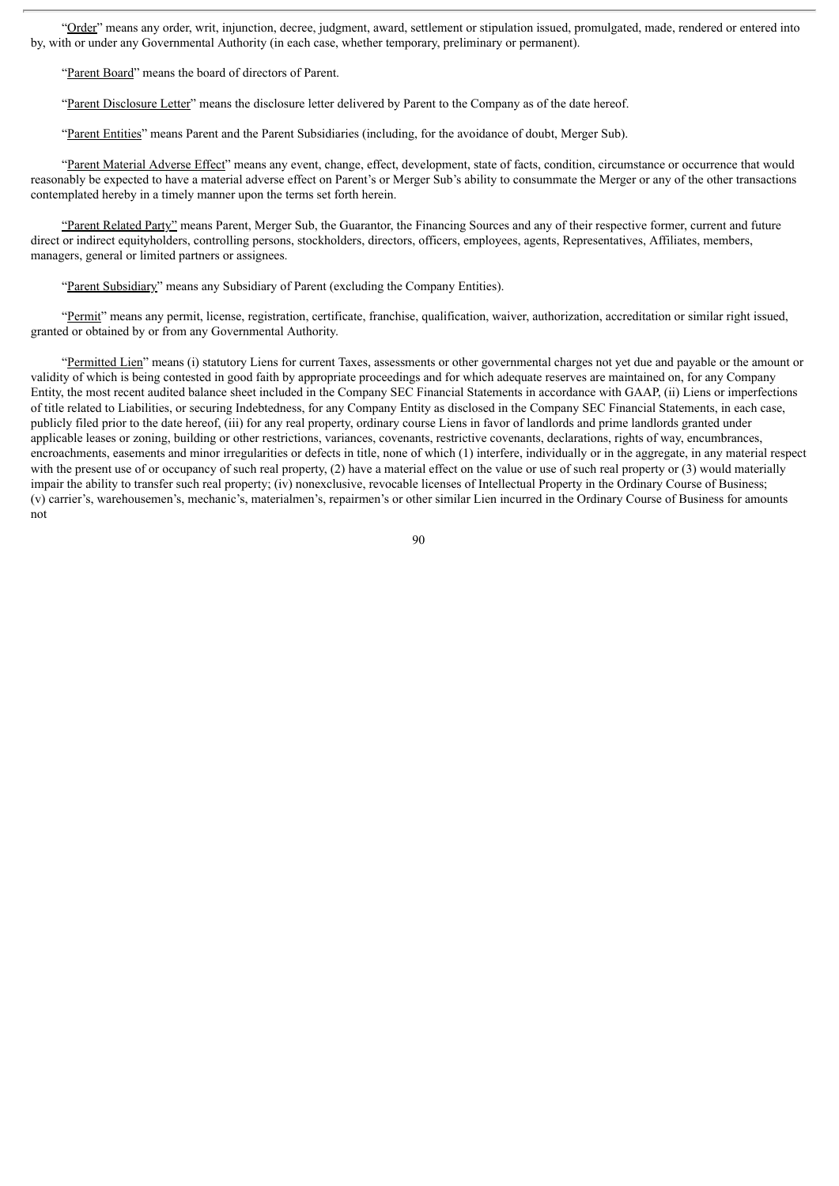"Order" means any order, writ, injunction, decree, judgment, award, settlement or stipulation issued, promulgated, made, rendered or entered into by, with or under any Governmental Authority (in each case, whether temporary, preliminary or permanent).

"Parent Board" means the board of directors of Parent.

"Parent Disclosure Letter" means the disclosure letter delivered by Parent to the Company as of the date hereof.

"Parent Entities" means Parent and the Parent Subsidiaries (including, for the avoidance of doubt, Merger Sub).

"Parent Material Adverse Effect" means any event, change, effect, development, state of facts, condition, circumstance or occurrence that would reasonably be expected to have a material adverse effect on Parent's or Merger Sub's ability to consummate the Merger or any of the other transactions contemplated hereby in a timely manner upon the terms set forth herein.

"Parent Related Party" means Parent, Merger Sub, the Guarantor, the Financing Sources and any of their respective former, current and future direct or indirect equityholders, controlling persons, stockholders, directors, officers, employees, agents, Representatives, Affiliates, members, managers, general or limited partners or assignees.

"Parent Subsidiary" means any Subsidiary of Parent (excluding the Company Entities).

"Permit" means any permit, license, registration, certificate, franchise, qualification, waiver, authorization, accreditation or similar right issued, granted or obtained by or from any Governmental Authority.

"Permitted Lien" means (i) statutory Liens for current Taxes, assessments or other governmental charges not yet due and payable or the amount or validity of which is being contested in good faith by appropriate proceedings and for which adequate reserves are maintained on, for any Company Entity, the most recent audited balance sheet included in the Company SEC Financial Statements in accordance with GAAP, (ii) Liens or imperfections of title related to Liabilities, or securing Indebtedness, for any Company Entity as disclosed in the Company SEC Financial Statements, in each case, publicly filed prior to the date hereof, (iii) for any real property, ordinary course Liens in favor of landlords and prime landlords granted under applicable leases or zoning, building or other restrictions, variances, covenants, restrictive covenants, declarations, rights of way, encumbrances, encroachments, easements and minor irregularities or defects in title, none of which (1) interfere, individually or in the aggregate, in any material respect with the present use of or occupancy of such real property, (2) have a material effect on the value or use of such real property or (3) would materially impair the ability to transfer such real property; (iv) nonexclusive, revocable licenses of Intellectual Property in the Ordinary Course of Business; (v) carrier's, warehousemen's, mechanic's, materialmen's, repairmen's or other similar Lien incurred in the Ordinary Course of Business for amounts not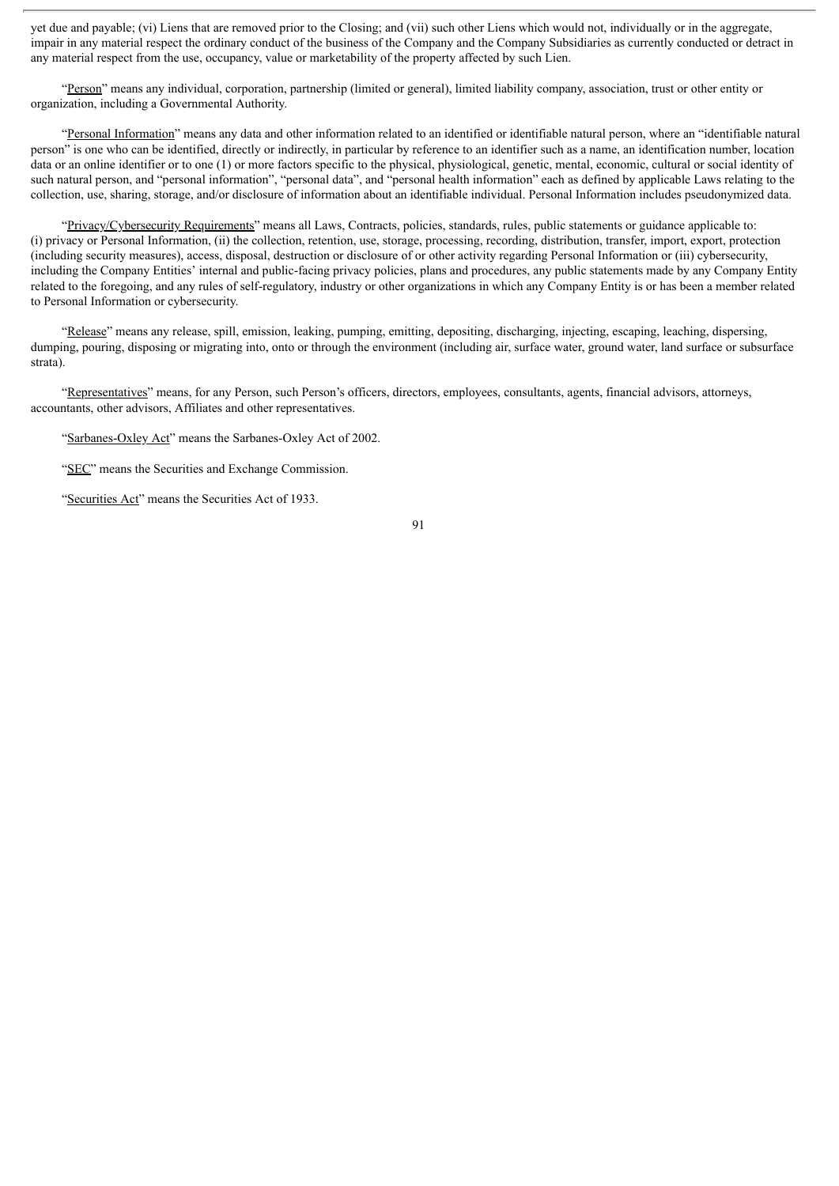yet due and payable; (vi) Liens that are removed prior to the Closing; and (vii) such other Liens which would not, individually or in the aggregate, impair in any material respect the ordinary conduct of the business of the Company and the Company Subsidiaries as currently conducted or detract in any material respect from the use, occupancy, value or marketability of the property affected by such Lien.

"Person" means any individual, corporation, partnership (limited or general), limited liability company, association, trust or other entity or organization, including a Governmental Authority.

"Personal Information" means any data and other information related to an identified or identifiable natural person, where an "identifiable natural person" is one who can be identified, directly or indirectly, in particular by reference to an identifier such as a name, an identification number, location data or an online identifier or to one (1) or more factors specific to the physical, physiological, genetic, mental, economic, cultural or social identity of such natural person, and "personal information", "personal data", and "personal health information" each as defined by applicable Laws relating to the collection, use, sharing, storage, and/or disclosure of information about an identifiable individual. Personal Information includes pseudonymized data.

"Privacy/Cybersecurity Requirements" means all Laws, Contracts, policies, standards, rules, public statements or guidance applicable to: (i) privacy or Personal Information, (ii) the collection, retention, use, storage, processing, recording, distribution, transfer, import, export, protection (including security measures), access, disposal, destruction or disclosure of or other activity regarding Personal Information or (iii) cybersecurity, including the Company Entities' internal and public-facing privacy policies, plans and procedures, any public statements made by any Company Entity related to the foregoing, and any rules of self-regulatory, industry or other organizations in which any Company Entity is or has been a member related to Personal Information or cybersecurity.

"Release" means any release, spill, emission, leaking, pumping, emitting, depositing, discharging, injecting, escaping, leaching, dispersing, dumping, pouring, disposing or migrating into, onto or through the environment (including air, surface water, ground water, land surface or subsurface strata).

"Representatives" means, for any Person, such Person's officers, directors, employees, consultants, agents, financial advisors, attorneys, accountants, other advisors, Affiliates and other representatives.

"Sarbanes-Oxley Act" means the Sarbanes-Oxley Act of 2002.

"SEC" means the Securities and Exchange Commission.

"Securities Act" means the Securities Act of 1933.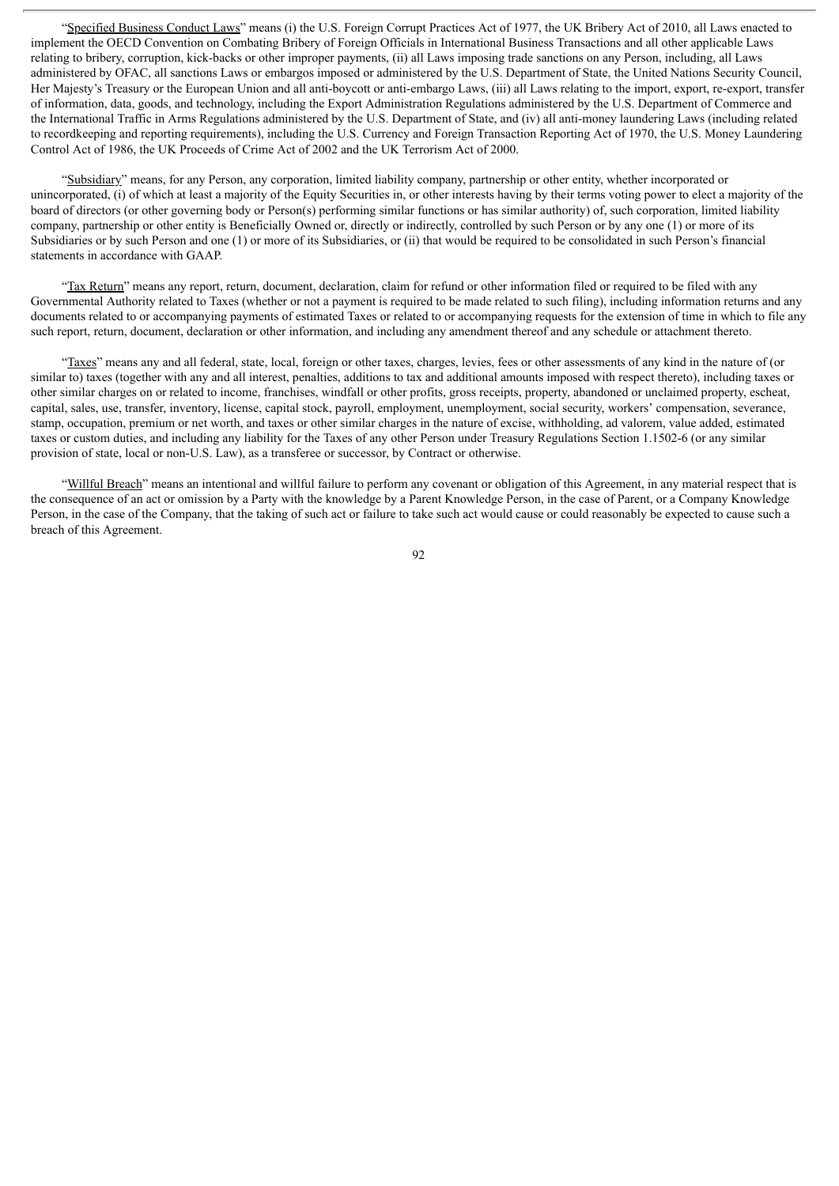"Specified Business Conduct Laws" means (i) the U.S. Foreign Corrupt Practices Act of 1977, the UK Bribery Act of 2010, all Laws enacted to implement the OECD Convention on Combating Bribery of Foreign Officials in International Business Transactions and all other applicable Laws relating to bribery, corruption, kick-backs or other improper payments, (ii) all Laws imposing trade sanctions on any Person, including, all Laws administered by OFAC, all sanctions Laws or embargos imposed or administered by the U.S. Department of State, the United Nations Security Council, Her Majesty's Treasury or the European Union and all anti-boycott or anti-embargo Laws, (iii) all Laws relating to the import, export, re-export, transfer of information, data, goods, and technology, including the Export Administration Regulations administered by the U.S. Department of Commerce and the International Traffic in Arms Regulations administered by the U.S. Department of State, and (iv) all anti-money laundering Laws (including related to recordkeeping and reporting requirements), including the U.S. Currency and Foreign Transaction Reporting Act of 1970, the U.S. Money Laundering Control Act of 1986, the UK Proceeds of Crime Act of 2002 and the UK Terrorism Act of 2000.

"Subsidiary" means, for any Person, any corporation, limited liability company, partnership or other entity, whether incorporated or unincorporated, (i) of which at least a majority of the Equity Securities in, or other interests having by their terms voting power to elect a majority of the board of directors (or other governing body or Person(s) performing similar functions or has similar authority) of, such corporation, limited liability company, partnership or other entity is Beneficially Owned or, directly or indirectly, controlled by such Person or by any one (1) or more of its Subsidiaries or by such Person and one (1) or more of its Subsidiaries, or (ii) that would be required to be consolidated in such Person's financial statements in accordance with GAAP.

"Tax Return" means any report, return, document, declaration, claim for refund or other information filed or required to be filed with any Governmental Authority related to Taxes (whether or not a payment is required to be made related to such filing), including information returns and any documents related to or accompanying payments of estimated Taxes or related to or accompanying requests for the extension of time in which to file any such report, return, document, declaration or other information, and including any amendment thereof and any schedule or attachment thereto.

"Taxes" means any and all federal, state, local, foreign or other taxes, charges, levies, fees or other assessments of any kind in the nature of (or similar to) taxes (together with any and all interest, penalties, additions to tax and additional amounts imposed with respect thereto), including taxes or other similar charges on or related to income, franchises, windfall or other profits, gross receipts, property, abandoned or unclaimed property, escheat, capital, sales, use, transfer, inventory, license, capital stock, payroll, employment, unemployment, social security, workers' compensation, severance, stamp, occupation, premium or net worth, and taxes or other similar charges in the nature of excise, withholding, ad valorem, value added, estimated taxes or custom duties, and including any liability for the Taxes of any other Person under Treasury Regulations Section 1.1502-6 (or any similar provision of state, local or non-U.S. Law), as a transferee or successor, by Contract or otherwise.

"Willful Breach" means an intentional and willful failure to perform any covenant or obligation of this Agreement, in any material respect that is the consequence of an act or omission by a Party with the knowledge by a Parent Knowledge Person, in the case of Parent, or a Company Knowledge Person, in the case of the Company, that the taking of such act or failure to take such act would cause or could reasonably be expected to cause such a breach of this Agreement.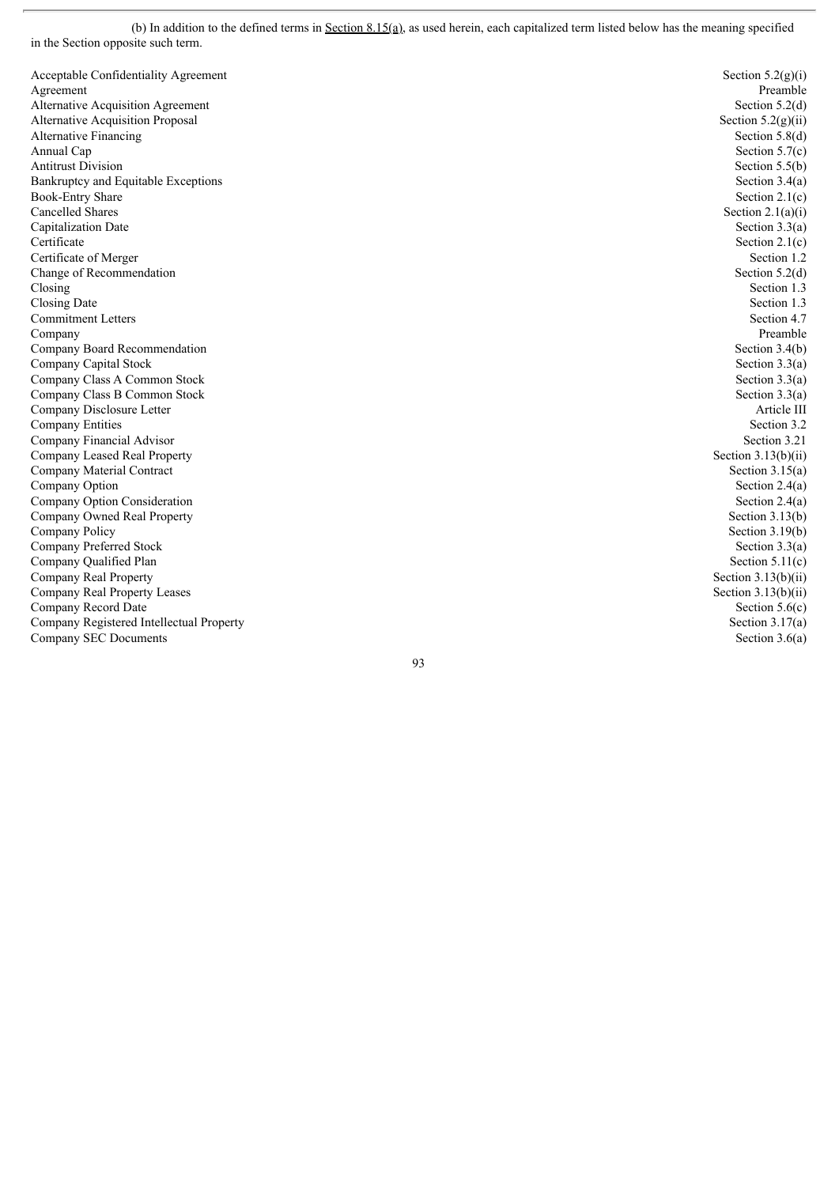(b) In addition to the defined terms in  $Section 8.15(a)$ , as used herein, each capitalized term listed below has the meaning specified in the Section opposite such term.

 $\overline{a}$ 

| Acceptable Confidentiality Agreement     | Section $5.2(g)(i)$   |
|------------------------------------------|-----------------------|
| Agreement                                | Preamble              |
| Alternative Acquisition Agreement        | Section $5.2(d)$      |
| <b>Alternative Acquisition Proposal</b>  | Section $5.2(g)(ii)$  |
| Alternative Financing                    | Section $5.8(d)$      |
| Annual Cap                               | Section $5.7(c)$      |
| <b>Antitrust Division</b>                | Section $5.5(b)$      |
| Bankruptcy and Equitable Exceptions      | Section $3.4(a)$      |
| <b>Book-Entry Share</b>                  | Section $2.1(c)$      |
| Cancelled Shares                         | Section $2.1(a)(i)$   |
| Capitalization Date                      | Section $3.3(a)$      |
| Certificate                              | Section $2.1(c)$      |
| Certificate of Merger                    | Section 1.2           |
| Change of Recommendation                 | Section $5.2(d)$      |
| Closing                                  | Section 1.3           |
| Closing Date                             | Section 1.3           |
| <b>Commitment Letters</b>                | Section 4.7           |
| Company                                  | Preamble              |
| Company Board Recommendation             | Section $3.4(b)$      |
| Company Capital Stock                    | Section $3.3(a)$      |
| Company Class A Common Stock             | Section $3.3(a)$      |
| Company Class B Common Stock             | Section $3.3(a)$      |
| Company Disclosure Letter                | Article III           |
| Company Entities                         | Section 3.2           |
| Company Financial Advisor                | Section 3.21          |
| Company Leased Real Property             | Section $3.13(b)(ii)$ |
| Company Material Contract                | Section $3.15(a)$     |
| Company Option                           | Section $2.4(a)$      |
| Company Option Consideration             | Section $2.4(a)$      |
| Company Owned Real Property              | Section $3.13(b)$     |
| Company Policy                           | Section $3.19(b)$     |
| Company Preferred Stock                  | Section $3.3(a)$      |
| Company Qualified Plan                   | Section $5.11(c)$     |
| Company Real Property                    | Section $3.13(b)(ii)$ |
| Company Real Property Leases             | Section $3.13(b)(ii)$ |
| Company Record Date                      | Section $5.6(c)$      |
| Company Registered Intellectual Property | Section $3.17(a)$     |
| Company SEC Documents                    | Section $3.6(a)$      |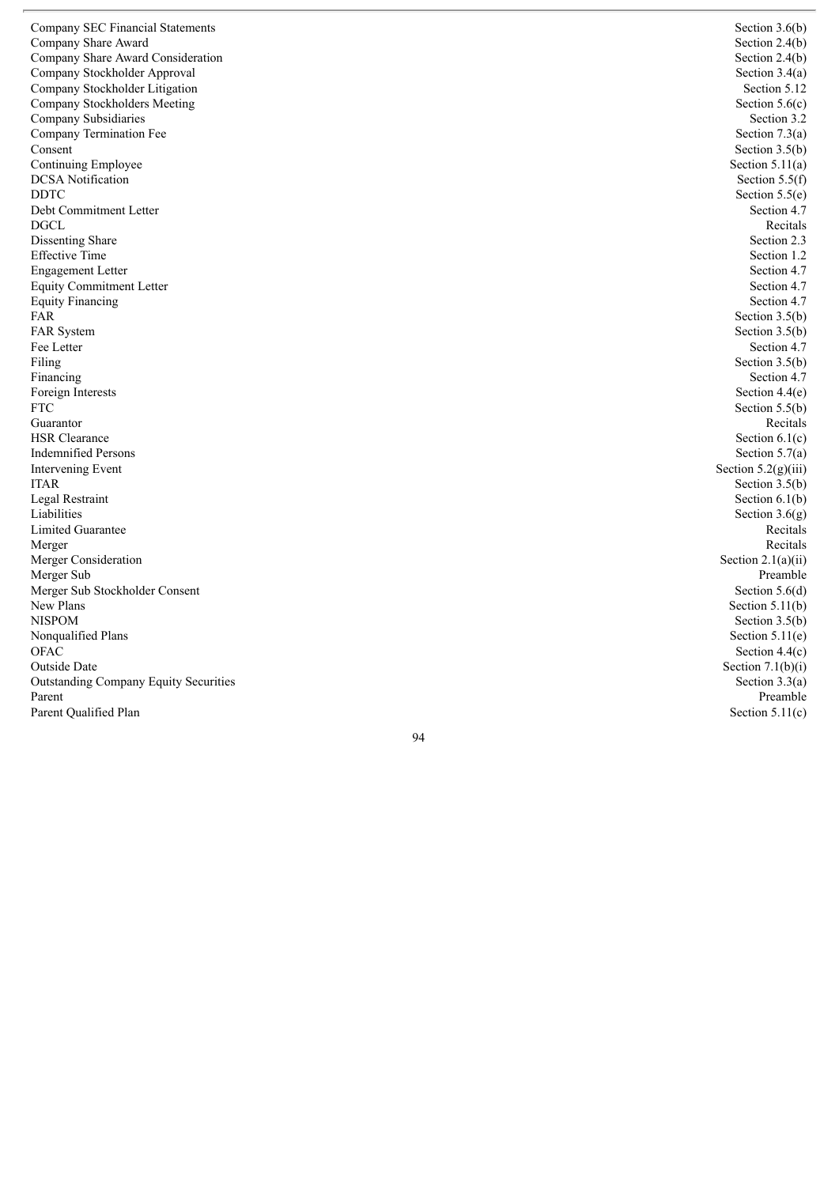Company SEC Financial Statements Company Share Award Company Share Award Consideration Company Stockholder Approval Company Stockholder Litigation Company Stockholders Meeting Company Subsidiaries Company Termination Fee Consent Continuing Employee DCSA Notification D D T C Debt Commitment Letter D G C L Dissenting Share Effective Time Engagement Letter Equity Commitment Letter Equity Financing FA R FAR System Fee Letter Filing Financing Foreign Interests F T C Guarantor HSR Clearance Indemnified Persons Intervening Event I TA R Legal Restraint Liabilities Limited Guarantee Merger Merger Consideration Merger Sub Merger Sub Stockholder Consent New Plans N I S P O M Nonqualified Plans O FA C Outside Date Outstanding Company Equity Securities Parent Parent Qualified Plan

Section  $3.6(b)$ Section  $2.4(b)$ Section  $2.4(b)$ Section  $3.4(a)$ Section 5.12 Section  $5.6(c)$ Section 3.2 Section  $7.3(a)$ Section  $3.5(b)$ Section  $5.11(a)$ Section  $5.5(f)$ Section  $5.5(e)$ Section 4.7 Recitals Section 2.3 Section 1.2 Section 4.7 Section 4.7 Section 4.7 Section  $3.5(b)$ Section  $3.5(b)$ Section 4.7 Section  $3.5(b)$ Section 4.7 Section  $4.4(e)$ Section  $5.5(b)$ Recitals Section  $6.1(c)$ Section  $5.7(a)$ Section  $5.2(g)(iii)$ Section  $3.5(b)$ Section  $6.1(b)$ Section  $3.6(g)$ Recitals Recitals Section  $2.1(a)(ii)$ Preamble Section  $5.6(d)$ Section  $5.11(b)$ Section  $3.5(b)$ Section  $5.11(e)$ Section  $4.4(c)$ Section  $7.1(b)(i)$ Section  $3.3(a)$ Preamble Section  $5.11(c)$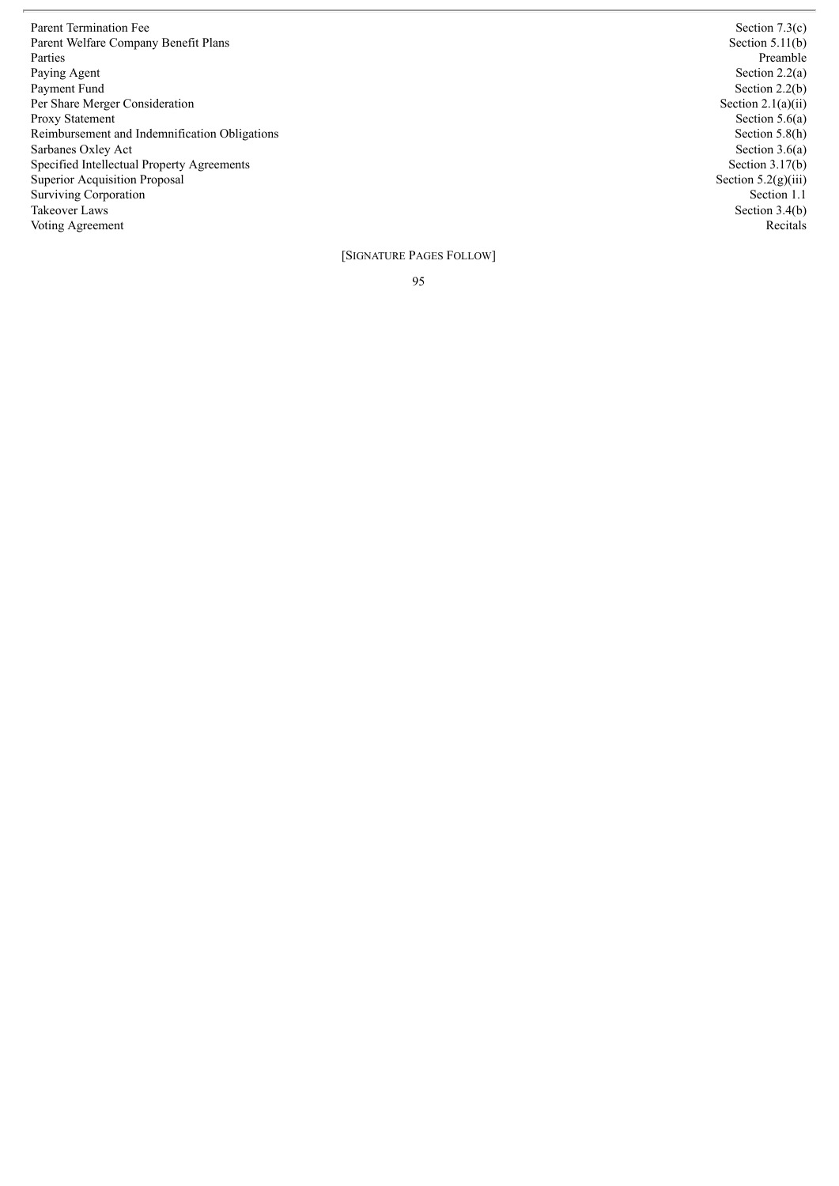Parent Termination Fee Parent Welfare Company Benefit Plans Parties Paying Agent Payment Fund Per Share Merger Consideration Proxy Statement Reimbursement and Indemnification Obligations Sarbanes Oxley Act Specified Intellectual Property Agreements Superior Acquisition Proposal Surviving Corporation Takeover Laws Voting Agreement

Section  $7.3(c)$ Section  $5.11(b)$ Preamble Section  $2.2(a)$ Section  $2.2(b)$ Section  $2.1(a)(ii)$ Section  $5.6(a)$ Section 5.8(h) Section  $3.6(a)$ Section  $3.17(b)$ Section  $5.2(g)(iii)$ Section 1.1 Section  $3.4(b)$ Recitals

[SIGNATURE PAGES FOLLOW]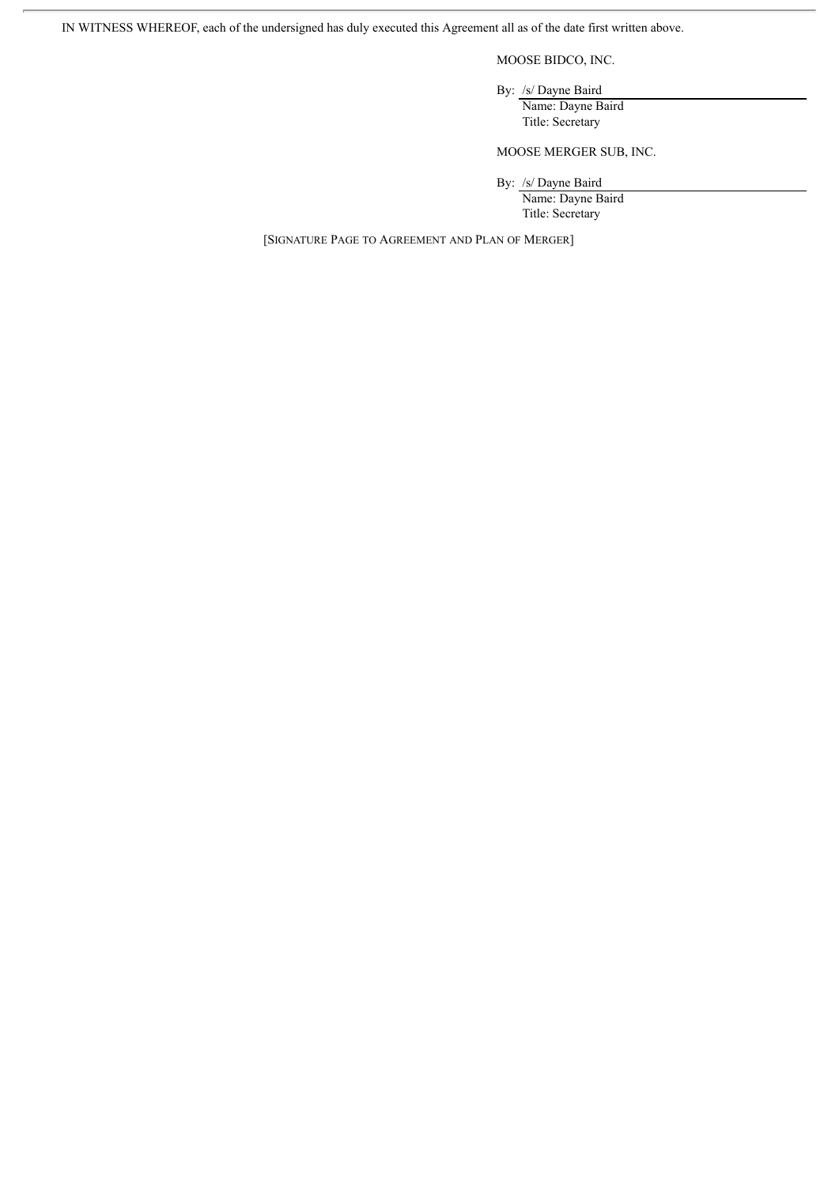IN WITNESS WHEREOF, each of the undersigned has duly executed this Agreement all as of the date first written above.

MOOSE BIDCO, INC.

By: /s/ Dayne Baird Name: Dayne Baird

Title: Secretary

MOOSE MERGER SUB, INC.

By: /s/ Dayne Baird

Name: Dayne Baird Title: Secretary

[SIGNATURE PAGE TO AGREEMENT AND PLAN OF MERGER]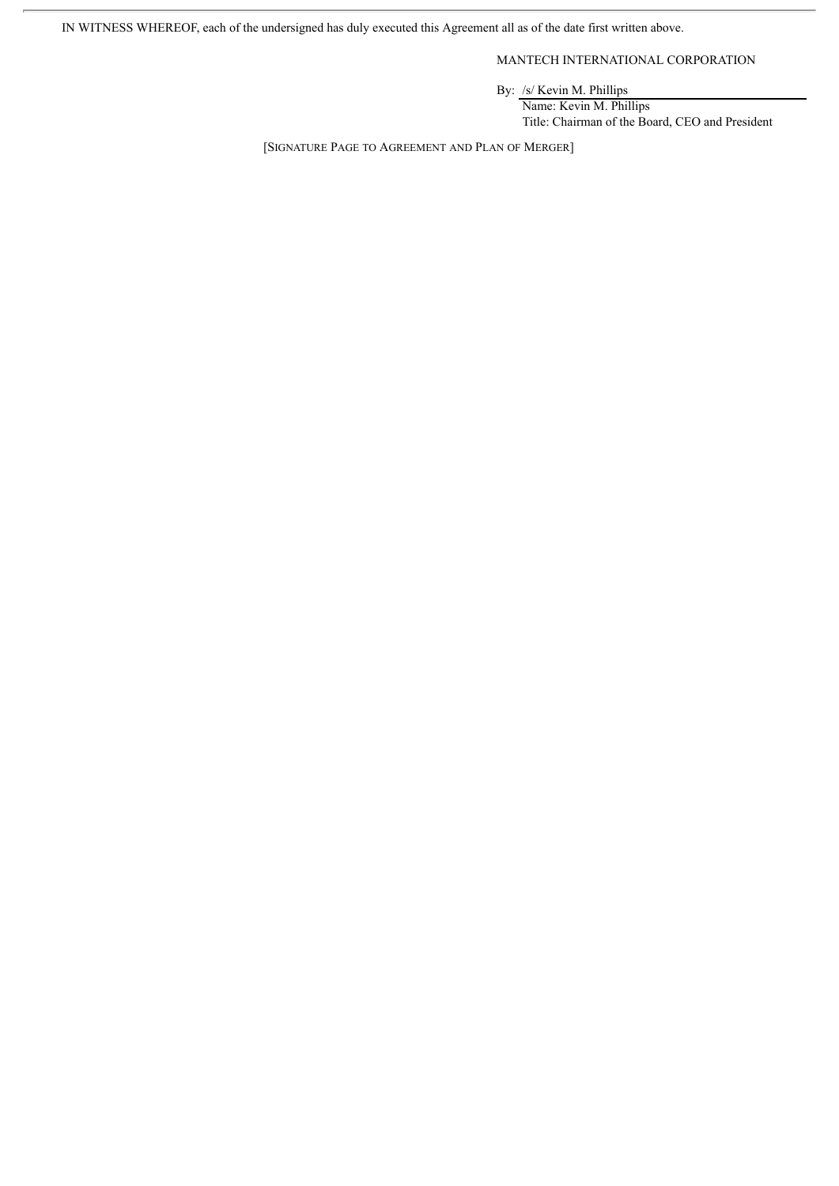IN WITNESS WHEREOF, each of the undersigned has duly executed this Agreement all as of the date first written above.

MANTECH INTERNATIONAL CORPORATION

By: /s/ Kevin M. Phillips

Name: Kevin M. Phillips Title: Chairman of the Board, CEO and President

[SIGNATURE PAGE TO AGREEMENT AND PLAN OF MERGER]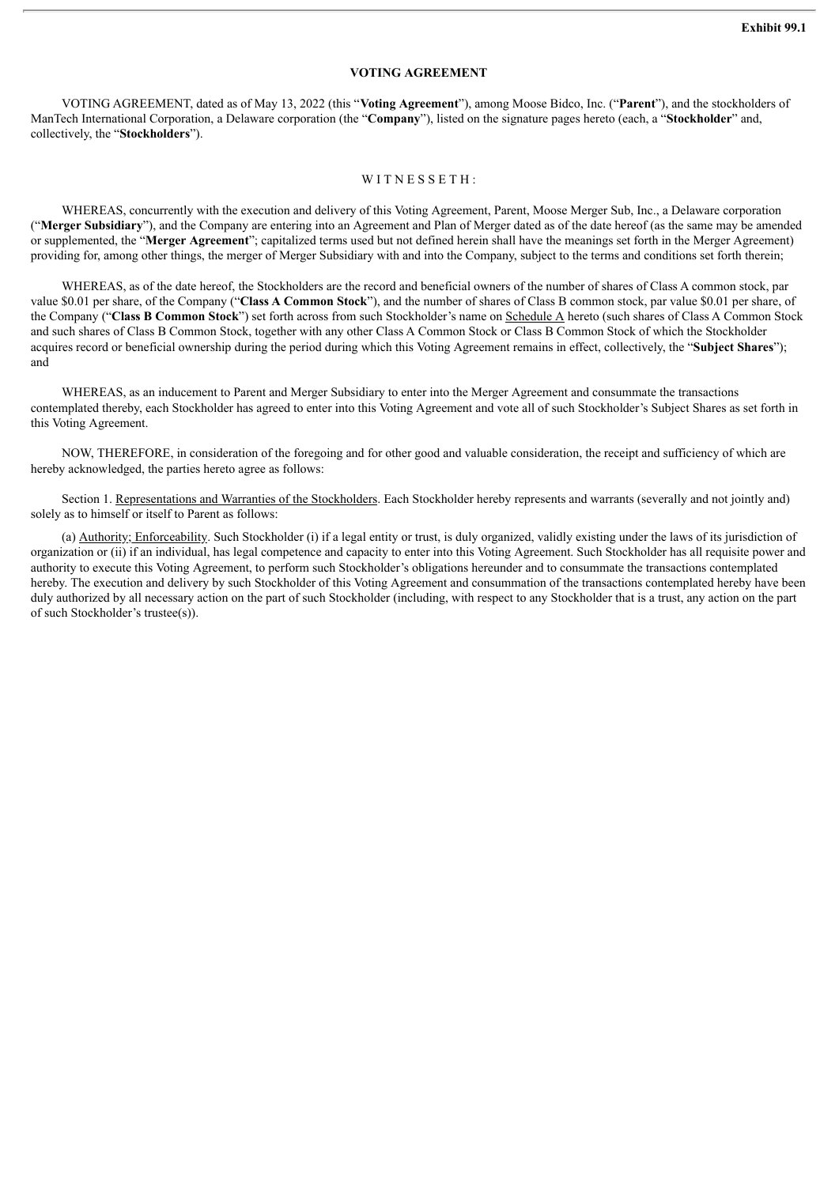## **VOTING AGREEMENT**

VOTING AGREEMENT, dated as of May 13, 2022 (this "**Voting Agreement**"), among Moose Bidco, Inc. ("**Parent**"), and the stockholders of ManTech International Corporation, a Delaware corporation (the "**Company**"), listed on the signature pages hereto (each, a "**Stockholder**" and, collectively, the "**Stockholders**").

### WITNESSETH:

WHEREAS, concurrently with the execution and delivery of this Voting Agreement, Parent, Moose Merger Sub, Inc., a Delaware corporation ("**Merger Subsidiary**"), and the Company are entering into an Agreement and Plan of Merger dated as of the date hereof (as the same may be amended or supplemented, the "**Merger Agreement**"; capitalized terms used but not defined herein shall have the meanings set forth in the Merger Agreement) providing for, among other things, the merger of Merger Subsidiary with and into the Company, subject to the terms and conditions set forth therein;

WHEREAS, as of the date hereof, the Stockholders are the record and beneficial owners of the number of shares of Class A common stock, par value \$0.01 per share, of the Company ("**Class A Common Stock**"), and the number of shares of Class B common stock, par value \$0.01 per share, of the Company ("**Class B Common Stock**") set forth across from such Stockholder's name on Schedule A hereto (such shares of Class A Common Stock and such shares of Class B Common Stock, together with any other Class A Common Stock or Class B Common Stock of which the Stockholder acquires record or beneficial ownership during the period during which this Voting Agreement remains in effect, collectively, the "**Subject Shares**"); and

WHEREAS, as an inducement to Parent and Merger Subsidiary to enter into the Merger Agreement and consummate the transactions contemplated thereby, each Stockholder has agreed to enter into this Voting Agreement and vote all of such Stockholder's Subject Shares as set forth in this Voting Agreement.

NOW, THEREFORE, in consideration of the foregoing and for other good and valuable consideration, the receipt and sufficiency of which are hereby acknowledged, the parties hereto agree as follows:

Section 1. Representations and Warranties of the Stockholders. Each Stockholder hereby represents and warrants (severally and not jointly and) solely as to himself or itself to Parent as follows:

(a) Authority; Enforceability. Such Stockholder (i) if a legal entity or trust, is duly organized, validly existing under the laws of its jurisdiction of organization or (ii) if an individual, has legal competence and capacity to enter into this Voting Agreement. Such Stockholder has all requisite power and authority to execute this Voting Agreement, to perform such Stockholder's obligations hereunder and to consummate the transactions contemplated hereby. The execution and delivery by such Stockholder of this Voting Agreement and consummation of the transactions contemplated hereby have been duly authorized by all necessary action on the part of such Stockholder (including, with respect to any Stockholder that is a trust, any action on the part of such Stockholder's trustee(s)).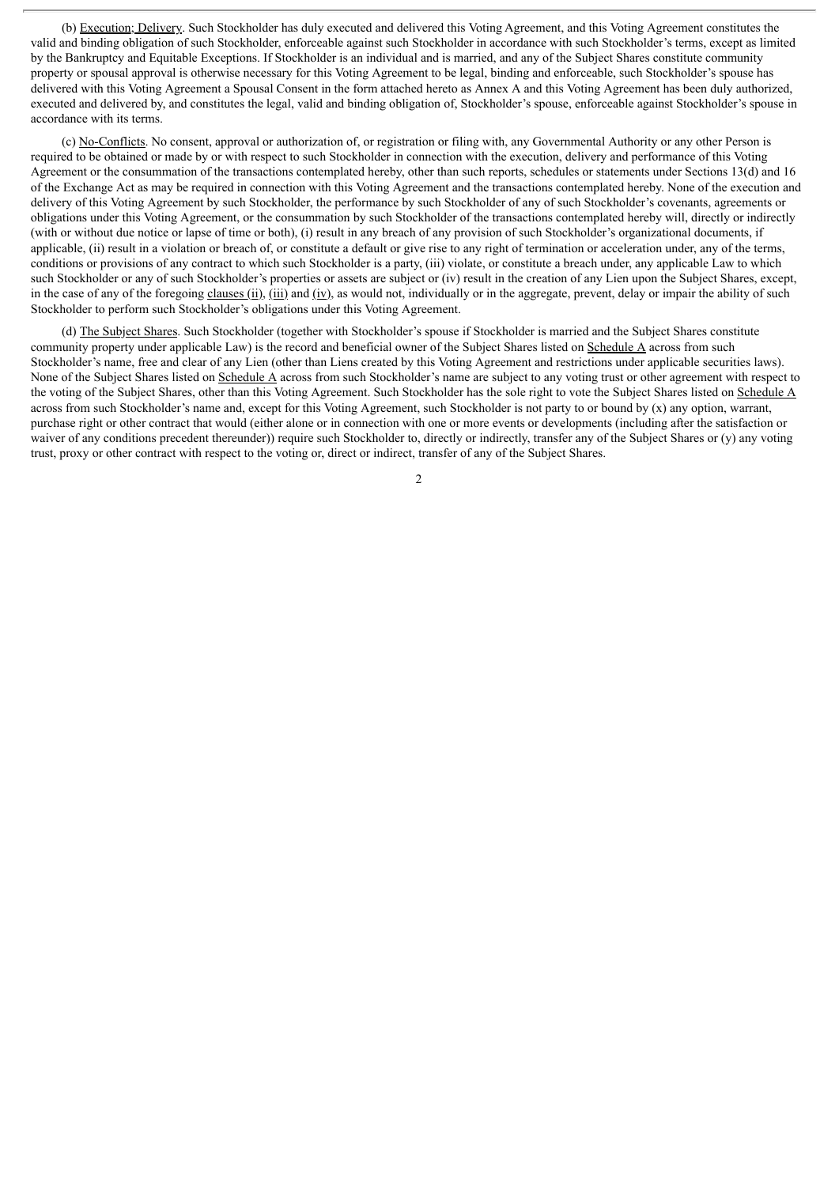(b) Execution; Delivery. Such Stockholder has duly executed and delivered this Voting Agreement, and this Voting Agreement constitutes the valid and binding obligation of such Stockholder, enforceable against such Stockholder in accordance with such Stockholder's terms, except as limited by the Bankruptcy and Equitable Exceptions. If Stockholder is an individual and is married, and any of the Subject Shares constitute community property or spousal approval is otherwise necessary for this Voting Agreement to be legal, binding and enforceable, such Stockholder's spouse has delivered with this Voting Agreement a Spousal Consent in the form attached hereto as Annex A and this Voting Agreement has been duly authorized, executed and delivered by, and constitutes the legal, valid and binding obligation of, Stockholder's spouse, enforceable against Stockholder's spouse in accordance with its terms.

(c) No-Conflicts. No consent, approval or authorization of, or registration or filing with, any Governmental Authority or any other Person is required to be obtained or made by or with respect to such Stockholder in connection with the execution, delivery and performance of this Voting Agreement or the consummation of the transactions contemplated hereby, other than such reports, schedules or statements under Sections 13(d) and 16 of the Exchange Act as may be required in connection with this Voting Agreement and the transactions contemplated hereby. None of the execution and delivery of this Voting Agreement by such Stockholder, the performance by such Stockholder of any of such Stockholder's covenants, agreements or obligations under this Voting Agreement, or the consummation by such Stockholder of the transactions contemplated hereby will, directly or indirectly (with or without due notice or lapse of time or both), (i) result in any breach of any provision of such Stockholder's organizational documents, if applicable, (ii) result in a violation or breach of, or constitute a default or give rise to any right of termination or acceleration under, any of the terms, conditions or provisions of any contract to which such Stockholder is a party, (iii) violate, or constitute a breach under, any applicable Law to which such Stockholder or any of such Stockholder's properties or assets are subject or (iv) result in the creation of any Lien upon the Subject Shares, except, in the case of any of the foregoing clauses (ii), (iii) and (iv), as would not, individually or in the aggregate, prevent, delay or impair the ability of such Stockholder to perform such Stockholder's obligations under this Voting Agreement.

(d) The Subject Shares. Such Stockholder (together with Stockholder's spouse if Stockholder is married and the Subject Shares constitute community property under applicable Law) is the record and beneficial owner of the Subject Shares listed on Schedule A across from such Stockholder's name, free and clear of any Lien (other than Liens created by this Voting Agreement and restrictions under applicable securities laws). None of the Subject Shares listed on Schedule A across from such Stockholder's name are subject to any voting trust or other agreement with respect to the voting of the Subject Shares, other than this Voting Agreement. Such Stockholder has the sole right to vote the Subject Shares listed on Schedule A across from such Stockholder's name and, except for this Voting Agreement, such Stockholder is not party to or bound by (x) any option, warrant, purchase right or other contract that would (either alone or in connection with one or more events or developments (including after the satisfaction or waiver of any conditions precedent thereunder)) require such Stockholder to, directly or indirectly, transfer any of the Subject Shares or (y) any voting trust, proxy or other contract with respect to the voting or, direct or indirect, transfer of any of the Subject Shares.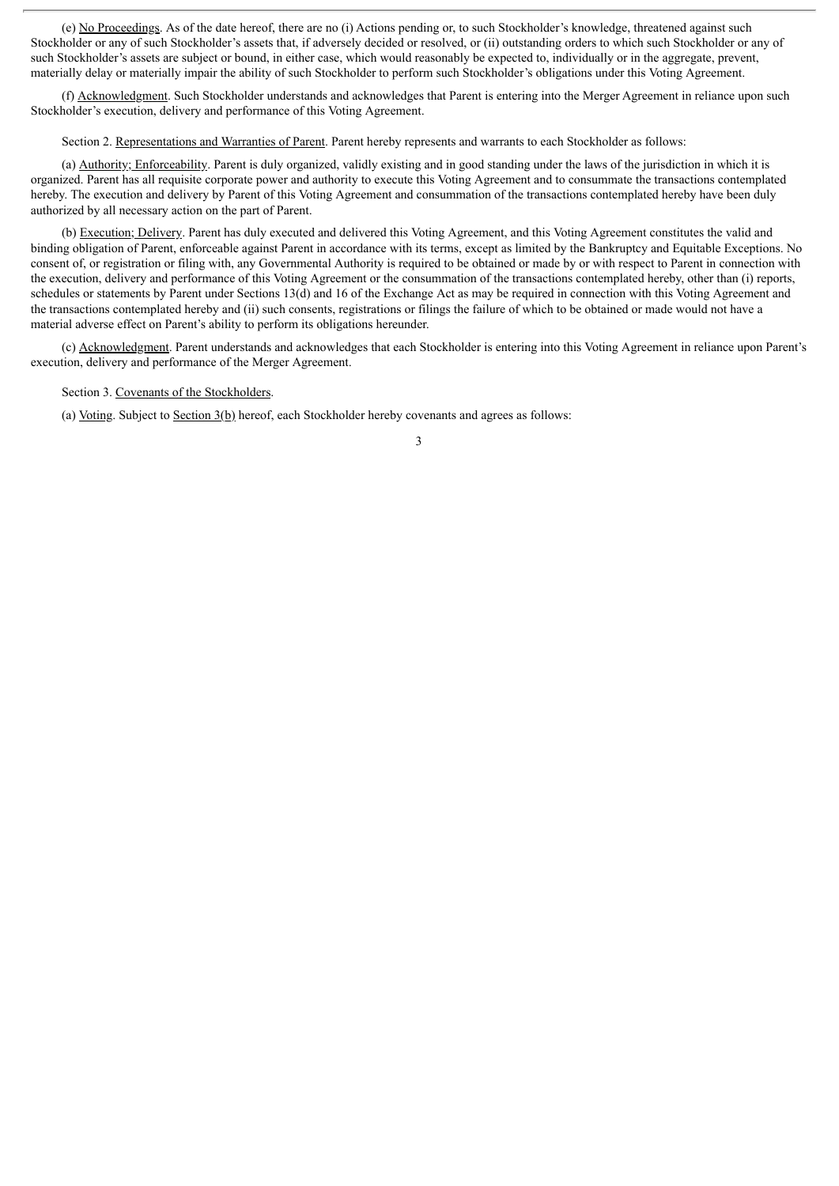(e) No Proceedings. As of the date hereof, there are no (i) Actions pending or, to such Stockholder's knowledge, threatened against such Stockholder or any of such Stockholder's assets that, if adversely decided or resolved, or (ii) outstanding orders to which such Stockholder or any of such Stockholder's assets are subject or bound, in either case, which would reasonably be expected to, individually or in the aggregate, prevent, materially delay or materially impair the ability of such Stockholder to perform such Stockholder's obligations under this Voting Agreement.

(f) Acknowledgment. Such Stockholder understands and acknowledges that Parent is entering into the Merger Agreement in reliance upon such Stockholder's execution, delivery and performance of this Voting Agreement.

Section 2. Representations and Warranties of Parent. Parent hereby represents and warrants to each Stockholder as follows:

(a) Authority; Enforceability. Parent is duly organized, validly existing and in good standing under the laws of the jurisdiction in which it is organized. Parent has all requisite corporate power and authority to execute this Voting Agreement and to consummate the transactions contemplated hereby. The execution and delivery by Parent of this Voting Agreement and consummation of the transactions contemplated hereby have been duly authorized by all necessary action on the part of Parent.

(b) Execution; Delivery. Parent has duly executed and delivered this Voting Agreement, and this Voting Agreement constitutes the valid and binding obligation of Parent, enforceable against Parent in accordance with its terms, except as limited by the Bankruptcy and Equitable Exceptions. No consent of, or registration or filing with, any Governmental Authority is required to be obtained or made by or with respect to Parent in connection with the execution, delivery and performance of this Voting Agreement or the consummation of the transactions contemplated hereby, other than (i) reports, schedules or statements by Parent under Sections 13(d) and 16 of the Exchange Act as may be required in connection with this Voting Agreement and the transactions contemplated hereby and (ii) such consents, registrations or filings the failure of which to be obtained or made would not have a material adverse effect on Parent's ability to perform its obligations hereunder.

(c) Acknowledgment. Parent understands and acknowledges that each Stockholder is entering into this Voting Agreement in reliance upon Parent's execution, delivery and performance of the Merger Agreement.

Section 3. Covenants of the Stockholders.

(a) Voting. Subject to Section 3(b) hereof, each Stockholder hereby covenants and agrees as follows: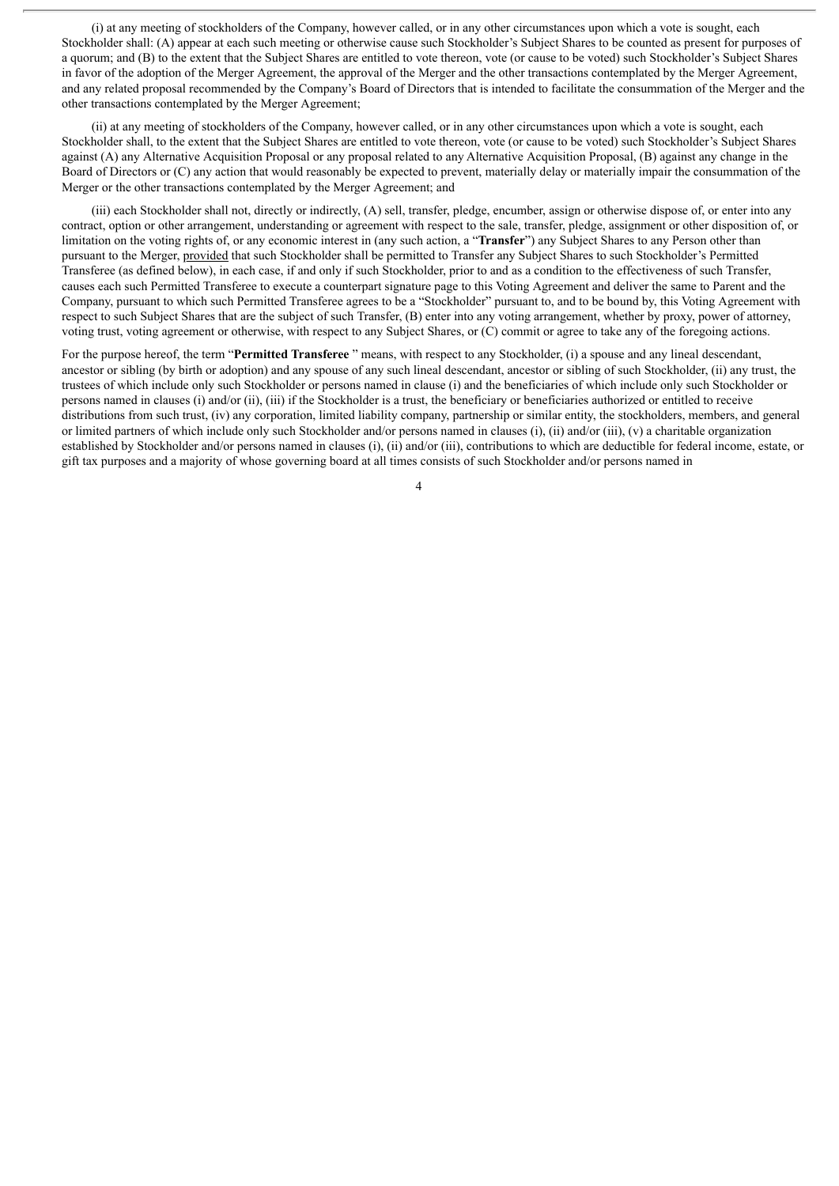(i) at any meeting of stockholders of the Company, however called, or in any other circumstances upon which a vote is sought, each Stockholder shall: (A) appear at each such meeting or otherwise cause such Stockholder's Subject Shares to be counted as present for purposes of a quorum; and (B) to the extent that the Subject Shares are entitled to vote thereon, vote (or cause to be voted) such Stockholder's Subject Shares in favor of the adoption of the Merger Agreement, the approval of the Merger and the other transactions contemplated by the Merger Agreement, and any related proposal recommended by the Company's Board of Directors that is intended to facilitate the consummation of the Merger and the other transactions contemplated by the Merger Agreement;

(ii) at any meeting of stockholders of the Company, however called, or in any other circumstances upon which a vote is sought, each Stockholder shall, to the extent that the Subject Shares are entitled to vote thereon, vote (or cause to be voted) such Stockholder's Subject Shares against (A) any Alternative Acquisition Proposal or any proposal related to any Alternative Acquisition Proposal, (B) against any change in the Board of Directors or (C) any action that would reasonably be expected to prevent, materially delay or materially impair the consummation of the Merger or the other transactions contemplated by the Merger Agreement; and

(iii) each Stockholder shall not, directly or indirectly, (A) sell, transfer, pledge, encumber, assign or otherwise dispose of, or enter into any contract, option or other arrangement, understanding or agreement with respect to the sale, transfer, pledge, assignment or other disposition of, or limitation on the voting rights of, or any economic interest in (any such action, a "**Transfer**") any Subject Shares to any Person other than pursuant to the Merger, provided that such Stockholder shall be permitted to Transfer any Subject Shares to such Stockholder's Permitted Transferee (as defined below), in each case, if and only if such Stockholder, prior to and as a condition to the effectiveness of such Transfer, causes each such Permitted Transferee to execute a counterpart signature page to this Voting Agreement and deliver the same to Parent and the Company, pursuant to which such Permitted Transferee agrees to be a "Stockholder" pursuant to, and to be bound by, this Voting Agreement with respect to such Subject Shares that are the subject of such Transfer, (B) enter into any voting arrangement, whether by proxy, power of attorney, voting trust, voting agreement or otherwise, with respect to any Subject Shares, or (C) commit or agree to take any of the foregoing actions.

For the purpose hereof, the term "**Permitted Transferee** " means, with respect to any Stockholder, (i) a spouse and any lineal descendant, ancestor or sibling (by birth or adoption) and any spouse of any such lineal descendant, ancestor or sibling of such Stockholder, (ii) any trust, the trustees of which include only such Stockholder or persons named in clause (i) and the beneficiaries of which include only such Stockholder or persons named in clauses (i) and/or (ii), (iii) if the Stockholder is a trust, the beneficiary or beneficiaries authorized or entitled to receive distributions from such trust, (iv) any corporation, limited liability company, partnership or similar entity, the stockholders, members, and general or limited partners of which include only such Stockholder and/or persons named in clauses (i), (ii) and/or (iii), (v) a charitable organization established by Stockholder and/or persons named in clauses (i), (ii) and/or (iii), contributions to which are deductible for federal income, estate, or gift tax purposes and a majority of whose governing board at all times consists of such Stockholder and/or persons named in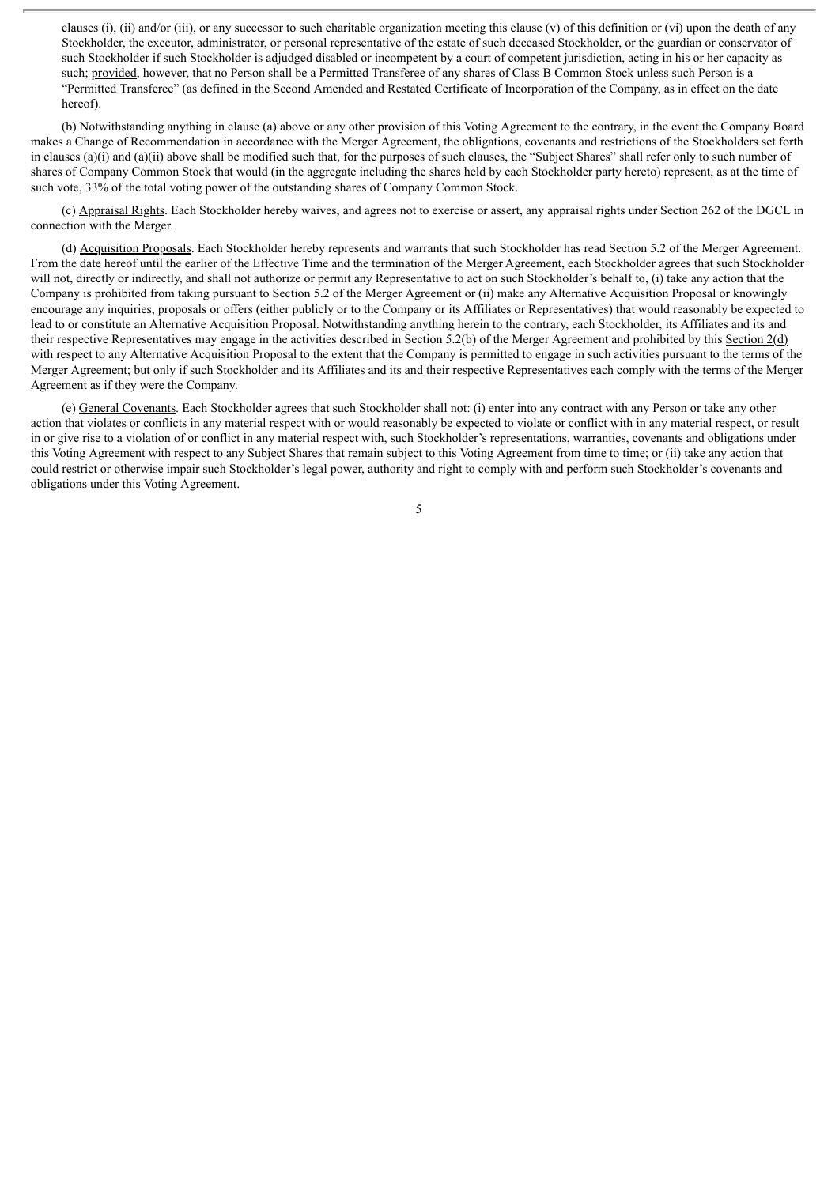clauses (i), (ii) and/or (iii), or any successor to such charitable organization meeting this clause (v) of this definition or (vi) upon the death of any Stockholder, the executor, administrator, or personal representative of the estate of such deceased Stockholder, or the guardian or conservator of such Stockholder if such Stockholder is adjudged disabled or incompetent by a court of competent jurisdiction, acting in his or her capacity as such; provided, however, that no Person shall be a Permitted Transferee of any shares of Class B Common Stock unless such Person is a "Permitted Transferee" (as defined in the Second Amended and Restated Certificate of Incorporation of the Company, as in effect on the date hereof).

(b) Notwithstanding anything in clause (a) above or any other provision of this Voting Agreement to the contrary, in the event the Company Board makes a Change of Recommendation in accordance with the Merger Agreement, the obligations, covenants and restrictions of the Stockholders set forth in clauses (a)(i) and (a)(ii) above shall be modified such that, for the purposes of such clauses, the "Subject Shares" shall refer only to such number of shares of Company Common Stock that would (in the aggregate including the shares held by each Stockholder party hereto) represent, as at the time of such vote, 33% of the total voting power of the outstanding shares of Company Common Stock.

(c) Appraisal Rights. Each Stockholder hereby waives, and agrees not to exercise or assert, any appraisal rights under Section 262 of the DGCL in connection with the Merger.

(d) Acquisition Proposals. Each Stockholder hereby represents and warrants that such Stockholder has read Section 5.2 of the Merger Agreement. From the date hereof until the earlier of the Effective Time and the termination of the Merger Agreement, each Stockholder agrees that such Stockholder will not, directly or indirectly, and shall not authorize or permit any Representative to act on such Stockholder's behalf to, (i) take any action that the Company is prohibited from taking pursuant to Section 5.2 of the Merger Agreement or (ii) make any Alternative Acquisition Proposal or knowingly encourage any inquiries, proposals or offers (either publicly or to the Company or its Affiliates or Representatives) that would reasonably be expected to lead to or constitute an Alternative Acquisition Proposal. Notwithstanding anything herein to the contrary, each Stockholder, its Affiliates and its and their respective Representatives may engage in the activities described in Section 5.2(b) of the Merger Agreement and prohibited by this Section 2(d) with respect to any Alternative Acquisition Proposal to the extent that the Company is permitted to engage in such activities pursuant to the terms of the Merger Agreement; but only if such Stockholder and its Affiliates and its and their respective Representatives each comply with the terms of the Merger Agreement as if they were the Company.

(e) General Covenants. Each Stockholder agrees that such Stockholder shall not: (i) enter into any contract with any Person or take any other action that violates or conflicts in any material respect with or would reasonably be expected to violate or conflict with in any material respect, or result in or give rise to a violation of or conflict in any material respect with, such Stockholder's representations, warranties, covenants and obligations under this Voting Agreement with respect to any Subject Shares that remain subject to this Voting Agreement from time to time; or (ii) take any action that could restrict or otherwise impair such Stockholder's legal power, authority and right to comply with and perform such Stockholder's covenants and obligations under this Voting Agreement.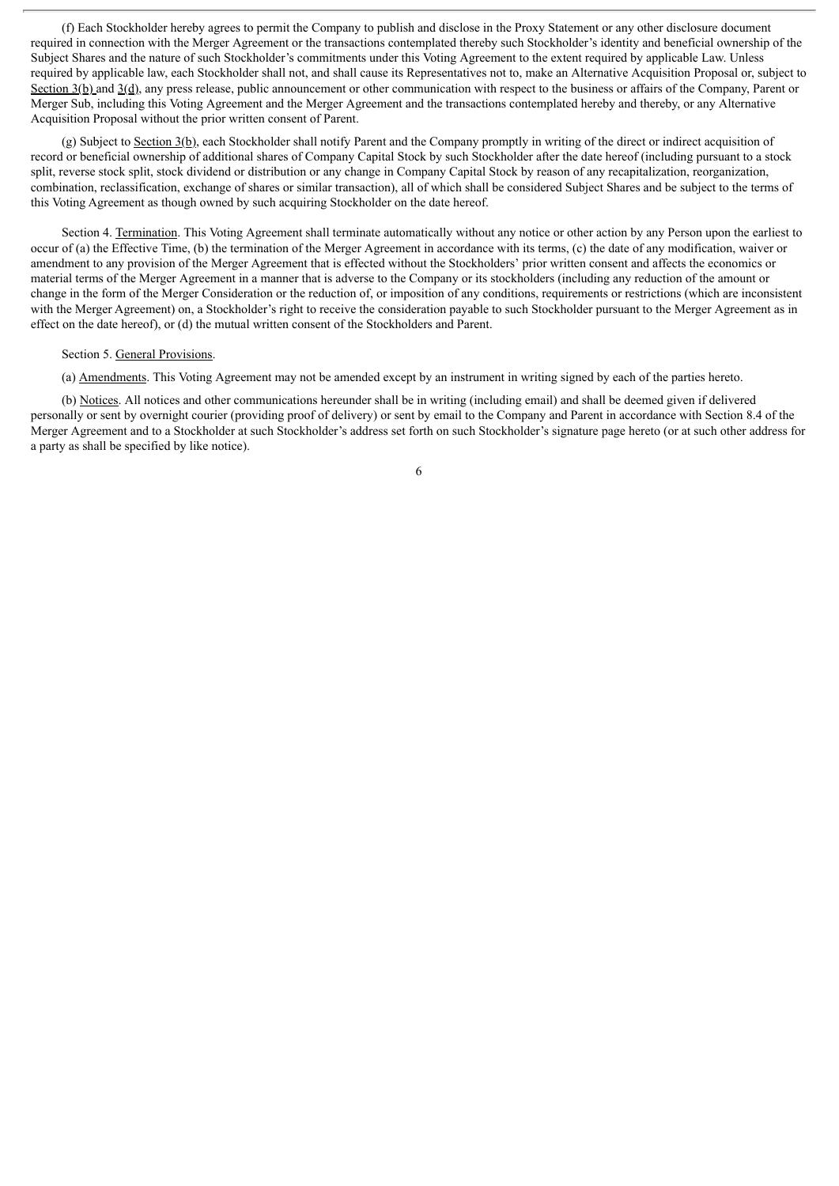(f) Each Stockholder hereby agrees to permit the Company to publish and disclose in the Proxy Statement or any other disclosure document required in connection with the Merger Agreement or the transactions contemplated thereby such Stockholder's identity and beneficial ownership of the Subject Shares and the nature of such Stockholder's commitments under this Voting Agreement to the extent required by applicable Law. Unless required by applicable law, each Stockholder shall not, and shall cause its Representatives not to, make an Alternative Acquisition Proposal or, subject to Section  $3(b)$  and  $3(d)$ , any press release, public announcement or other communication with respect to the business or affairs of the Company, Parent or Merger Sub, including this Voting Agreement and the Merger Agreement and the transactions contemplated hereby and thereby, or any Alternative Acquisition Proposal without the prior written consent of Parent.

(g) Subject to Section  $3(b)$ , each Stockholder shall notify Parent and the Company promptly in writing of the direct or indirect acquisition of record or beneficial ownership of additional shares of Company Capital Stock by such Stockholder after the date hereof (including pursuant to a stock split, reverse stock split, stock dividend or distribution or any change in Company Capital Stock by reason of any recapitalization, reorganization, combination, reclassification, exchange of shares or similar transaction), all of which shall be considered Subject Shares and be subject to the terms of this Voting Agreement as though owned by such acquiring Stockholder on the date hereof.

Section 4. Termination. This Voting Agreement shall terminate automatically without any notice or other action by any Person upon the earliest to occur of (a) the Effective Time, (b) the termination of the Merger Agreement in accordance with its terms, (c) the date of any modification, waiver or amendment to any provision of the Merger Agreement that is effected without the Stockholders' prior written consent and affects the economics or material terms of the Merger Agreement in a manner that is adverse to the Company or its stockholders (including any reduction of the amount or change in the form of the Merger Consideration or the reduction of, or imposition of any conditions, requirements or restrictions (which are inconsistent with the Merger Agreement) on, a Stockholder's right to receive the consideration payable to such Stockholder pursuant to the Merger Agreement as in effect on the date hereof), or (d) the mutual written consent of the Stockholders and Parent.

#### Section 5. General Provisions.

(a) Amendments. This Voting Agreement may not be amended except by an instrument in writing signed by each of the parties hereto.

(b) Notices. All notices and other communications hereunder shall be in writing (including email) and shall be deemed given if delivered personally or sent by overnight courier (providing proof of delivery) or sent by email to the Company and Parent in accordance with Section 8.4 of the Merger Agreement and to a Stockholder at such Stockholder's address set forth on such Stockholder's signature page hereto (or at such other address for a party as shall be specified by like notice).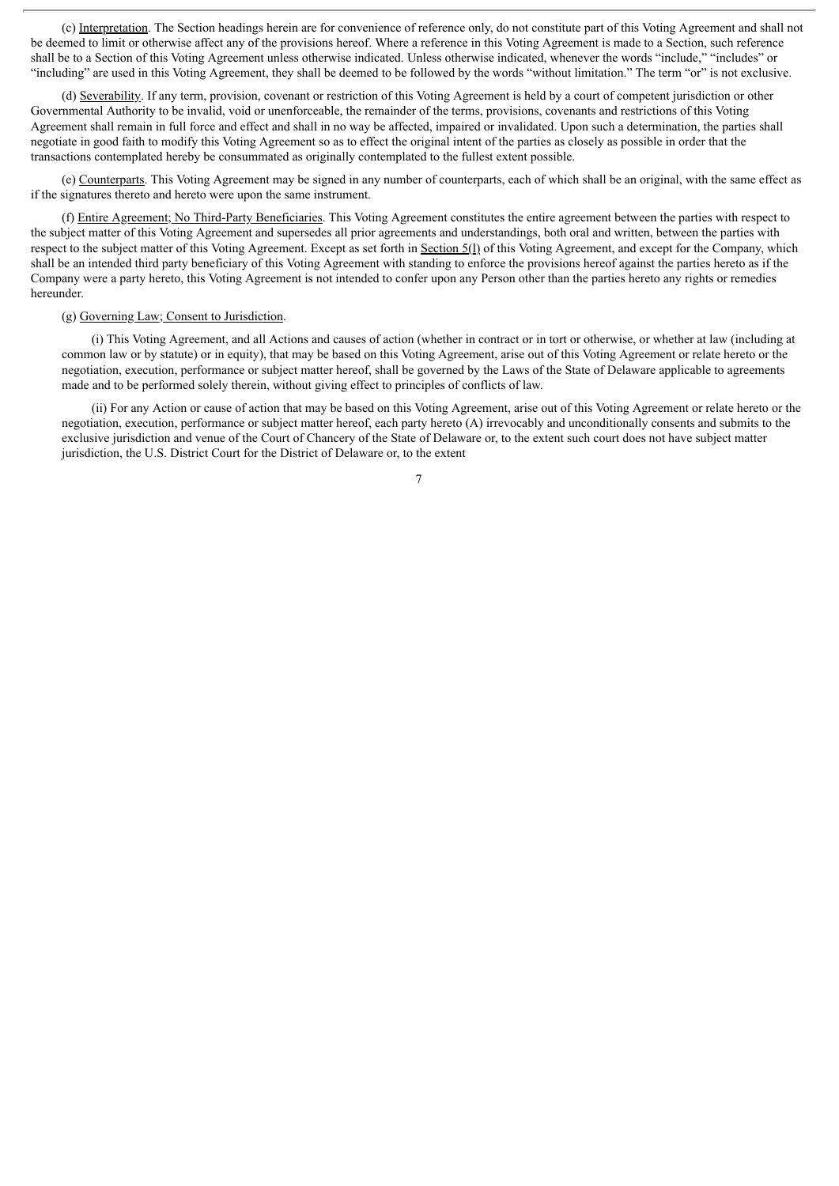(c) Interpretation. The Section headings herein are for convenience of reference only, do not constitute part of this Voting Agreement and shall not be deemed to limit or otherwise affect any of the provisions hereof. Where a reference in this Voting Agreement is made to a Section, such reference shall be to a Section of this Voting Agreement unless otherwise indicated. Unless otherwise indicated, whenever the words "include," "includes" or "including" are used in this Voting Agreement, they shall be deemed to be followed by the words "without limitation." The term "or" is not exclusive.

(d) Severability. If any term, provision, covenant or restriction of this Voting Agreement is held by a court of competent jurisdiction or other Governmental Authority to be invalid, void or unenforceable, the remainder of the terms, provisions, covenants and restrictions of this Voting Agreement shall remain in full force and effect and shall in no way be affected, impaired or invalidated. Upon such a determination, the parties shall negotiate in good faith to modify this Voting Agreement so as to effect the original intent of the parties as closely as possible in order that the transactions contemplated hereby be consummated as originally contemplated to the fullest extent possible.

(e) Counterparts. This Voting Agreement may be signed in any number of counterparts, each of which shall be an original, with the same effect as if the signatures thereto and hereto were upon the same instrument.

(f) Entire Agreement; No Third-Party Beneficiaries. This Voting Agreement constitutes the entire agreement between the parties with respect to the subject matter of this Voting Agreement and supersedes all prior agreements and understandings, both oral and written, between the parties with respect to the subject matter of this Voting Agreement. Except as set forth in Section 5(1) of this Voting Agreement, and except for the Company, which shall be an intended third party beneficiary of this Voting Agreement with standing to enforce the provisions hereof against the parties hereto as if the Company were a party hereto, this Voting Agreement is not intended to confer upon any Person other than the parties hereto any rights or remedies hereunder.

### (g) Governing Law; Consent to Jurisdiction.

(i) This Voting Agreement, and all Actions and causes of action (whether in contract or in tort or otherwise, or whether at law (including at common law or by statute) or in equity), that may be based on this Voting Agreement, arise out of this Voting Agreement or relate hereto or the negotiation, execution, performance or subject matter hereof, shall be governed by the Laws of the State of Delaware applicable to agreements made and to be performed solely therein, without giving effect to principles of conflicts of law.

(ii) For any Action or cause of action that may be based on this Voting Agreement, arise out of this Voting Agreement or relate hereto or the negotiation, execution, performance or subject matter hereof, each party hereto (A) irrevocably and unconditionally consents and submits to the exclusive jurisdiction and venue of the Court of Chancery of the State of Delaware or, to the extent such court does not have subject matter jurisdiction, the U.S. District Court for the District of Delaware or, to the extent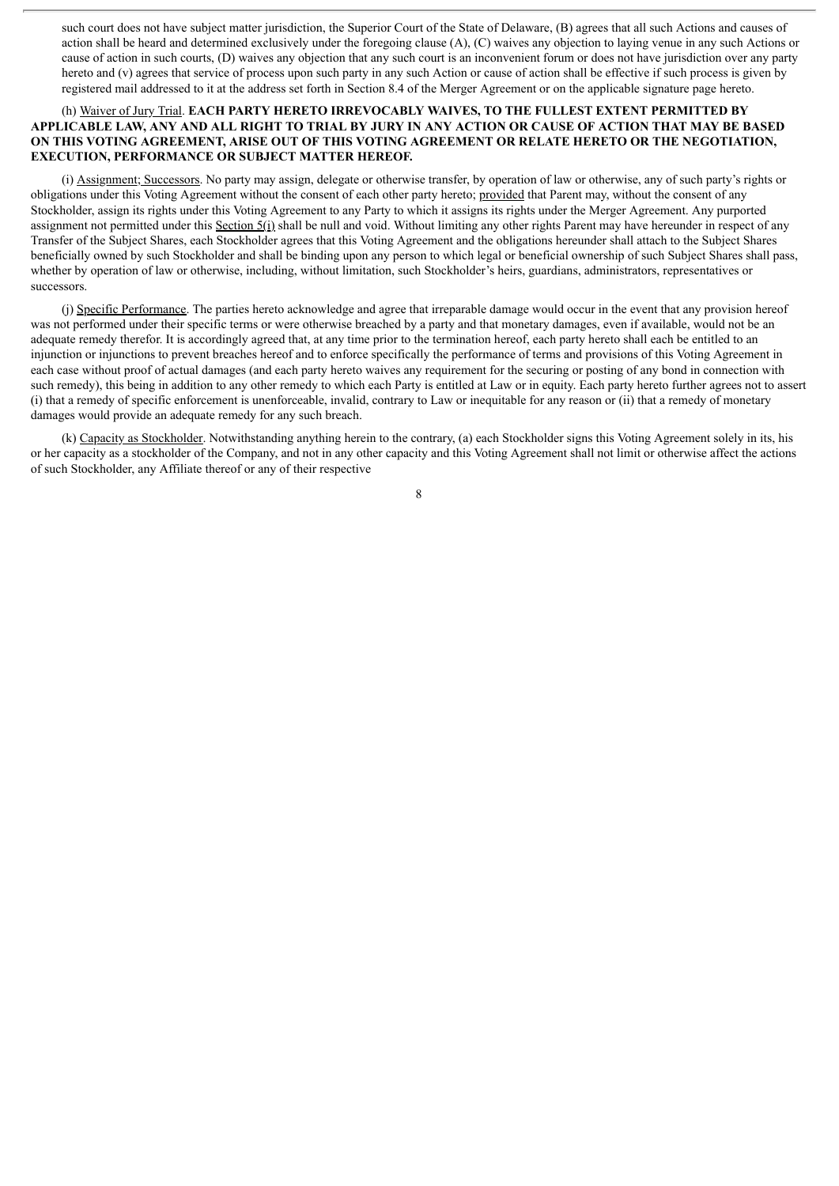such court does not have subject matter jurisdiction, the Superior Court of the State of Delaware, (B) agrees that all such Actions and causes of action shall be heard and determined exclusively under the foregoing clause (A), (C) waives any objection to laying venue in any such Actions or cause of action in such courts, (D) waives any objection that any such court is an inconvenient forum or does not have jurisdiction over any party hereto and (v) agrees that service of process upon such party in any such Action or cause of action shall be effective if such process is given by registered mail addressed to it at the address set forth in Section 8.4 of the Merger Agreement or on the applicable signature page hereto.

## (h) Waiver of Jury Trial. **EACH PARTY HERETO IRREVOCABLY WAIVES, TO THE FULLEST EXTENT PERMITTED BY** APPLICABLE LAW, ANY AND ALL RIGHT TO TRIAL BY JURY IN ANY ACTION OR CAUSE OF ACTION THAT MAY BE BASED **ON THIS VOTING AGREEMENT, ARISE OUT OF THIS VOTING AGREEMENT OR RELATE HERETO OR THE NEGOTIATION, EXECUTION, PERFORMANCE OR SUBJECT MATTER HEREOF.**

(i) Assignment; Successors. No party may assign, delegate or otherwise transfer, by operation of law or otherwise, any of such party's rights or obligations under this Voting Agreement without the consent of each other party hereto; provided that Parent may, without the consent of any Stockholder, assign its rights under this Voting Agreement to any Party to which it assigns its rights under the Merger Agreement. Any purported assignment not permitted under this Section 5(i) shall be null and void. Without limiting any other rights Parent may have hereunder in respect of any Transfer of the Subject Shares, each Stockholder agrees that this Voting Agreement and the obligations hereunder shall attach to the Subject Shares beneficially owned by such Stockholder and shall be binding upon any person to which legal or beneficial ownership of such Subject Shares shall pass, whether by operation of law or otherwise, including, without limitation, such Stockholder's heirs, guardians, administrators, representatives or successors.

(j) Specific Performance. The parties hereto acknowledge and agree that irreparable damage would occur in the event that any provision hereof was not performed under their specific terms or were otherwise breached by a party and that monetary damages, even if available, would not be an adequate remedy therefor. It is accordingly agreed that, at any time prior to the termination hereof, each party hereto shall each be entitled to an injunction or injunctions to prevent breaches hereof and to enforce specifically the performance of terms and provisions of this Voting Agreement in each case without proof of actual damages (and each party hereto waives any requirement for the securing or posting of any bond in connection with such remedy), this being in addition to any other remedy to which each Party is entitled at Law or in equity. Each party hereto further agrees not to assert (i) that a remedy of specific enforcement is unenforceable, invalid, contrary to Law or inequitable for any reason or (ii) that a remedy of monetary damages would provide an adequate remedy for any such breach.

(k) Capacity as Stockholder. Notwithstanding anything herein to the contrary, (a) each Stockholder signs this Voting Agreement solely in its, his or her capacity as a stockholder of the Company, and not in any other capacity and this Voting Agreement shall not limit or otherwise affect the actions of such Stockholder, any Affiliate thereof or any of their respective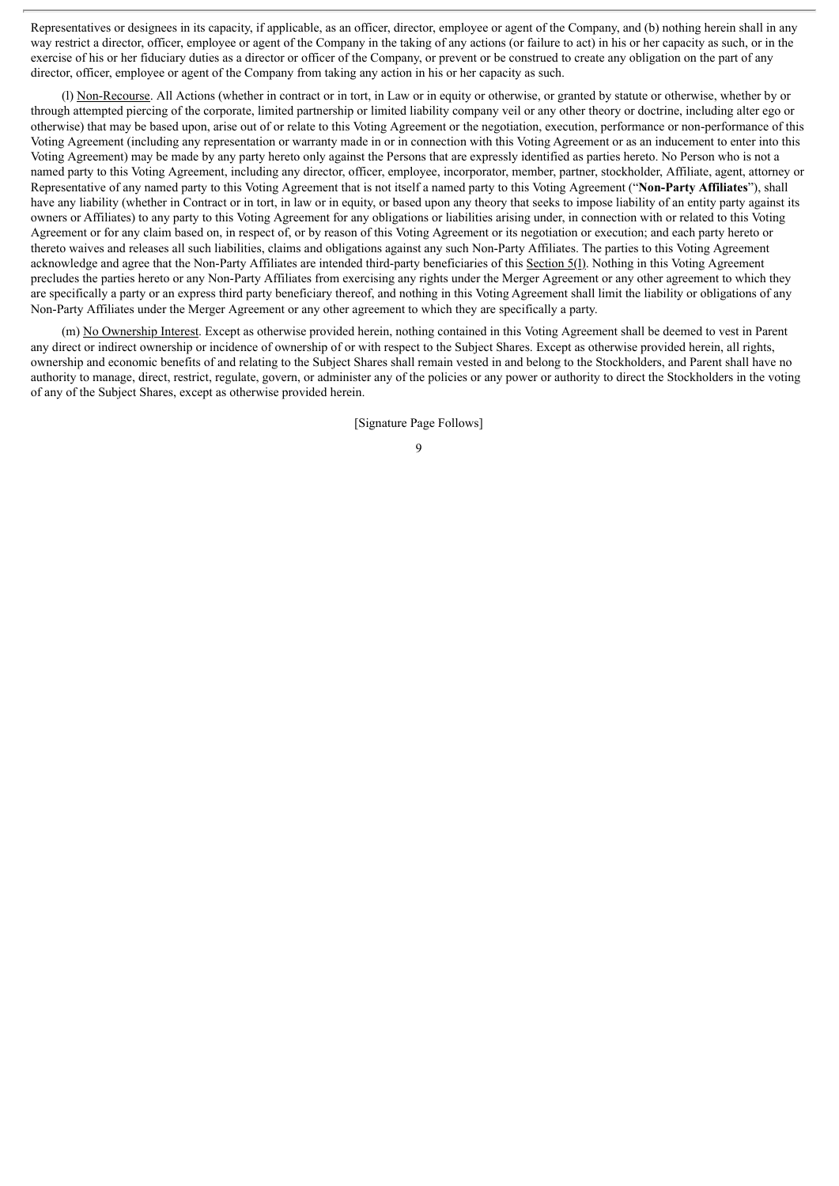Representatives or designees in its capacity, if applicable, as an officer, director, employee or agent of the Company, and (b) nothing herein shall in any way restrict a director, officer, employee or agent of the Company in the taking of any actions (or failure to act) in his or her capacity as such, or in the exercise of his or her fiduciary duties as a director or officer of the Company, or prevent or be construed to create any obligation on the part of any director, officer, employee or agent of the Company from taking any action in his or her capacity as such.

(l) Non-Recourse. All Actions (whether in contract or in tort, in Law or in equity or otherwise, or granted by statute or otherwise, whether by or through attempted piercing of the corporate, limited partnership or limited liability company veil or any other theory or doctrine, including alter ego or otherwise) that may be based upon, arise out of or relate to this Voting Agreement or the negotiation, execution, performance or non-performance of this Voting Agreement (including any representation or warranty made in or in connection with this Voting Agreement or as an inducement to enter into this Voting Agreement) may be made by any party hereto only against the Persons that are expressly identified as parties hereto. No Person who is not a named party to this Voting Agreement, including any director, officer, employee, incorporator, member, partner, stockholder, Affiliate, agent, attorney or Representative of any named party to this Voting Agreement that is not itself a named party to this Voting Agreement ("**Non-Party Affiliates**"), shall have any liability (whether in Contract or in tort, in law or in equity, or based upon any theory that seeks to impose liability of an entity party against its owners or Affiliates) to any party to this Voting Agreement for any obligations or liabilities arising under, in connection with or related to this Voting Agreement or for any claim based on, in respect of, or by reason of this Voting Agreement or its negotiation or execution; and each party hereto or thereto waives and releases all such liabilities, claims and obligations against any such Non-Party Affiliates. The parties to this Voting Agreement acknowledge and agree that the Non-Party Affiliates are intended third-party beneficiaries of this Section 5(1). Nothing in this Voting Agreement precludes the parties hereto or any Non-Party Affiliates from exercising any rights under the Merger Agreement or any other agreement to which they are specifically a party or an express third party beneficiary thereof, and nothing in this Voting Agreement shall limit the liability or obligations of any Non-Party Affiliates under the Merger Agreement or any other agreement to which they are specifically a party.

(m) No Ownership Interest. Except as otherwise provided herein, nothing contained in this Voting Agreement shall be deemed to vest in Parent any direct or indirect ownership or incidence of ownership of or with respect to the Subject Shares. Except as otherwise provided herein, all rights, ownership and economic benefits of and relating to the Subject Shares shall remain vested in and belong to the Stockholders, and Parent shall have no authority to manage, direct, restrict, regulate, govern, or administer any of the policies or any power or authority to direct the Stockholders in the voting of any of the Subject Shares, except as otherwise provided herein.

[Signature Page Follows]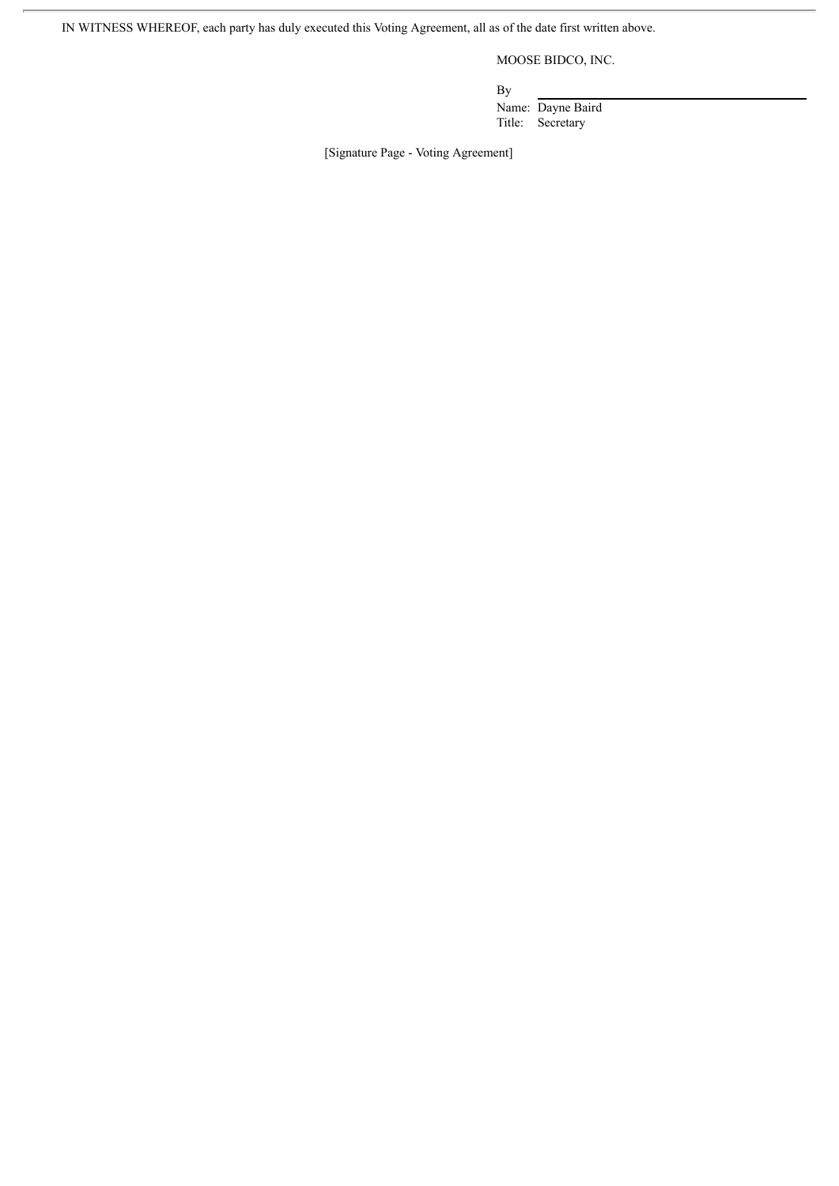MOOSE BIDCO, INC.

By

Name: Dayne Baird Title: Secretary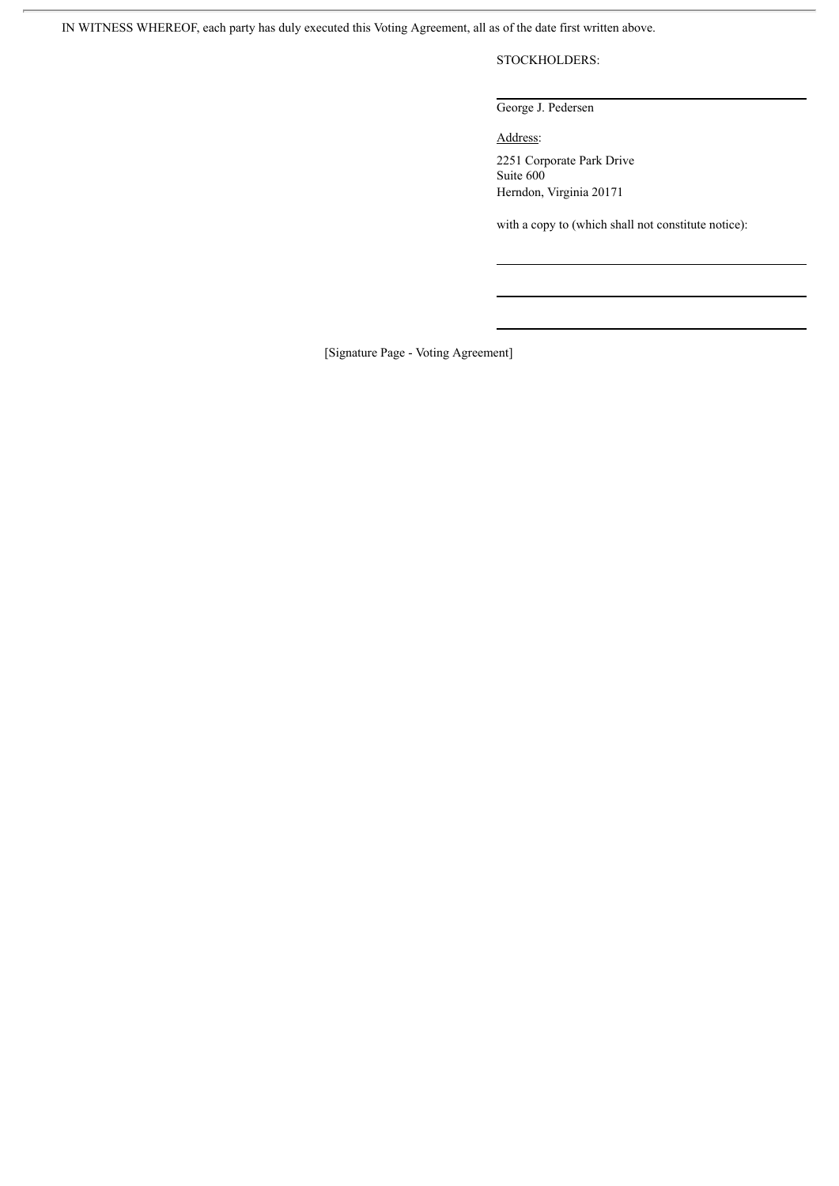STOCKHOLDERS:

George J. Pedersen

Address:

2251 Corporate Park Drive Suite 600 Herndon, Virginia 20171

with a copy to (which shall not constitute notice):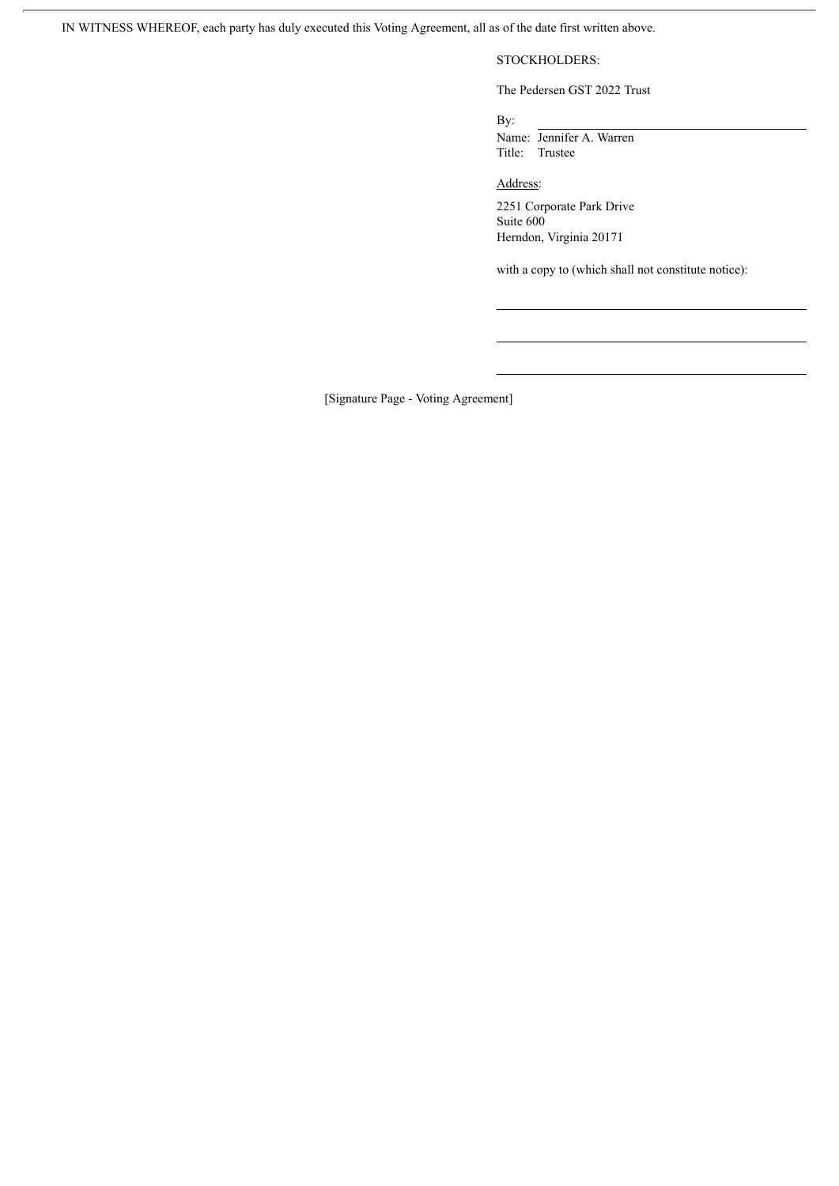## STOCKHOLDERS:

The Pedersen GST 2022 Trust

By:

Name: Jennifer A. Warren Title: Trustee

Address:

2251 Corporate Park Drive Suite 600 Herndon, Virginia 20171

with a copy to (which shall not constitute notice):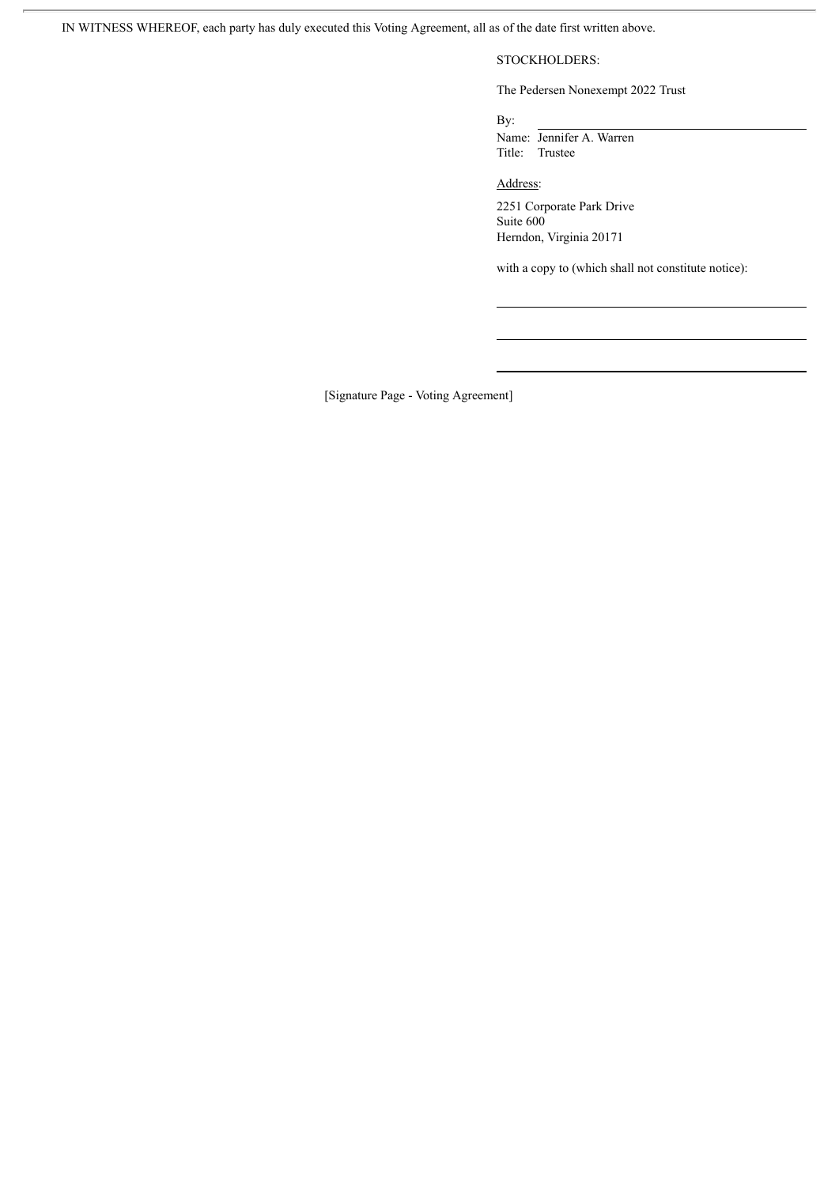# STOCKHOLDERS:

The Pedersen Nonexempt 2022 Trust

By:

Name: Jennifer A. Warren Title: Trustee

Address:

2251 Corporate Park Drive Suite 600 Herndon, Virginia 20171

with a copy to (which shall not constitute notice):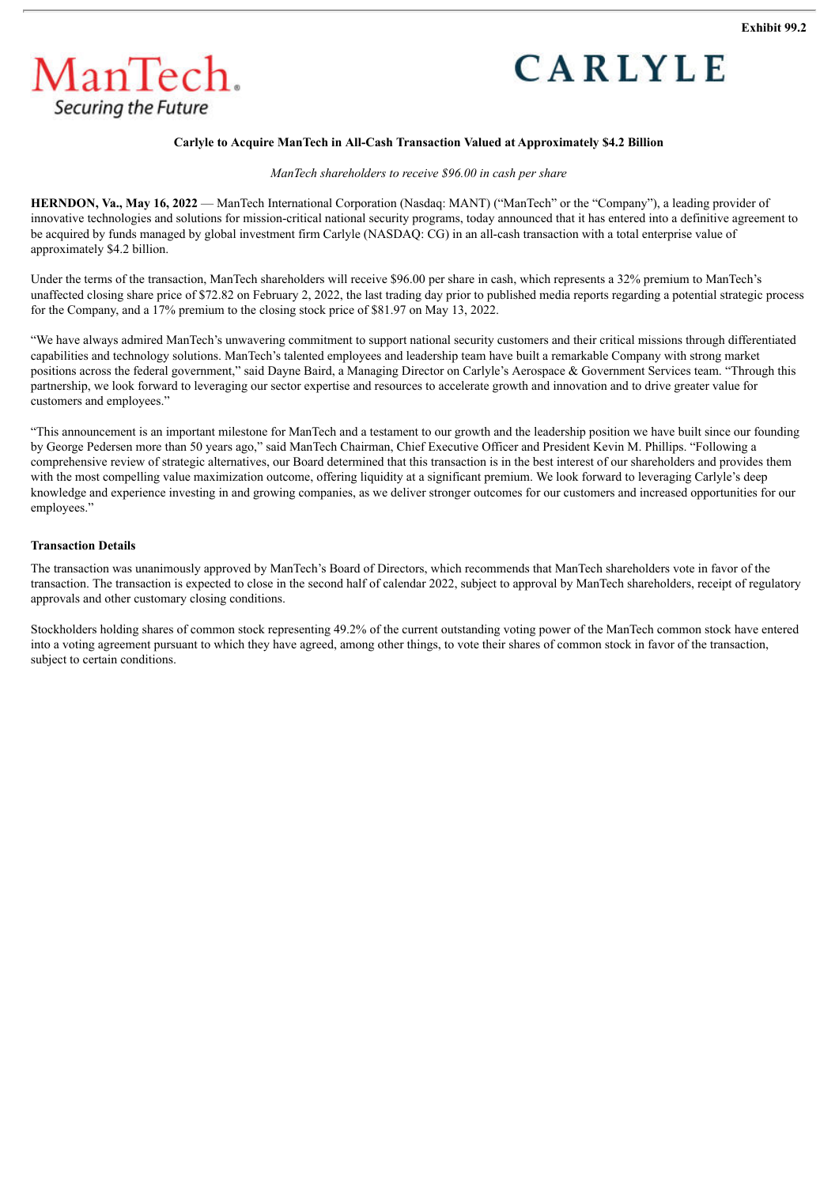



## **Carlyle to Acquire ManTech in All-Cash Transaction Valued at Approximately \$4.2 Billion**

*ManTech shareholders to receive \$96.00 in cash per share*

**HERNDON, Va., May 16, 2022** — ManTech International Corporation (Nasdaq: MANT) ("ManTech" or the "Company"), a leading provider of innovative technologies and solutions for mission-critical national security programs, today announced that it has entered into a definitive agreement to be acquired by funds managed by global investment firm Carlyle (NASDAQ: CG) in an all-cash transaction with a total enterprise value of approximately \$4.2 billion.

Under the terms of the transaction, ManTech shareholders will receive \$96.00 per share in cash, which represents a 32% premium to ManTech's unaffected closing share price of \$72.82 on February 2, 2022, the last trading day prior to published media reports regarding a potential strategic process for the Company, and a 17% premium to the closing stock price of \$81.97 on May 13, 2022.

"We have always admired ManTech's unwavering commitment to support national security customers and their critical missions through differentiated capabilities and technology solutions. ManTech's talented employees and leadership team have built a remarkable Company with strong market positions across the federal government," said Dayne Baird, a Managing Director on Carlyle's Aerospace & Government Services team. "Through this partnership, we look forward to leveraging our sector expertise and resources to accelerate growth and innovation and to drive greater value for customers and employees."

"This announcement is an important milestone for ManTech and a testament to our growth and the leadership position we have built since our founding by George Pedersen more than 50 years ago," said ManTech Chairman, Chief Executive Officer and President Kevin M. Phillips. "Following a comprehensive review of strategic alternatives, our Board determined that this transaction is in the best interest of our shareholders and provides them with the most compelling value maximization outcome, offering liquidity at a significant premium. We look forward to leveraging Carlyle's deep knowledge and experience investing in and growing companies, as we deliver stronger outcomes for our customers and increased opportunities for our employees."

#### **Transaction Details**

The transaction was unanimously approved by ManTech's Board of Directors, which recommends that ManTech shareholders vote in favor of the transaction. The transaction is expected to close in the second half of calendar 2022, subject to approval by ManTech shareholders, receipt of regulatory approvals and other customary closing conditions.

Stockholders holding shares of common stock representing 49.2% of the current outstanding voting power of the ManTech common stock have entered into a voting agreement pursuant to which they have agreed, among other things, to vote their shares of common stock in favor of the transaction, subject to certain conditions.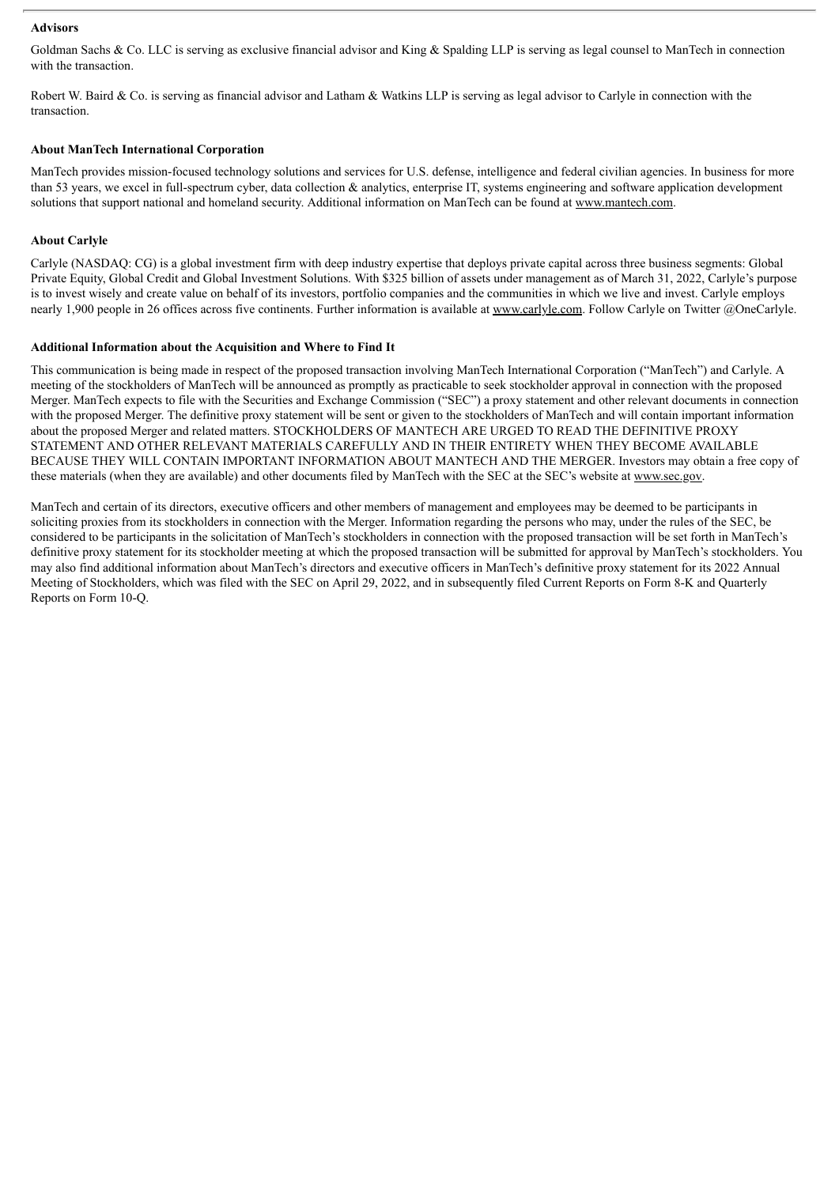#### **Advisors**

Goldman Sachs  $& Co.$  LLC is serving as exclusive financial advisor and King  $& Spalding$  LLP is serving as legal counsel to ManTech in connection with the transaction.

Robert W. Baird & Co. is serving as financial advisor and Latham & Watkins LLP is serving as legal advisor to Carlyle in connection with the transaction.

## **About ManTech International Corporation**

ManTech provides mission-focused technology solutions and services for U.S. defense, intelligence and federal civilian agencies. In business for more than 53 years, we excel in full-spectrum cyber, data collection & analytics, enterprise IT, systems engineering and software application development solutions that support national and homeland security. Additional information on ManTech can be found at www.mantech.com.

## **About Carlyle**

Carlyle (NASDAQ: CG) is a global investment firm with deep industry expertise that deploys private capital across three business segments: Global Private Equity, Global Credit and Global Investment Solutions. With \$325 billion of assets under management as of March 31, 2022, Carlyle's purpose is to invest wisely and create value on behalf of its investors, portfolio companies and the communities in which we live and invest. Carlyle employs nearly 1,900 people in 26 offices across five continents. Further information is available at www.carlyle.com. Follow Carlyle on Twitter @OneCarlyle.

#### **Additional Information about the Acquisition and Where to Find It**

This communication is being made in respect of the proposed transaction involving ManTech International Corporation ("ManTech") and Carlyle. A meeting of the stockholders of ManTech will be announced as promptly as practicable to seek stockholder approval in connection with the proposed Merger. ManTech expects to file with the Securities and Exchange Commission ("SEC") a proxy statement and other relevant documents in connection with the proposed Merger. The definitive proxy statement will be sent or given to the stockholders of ManTech and will contain important information about the proposed Merger and related matters. STOCKHOLDERS OF MANTECH ARE URGED TO READ THE DEFINITIVE PROXY STATEMENT AND OTHER RELEVANT MATERIALS CAREFULLY AND IN THEIR ENTIRETY WHEN THEY BECOME AVAILABLE BECAUSE THEY WILL CONTAIN IMPORTANT INFORMATION ABOUT MANTECH AND THE MERGER. Investors may obtain a free copy of these materials (when they are available) and other documents filed by ManTech with the SEC at the SEC's website at www.sec.gov.

ManTech and certain of its directors, executive officers and other members of management and employees may be deemed to be participants in soliciting proxies from its stockholders in connection with the Merger. Information regarding the persons who may, under the rules of the SEC, be considered to be participants in the solicitation of ManTech's stockholders in connection with the proposed transaction will be set forth in ManTech's definitive proxy statement for its stockholder meeting at which the proposed transaction will be submitted for approval by ManTech's stockholders. You may also find additional information about ManTech's directors and executive officers in ManTech's definitive proxy statement for its 2022 Annual Meeting of Stockholders, which was filed with the SEC on April 29, 2022, and in subsequently filed Current Reports on Form 8-K and Quarterly Reports on Form 10-Q.